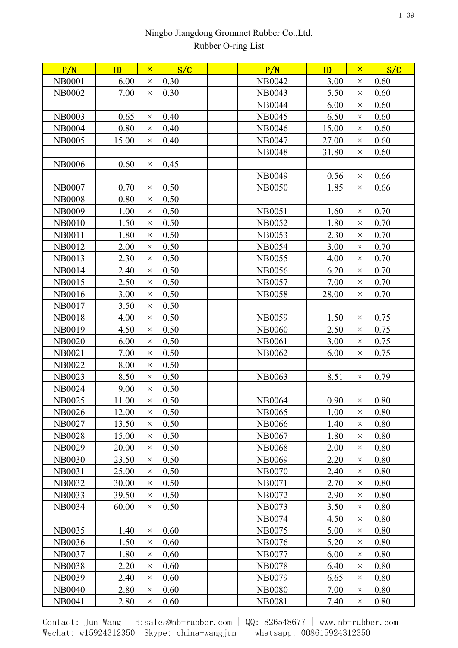| P/N           | ID    | $\mathsf{x}$ | S/C  | P/N           | <b>ID</b> | $\mathsf{x}$ | S/C  |  |
|---------------|-------|--------------|------|---------------|-----------|--------------|------|--|
| <b>NB0001</b> | 6.00  | $\times$     | 0.30 | NB0042        | 3.00      | $\times$     | 0.60 |  |
| <b>NB0002</b> | 7.00  | $\times$     | 0.30 | <b>NB0043</b> | 5.50      | $\times$     | 0.60 |  |
|               |       |              |      | <b>NB0044</b> | 6.00      | $\times$     | 0.60 |  |
| <b>NB0003</b> | 0.65  | $\times$     | 0.40 | <b>NB0045</b> | 6.50      | $\times$     | 0.60 |  |
| <b>NB0004</b> | 0.80  | $\times$     | 0.40 | <b>NB0046</b> | 15.00     | $\times$     | 0.60 |  |
| <b>NB0005</b> | 15.00 | $\times$     | 0.40 | <b>NB0047</b> | 27.00     | $\times$     | 0.60 |  |
|               |       |              |      | <b>NB0048</b> | 31.80     | $\times$     | 0.60 |  |
| <b>NB0006</b> | 0.60  | $\times$     | 0.45 |               |           |              |      |  |
|               |       |              |      | <b>NB0049</b> | 0.56      | $\times$     | 0.66 |  |
| <b>NB0007</b> | 0.70  | $\times$     | 0.50 | <b>NB0050</b> | 1.85      | $\times$     | 0.66 |  |
| <b>NB0008</b> | 0.80  | $\times$     | 0.50 |               |           |              |      |  |
| <b>NB0009</b> | 1.00  | $\times$     | 0.50 | <b>NB0051</b> | 1.60      | $\times$     | 0.70 |  |
| <b>NB0010</b> | 1.50  | $\times$     | 0.50 | <b>NB0052</b> | 1.80      | $\times$     | 0.70 |  |
| <b>NB0011</b> | 1.80  | $\times$     | 0.50 | <b>NB0053</b> | 2.30      | $\times$     | 0.70 |  |
| NB0012        | 2.00  | $\times$     | 0.50 | <b>NB0054</b> | 3.00      | $\times$     | 0.70 |  |
| <b>NB0013</b> | 2.30  | $\times$     | 0.50 | <b>NB0055</b> | 4.00      | $\times$     | 0.70 |  |
| <b>NB0014</b> | 2.40  | $\times$     | 0.50 | <b>NB0056</b> | 6.20      | $\times$     | 0.70 |  |
| <b>NB0015</b> | 2.50  | $\times$     | 0.50 | NB0057        | 7.00      | $\times$     | 0.70 |  |
| <b>NB0016</b> | 3.00  | $\times$     | 0.50 | <b>NB0058</b> | 28.00     | $\times$     | 0.70 |  |
| NB0017        | 3.50  | $\times$     | 0.50 |               |           |              |      |  |
| NB0018        | 4.00  | $\times$     | 0.50 | <b>NB0059</b> | 1.50      | $\times$     | 0.75 |  |
| NB0019        | 4.50  | $\times$     | 0.50 | <b>NB0060</b> | 2.50      | $\times$     | 0.75 |  |
| <b>NB0020</b> | 6.00  | $\times$     | 0.50 | <b>NB0061</b> | 3.00      | $\times$     | 0.75 |  |
| <b>NB0021</b> | 7.00  | $\times$     | 0.50 | NB0062        | 6.00      | $\times$     | 0.75 |  |
| <b>NB0022</b> | 8.00  | $\times$     | 0.50 |               |           |              |      |  |
| <b>NB0023</b> | 8.50  | $\times$     | 0.50 | <b>NB0063</b> | 8.51      | $\times$     | 0.79 |  |
| <b>NB0024</b> | 9.00  | $\times$     | 0.50 |               |           |              |      |  |
| <b>NB0025</b> | 11.00 | $\times$     | 0.50 | <b>NB0064</b> | 0.90      | $\times$     | 0.80 |  |
| <b>NB0026</b> | 12.00 | X            | 0.50 | <b>NB0065</b> | 1.00      | $\times$     | 0.80 |  |
| NB0027        | 13.50 | $\times$     | 0.50 | <b>NB0066</b> | 1.40      | $\times$     | 0.80 |  |
| <b>NB0028</b> | 15.00 | $\times$     | 0.50 | <b>NB0067</b> | 1.80      | $\times$     | 0.80 |  |
| <b>NB0029</b> | 20.00 | $\times$     | 0.50 | <b>NB0068</b> | 2.00      | $\times$     | 0.80 |  |
| <b>NB0030</b> | 23.50 | $\times$     | 0.50 | <b>NB0069</b> | 2.20      | $\times$     | 0.80 |  |
| <b>NB0031</b> | 25.00 | $\times$     | 0.50 | <b>NB0070</b> | 2.40      | $\times$     | 0.80 |  |
| <b>NB0032</b> | 30.00 | $\times$     | 0.50 | <b>NB0071</b> | 2.70      | $\times$     | 0.80 |  |
| <b>NB0033</b> | 39.50 | $\times$     | 0.50 | NB0072        | 2.90      | $\times$     | 0.80 |  |
| <b>NB0034</b> | 60.00 | $\times$     | 0.50 | <b>NB0073</b> | 3.50      | $\times$     | 0.80 |  |
|               |       |              |      | <b>NB0074</b> | 4.50      | $\times$     | 0.80 |  |
| <b>NB0035</b> | 1.40  | $\times$     | 0.60 | NB0075        | 5.00      | $\times$     | 0.80 |  |
| <b>NB0036</b> | 1.50  | $\times$     | 0.60 | NB0076        | 5.20      | $\times$     | 0.80 |  |
| NB0037        | 1.80  | $\times$     | 0.60 | <b>NB0077</b> | 6.00      | $\times$     | 0.80 |  |
| <b>NB0038</b> | 2.20  | $\times$     | 0.60 | <b>NB0078</b> | 6.40      | $\times$     | 0.80 |  |
| <b>NB0039</b> | 2.40  | $\times$     | 0.60 | NB0079        | 6.65      | $\times$     | 0.80 |  |
| <b>NB0040</b> | 2.80  | $\times$     | 0.60 | <b>NB0080</b> | 7.00      | $\times$     | 0.80 |  |
| NB0041        | 2.80  | $\times$     | 0.60 | <b>NB0081</b> | 7.40      | $\times$     | 0.80 |  |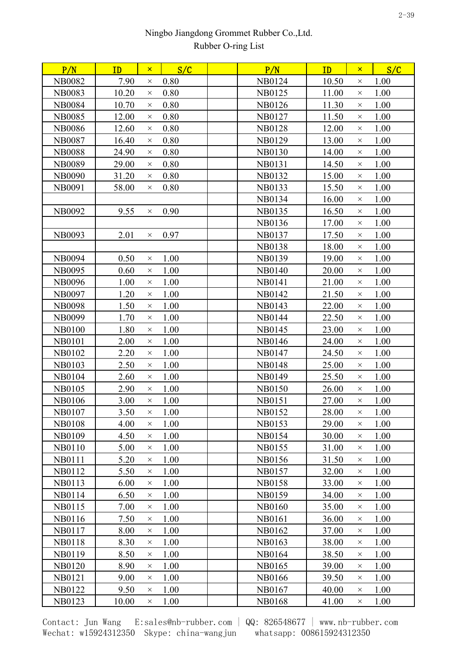| 7.90<br>0.80<br>NB0124<br>10.50<br>1.00<br><b>NB0082</b><br>$\times$<br>$\times$<br>0.80<br>1.00<br><b>NB0083</b><br>10.20<br><b>NB0125</b><br>11.00<br>$\times$<br>$\times$<br>10.70<br>0.80<br>1.00<br><b>NB0084</b><br>NB0126<br>11.30<br>$\times$<br>$\times$<br>0.80<br>1.00<br><b>NB0085</b><br>12.00<br>NB0127<br>11.50<br>$\times$<br>$\times$<br>0.80<br>1.00<br><b>NB0086</b><br>12.60<br><b>NB0128</b><br>12.00<br>$\times$<br>$\times$<br><b>NB0087</b><br>16.40<br>0.80<br>NB0129<br>13.00<br>1.00<br>$\times$<br>$\times$<br>24.90<br>0.80<br>14.00<br>1.00<br><b>NB0088</b><br>NB0130<br>$\times$<br>$\times$<br>0.80<br>1.00<br><b>NB0089</b><br><b>NB0131</b><br>14.50<br>29.00<br>$\times$<br>$\times$<br>0.80<br>NB0132<br>15.00<br>1.00<br><b>NB0090</b><br>31.20<br>$\times$<br>$\times$<br><b>NB0091</b><br>58.00<br>0.80<br><b>NB0133</b><br>15.50<br>1.00<br>$\times$<br>$\times$<br>1.00<br>NB0134<br>16.00<br>$\times$<br><b>NB0092</b><br>9.55<br>0.90<br>NB0135<br>16.50<br>1.00<br>$\times$<br>$\times$<br>1.00<br>NB0136<br>17.00<br>$\times$<br><b>NB0093</b><br>2.01<br>0.97<br>NB0137<br>17.50<br>1.00<br>$\times$<br>$\times$<br>1.00<br><b>NB0138</b><br>18.00<br>$\times$<br>0.50<br>1.00<br>19.00<br>1.00<br><b>NB0094</b><br>NB0139<br>$\times$<br>$\times$<br>0.60<br>1.00<br><b>NB0140</b><br>20.00<br>1.00<br><b>NB0095</b><br>$\times$<br>$\times$<br>1.00<br>1.00<br><b>NB0096</b><br>1.00<br><b>NB0141</b><br>21.00<br>$\times$<br>$\times$<br><b>NB0097</b><br>1.20<br>1.00<br>NB0142<br>1.00<br>21.50<br>$\times$<br>$\times$<br>1.00<br>1.00<br><b>NB0098</b><br>1.50<br>NB0143<br>22.00<br>$\times$<br>$\times$<br>1.00<br><b>NB0099</b><br>1.70<br>NB0144<br>22.50<br>1.00<br>$\times$<br>$\times$<br>1.00<br>1.00<br><b>NB0100</b><br>1.80<br><b>NB0145</b><br>23.00<br>$\times$<br>$\times$<br><b>NB0101</b><br>2.00<br>1.00<br>24.00<br>1.00<br><b>NB0146</b><br>$\times$<br>$\times$<br>1.00<br>1.00<br>NB0102<br>2.20<br><b>NB0147</b><br>24.50<br>$\times$<br>$\times$<br><b>NB0103</b><br>2.50<br>1.00<br><b>NB0148</b><br>25.00<br>1.00<br>$\times$<br>$\times$<br>1.00<br><b>NB0104</b><br>2.60<br>1.00<br><b>NB0149</b><br>25.50<br>$\times$<br>$\times$<br>NB0105<br>2.90<br>1.00<br><b>NB0150</b><br>26.00<br>1.00<br>$\times$<br>$\times$<br><b>NB0106</b><br>3.00<br>1.00<br>27.00<br>1.00<br><b>NB0151</b><br>$\times$<br>$\times$<br><b>NB0107</b><br>3.50<br><b>NB0152</b><br>28.00<br>1.00<br>1.00<br>$\times$<br>$\times$<br>4.00<br>1.00<br>29.00<br>1.00<br><b>NB0108</b><br><b>NB0153</b><br>$\times$<br>$\times$<br><b>NB0109</b><br>4.50<br>1.00<br><b>NB0154</b><br>30.00<br>1.00<br>X<br>$\times$<br>1.00<br><b>NB0110</b><br>5.00<br>1.00<br>NB0155<br>31.00<br>$\times$<br>$\times$<br>1.00<br>1.00<br><b>NB0111</b><br>5.20<br>NB0156<br>31.50<br>$\times$<br>$\times$<br>1.00<br>32.00<br>1.00<br>NB0112<br>5.50<br><b>NB0157</b><br>$\times$<br>$\times$<br><b>NB0113</b><br>6.00<br>1.00<br><b>NB0158</b><br>33.00<br>1.00<br>$\times$<br>$\times$<br><b>NB0114</b><br>6.50<br>1.00<br>NB0159<br>1.00<br>34.00<br>$\times$<br>$\times$<br>NB0115<br>7.00<br>1.00<br><b>NB0160</b><br>35.00<br>1.00<br>$\times$<br>$\times$<br>1.00<br>NB0116<br>7.50<br><b>NB0161</b><br>36.00<br>1.00<br>$\times$<br>$\times$<br><b>NB0117</b><br>8.00<br>1.00<br>NB0162<br>37.00<br>1.00<br>$\times$<br>$\times$<br>1.00<br>NB0163<br>38.00<br>1.00<br><b>NB0118</b><br>8.30<br>$\times$<br>$\times$<br>1.00<br>38.50<br>1.00<br>NB0119<br>8.50<br>NB0164<br>$\times$<br>$\times$<br><b>NB0120</b><br>8.90<br>1.00<br>NB0165<br>39.00<br>1.00<br>$\times$<br>$\times$<br><b>NB0121</b><br>9.00<br>1.00<br><b>NB0166</b><br>39.50<br>1.00<br>$\times$<br>$\times$<br>NB0122<br>1.00<br>NB0167<br>9.50<br>40.00<br>1.00<br>$\times$<br>$\times$<br><b>NB0123</b><br>1.00<br><b>NB0168</b><br>10.00<br>41.00<br>1.00<br>$\times$<br>X | P/N | ID | $\mathsf{x}$ | S/C | P/N | ID | $\mathsf{x}$ | S/C |  |
|-------------------------------------------------------------------------------------------------------------------------------------------------------------------------------------------------------------------------------------------------------------------------------------------------------------------------------------------------------------------------------------------------------------------------------------------------------------------------------------------------------------------------------------------------------------------------------------------------------------------------------------------------------------------------------------------------------------------------------------------------------------------------------------------------------------------------------------------------------------------------------------------------------------------------------------------------------------------------------------------------------------------------------------------------------------------------------------------------------------------------------------------------------------------------------------------------------------------------------------------------------------------------------------------------------------------------------------------------------------------------------------------------------------------------------------------------------------------------------------------------------------------------------------------------------------------------------------------------------------------------------------------------------------------------------------------------------------------------------------------------------------------------------------------------------------------------------------------------------------------------------------------------------------------------------------------------------------------------------------------------------------------------------------------------------------------------------------------------------------------------------------------------------------------------------------------------------------------------------------------------------------------------------------------------------------------------------------------------------------------------------------------------------------------------------------------------------------------------------------------------------------------------------------------------------------------------------------------------------------------------------------------------------------------------------------------------------------------------------------------------------------------------------------------------------------------------------------------------------------------------------------------------------------------------------------------------------------------------------------------------------------------------------------------------------------------------------------------------------------------------------------------------------------------------------------------------------------------------------------------------------------------------------------------------------------------------------------------------------------------------------------------------------------------------------------------------------------------------------------------------------------------------------------------------------------------------------------------------------------------------------------------------------------------------------------------------------------------------------------------------------------------------------------------------------------------------------------------------------------------------------------------------------|-----|----|--------------|-----|-----|----|--------------|-----|--|
|                                                                                                                                                                                                                                                                                                                                                                                                                                                                                                                                                                                                                                                                                                                                                                                                                                                                                                                                                                                                                                                                                                                                                                                                                                                                                                                                                                                                                                                                                                                                                                                                                                                                                                                                                                                                                                                                                                                                                                                                                                                                                                                                                                                                                                                                                                                                                                                                                                                                                                                                                                                                                                                                                                                                                                                                                                                                                                                                                                                                                                                                                                                                                                                                                                                                                                                                                                                                                                                                                                                                                                                                                                                                                                                                                                                                                                                                                                       |     |    |              |     |     |    |              |     |  |
|                                                                                                                                                                                                                                                                                                                                                                                                                                                                                                                                                                                                                                                                                                                                                                                                                                                                                                                                                                                                                                                                                                                                                                                                                                                                                                                                                                                                                                                                                                                                                                                                                                                                                                                                                                                                                                                                                                                                                                                                                                                                                                                                                                                                                                                                                                                                                                                                                                                                                                                                                                                                                                                                                                                                                                                                                                                                                                                                                                                                                                                                                                                                                                                                                                                                                                                                                                                                                                                                                                                                                                                                                                                                                                                                                                                                                                                                                                       |     |    |              |     |     |    |              |     |  |
|                                                                                                                                                                                                                                                                                                                                                                                                                                                                                                                                                                                                                                                                                                                                                                                                                                                                                                                                                                                                                                                                                                                                                                                                                                                                                                                                                                                                                                                                                                                                                                                                                                                                                                                                                                                                                                                                                                                                                                                                                                                                                                                                                                                                                                                                                                                                                                                                                                                                                                                                                                                                                                                                                                                                                                                                                                                                                                                                                                                                                                                                                                                                                                                                                                                                                                                                                                                                                                                                                                                                                                                                                                                                                                                                                                                                                                                                                                       |     |    |              |     |     |    |              |     |  |
|                                                                                                                                                                                                                                                                                                                                                                                                                                                                                                                                                                                                                                                                                                                                                                                                                                                                                                                                                                                                                                                                                                                                                                                                                                                                                                                                                                                                                                                                                                                                                                                                                                                                                                                                                                                                                                                                                                                                                                                                                                                                                                                                                                                                                                                                                                                                                                                                                                                                                                                                                                                                                                                                                                                                                                                                                                                                                                                                                                                                                                                                                                                                                                                                                                                                                                                                                                                                                                                                                                                                                                                                                                                                                                                                                                                                                                                                                                       |     |    |              |     |     |    |              |     |  |
|                                                                                                                                                                                                                                                                                                                                                                                                                                                                                                                                                                                                                                                                                                                                                                                                                                                                                                                                                                                                                                                                                                                                                                                                                                                                                                                                                                                                                                                                                                                                                                                                                                                                                                                                                                                                                                                                                                                                                                                                                                                                                                                                                                                                                                                                                                                                                                                                                                                                                                                                                                                                                                                                                                                                                                                                                                                                                                                                                                                                                                                                                                                                                                                                                                                                                                                                                                                                                                                                                                                                                                                                                                                                                                                                                                                                                                                                                                       |     |    |              |     |     |    |              |     |  |
|                                                                                                                                                                                                                                                                                                                                                                                                                                                                                                                                                                                                                                                                                                                                                                                                                                                                                                                                                                                                                                                                                                                                                                                                                                                                                                                                                                                                                                                                                                                                                                                                                                                                                                                                                                                                                                                                                                                                                                                                                                                                                                                                                                                                                                                                                                                                                                                                                                                                                                                                                                                                                                                                                                                                                                                                                                                                                                                                                                                                                                                                                                                                                                                                                                                                                                                                                                                                                                                                                                                                                                                                                                                                                                                                                                                                                                                                                                       |     |    |              |     |     |    |              |     |  |
|                                                                                                                                                                                                                                                                                                                                                                                                                                                                                                                                                                                                                                                                                                                                                                                                                                                                                                                                                                                                                                                                                                                                                                                                                                                                                                                                                                                                                                                                                                                                                                                                                                                                                                                                                                                                                                                                                                                                                                                                                                                                                                                                                                                                                                                                                                                                                                                                                                                                                                                                                                                                                                                                                                                                                                                                                                                                                                                                                                                                                                                                                                                                                                                                                                                                                                                                                                                                                                                                                                                                                                                                                                                                                                                                                                                                                                                                                                       |     |    |              |     |     |    |              |     |  |
|                                                                                                                                                                                                                                                                                                                                                                                                                                                                                                                                                                                                                                                                                                                                                                                                                                                                                                                                                                                                                                                                                                                                                                                                                                                                                                                                                                                                                                                                                                                                                                                                                                                                                                                                                                                                                                                                                                                                                                                                                                                                                                                                                                                                                                                                                                                                                                                                                                                                                                                                                                                                                                                                                                                                                                                                                                                                                                                                                                                                                                                                                                                                                                                                                                                                                                                                                                                                                                                                                                                                                                                                                                                                                                                                                                                                                                                                                                       |     |    |              |     |     |    |              |     |  |
|                                                                                                                                                                                                                                                                                                                                                                                                                                                                                                                                                                                                                                                                                                                                                                                                                                                                                                                                                                                                                                                                                                                                                                                                                                                                                                                                                                                                                                                                                                                                                                                                                                                                                                                                                                                                                                                                                                                                                                                                                                                                                                                                                                                                                                                                                                                                                                                                                                                                                                                                                                                                                                                                                                                                                                                                                                                                                                                                                                                                                                                                                                                                                                                                                                                                                                                                                                                                                                                                                                                                                                                                                                                                                                                                                                                                                                                                                                       |     |    |              |     |     |    |              |     |  |
|                                                                                                                                                                                                                                                                                                                                                                                                                                                                                                                                                                                                                                                                                                                                                                                                                                                                                                                                                                                                                                                                                                                                                                                                                                                                                                                                                                                                                                                                                                                                                                                                                                                                                                                                                                                                                                                                                                                                                                                                                                                                                                                                                                                                                                                                                                                                                                                                                                                                                                                                                                                                                                                                                                                                                                                                                                                                                                                                                                                                                                                                                                                                                                                                                                                                                                                                                                                                                                                                                                                                                                                                                                                                                                                                                                                                                                                                                                       |     |    |              |     |     |    |              |     |  |
|                                                                                                                                                                                                                                                                                                                                                                                                                                                                                                                                                                                                                                                                                                                                                                                                                                                                                                                                                                                                                                                                                                                                                                                                                                                                                                                                                                                                                                                                                                                                                                                                                                                                                                                                                                                                                                                                                                                                                                                                                                                                                                                                                                                                                                                                                                                                                                                                                                                                                                                                                                                                                                                                                                                                                                                                                                                                                                                                                                                                                                                                                                                                                                                                                                                                                                                                                                                                                                                                                                                                                                                                                                                                                                                                                                                                                                                                                                       |     |    |              |     |     |    |              |     |  |
|                                                                                                                                                                                                                                                                                                                                                                                                                                                                                                                                                                                                                                                                                                                                                                                                                                                                                                                                                                                                                                                                                                                                                                                                                                                                                                                                                                                                                                                                                                                                                                                                                                                                                                                                                                                                                                                                                                                                                                                                                                                                                                                                                                                                                                                                                                                                                                                                                                                                                                                                                                                                                                                                                                                                                                                                                                                                                                                                                                                                                                                                                                                                                                                                                                                                                                                                                                                                                                                                                                                                                                                                                                                                                                                                                                                                                                                                                                       |     |    |              |     |     |    |              |     |  |
|                                                                                                                                                                                                                                                                                                                                                                                                                                                                                                                                                                                                                                                                                                                                                                                                                                                                                                                                                                                                                                                                                                                                                                                                                                                                                                                                                                                                                                                                                                                                                                                                                                                                                                                                                                                                                                                                                                                                                                                                                                                                                                                                                                                                                                                                                                                                                                                                                                                                                                                                                                                                                                                                                                                                                                                                                                                                                                                                                                                                                                                                                                                                                                                                                                                                                                                                                                                                                                                                                                                                                                                                                                                                                                                                                                                                                                                                                                       |     |    |              |     |     |    |              |     |  |
|                                                                                                                                                                                                                                                                                                                                                                                                                                                                                                                                                                                                                                                                                                                                                                                                                                                                                                                                                                                                                                                                                                                                                                                                                                                                                                                                                                                                                                                                                                                                                                                                                                                                                                                                                                                                                                                                                                                                                                                                                                                                                                                                                                                                                                                                                                                                                                                                                                                                                                                                                                                                                                                                                                                                                                                                                                                                                                                                                                                                                                                                                                                                                                                                                                                                                                                                                                                                                                                                                                                                                                                                                                                                                                                                                                                                                                                                                                       |     |    |              |     |     |    |              |     |  |
|                                                                                                                                                                                                                                                                                                                                                                                                                                                                                                                                                                                                                                                                                                                                                                                                                                                                                                                                                                                                                                                                                                                                                                                                                                                                                                                                                                                                                                                                                                                                                                                                                                                                                                                                                                                                                                                                                                                                                                                                                                                                                                                                                                                                                                                                                                                                                                                                                                                                                                                                                                                                                                                                                                                                                                                                                                                                                                                                                                                                                                                                                                                                                                                                                                                                                                                                                                                                                                                                                                                                                                                                                                                                                                                                                                                                                                                                                                       |     |    |              |     |     |    |              |     |  |
|                                                                                                                                                                                                                                                                                                                                                                                                                                                                                                                                                                                                                                                                                                                                                                                                                                                                                                                                                                                                                                                                                                                                                                                                                                                                                                                                                                                                                                                                                                                                                                                                                                                                                                                                                                                                                                                                                                                                                                                                                                                                                                                                                                                                                                                                                                                                                                                                                                                                                                                                                                                                                                                                                                                                                                                                                                                                                                                                                                                                                                                                                                                                                                                                                                                                                                                                                                                                                                                                                                                                                                                                                                                                                                                                                                                                                                                                                                       |     |    |              |     |     |    |              |     |  |
|                                                                                                                                                                                                                                                                                                                                                                                                                                                                                                                                                                                                                                                                                                                                                                                                                                                                                                                                                                                                                                                                                                                                                                                                                                                                                                                                                                                                                                                                                                                                                                                                                                                                                                                                                                                                                                                                                                                                                                                                                                                                                                                                                                                                                                                                                                                                                                                                                                                                                                                                                                                                                                                                                                                                                                                                                                                                                                                                                                                                                                                                                                                                                                                                                                                                                                                                                                                                                                                                                                                                                                                                                                                                                                                                                                                                                                                                                                       |     |    |              |     |     |    |              |     |  |
|                                                                                                                                                                                                                                                                                                                                                                                                                                                                                                                                                                                                                                                                                                                                                                                                                                                                                                                                                                                                                                                                                                                                                                                                                                                                                                                                                                                                                                                                                                                                                                                                                                                                                                                                                                                                                                                                                                                                                                                                                                                                                                                                                                                                                                                                                                                                                                                                                                                                                                                                                                                                                                                                                                                                                                                                                                                                                                                                                                                                                                                                                                                                                                                                                                                                                                                                                                                                                                                                                                                                                                                                                                                                                                                                                                                                                                                                                                       |     |    |              |     |     |    |              |     |  |
|                                                                                                                                                                                                                                                                                                                                                                                                                                                                                                                                                                                                                                                                                                                                                                                                                                                                                                                                                                                                                                                                                                                                                                                                                                                                                                                                                                                                                                                                                                                                                                                                                                                                                                                                                                                                                                                                                                                                                                                                                                                                                                                                                                                                                                                                                                                                                                                                                                                                                                                                                                                                                                                                                                                                                                                                                                                                                                                                                                                                                                                                                                                                                                                                                                                                                                                                                                                                                                                                                                                                                                                                                                                                                                                                                                                                                                                                                                       |     |    |              |     |     |    |              |     |  |
|                                                                                                                                                                                                                                                                                                                                                                                                                                                                                                                                                                                                                                                                                                                                                                                                                                                                                                                                                                                                                                                                                                                                                                                                                                                                                                                                                                                                                                                                                                                                                                                                                                                                                                                                                                                                                                                                                                                                                                                                                                                                                                                                                                                                                                                                                                                                                                                                                                                                                                                                                                                                                                                                                                                                                                                                                                                                                                                                                                                                                                                                                                                                                                                                                                                                                                                                                                                                                                                                                                                                                                                                                                                                                                                                                                                                                                                                                                       |     |    |              |     |     |    |              |     |  |
|                                                                                                                                                                                                                                                                                                                                                                                                                                                                                                                                                                                                                                                                                                                                                                                                                                                                                                                                                                                                                                                                                                                                                                                                                                                                                                                                                                                                                                                                                                                                                                                                                                                                                                                                                                                                                                                                                                                                                                                                                                                                                                                                                                                                                                                                                                                                                                                                                                                                                                                                                                                                                                                                                                                                                                                                                                                                                                                                                                                                                                                                                                                                                                                                                                                                                                                                                                                                                                                                                                                                                                                                                                                                                                                                                                                                                                                                                                       |     |    |              |     |     |    |              |     |  |
|                                                                                                                                                                                                                                                                                                                                                                                                                                                                                                                                                                                                                                                                                                                                                                                                                                                                                                                                                                                                                                                                                                                                                                                                                                                                                                                                                                                                                                                                                                                                                                                                                                                                                                                                                                                                                                                                                                                                                                                                                                                                                                                                                                                                                                                                                                                                                                                                                                                                                                                                                                                                                                                                                                                                                                                                                                                                                                                                                                                                                                                                                                                                                                                                                                                                                                                                                                                                                                                                                                                                                                                                                                                                                                                                                                                                                                                                                                       |     |    |              |     |     |    |              |     |  |
|                                                                                                                                                                                                                                                                                                                                                                                                                                                                                                                                                                                                                                                                                                                                                                                                                                                                                                                                                                                                                                                                                                                                                                                                                                                                                                                                                                                                                                                                                                                                                                                                                                                                                                                                                                                                                                                                                                                                                                                                                                                                                                                                                                                                                                                                                                                                                                                                                                                                                                                                                                                                                                                                                                                                                                                                                                                                                                                                                                                                                                                                                                                                                                                                                                                                                                                                                                                                                                                                                                                                                                                                                                                                                                                                                                                                                                                                                                       |     |    |              |     |     |    |              |     |  |
|                                                                                                                                                                                                                                                                                                                                                                                                                                                                                                                                                                                                                                                                                                                                                                                                                                                                                                                                                                                                                                                                                                                                                                                                                                                                                                                                                                                                                                                                                                                                                                                                                                                                                                                                                                                                                                                                                                                                                                                                                                                                                                                                                                                                                                                                                                                                                                                                                                                                                                                                                                                                                                                                                                                                                                                                                                                                                                                                                                                                                                                                                                                                                                                                                                                                                                                                                                                                                                                                                                                                                                                                                                                                                                                                                                                                                                                                                                       |     |    |              |     |     |    |              |     |  |
|                                                                                                                                                                                                                                                                                                                                                                                                                                                                                                                                                                                                                                                                                                                                                                                                                                                                                                                                                                                                                                                                                                                                                                                                                                                                                                                                                                                                                                                                                                                                                                                                                                                                                                                                                                                                                                                                                                                                                                                                                                                                                                                                                                                                                                                                                                                                                                                                                                                                                                                                                                                                                                                                                                                                                                                                                                                                                                                                                                                                                                                                                                                                                                                                                                                                                                                                                                                                                                                                                                                                                                                                                                                                                                                                                                                                                                                                                                       |     |    |              |     |     |    |              |     |  |
|                                                                                                                                                                                                                                                                                                                                                                                                                                                                                                                                                                                                                                                                                                                                                                                                                                                                                                                                                                                                                                                                                                                                                                                                                                                                                                                                                                                                                                                                                                                                                                                                                                                                                                                                                                                                                                                                                                                                                                                                                                                                                                                                                                                                                                                                                                                                                                                                                                                                                                                                                                                                                                                                                                                                                                                                                                                                                                                                                                                                                                                                                                                                                                                                                                                                                                                                                                                                                                                                                                                                                                                                                                                                                                                                                                                                                                                                                                       |     |    |              |     |     |    |              |     |  |
|                                                                                                                                                                                                                                                                                                                                                                                                                                                                                                                                                                                                                                                                                                                                                                                                                                                                                                                                                                                                                                                                                                                                                                                                                                                                                                                                                                                                                                                                                                                                                                                                                                                                                                                                                                                                                                                                                                                                                                                                                                                                                                                                                                                                                                                                                                                                                                                                                                                                                                                                                                                                                                                                                                                                                                                                                                                                                                                                                                                                                                                                                                                                                                                                                                                                                                                                                                                                                                                                                                                                                                                                                                                                                                                                                                                                                                                                                                       |     |    |              |     |     |    |              |     |  |
|                                                                                                                                                                                                                                                                                                                                                                                                                                                                                                                                                                                                                                                                                                                                                                                                                                                                                                                                                                                                                                                                                                                                                                                                                                                                                                                                                                                                                                                                                                                                                                                                                                                                                                                                                                                                                                                                                                                                                                                                                                                                                                                                                                                                                                                                                                                                                                                                                                                                                                                                                                                                                                                                                                                                                                                                                                                                                                                                                                                                                                                                                                                                                                                                                                                                                                                                                                                                                                                                                                                                                                                                                                                                                                                                                                                                                                                                                                       |     |    |              |     |     |    |              |     |  |
|                                                                                                                                                                                                                                                                                                                                                                                                                                                                                                                                                                                                                                                                                                                                                                                                                                                                                                                                                                                                                                                                                                                                                                                                                                                                                                                                                                                                                                                                                                                                                                                                                                                                                                                                                                                                                                                                                                                                                                                                                                                                                                                                                                                                                                                                                                                                                                                                                                                                                                                                                                                                                                                                                                                                                                                                                                                                                                                                                                                                                                                                                                                                                                                                                                                                                                                                                                                                                                                                                                                                                                                                                                                                                                                                                                                                                                                                                                       |     |    |              |     |     |    |              |     |  |
|                                                                                                                                                                                                                                                                                                                                                                                                                                                                                                                                                                                                                                                                                                                                                                                                                                                                                                                                                                                                                                                                                                                                                                                                                                                                                                                                                                                                                                                                                                                                                                                                                                                                                                                                                                                                                                                                                                                                                                                                                                                                                                                                                                                                                                                                                                                                                                                                                                                                                                                                                                                                                                                                                                                                                                                                                                                                                                                                                                                                                                                                                                                                                                                                                                                                                                                                                                                                                                                                                                                                                                                                                                                                                                                                                                                                                                                                                                       |     |    |              |     |     |    |              |     |  |
|                                                                                                                                                                                                                                                                                                                                                                                                                                                                                                                                                                                                                                                                                                                                                                                                                                                                                                                                                                                                                                                                                                                                                                                                                                                                                                                                                                                                                                                                                                                                                                                                                                                                                                                                                                                                                                                                                                                                                                                                                                                                                                                                                                                                                                                                                                                                                                                                                                                                                                                                                                                                                                                                                                                                                                                                                                                                                                                                                                                                                                                                                                                                                                                                                                                                                                                                                                                                                                                                                                                                                                                                                                                                                                                                                                                                                                                                                                       |     |    |              |     |     |    |              |     |  |
|                                                                                                                                                                                                                                                                                                                                                                                                                                                                                                                                                                                                                                                                                                                                                                                                                                                                                                                                                                                                                                                                                                                                                                                                                                                                                                                                                                                                                                                                                                                                                                                                                                                                                                                                                                                                                                                                                                                                                                                                                                                                                                                                                                                                                                                                                                                                                                                                                                                                                                                                                                                                                                                                                                                                                                                                                                                                                                                                                                                                                                                                                                                                                                                                                                                                                                                                                                                                                                                                                                                                                                                                                                                                                                                                                                                                                                                                                                       |     |    |              |     |     |    |              |     |  |
|                                                                                                                                                                                                                                                                                                                                                                                                                                                                                                                                                                                                                                                                                                                                                                                                                                                                                                                                                                                                                                                                                                                                                                                                                                                                                                                                                                                                                                                                                                                                                                                                                                                                                                                                                                                                                                                                                                                                                                                                                                                                                                                                                                                                                                                                                                                                                                                                                                                                                                                                                                                                                                                                                                                                                                                                                                                                                                                                                                                                                                                                                                                                                                                                                                                                                                                                                                                                                                                                                                                                                                                                                                                                                                                                                                                                                                                                                                       |     |    |              |     |     |    |              |     |  |
|                                                                                                                                                                                                                                                                                                                                                                                                                                                                                                                                                                                                                                                                                                                                                                                                                                                                                                                                                                                                                                                                                                                                                                                                                                                                                                                                                                                                                                                                                                                                                                                                                                                                                                                                                                                                                                                                                                                                                                                                                                                                                                                                                                                                                                                                                                                                                                                                                                                                                                                                                                                                                                                                                                                                                                                                                                                                                                                                                                                                                                                                                                                                                                                                                                                                                                                                                                                                                                                                                                                                                                                                                                                                                                                                                                                                                                                                                                       |     |    |              |     |     |    |              |     |  |
|                                                                                                                                                                                                                                                                                                                                                                                                                                                                                                                                                                                                                                                                                                                                                                                                                                                                                                                                                                                                                                                                                                                                                                                                                                                                                                                                                                                                                                                                                                                                                                                                                                                                                                                                                                                                                                                                                                                                                                                                                                                                                                                                                                                                                                                                                                                                                                                                                                                                                                                                                                                                                                                                                                                                                                                                                                                                                                                                                                                                                                                                                                                                                                                                                                                                                                                                                                                                                                                                                                                                                                                                                                                                                                                                                                                                                                                                                                       |     |    |              |     |     |    |              |     |  |
|                                                                                                                                                                                                                                                                                                                                                                                                                                                                                                                                                                                                                                                                                                                                                                                                                                                                                                                                                                                                                                                                                                                                                                                                                                                                                                                                                                                                                                                                                                                                                                                                                                                                                                                                                                                                                                                                                                                                                                                                                                                                                                                                                                                                                                                                                                                                                                                                                                                                                                                                                                                                                                                                                                                                                                                                                                                                                                                                                                                                                                                                                                                                                                                                                                                                                                                                                                                                                                                                                                                                                                                                                                                                                                                                                                                                                                                                                                       |     |    |              |     |     |    |              |     |  |
|                                                                                                                                                                                                                                                                                                                                                                                                                                                                                                                                                                                                                                                                                                                                                                                                                                                                                                                                                                                                                                                                                                                                                                                                                                                                                                                                                                                                                                                                                                                                                                                                                                                                                                                                                                                                                                                                                                                                                                                                                                                                                                                                                                                                                                                                                                                                                                                                                                                                                                                                                                                                                                                                                                                                                                                                                                                                                                                                                                                                                                                                                                                                                                                                                                                                                                                                                                                                                                                                                                                                                                                                                                                                                                                                                                                                                                                                                                       |     |    |              |     |     |    |              |     |  |
|                                                                                                                                                                                                                                                                                                                                                                                                                                                                                                                                                                                                                                                                                                                                                                                                                                                                                                                                                                                                                                                                                                                                                                                                                                                                                                                                                                                                                                                                                                                                                                                                                                                                                                                                                                                                                                                                                                                                                                                                                                                                                                                                                                                                                                                                                                                                                                                                                                                                                                                                                                                                                                                                                                                                                                                                                                                                                                                                                                                                                                                                                                                                                                                                                                                                                                                                                                                                                                                                                                                                                                                                                                                                                                                                                                                                                                                                                                       |     |    |              |     |     |    |              |     |  |
|                                                                                                                                                                                                                                                                                                                                                                                                                                                                                                                                                                                                                                                                                                                                                                                                                                                                                                                                                                                                                                                                                                                                                                                                                                                                                                                                                                                                                                                                                                                                                                                                                                                                                                                                                                                                                                                                                                                                                                                                                                                                                                                                                                                                                                                                                                                                                                                                                                                                                                                                                                                                                                                                                                                                                                                                                                                                                                                                                                                                                                                                                                                                                                                                                                                                                                                                                                                                                                                                                                                                                                                                                                                                                                                                                                                                                                                                                                       |     |    |              |     |     |    |              |     |  |
|                                                                                                                                                                                                                                                                                                                                                                                                                                                                                                                                                                                                                                                                                                                                                                                                                                                                                                                                                                                                                                                                                                                                                                                                                                                                                                                                                                                                                                                                                                                                                                                                                                                                                                                                                                                                                                                                                                                                                                                                                                                                                                                                                                                                                                                                                                                                                                                                                                                                                                                                                                                                                                                                                                                                                                                                                                                                                                                                                                                                                                                                                                                                                                                                                                                                                                                                                                                                                                                                                                                                                                                                                                                                                                                                                                                                                                                                                                       |     |    |              |     |     |    |              |     |  |
|                                                                                                                                                                                                                                                                                                                                                                                                                                                                                                                                                                                                                                                                                                                                                                                                                                                                                                                                                                                                                                                                                                                                                                                                                                                                                                                                                                                                                                                                                                                                                                                                                                                                                                                                                                                                                                                                                                                                                                                                                                                                                                                                                                                                                                                                                                                                                                                                                                                                                                                                                                                                                                                                                                                                                                                                                                                                                                                                                                                                                                                                                                                                                                                                                                                                                                                                                                                                                                                                                                                                                                                                                                                                                                                                                                                                                                                                                                       |     |    |              |     |     |    |              |     |  |
|                                                                                                                                                                                                                                                                                                                                                                                                                                                                                                                                                                                                                                                                                                                                                                                                                                                                                                                                                                                                                                                                                                                                                                                                                                                                                                                                                                                                                                                                                                                                                                                                                                                                                                                                                                                                                                                                                                                                                                                                                                                                                                                                                                                                                                                                                                                                                                                                                                                                                                                                                                                                                                                                                                                                                                                                                                                                                                                                                                                                                                                                                                                                                                                                                                                                                                                                                                                                                                                                                                                                                                                                                                                                                                                                                                                                                                                                                                       |     |    |              |     |     |    |              |     |  |
|                                                                                                                                                                                                                                                                                                                                                                                                                                                                                                                                                                                                                                                                                                                                                                                                                                                                                                                                                                                                                                                                                                                                                                                                                                                                                                                                                                                                                                                                                                                                                                                                                                                                                                                                                                                                                                                                                                                                                                                                                                                                                                                                                                                                                                                                                                                                                                                                                                                                                                                                                                                                                                                                                                                                                                                                                                                                                                                                                                                                                                                                                                                                                                                                                                                                                                                                                                                                                                                                                                                                                                                                                                                                                                                                                                                                                                                                                                       |     |    |              |     |     |    |              |     |  |
|                                                                                                                                                                                                                                                                                                                                                                                                                                                                                                                                                                                                                                                                                                                                                                                                                                                                                                                                                                                                                                                                                                                                                                                                                                                                                                                                                                                                                                                                                                                                                                                                                                                                                                                                                                                                                                                                                                                                                                                                                                                                                                                                                                                                                                                                                                                                                                                                                                                                                                                                                                                                                                                                                                                                                                                                                                                                                                                                                                                                                                                                                                                                                                                                                                                                                                                                                                                                                                                                                                                                                                                                                                                                                                                                                                                                                                                                                                       |     |    |              |     |     |    |              |     |  |
|                                                                                                                                                                                                                                                                                                                                                                                                                                                                                                                                                                                                                                                                                                                                                                                                                                                                                                                                                                                                                                                                                                                                                                                                                                                                                                                                                                                                                                                                                                                                                                                                                                                                                                                                                                                                                                                                                                                                                                                                                                                                                                                                                                                                                                                                                                                                                                                                                                                                                                                                                                                                                                                                                                                                                                                                                                                                                                                                                                                                                                                                                                                                                                                                                                                                                                                                                                                                                                                                                                                                                                                                                                                                                                                                                                                                                                                                                                       |     |    |              |     |     |    |              |     |  |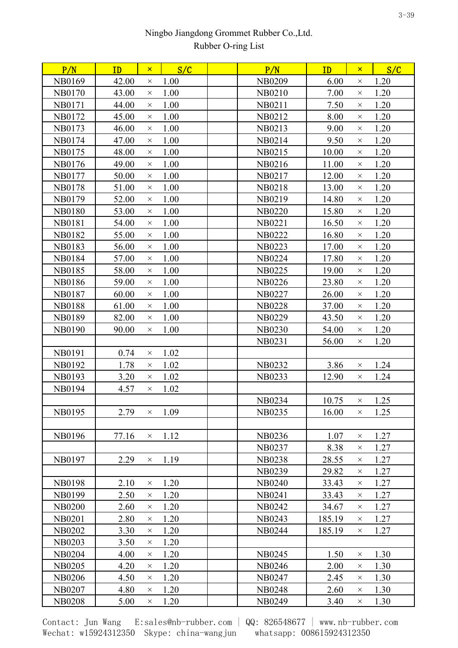| 1.20<br>42.00<br>1.00<br><b>NB0209</b><br>6.00<br><b>NB0169</b><br>$\times$<br>$\times$<br>1.00<br>1.20<br>43.00<br>NB0210<br>7.00<br><b>NB0170</b><br>$\times$<br>$\times$ |  |
|-----------------------------------------------------------------------------------------------------------------------------------------------------------------------------|--|
|                                                                                                                                                                             |  |
|                                                                                                                                                                             |  |
| 1.00<br>7.50<br>1.20<br><b>NB0171</b><br>44.00<br>NB0211<br>$\times$<br>$\times$                                                                                            |  |
| 1.00<br>1.20<br>NB0172<br>45.00<br>NB0212<br>8.00<br>$\times$<br>$\times$                                                                                                   |  |
| 1.00<br>9.00<br>1.20<br>NB0173<br>46.00<br>NB0213<br>$\times$<br>$\times$                                                                                                   |  |
| 1.00<br>1.20<br>47.00<br>NB0214<br>9.50<br>NB0174<br>$\times$<br>$\times$                                                                                                   |  |
| 1.00<br>1.20<br>NB0175<br>48.00<br>NB0215<br>10.00<br>$\times$<br>$\times$                                                                                                  |  |
| 1.00<br>1.20<br>NB0176<br>49.00<br>NB0216<br>11.00<br>$\times$<br>$\times$                                                                                                  |  |
| 1.20<br>50.00<br>1.00<br>12.00<br><b>NB0177</b><br>NB0217<br>$\times$<br>$\times$                                                                                           |  |
| 1.00<br>1.20<br><b>NB0178</b><br>51.00<br><b>NB0218</b><br>13.00<br>$\times$<br>$\times$                                                                                    |  |
| 1.00<br>1.20<br>NB0179<br>52.00<br>NB0219<br>14.80<br>$\times$<br>$\times$                                                                                                  |  |
| 1.20<br><b>NB0180</b><br>53.00<br>1.00<br><b>NB0220</b><br>15.80<br>$\times$<br>$\times$                                                                                    |  |
| 1.00<br>1.20<br><b>NB0181</b><br>54.00<br><b>NB0221</b><br>16.50<br>$\times$<br>$\times$                                                                                    |  |
| 1.20<br><b>NB0182</b><br>55.00<br>1.00<br><b>NB0222</b><br>16.80<br>$\times$<br>$\times$                                                                                    |  |
| 1.00<br>1.20<br><b>NB0183</b><br>56.00<br><b>NB0223</b><br>17.00<br>$\times$<br>$\times$                                                                                    |  |
| <b>NB0184</b><br>1.00<br>NB0224<br>17.80<br>1.20<br>57.00<br>$\times$<br>$\times$                                                                                           |  |
| 1.20<br><b>NB0185</b><br>58.00<br>1.00<br>19.00<br><b>NB0225</b><br>$\times$<br>$\times$                                                                                    |  |
| 1.00<br>23.80<br>1.20<br><b>NB0186</b><br>59.00<br><b>NB0226</b><br>$\times$<br>$\times$                                                                                    |  |
| <b>NB0187</b><br>60.00<br>1.00<br><b>NB0227</b><br>1.20<br>26.00<br>$\times$<br>$\times$                                                                                    |  |
| 1.00<br>1.20<br><b>NB0188</b><br>61.00<br><b>NB0228</b><br>37.00<br>$\times$<br>$\times$                                                                                    |  |
| 1.00<br>1.20<br><b>NB0189</b><br>82.00<br><b>NB0229</b><br>43.50<br>$\times$<br>$\times$                                                                                    |  |
| 1.00<br><b>NB0230</b><br>54.00<br>1.20<br><b>NB0190</b><br>90.00<br>$\times$<br>$\times$                                                                                    |  |
| 1.20<br><b>NB0231</b><br>56.00<br>$\times$                                                                                                                                  |  |
| 1.02<br><b>NB0191</b><br>0.74<br>$\times$                                                                                                                                   |  |
| NB0232<br>3.86<br>1.24<br>1.78<br>1.02<br>NB0192<br>$\times$<br>$\times$                                                                                                    |  |
| <b>NB0193</b><br>3.20<br>1.02<br>NB0233<br>1.24<br>12.90<br>$\times$<br>$\times$                                                                                            |  |
| 1.02<br><b>NB0194</b><br>4.57<br>$\times$                                                                                                                                   |  |
| NB0234<br>10.75<br>1.25<br>$\times$                                                                                                                                         |  |
| NB0235<br>16.00<br>$\times$ 1.25<br>NB0195<br>2.79<br>1.09<br>$\times$                                                                                                      |  |
|                                                                                                                                                                             |  |
| <b>NB0196</b><br>77.16<br>1.12<br>NB0236<br>1.07<br>1.27<br>$\times$<br>$\times$                                                                                            |  |
| 8.38<br>1.27<br>NB0237<br>$\times$                                                                                                                                          |  |
| <b>NB0197</b><br>1.19<br>2.29<br>28.55<br>1.27<br><b>NB0238</b><br>$\times$<br>$\times$                                                                                     |  |
| NB0239<br>29.82<br>1.27<br>$\times$                                                                                                                                         |  |
| <b>NB0198</b><br>2.10<br>1.20<br><b>NB0240</b><br>33.43<br>1.27<br>$\times$<br>$\times$                                                                                     |  |
| 1.20<br>NB0199<br>2.50<br><b>NB0241</b><br>1.27<br>33.43<br>$\times$<br>$\times$                                                                                            |  |
| <b>NB0200</b><br>1.20<br>NB0242<br>1.27<br>2.60<br>34.67<br>$\times$<br>$\times$                                                                                            |  |
| <b>NB0201</b><br>2.80<br>1.20<br>NB0243<br>185.19<br>1.27<br>$\times$<br>$\times$                                                                                           |  |
| <b>NB0202</b><br>3.30<br>1.20<br><b>NB0244</b><br>185.19<br>1.27<br>$\times$<br>$\times$                                                                                    |  |
| 1.20<br><b>NB0203</b><br>3.50<br>$\times$                                                                                                                                   |  |
| 1.20<br><b>NB0245</b><br>1.50<br>1.30<br><b>NB0204</b><br>4.00<br>$\times$<br>$\times$                                                                                      |  |
| <b>NB0205</b><br>1.20<br>NB0246<br>2.00<br>1.30<br>4.20<br>$\times$<br>$\times$                                                                                             |  |
| 1.30<br><b>NB0206</b><br>4.50<br>1.20<br><b>NB0247</b><br>2.45<br>$\times$<br>$\times$                                                                                      |  |
| <b>NB0207</b><br>4.80<br>1.20<br><b>NB0248</b><br>1.30<br>2.60<br>$\times$<br>$\times$                                                                                      |  |
| <b>NB0208</b><br>1.20<br><b>NB0249</b><br>1.30<br>5.00<br>3.40<br>$\times$<br>$\times$                                                                                      |  |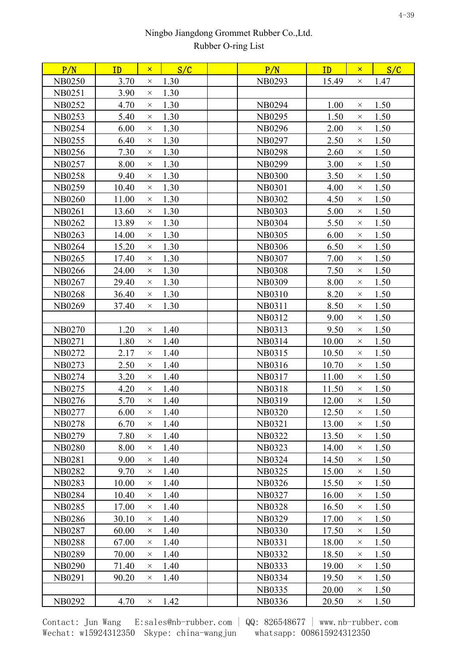| P/N           | ID    | $\pmb{\times}$ | S/C  | P/N           | ID    | $\pmb{\times}$ | S/C  |
|---------------|-------|----------------|------|---------------|-------|----------------|------|
| <b>NB0250</b> | 3.70  | $\times$       | 1.30 | NB0293        | 15.49 | $\times$       | 1.47 |
| <b>NB0251</b> | 3.90  | $\times$       | 1.30 |               |       |                |      |
| <b>NB0252</b> | 4.70  | $\times$       | 1.30 | <b>NB0294</b> | 1.00  | $\times$       | 1.50 |
| <b>NB0253</b> | 5.40  | $\times$       | 1.30 | NB0295        | 1.50  | $\times$       | 1.50 |
| <b>NB0254</b> | 6.00  | $\times$       | 1.30 | NB0296        | 2.00  | $\times$       | 1.50 |
| NB0255        | 6.40  | $\times$       | 1.30 | NB0297        | 2.50  | $\times$       | 1.50 |
| NB0256        | 7.30  | $\times$       | 1.30 | <b>NB0298</b> | 2.60  | $\times$       | 1.50 |
| <b>NB0257</b> | 8.00  | $\times$       | 1.30 | NB0299        | 3.00  | $\times$       | 1.50 |
| <b>NB0258</b> | 9.40  | $\times$       | 1.30 | <b>NB0300</b> | 3.50  | $\times$       | 1.50 |
| <b>NB0259</b> | 10.40 | $\times$       | 1.30 | <b>NB0301</b> | 4.00  | $\times$       | 1.50 |
| <b>NB0260</b> | 11.00 | $\times$       | 1.30 | <b>NB0302</b> | 4.50  | $\times$       | 1.50 |
| <b>NB0261</b> | 13.60 | $\times$       | 1.30 | <b>NB0303</b> | 5.00  | $\times$       | 1.50 |
| NB0262        | 13.89 | $\times$       | 1.30 | <b>NB0304</b> | 5.50  | $\times$       | 1.50 |
| <b>NB0263</b> | 14.00 | $\times$       | 1.30 | <b>NB0305</b> | 6.00  | $\times$       | 1.50 |
| <b>NB0264</b> | 15.20 | $\times$       | 1.30 | <b>NB0306</b> | 6.50  | $\times$       | 1.50 |
| NB0265        | 17.40 | $\times$       | 1.30 | <b>NB0307</b> | 7.00  | $\times$       | 1.50 |
| <b>NB0266</b> | 24.00 | $\times$       | 1.30 | <b>NB0308</b> | 7.50  | X              | 1.50 |
| NB0267        | 29.40 | $\times$       | 1.30 | <b>NB0309</b> | 8.00  | $\times$       | 1.50 |
| <b>NB0268</b> | 36.40 | $\times$       | 1.30 | NB0310        | 8.20  | $\times$       | 1.50 |
| <b>NB0269</b> | 37.40 | $\times$       | 1.30 | <b>NB0311</b> | 8.50  | $\times$       | 1.50 |
|               |       |                |      | NB0312        | 9.00  | $\times$       | 1.50 |
| <b>NB0270</b> | 1.20  | $\times$       | 1.40 | NB0313        | 9.50  | $\times$       | 1.50 |
| <b>NB0271</b> | 1.80  | $\times$       | 1.40 | NB0314        | 10.00 | $\times$       | 1.50 |
| NB0272        | 2.17  | $\times$       | 1.40 | NB0315        | 10.50 | $\times$       | 1.50 |
| NB0273        | 2.50  | $\times$       | 1.40 | NB0316        | 10.70 | $\times$       | 1.50 |
| NB0274        | 3.20  | $\times$       | 1.40 | NB0317        | 11.00 | $\times$       | 1.50 |
| NB0275        | 4.20  | $\times$       | 1.40 | <b>NB0318</b> | 11.50 | $\times$       | 1.50 |
| NB0276        | 5.70  | $\times$       | 1.40 | NB0319        | 12.00 | $\times$       | 1.50 |
| NB0277        | 6.00  | $\times$       | 1.40 | <b>NB0320</b> | 12.50 | $\times$       | 1.50 |
| <b>NB0278</b> | 6.70  | $\times$       | 1.40 | <b>NB0321</b> | 13.00 | $\times$       | 1.50 |
| NB0279        | 7.80  | $\times$       | 1.40 | <b>NB0322</b> | 13.50 | $\times$       | 1.50 |
| <b>NB0280</b> | 8.00  | $\times$       | 1.40 | <b>NB0323</b> | 14.00 | $\times$       | 1.50 |
| <b>NB0281</b> | 9.00  | $\times$       | 1.40 | NB0324        | 14.50 | $\times$       | 1.50 |
| <b>NB0282</b> | 9.70  | $\times$       | 1.40 | <b>NB0325</b> | 15.00 | $\times$       | 1.50 |
| <b>NB0283</b> | 10.00 | $\times$       | 1.40 | NB0326        | 15.50 | $\times$       | 1.50 |
| <b>NB0284</b> | 10.40 | $\times$       | 1.40 | <b>NB0327</b> | 16.00 | $\times$       | 1.50 |
| <b>NB0285</b> | 17.00 | $\times$       | 1.40 | <b>NB0328</b> | 16.50 | $\times$       | 1.50 |
| <b>NB0286</b> | 30.10 | $\times$       | 1.40 | NB0329        | 17.00 | $\times$       | 1.50 |
| <b>NB0287</b> | 60.00 | $\times$       | 1.40 | <b>NB0330</b> | 17.50 | $\times$       | 1.50 |
| <b>NB0288</b> | 67.00 | $\times$       | 1.40 | <b>NB0331</b> | 18.00 | $\times$       | 1.50 |
| <b>NB0289</b> | 70.00 | $\times$       | 1.40 | NB0332        | 18.50 | $\times$       | 1.50 |
| <b>NB0290</b> | 71.40 | $\times$       | 1.40 | NB0333        | 19.00 | $\times$       | 1.50 |
| <b>NB0291</b> | 90.20 | $\times$       | 1.40 | NB0334        | 19.50 | $\times$       | 1.50 |
|               |       |                |      | <b>NB0335</b> | 20.00 | $\times$       | 1.50 |
| NB0292        | 4.70  | $\times$       | 1.42 | NB0336        | 20.50 | X              | 1.50 |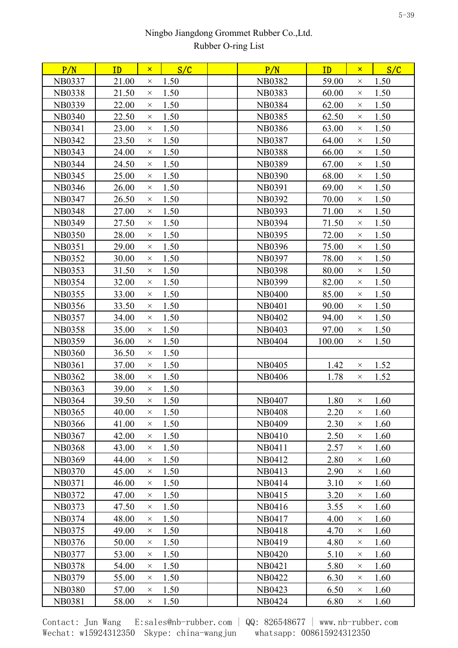| P/N           | ID    | $\mathsf{x}$ | S/C  | P/N           | ID     | $\mathsf{x}$ | S/C  |
|---------------|-------|--------------|------|---------------|--------|--------------|------|
| <b>NB0337</b> | 21.00 | $\times$     | 1.50 | <b>NB0382</b> | 59.00  | $\times$     | 1.50 |
| <b>NB0338</b> | 21.50 | $\times$     | 1.50 | <b>NB0383</b> | 60.00  | $\times$     | 1.50 |
| NB0339        | 22.00 | $\times$     | 1.50 | <b>NB0384</b> | 62.00  | $\times$     | 1.50 |
| <b>NB0340</b> | 22.50 | $\times$     | 1.50 | <b>NB0385</b> | 62.50  | $\times$     | 1.50 |
| <b>NB0341</b> | 23.00 | $\times$     | 1.50 | <b>NB0386</b> | 63.00  | $\times$     | 1.50 |
| <b>NB0342</b> | 23.50 | $\times$     | 1.50 | <b>NB0387</b> | 64.00  | $\times$     | 1.50 |
| <b>NB0343</b> | 24.00 | $\times$     | 1.50 | <b>NB0388</b> | 66.00  | $\times$     | 1.50 |
| <b>NB0344</b> | 24.50 | $\times$     | 1.50 | <b>NB0389</b> | 67.00  | $\times$     | 1.50 |
| <b>NB0345</b> | 25.00 | $\times$     | 1.50 | <b>NB0390</b> | 68.00  | $\times$     | 1.50 |
| <b>NB0346</b> | 26.00 | $\times$     | 1.50 | <b>NB0391</b> | 69.00  | $\times$     | 1.50 |
| <b>NB0347</b> | 26.50 | $\times$     | 1.50 | NB0392        | 70.00  | $\times$     | 1.50 |
| <b>NB0348</b> | 27.00 | $\times$     | 1.50 | <b>NB0393</b> | 71.00  | $\times$     | 1.50 |
| <b>NB0349</b> | 27.50 | $\times$     | 1.50 | <b>NB0394</b> | 71.50  | $\times$     | 1.50 |
| <b>NB0350</b> | 28.00 | $\times$     | 1.50 | <b>NB0395</b> | 72.00  | $\times$     | 1.50 |
| <b>NB0351</b> | 29.00 | $\times$     | 1.50 | NB0396        | 75.00  | $\times$     | 1.50 |
| NB0352        | 30.00 | $\times$     | 1.50 | <b>NB0397</b> | 78.00  | $\times$     | 1.50 |
| <b>NB0353</b> | 31.50 | $\times$     | 1.50 | <b>NB0398</b> | 80.00  | $\times$     | 1.50 |
| <b>NB0354</b> | 32.00 | $\times$     | 1.50 | NB0399        | 82.00  | $\times$     | 1.50 |
| <b>NB0355</b> | 33.00 | $\times$     | 1.50 | <b>NB0400</b> | 85.00  | $\times$     | 1.50 |
| <b>NB0356</b> | 33.50 | $\times$     | 1.50 | <b>NB0401</b> | 90.00  | $\times$     | 1.50 |
| <b>NB0357</b> | 34.00 | $\times$     | 1.50 | NB0402        | 94.00  | $\times$     | 1.50 |
| <b>NB0358</b> | 35.00 | $\times$     | 1.50 | NB0403        | 97.00  | $\times$     | 1.50 |
| <b>NB0359</b> | 36.00 | $\times$     | 1.50 | <b>NB0404</b> | 100.00 | $\times$     | 1.50 |
| <b>NB0360</b> | 36.50 | $\times$     | 1.50 |               |        |              |      |
| <b>NB0361</b> | 37.00 | $\times$     | 1.50 | <b>NB0405</b> | 1.42   | $\times$     | 1.52 |
| <b>NB0362</b> | 38.00 | $\times$     | 1.50 | <b>NB0406</b> | 1.78   | $\times$     | 1.52 |
| <b>NB0363</b> | 39.00 | $\times$     | 1.50 |               |        |              |      |
| <b>NB0364</b> | 39.50 | $\times$     | 1.50 | <b>NB0407</b> | 1.80   | $\times$     | 1.60 |
| <b>NB0365</b> | 40.00 | $\times$     | 1.50 | <b>NB0408</b> | 2.20   | $\times$     | 1.60 |
| <b>NB0366</b> | 41.00 | $\times$     | 1.50 | NB0409        | 2.30   | $\times$     | 1.60 |
| <b>NB0367</b> | 42.00 | $\times$     | 1.50 | NB0410        | 2.50   | $\times$     | 1.60 |
| <b>NB0368</b> | 43.00 | $\times$     | 1.50 | NB0411        | 2.57   | $\times$     | 1.60 |
| <b>NB0369</b> | 44.00 | $\times$     | 1.50 | NB0412        | 2.80   | $\times$     | 1.60 |
| <b>NB0370</b> | 45.00 | $\times$     | 1.50 | NB0413        | 2.90   | $\times$     | 1.60 |
| <b>NB0371</b> | 46.00 | $\times$     | 1.50 | NB0414        | 3.10   | $\times$     | 1.60 |
| NB0372        | 47.00 | $\times$     | 1.50 | NB0415        | 3.20   | $\times$     | 1.60 |
| NB0373        | 47.50 | $\times$     | 1.50 | NB0416        | 3.55   | $\times$     | 1.60 |
| NB0374        | 48.00 | $\times$     | 1.50 | NB0417        | 4.00   | $\times$     | 1.60 |
| NB0375        | 49.00 | $\times$     | 1.50 | <b>NB0418</b> | 4.70   | $\times$     | 1.60 |
| NB0376        | 50.00 | $\times$     | 1.50 | NB0419        | 4.80   | $\times$     | 1.60 |
| <b>NB0377</b> | 53.00 | $\times$     | 1.50 | <b>NB0420</b> | 5.10   | $\times$     | 1.60 |
| <b>NB0378</b> | 54.00 | $\times$     | 1.50 | <b>NB0421</b> | 5.80   | $\times$     | 1.60 |
| NB0379        | 55.00 | $\times$     | 1.50 | NB0422        | 6.30   | $\times$     | 1.60 |
| <b>NB0380</b> | 57.00 | $\times$     | 1.50 | NB0423        | 6.50   | $\times$     | 1.60 |
| <b>NB0381</b> | 58.00 | $\times$     | 1.50 | NB0424        | 6.80   | $\times$     | 1.60 |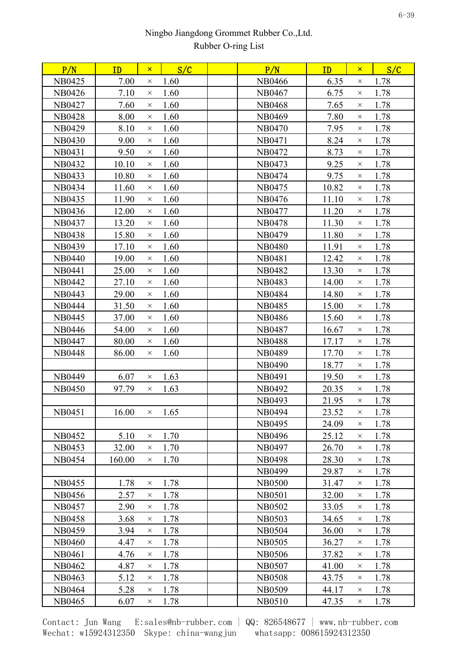| P/N           | ID     | $\mathsf{x}$ | S/C           | P/N           | ID    | $\mathsf{x}$ | S/C  |  |
|---------------|--------|--------------|---------------|---------------|-------|--------------|------|--|
| NB0425        | 7.00   | $\times$     | 1.60          | NB0466        | 6.35  | $\times$     | 1.78 |  |
| NB0426        | 7.10   | $\times$     | 1.60          | NB0467        | 6.75  | $\times$     | 1.78 |  |
| NB0427        | 7.60   | $\times$     | 1.60          | <b>NB0468</b> | 7.65  | $\times$     | 1.78 |  |
| <b>NB0428</b> | 8.00   | $\times$     | 1.60          | NB0469        | 7.80  | $\times$     | 1.78 |  |
| <b>NB0429</b> | 8.10   | $\times$     | 1.60          | <b>NB0470</b> | 7.95  | $\times$     | 1.78 |  |
| <b>NB0430</b> | 9.00   | $\times$     | 1.60          | NB0471        | 8.24  | X            | 1.78 |  |
| NB0431        | 9.50   | $\times$     | 1.60          | NB0472        | 8.73  | $\times$     | 1.78 |  |
| NB0432        | 10.10  | $\times$     | 1.60          | NB0473        | 9.25  | $\times$     | 1.78 |  |
| NB0433        | 10.80  | $\times$     | 1.60          | NB0474        | 9.75  | $\times$     | 1.78 |  |
| NB0434        | 11.60  | $\times$     | 1.60          | NB0475        | 10.82 | $\times$     | 1.78 |  |
| NB0435        | 11.90  | $\times$     | 1.60          | NB0476        | 11.10 | $\times$     | 1.78 |  |
| NB0436        | 12.00  | $\times$     | 1.60          | NB0477        | 11.20 | $\times$     | 1.78 |  |
| NB0437        | 13.20  | $\times$     | 1.60          | <b>NB0478</b> | 11.30 | $\times$     | 1.78 |  |
| <b>NB0438</b> | 15.80  | $\times$     | 1.60          | NB0479        | 11.80 | $\times$     | 1.78 |  |
| NB0439        | 17.10  | $\times$     | 1.60          | <b>NB0480</b> | 11.91 | $\times$     | 1.78 |  |
| <b>NB0440</b> | 19.00  | $\times$     | 1.60          | <b>NB0481</b> | 12.42 | $\times$     | 1.78 |  |
| <b>NB0441</b> | 25.00  | $\times$     | 1.60          | <b>NB0482</b> | 13.30 | $\times$     | 1.78 |  |
| <b>NB0442</b> | 27.10  | $\times$     | 1.60          | <b>NB0483</b> | 14.00 | $\times$     | 1.78 |  |
| NB0443        | 29.00  | $\times$     | 1.60          | <b>NB0484</b> | 14.80 | $\times$     | 1.78 |  |
| <b>NB0444</b> | 31.50  | $\times$     | 1.60          | NB0485        | 15.00 | $\times$     | 1.78 |  |
| NB0445        | 37.00  | $\times$     | 1.60          | <b>NB0486</b> | 15.60 | $\times$     | 1.78 |  |
| <b>NB0446</b> | 54.00  | $\times$     | 1.60          | <b>NB0487</b> | 16.67 | $\times$     | 1.78 |  |
| <b>NB0447</b> | 80.00  | $\times$     | 1.60          | <b>NB0488</b> | 17.17 | $\times$     | 1.78 |  |
| <b>NB0448</b> | 86.00  | $\times$     | 1.60          | <b>NB0489</b> | 17.70 | $\times$     | 1.78 |  |
|               |        |              |               | NB0490        | 18.77 | $\times$     | 1.78 |  |
| <b>NB0449</b> | 6.07   | $\times$     | 1.63          | NB0491        | 19.50 | $\times$     | 1.78 |  |
| <b>NB0450</b> | 97.79  | $\times$     | 1.63          | NB0492        | 20.35 | $\times$     | 1.78 |  |
|               |        |              |               | NB0493        | 21.95 | $\times$     | 1.78 |  |
| NB0451        | 16.00  |              | $\times$ 1.65 | <b>NB0494</b> | 23.52 | $\times$     | 1.78 |  |
|               |        |              |               | NB0495        | 24.09 | $\times$     | 1.78 |  |
| <b>NB0452</b> | 5.10   | $\times$     | 1.70          | NB0496        | 25.12 | X            | 1.78 |  |
| NB0453        | 32.00  | $\times$     | 1.70          | NB0497        | 26.70 | $\times$     | 1.78 |  |
| NB0454        | 160.00 | $\times$     | 1.70          | <b>NB0498</b> | 28.30 | $\times$     | 1.78 |  |
|               |        |              |               | NB0499        | 29.87 | $\times$     | 1.78 |  |
| NB0455        | 1.78   | $\times$     | 1.78          | <b>NB0500</b> | 31.47 | $\times$     | 1.78 |  |
| NB0456        | 2.57   | $\times$     | 1.78          | <b>NB0501</b> | 32.00 | $\times$     | 1.78 |  |
| <b>NB0457</b> | 2.90   | $\times$     | 1.78          | NB0502        | 33.05 | $\times$     | 1.78 |  |
| <b>NB0458</b> | 3.68   | $\times$     | 1.78          | <b>NB0503</b> | 34.65 | $\times$     | 1.78 |  |
| <b>NB0459</b> | 3.94   | $\times$     | 1.78          | <b>NB0504</b> | 36.00 | $\times$     | 1.78 |  |
| <b>NB0460</b> | 4.47   | $\times$     | 1.78          | <b>NB0505</b> | 36.27 | $\times$     | 1.78 |  |
| NB0461        | 4.76   | $\times$     | 1.78          | <b>NB0506</b> | 37.82 | $\times$     | 1.78 |  |
| NB0462        | 4.87   | $\times$     | 1.78          | <b>NB0507</b> | 41.00 | $\times$     | 1.78 |  |
| NB0463        | 5.12   | $\times$     | 1.78          | <b>NB0508</b> | 43.75 | $\times$     | 1.78 |  |
| NB0464        | 5.28   | $\times$     | 1.78          | <b>NB0509</b> | 44.17 | $\times$     | 1.78 |  |
| NB0465        | 6.07   | $\times$     | 1.78          | NB0510        | 47.35 | $\times$     | 1.78 |  |
|               |        |              |               |               |       |              |      |  |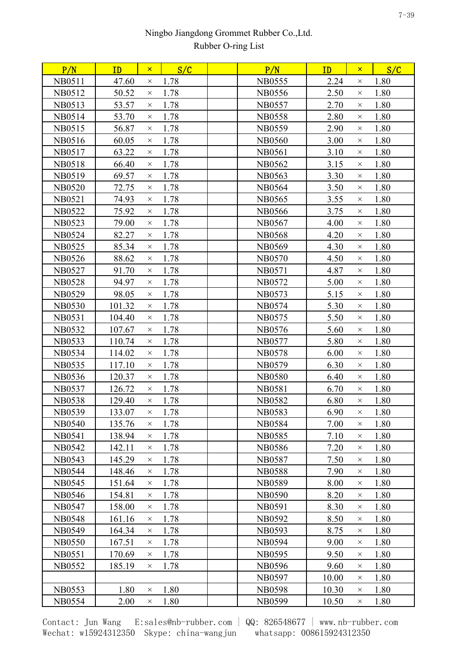| P/N           | ID     | $\mathsf{x}$ | S/C  | P/N           | ID    | $\mathsf{x}$ | S/C  |
|---------------|--------|--------------|------|---------------|-------|--------------|------|
| <b>NB0511</b> | 47.60  | $\times$     | 1.78 | <b>NB0555</b> | 2.24  | $\times$     | 1.80 |
| NB0512        | 50.52  | $\times$     | 1.78 | <b>NB0556</b> | 2.50  | $\times$     | 1.80 |
| NB0513        | 53.57  | $\times$     | 1.78 | <b>NB0557</b> | 2.70  | $\times$     | 1.80 |
| NB0514        | 53.70  | $\times$     | 1.78 | <b>NB0558</b> | 2.80  | $\times$     | 1.80 |
| NB0515        | 56.87  | $\times$     | 1.78 | <b>NB0559</b> | 2.90  | $\times$     | 1.80 |
| NB0516        | 60.05  | $\times$     | 1.78 | <b>NB0560</b> | 3.00  | $\times$     | 1.80 |
| NB0517        | 63.22  | $\times$     | 1.78 | <b>NB0561</b> | 3.10  | $\times$     | 1.80 |
| <b>NB0518</b> | 66.40  | $\times$     | 1.78 | NB0562        | 3.15  | $\times$     | 1.80 |
| NB0519        | 69.57  | $\times$     | 1.78 | <b>NB0563</b> | 3.30  | $\times$     | 1.80 |
| <b>NB0520</b> | 72.75  | $\times$     | 1.78 | <b>NB0564</b> | 3.50  | $\times$     | 1.80 |
| <b>NB0521</b> | 74.93  | $\times$     | 1.78 | <b>NB0565</b> | 3.55  | $\times$     | 1.80 |
| <b>NB0522</b> | 75.92  | $\times$     | 1.78 | <b>NB0566</b> | 3.75  | $\times$     | 1.80 |
| <b>NB0523</b> | 79.00  | $\times$     | 1.78 | <b>NB0567</b> | 4.00  | $\times$     | 1.80 |
| <b>NB0524</b> | 82.27  | $\times$     | 1.78 | <b>NB0568</b> | 4.20  | $\times$     | 1.80 |
| <b>NB0525</b> | 85.34  | $\times$     | 1.78 | <b>NB0569</b> | 4.30  | $\times$     | 1.80 |
| <b>NB0526</b> | 88.62  | $\times$     | 1.78 | <b>NB0570</b> | 4.50  | $\times$     | 1.80 |
| <b>NB0527</b> | 91.70  | $\times$     | 1.78 | <b>NB0571</b> | 4.87  | $\times$     | 1.80 |
| <b>NB0528</b> | 94.97  | $\times$     | 1.78 | <b>NB0572</b> | 5.00  | $\times$     | 1.80 |
| <b>NB0529</b> | 98.05  | $\times$     | 1.78 | <b>NB0573</b> | 5.15  | $\times$     | 1.80 |
| <b>NB0530</b> | 101.32 | $\times$     | 1.78 | NB0574        | 5.30  | $\times$     | 1.80 |
| <b>NB0531</b> | 104.40 | $\times$     | 1.78 | NB0575        | 5.50  | $\times$     | 1.80 |
| <b>NB0532</b> | 107.67 | $\times$     | 1.78 | NB0576        | 5.60  | $\times$     | 1.80 |
| <b>NB0533</b> | 110.74 | $\times$     | 1.78 | <b>NB0577</b> | 5.80  | $\times$     | 1.80 |
| NB0534        | 114.02 | $\times$     | 1.78 | <b>NB0578</b> | 6.00  | $\times$     | 1.80 |
| <b>NB0535</b> | 117.10 | $\times$     | 1.78 | NB0579        | 6.30  | $\times$     | 1.80 |
| <b>NB0536</b> | 120.37 | $\times$     | 1.78 | <b>NB0580</b> | 6.40  | $\times$     | 1.80 |
| <b>NB0537</b> | 126.72 | $\times$     | 1.78 | <b>NB0581</b> | 6.70  | $\times$     | 1.80 |
| <b>NB0538</b> | 129.40 | $\times$     | 1.78 | <b>NB0582</b> | 6.80  | $\times$     | 1.80 |
| <b>NB0539</b> | 133.07 | $\times$     | 1.78 | <b>NB0583</b> | 6.90  | $\times$     | 1.80 |
| <b>NB0540</b> | 135.76 | $\times$     | 1.78 | <b>NB0584</b> | 7.00  | $\times$     | 1.80 |
| <b>NB0541</b> | 138.94 | $\times$     | 1.78 | <b>NB0585</b> | 7.10  | $\times$     | 1.80 |
| <b>NB0542</b> | 142.11 | $\times$     | 1.78 | <b>NB0586</b> | 7.20  | $\times$     | 1.80 |
| <b>NB0543</b> | 145.29 | $\times$     | 1.78 | <b>NB0587</b> | 7.50  | $\times$     | 1.80 |
| <b>NB0544</b> | 148.46 | $\times$     | 1.78 | <b>NB0588</b> | 7.90  | $\times$     | 1.80 |
| <b>NB0545</b> | 151.64 | $\times$     | 1.78 | <b>NB0589</b> | 8.00  | $\times$     | 1.80 |
| NB0546        | 154.81 | $\times$     | 1.78 | <b>NB0590</b> | 8.20  | $\times$     | 1.80 |
| <b>NB0547</b> | 158.00 | $\times$     | 1.78 | <b>NB0591</b> | 8.30  | $\times$     | 1.80 |
| <b>NB0548</b> | 161.16 | $\times$     | 1.78 | NB0592        | 8.50  | $\times$     | 1.80 |
| <b>NB0549</b> | 164.34 | $\times$     | 1.78 | <b>NB0593</b> | 8.75  | $\times$     | 1.80 |
| <b>NB0550</b> | 167.51 | $\times$     | 1.78 | <b>NB0594</b> | 9.00  | $\times$     | 1.80 |
| NB0551        | 170.69 | $\times$     | 1.78 | <b>NB0595</b> | 9.50  | $\times$     | 1.80 |
| <b>NB0552</b> | 185.19 | $\times$     | 1.78 | <b>NB0596</b> | 9.60  | $\times$     | 1.80 |
|               |        |              |      | <b>NB0597</b> | 10.00 | $\times$     | 1.80 |
| <b>NB0553</b> | 1.80   | $\times$     | 1.80 | <b>NB0598</b> | 10.30 | $\times$     | 1.80 |
| <b>NB0554</b> | 2.00   | $\times$     | 1.80 | <b>NB0599</b> | 10.50 | X            | 1.80 |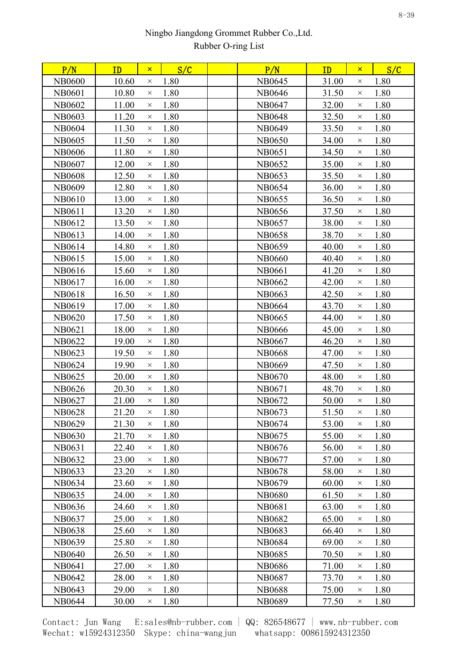| 10.60<br>1.80<br>1.80<br><b>NB0600</b><br>NB0645<br>31.00<br>$\times$<br>$\times$<br>1.80<br>1.80<br><b>NB0601</b><br>10.80<br>NB0646<br>31.50<br>$\times$<br>$\times$<br>11.00<br>1.80<br>32.00<br>1.80<br><b>NB0602</b><br>NB0647<br>$\times$<br>$\times$<br>1.80<br>1.80<br><b>NB0603</b><br>11.20<br><b>NB0648</b><br>32.50<br>$\times$<br>$\times$<br>11.30<br>1.80<br>1.80<br><b>NB0604</b><br>NB0649<br>33.50<br>$\times$<br>$\times$<br>1.80<br>1.80<br><b>NB0605</b><br>11.50<br>34.00<br>NB0650<br>$\times$<br>$\times$<br>11.80<br>1.80<br>1.80<br>NB0606<br>NB0651<br>34.50<br>$\times$<br>$\times$<br>1.80<br>1.80<br><b>NB0607</b><br>12.00<br>NB0652<br>35.00<br>$\times$<br>$\times$<br>1.80<br>1.80<br><b>NB0608</b><br>12.50<br><b>NB0653</b><br>35.50<br>$\times$<br>$\times$<br><b>NB0609</b><br>12.80<br>1.80<br>NB0654<br>36.00<br>1.80<br>$\times$<br>$\times$<br>1.80<br>1.80<br>NB0610<br>13.00<br>NB0655<br>36.50<br>$\times$<br>$\times$<br>1.80<br>1.80<br><b>NB0611</b><br>13.20<br>NB0656<br>37.50<br>$\times$<br>$\times$<br>1.80<br>1.80<br>NB0612<br>13.50<br>38.00<br>NB0657<br>$\times$<br>$\times$<br>NB0613<br>14.00<br>1.80<br><b>NB0658</b><br>38.70<br>1.80<br>$\times$<br>$\times$<br>1.80<br>1.80<br>NB0614<br>14.80<br>NB0659<br>40.00<br>$\times$<br>$\times$<br>1.80<br>NB0615<br>15.00<br><b>NB0660</b><br>40.40<br>1.80<br>$\times$<br>$\times$<br>1.80<br>1.80<br>NB0616<br>15.60<br><b>NB0661</b><br>41.20<br>$\times$<br>$\times$<br>1.80<br><b>NB0662</b><br>1.80<br>NB0617<br>16.00<br>42.00<br>$\times$<br>$\times$<br>1.80<br>1.80<br><b>NB0618</b><br>16.50<br><b>NB0663</b><br>42.50<br>$\times$<br>$\times$<br>1.80<br>1.80<br>NB0619<br>17.00<br>43.70<br><b>NB0664</b><br>$\times$<br>$\times$<br><b>NB0620</b><br>17.50<br>1.80<br><b>NB0665</b><br>44.00<br>1.80<br>$\times$<br>$\times$<br>18.00<br>1.80<br>1.80<br>NB0621<br><b>NB0666</b><br>45.00<br>$\times$<br>$\times$<br>NB0622<br>19.00<br>1.80<br>46.20<br>1.80<br>NB0667<br>$\times$<br>$\times$<br>1.80<br>1.80<br>NB0623<br>19.50<br><b>NB0668</b><br>47.00<br>$\times$<br>$\times$<br>1.80<br>19.90<br>47.50<br>1.80<br>NB0624<br><b>NB0669</b><br>$\times$<br>$\times$<br>1.80<br>1.80<br>20.00<br>NB0625<br>NB0670<br>48.00<br>$\times$<br>$\times$<br>1.80<br>1.80<br>NB0626<br>20.30<br><b>NB0671</b><br>48.70<br>$\times$<br>$\times$<br>NB0627<br>21.00<br>1.80<br>50.00<br>1.80<br>NB0672<br>$\times$<br>$\times$<br>21.20<br><b>NB0628</b><br>1.80<br>51.50<br>1.80<br>NB0673<br>$\times$<br>$\times$<br>NB0629<br>21.30<br>1.80<br>53.00<br>1.80<br>NB0674<br>$\times$<br>$\times$<br>21.70<br>1.80<br>55.00<br>1.80<br>NB0630<br>NB0675<br>$\times$<br>X<br>22.40<br>NB0631<br>1.80<br>NB0676<br>56.00<br>1.80<br>$\times$<br>$\times$<br>1.80<br>57.00<br>1.80<br>NB0632<br>23.00<br>NB0677<br>$\times$<br>$\times$<br>23.20<br>1.80<br>1.80<br>NB0633<br><b>NB0678</b><br>58.00<br>$\times$<br>$\times$<br>NB0634<br>1.80<br>NB0679<br>60.00<br>1.80<br>23.60<br>$\times$<br>$\times$<br>1.80<br>24.00<br><b>NB0680</b><br>61.50<br>1.80<br>NB0635<br>$\times$<br>$\times$<br>NB0636<br>1.80<br><b>NB0681</b><br>63.00<br>1.80<br>24.60<br>$\times$<br>$\times$<br>1.80<br>NB0637<br>25.00<br><b>NB0682</b><br>65.00<br>1.80<br>$\times$<br>$\times$<br><b>NB0638</b><br>25.60<br><b>NB0683</b><br>66.40<br>1.80<br>1.80<br>$\times$<br>$\times$<br>1.80<br>NB0639<br>25.80<br><b>NB0684</b><br>69.00<br>1.80<br>$\times$<br>$\times$<br><b>NB0640</b><br>1.80<br>NB0685<br>70.50<br>1.80<br>26.50<br>$\times$<br>$\times$<br><b>NB0641</b><br>1.80<br><b>NB0686</b><br>1.80<br>27.00<br>71.00<br>$\times$<br>$\times$<br>1.80<br>1.80<br>NB0642<br>28.00<br><b>NB0687</b><br>73.70<br>$\times$<br>$\times$<br>NB0643<br>29.00<br>1.80<br><b>NB0688</b><br>75.00<br>1.80<br>$\times$<br>$\times$ | P/N | ID | $\mathsf{x}$ | S/C | P/N | ID | $\mathsf{x}$ | S/C |  |
|-----------------------------------------------------------------------------------------------------------------------------------------------------------------------------------------------------------------------------------------------------------------------------------------------------------------------------------------------------------------------------------------------------------------------------------------------------------------------------------------------------------------------------------------------------------------------------------------------------------------------------------------------------------------------------------------------------------------------------------------------------------------------------------------------------------------------------------------------------------------------------------------------------------------------------------------------------------------------------------------------------------------------------------------------------------------------------------------------------------------------------------------------------------------------------------------------------------------------------------------------------------------------------------------------------------------------------------------------------------------------------------------------------------------------------------------------------------------------------------------------------------------------------------------------------------------------------------------------------------------------------------------------------------------------------------------------------------------------------------------------------------------------------------------------------------------------------------------------------------------------------------------------------------------------------------------------------------------------------------------------------------------------------------------------------------------------------------------------------------------------------------------------------------------------------------------------------------------------------------------------------------------------------------------------------------------------------------------------------------------------------------------------------------------------------------------------------------------------------------------------------------------------------------------------------------------------------------------------------------------------------------------------------------------------------------------------------------------------------------------------------------------------------------------------------------------------------------------------------------------------------------------------------------------------------------------------------------------------------------------------------------------------------------------------------------------------------------------------------------------------------------------------------------------------------------------------------------------------------------------------------------------------------------------------------------------------------------------------------------------------------------------------------------------------------------------------------------------------------------------------------------------------------------------------------------------------------------------------------------------------------------------------------------------------------------------------------------------------------------------------------------------------------------------------------------------------------------------|-----|----|--------------|-----|-----|----|--------------|-----|--|
|                                                                                                                                                                                                                                                                                                                                                                                                                                                                                                                                                                                                                                                                                                                                                                                                                                                                                                                                                                                                                                                                                                                                                                                                                                                                                                                                                                                                                                                                                                                                                                                                                                                                                                                                                                                                                                                                                                                                                                                                                                                                                                                                                                                                                                                                                                                                                                                                                                                                                                                                                                                                                                                                                                                                                                                                                                                                                                                                                                                                                                                                                                                                                                                                                                                                                                                                                                                                                                                                                                                                                                                                                                                                                                                                                                                                                                         |     |    |              |     |     |    |              |     |  |
|                                                                                                                                                                                                                                                                                                                                                                                                                                                                                                                                                                                                                                                                                                                                                                                                                                                                                                                                                                                                                                                                                                                                                                                                                                                                                                                                                                                                                                                                                                                                                                                                                                                                                                                                                                                                                                                                                                                                                                                                                                                                                                                                                                                                                                                                                                                                                                                                                                                                                                                                                                                                                                                                                                                                                                                                                                                                                                                                                                                                                                                                                                                                                                                                                                                                                                                                                                                                                                                                                                                                                                                                                                                                                                                                                                                                                                         |     |    |              |     |     |    |              |     |  |
|                                                                                                                                                                                                                                                                                                                                                                                                                                                                                                                                                                                                                                                                                                                                                                                                                                                                                                                                                                                                                                                                                                                                                                                                                                                                                                                                                                                                                                                                                                                                                                                                                                                                                                                                                                                                                                                                                                                                                                                                                                                                                                                                                                                                                                                                                                                                                                                                                                                                                                                                                                                                                                                                                                                                                                                                                                                                                                                                                                                                                                                                                                                                                                                                                                                                                                                                                                                                                                                                                                                                                                                                                                                                                                                                                                                                                                         |     |    |              |     |     |    |              |     |  |
|                                                                                                                                                                                                                                                                                                                                                                                                                                                                                                                                                                                                                                                                                                                                                                                                                                                                                                                                                                                                                                                                                                                                                                                                                                                                                                                                                                                                                                                                                                                                                                                                                                                                                                                                                                                                                                                                                                                                                                                                                                                                                                                                                                                                                                                                                                                                                                                                                                                                                                                                                                                                                                                                                                                                                                                                                                                                                                                                                                                                                                                                                                                                                                                                                                                                                                                                                                                                                                                                                                                                                                                                                                                                                                                                                                                                                                         |     |    |              |     |     |    |              |     |  |
|                                                                                                                                                                                                                                                                                                                                                                                                                                                                                                                                                                                                                                                                                                                                                                                                                                                                                                                                                                                                                                                                                                                                                                                                                                                                                                                                                                                                                                                                                                                                                                                                                                                                                                                                                                                                                                                                                                                                                                                                                                                                                                                                                                                                                                                                                                                                                                                                                                                                                                                                                                                                                                                                                                                                                                                                                                                                                                                                                                                                                                                                                                                                                                                                                                                                                                                                                                                                                                                                                                                                                                                                                                                                                                                                                                                                                                         |     |    |              |     |     |    |              |     |  |
|                                                                                                                                                                                                                                                                                                                                                                                                                                                                                                                                                                                                                                                                                                                                                                                                                                                                                                                                                                                                                                                                                                                                                                                                                                                                                                                                                                                                                                                                                                                                                                                                                                                                                                                                                                                                                                                                                                                                                                                                                                                                                                                                                                                                                                                                                                                                                                                                                                                                                                                                                                                                                                                                                                                                                                                                                                                                                                                                                                                                                                                                                                                                                                                                                                                                                                                                                                                                                                                                                                                                                                                                                                                                                                                                                                                                                                         |     |    |              |     |     |    |              |     |  |
|                                                                                                                                                                                                                                                                                                                                                                                                                                                                                                                                                                                                                                                                                                                                                                                                                                                                                                                                                                                                                                                                                                                                                                                                                                                                                                                                                                                                                                                                                                                                                                                                                                                                                                                                                                                                                                                                                                                                                                                                                                                                                                                                                                                                                                                                                                                                                                                                                                                                                                                                                                                                                                                                                                                                                                                                                                                                                                                                                                                                                                                                                                                                                                                                                                                                                                                                                                                                                                                                                                                                                                                                                                                                                                                                                                                                                                         |     |    |              |     |     |    |              |     |  |
|                                                                                                                                                                                                                                                                                                                                                                                                                                                                                                                                                                                                                                                                                                                                                                                                                                                                                                                                                                                                                                                                                                                                                                                                                                                                                                                                                                                                                                                                                                                                                                                                                                                                                                                                                                                                                                                                                                                                                                                                                                                                                                                                                                                                                                                                                                                                                                                                                                                                                                                                                                                                                                                                                                                                                                                                                                                                                                                                                                                                                                                                                                                                                                                                                                                                                                                                                                                                                                                                                                                                                                                                                                                                                                                                                                                                                                         |     |    |              |     |     |    |              |     |  |
|                                                                                                                                                                                                                                                                                                                                                                                                                                                                                                                                                                                                                                                                                                                                                                                                                                                                                                                                                                                                                                                                                                                                                                                                                                                                                                                                                                                                                                                                                                                                                                                                                                                                                                                                                                                                                                                                                                                                                                                                                                                                                                                                                                                                                                                                                                                                                                                                                                                                                                                                                                                                                                                                                                                                                                                                                                                                                                                                                                                                                                                                                                                                                                                                                                                                                                                                                                                                                                                                                                                                                                                                                                                                                                                                                                                                                                         |     |    |              |     |     |    |              |     |  |
|                                                                                                                                                                                                                                                                                                                                                                                                                                                                                                                                                                                                                                                                                                                                                                                                                                                                                                                                                                                                                                                                                                                                                                                                                                                                                                                                                                                                                                                                                                                                                                                                                                                                                                                                                                                                                                                                                                                                                                                                                                                                                                                                                                                                                                                                                                                                                                                                                                                                                                                                                                                                                                                                                                                                                                                                                                                                                                                                                                                                                                                                                                                                                                                                                                                                                                                                                                                                                                                                                                                                                                                                                                                                                                                                                                                                                                         |     |    |              |     |     |    |              |     |  |
|                                                                                                                                                                                                                                                                                                                                                                                                                                                                                                                                                                                                                                                                                                                                                                                                                                                                                                                                                                                                                                                                                                                                                                                                                                                                                                                                                                                                                                                                                                                                                                                                                                                                                                                                                                                                                                                                                                                                                                                                                                                                                                                                                                                                                                                                                                                                                                                                                                                                                                                                                                                                                                                                                                                                                                                                                                                                                                                                                                                                                                                                                                                                                                                                                                                                                                                                                                                                                                                                                                                                                                                                                                                                                                                                                                                                                                         |     |    |              |     |     |    |              |     |  |
|                                                                                                                                                                                                                                                                                                                                                                                                                                                                                                                                                                                                                                                                                                                                                                                                                                                                                                                                                                                                                                                                                                                                                                                                                                                                                                                                                                                                                                                                                                                                                                                                                                                                                                                                                                                                                                                                                                                                                                                                                                                                                                                                                                                                                                                                                                                                                                                                                                                                                                                                                                                                                                                                                                                                                                                                                                                                                                                                                                                                                                                                                                                                                                                                                                                                                                                                                                                                                                                                                                                                                                                                                                                                                                                                                                                                                                         |     |    |              |     |     |    |              |     |  |
|                                                                                                                                                                                                                                                                                                                                                                                                                                                                                                                                                                                                                                                                                                                                                                                                                                                                                                                                                                                                                                                                                                                                                                                                                                                                                                                                                                                                                                                                                                                                                                                                                                                                                                                                                                                                                                                                                                                                                                                                                                                                                                                                                                                                                                                                                                                                                                                                                                                                                                                                                                                                                                                                                                                                                                                                                                                                                                                                                                                                                                                                                                                                                                                                                                                                                                                                                                                                                                                                                                                                                                                                                                                                                                                                                                                                                                         |     |    |              |     |     |    |              |     |  |
|                                                                                                                                                                                                                                                                                                                                                                                                                                                                                                                                                                                                                                                                                                                                                                                                                                                                                                                                                                                                                                                                                                                                                                                                                                                                                                                                                                                                                                                                                                                                                                                                                                                                                                                                                                                                                                                                                                                                                                                                                                                                                                                                                                                                                                                                                                                                                                                                                                                                                                                                                                                                                                                                                                                                                                                                                                                                                                                                                                                                                                                                                                                                                                                                                                                                                                                                                                                                                                                                                                                                                                                                                                                                                                                                                                                                                                         |     |    |              |     |     |    |              |     |  |
|                                                                                                                                                                                                                                                                                                                                                                                                                                                                                                                                                                                                                                                                                                                                                                                                                                                                                                                                                                                                                                                                                                                                                                                                                                                                                                                                                                                                                                                                                                                                                                                                                                                                                                                                                                                                                                                                                                                                                                                                                                                                                                                                                                                                                                                                                                                                                                                                                                                                                                                                                                                                                                                                                                                                                                                                                                                                                                                                                                                                                                                                                                                                                                                                                                                                                                                                                                                                                                                                                                                                                                                                                                                                                                                                                                                                                                         |     |    |              |     |     |    |              |     |  |
|                                                                                                                                                                                                                                                                                                                                                                                                                                                                                                                                                                                                                                                                                                                                                                                                                                                                                                                                                                                                                                                                                                                                                                                                                                                                                                                                                                                                                                                                                                                                                                                                                                                                                                                                                                                                                                                                                                                                                                                                                                                                                                                                                                                                                                                                                                                                                                                                                                                                                                                                                                                                                                                                                                                                                                                                                                                                                                                                                                                                                                                                                                                                                                                                                                                                                                                                                                                                                                                                                                                                                                                                                                                                                                                                                                                                                                         |     |    |              |     |     |    |              |     |  |
|                                                                                                                                                                                                                                                                                                                                                                                                                                                                                                                                                                                                                                                                                                                                                                                                                                                                                                                                                                                                                                                                                                                                                                                                                                                                                                                                                                                                                                                                                                                                                                                                                                                                                                                                                                                                                                                                                                                                                                                                                                                                                                                                                                                                                                                                                                                                                                                                                                                                                                                                                                                                                                                                                                                                                                                                                                                                                                                                                                                                                                                                                                                                                                                                                                                                                                                                                                                                                                                                                                                                                                                                                                                                                                                                                                                                                                         |     |    |              |     |     |    |              |     |  |
|                                                                                                                                                                                                                                                                                                                                                                                                                                                                                                                                                                                                                                                                                                                                                                                                                                                                                                                                                                                                                                                                                                                                                                                                                                                                                                                                                                                                                                                                                                                                                                                                                                                                                                                                                                                                                                                                                                                                                                                                                                                                                                                                                                                                                                                                                                                                                                                                                                                                                                                                                                                                                                                                                                                                                                                                                                                                                                                                                                                                                                                                                                                                                                                                                                                                                                                                                                                                                                                                                                                                                                                                                                                                                                                                                                                                                                         |     |    |              |     |     |    |              |     |  |
|                                                                                                                                                                                                                                                                                                                                                                                                                                                                                                                                                                                                                                                                                                                                                                                                                                                                                                                                                                                                                                                                                                                                                                                                                                                                                                                                                                                                                                                                                                                                                                                                                                                                                                                                                                                                                                                                                                                                                                                                                                                                                                                                                                                                                                                                                                                                                                                                                                                                                                                                                                                                                                                                                                                                                                                                                                                                                                                                                                                                                                                                                                                                                                                                                                                                                                                                                                                                                                                                                                                                                                                                                                                                                                                                                                                                                                         |     |    |              |     |     |    |              |     |  |
|                                                                                                                                                                                                                                                                                                                                                                                                                                                                                                                                                                                                                                                                                                                                                                                                                                                                                                                                                                                                                                                                                                                                                                                                                                                                                                                                                                                                                                                                                                                                                                                                                                                                                                                                                                                                                                                                                                                                                                                                                                                                                                                                                                                                                                                                                                                                                                                                                                                                                                                                                                                                                                                                                                                                                                                                                                                                                                                                                                                                                                                                                                                                                                                                                                                                                                                                                                                                                                                                                                                                                                                                                                                                                                                                                                                                                                         |     |    |              |     |     |    |              |     |  |
|                                                                                                                                                                                                                                                                                                                                                                                                                                                                                                                                                                                                                                                                                                                                                                                                                                                                                                                                                                                                                                                                                                                                                                                                                                                                                                                                                                                                                                                                                                                                                                                                                                                                                                                                                                                                                                                                                                                                                                                                                                                                                                                                                                                                                                                                                                                                                                                                                                                                                                                                                                                                                                                                                                                                                                                                                                                                                                                                                                                                                                                                                                                                                                                                                                                                                                                                                                                                                                                                                                                                                                                                                                                                                                                                                                                                                                         |     |    |              |     |     |    |              |     |  |
|                                                                                                                                                                                                                                                                                                                                                                                                                                                                                                                                                                                                                                                                                                                                                                                                                                                                                                                                                                                                                                                                                                                                                                                                                                                                                                                                                                                                                                                                                                                                                                                                                                                                                                                                                                                                                                                                                                                                                                                                                                                                                                                                                                                                                                                                                                                                                                                                                                                                                                                                                                                                                                                                                                                                                                                                                                                                                                                                                                                                                                                                                                                                                                                                                                                                                                                                                                                                                                                                                                                                                                                                                                                                                                                                                                                                                                         |     |    |              |     |     |    |              |     |  |
|                                                                                                                                                                                                                                                                                                                                                                                                                                                                                                                                                                                                                                                                                                                                                                                                                                                                                                                                                                                                                                                                                                                                                                                                                                                                                                                                                                                                                                                                                                                                                                                                                                                                                                                                                                                                                                                                                                                                                                                                                                                                                                                                                                                                                                                                                                                                                                                                                                                                                                                                                                                                                                                                                                                                                                                                                                                                                                                                                                                                                                                                                                                                                                                                                                                                                                                                                                                                                                                                                                                                                                                                                                                                                                                                                                                                                                         |     |    |              |     |     |    |              |     |  |
|                                                                                                                                                                                                                                                                                                                                                                                                                                                                                                                                                                                                                                                                                                                                                                                                                                                                                                                                                                                                                                                                                                                                                                                                                                                                                                                                                                                                                                                                                                                                                                                                                                                                                                                                                                                                                                                                                                                                                                                                                                                                                                                                                                                                                                                                                                                                                                                                                                                                                                                                                                                                                                                                                                                                                                                                                                                                                                                                                                                                                                                                                                                                                                                                                                                                                                                                                                                                                                                                                                                                                                                                                                                                                                                                                                                                                                         |     |    |              |     |     |    |              |     |  |
|                                                                                                                                                                                                                                                                                                                                                                                                                                                                                                                                                                                                                                                                                                                                                                                                                                                                                                                                                                                                                                                                                                                                                                                                                                                                                                                                                                                                                                                                                                                                                                                                                                                                                                                                                                                                                                                                                                                                                                                                                                                                                                                                                                                                                                                                                                                                                                                                                                                                                                                                                                                                                                                                                                                                                                                                                                                                                                                                                                                                                                                                                                                                                                                                                                                                                                                                                                                                                                                                                                                                                                                                                                                                                                                                                                                                                                         |     |    |              |     |     |    |              |     |  |
|                                                                                                                                                                                                                                                                                                                                                                                                                                                                                                                                                                                                                                                                                                                                                                                                                                                                                                                                                                                                                                                                                                                                                                                                                                                                                                                                                                                                                                                                                                                                                                                                                                                                                                                                                                                                                                                                                                                                                                                                                                                                                                                                                                                                                                                                                                                                                                                                                                                                                                                                                                                                                                                                                                                                                                                                                                                                                                                                                                                                                                                                                                                                                                                                                                                                                                                                                                                                                                                                                                                                                                                                                                                                                                                                                                                                                                         |     |    |              |     |     |    |              |     |  |
|                                                                                                                                                                                                                                                                                                                                                                                                                                                                                                                                                                                                                                                                                                                                                                                                                                                                                                                                                                                                                                                                                                                                                                                                                                                                                                                                                                                                                                                                                                                                                                                                                                                                                                                                                                                                                                                                                                                                                                                                                                                                                                                                                                                                                                                                                                                                                                                                                                                                                                                                                                                                                                                                                                                                                                                                                                                                                                                                                                                                                                                                                                                                                                                                                                                                                                                                                                                                                                                                                                                                                                                                                                                                                                                                                                                                                                         |     |    |              |     |     |    |              |     |  |
|                                                                                                                                                                                                                                                                                                                                                                                                                                                                                                                                                                                                                                                                                                                                                                                                                                                                                                                                                                                                                                                                                                                                                                                                                                                                                                                                                                                                                                                                                                                                                                                                                                                                                                                                                                                                                                                                                                                                                                                                                                                                                                                                                                                                                                                                                                                                                                                                                                                                                                                                                                                                                                                                                                                                                                                                                                                                                                                                                                                                                                                                                                                                                                                                                                                                                                                                                                                                                                                                                                                                                                                                                                                                                                                                                                                                                                         |     |    |              |     |     |    |              |     |  |
|                                                                                                                                                                                                                                                                                                                                                                                                                                                                                                                                                                                                                                                                                                                                                                                                                                                                                                                                                                                                                                                                                                                                                                                                                                                                                                                                                                                                                                                                                                                                                                                                                                                                                                                                                                                                                                                                                                                                                                                                                                                                                                                                                                                                                                                                                                                                                                                                                                                                                                                                                                                                                                                                                                                                                                                                                                                                                                                                                                                                                                                                                                                                                                                                                                                                                                                                                                                                                                                                                                                                                                                                                                                                                                                                                                                                                                         |     |    |              |     |     |    |              |     |  |
|                                                                                                                                                                                                                                                                                                                                                                                                                                                                                                                                                                                                                                                                                                                                                                                                                                                                                                                                                                                                                                                                                                                                                                                                                                                                                                                                                                                                                                                                                                                                                                                                                                                                                                                                                                                                                                                                                                                                                                                                                                                                                                                                                                                                                                                                                                                                                                                                                                                                                                                                                                                                                                                                                                                                                                                                                                                                                                                                                                                                                                                                                                                                                                                                                                                                                                                                                                                                                                                                                                                                                                                                                                                                                                                                                                                                                                         |     |    |              |     |     |    |              |     |  |
|                                                                                                                                                                                                                                                                                                                                                                                                                                                                                                                                                                                                                                                                                                                                                                                                                                                                                                                                                                                                                                                                                                                                                                                                                                                                                                                                                                                                                                                                                                                                                                                                                                                                                                                                                                                                                                                                                                                                                                                                                                                                                                                                                                                                                                                                                                                                                                                                                                                                                                                                                                                                                                                                                                                                                                                                                                                                                                                                                                                                                                                                                                                                                                                                                                                                                                                                                                                                                                                                                                                                                                                                                                                                                                                                                                                                                                         |     |    |              |     |     |    |              |     |  |
|                                                                                                                                                                                                                                                                                                                                                                                                                                                                                                                                                                                                                                                                                                                                                                                                                                                                                                                                                                                                                                                                                                                                                                                                                                                                                                                                                                                                                                                                                                                                                                                                                                                                                                                                                                                                                                                                                                                                                                                                                                                                                                                                                                                                                                                                                                                                                                                                                                                                                                                                                                                                                                                                                                                                                                                                                                                                                                                                                                                                                                                                                                                                                                                                                                                                                                                                                                                                                                                                                                                                                                                                                                                                                                                                                                                                                                         |     |    |              |     |     |    |              |     |  |
|                                                                                                                                                                                                                                                                                                                                                                                                                                                                                                                                                                                                                                                                                                                                                                                                                                                                                                                                                                                                                                                                                                                                                                                                                                                                                                                                                                                                                                                                                                                                                                                                                                                                                                                                                                                                                                                                                                                                                                                                                                                                                                                                                                                                                                                                                                                                                                                                                                                                                                                                                                                                                                                                                                                                                                                                                                                                                                                                                                                                                                                                                                                                                                                                                                                                                                                                                                                                                                                                                                                                                                                                                                                                                                                                                                                                                                         |     |    |              |     |     |    |              |     |  |
|                                                                                                                                                                                                                                                                                                                                                                                                                                                                                                                                                                                                                                                                                                                                                                                                                                                                                                                                                                                                                                                                                                                                                                                                                                                                                                                                                                                                                                                                                                                                                                                                                                                                                                                                                                                                                                                                                                                                                                                                                                                                                                                                                                                                                                                                                                                                                                                                                                                                                                                                                                                                                                                                                                                                                                                                                                                                                                                                                                                                                                                                                                                                                                                                                                                                                                                                                                                                                                                                                                                                                                                                                                                                                                                                                                                                                                         |     |    |              |     |     |    |              |     |  |
|                                                                                                                                                                                                                                                                                                                                                                                                                                                                                                                                                                                                                                                                                                                                                                                                                                                                                                                                                                                                                                                                                                                                                                                                                                                                                                                                                                                                                                                                                                                                                                                                                                                                                                                                                                                                                                                                                                                                                                                                                                                                                                                                                                                                                                                                                                                                                                                                                                                                                                                                                                                                                                                                                                                                                                                                                                                                                                                                                                                                                                                                                                                                                                                                                                                                                                                                                                                                                                                                                                                                                                                                                                                                                                                                                                                                                                         |     |    |              |     |     |    |              |     |  |
|                                                                                                                                                                                                                                                                                                                                                                                                                                                                                                                                                                                                                                                                                                                                                                                                                                                                                                                                                                                                                                                                                                                                                                                                                                                                                                                                                                                                                                                                                                                                                                                                                                                                                                                                                                                                                                                                                                                                                                                                                                                                                                                                                                                                                                                                                                                                                                                                                                                                                                                                                                                                                                                                                                                                                                                                                                                                                                                                                                                                                                                                                                                                                                                                                                                                                                                                                                                                                                                                                                                                                                                                                                                                                                                                                                                                                                         |     |    |              |     |     |    |              |     |  |
|                                                                                                                                                                                                                                                                                                                                                                                                                                                                                                                                                                                                                                                                                                                                                                                                                                                                                                                                                                                                                                                                                                                                                                                                                                                                                                                                                                                                                                                                                                                                                                                                                                                                                                                                                                                                                                                                                                                                                                                                                                                                                                                                                                                                                                                                                                                                                                                                                                                                                                                                                                                                                                                                                                                                                                                                                                                                                                                                                                                                                                                                                                                                                                                                                                                                                                                                                                                                                                                                                                                                                                                                                                                                                                                                                                                                                                         |     |    |              |     |     |    |              |     |  |
|                                                                                                                                                                                                                                                                                                                                                                                                                                                                                                                                                                                                                                                                                                                                                                                                                                                                                                                                                                                                                                                                                                                                                                                                                                                                                                                                                                                                                                                                                                                                                                                                                                                                                                                                                                                                                                                                                                                                                                                                                                                                                                                                                                                                                                                                                                                                                                                                                                                                                                                                                                                                                                                                                                                                                                                                                                                                                                                                                                                                                                                                                                                                                                                                                                                                                                                                                                                                                                                                                                                                                                                                                                                                                                                                                                                                                                         |     |    |              |     |     |    |              |     |  |
|                                                                                                                                                                                                                                                                                                                                                                                                                                                                                                                                                                                                                                                                                                                                                                                                                                                                                                                                                                                                                                                                                                                                                                                                                                                                                                                                                                                                                                                                                                                                                                                                                                                                                                                                                                                                                                                                                                                                                                                                                                                                                                                                                                                                                                                                                                                                                                                                                                                                                                                                                                                                                                                                                                                                                                                                                                                                                                                                                                                                                                                                                                                                                                                                                                                                                                                                                                                                                                                                                                                                                                                                                                                                                                                                                                                                                                         |     |    |              |     |     |    |              |     |  |
|                                                                                                                                                                                                                                                                                                                                                                                                                                                                                                                                                                                                                                                                                                                                                                                                                                                                                                                                                                                                                                                                                                                                                                                                                                                                                                                                                                                                                                                                                                                                                                                                                                                                                                                                                                                                                                                                                                                                                                                                                                                                                                                                                                                                                                                                                                                                                                                                                                                                                                                                                                                                                                                                                                                                                                                                                                                                                                                                                                                                                                                                                                                                                                                                                                                                                                                                                                                                                                                                                                                                                                                                                                                                                                                                                                                                                                         |     |    |              |     |     |    |              |     |  |
|                                                                                                                                                                                                                                                                                                                                                                                                                                                                                                                                                                                                                                                                                                                                                                                                                                                                                                                                                                                                                                                                                                                                                                                                                                                                                                                                                                                                                                                                                                                                                                                                                                                                                                                                                                                                                                                                                                                                                                                                                                                                                                                                                                                                                                                                                                                                                                                                                                                                                                                                                                                                                                                                                                                                                                                                                                                                                                                                                                                                                                                                                                                                                                                                                                                                                                                                                                                                                                                                                                                                                                                                                                                                                                                                                                                                                                         |     |    |              |     |     |    |              |     |  |
|                                                                                                                                                                                                                                                                                                                                                                                                                                                                                                                                                                                                                                                                                                                                                                                                                                                                                                                                                                                                                                                                                                                                                                                                                                                                                                                                                                                                                                                                                                                                                                                                                                                                                                                                                                                                                                                                                                                                                                                                                                                                                                                                                                                                                                                                                                                                                                                                                                                                                                                                                                                                                                                                                                                                                                                                                                                                                                                                                                                                                                                                                                                                                                                                                                                                                                                                                                                                                                                                                                                                                                                                                                                                                                                                                                                                                                         |     |    |              |     |     |    |              |     |  |
|                                                                                                                                                                                                                                                                                                                                                                                                                                                                                                                                                                                                                                                                                                                                                                                                                                                                                                                                                                                                                                                                                                                                                                                                                                                                                                                                                                                                                                                                                                                                                                                                                                                                                                                                                                                                                                                                                                                                                                                                                                                                                                                                                                                                                                                                                                                                                                                                                                                                                                                                                                                                                                                                                                                                                                                                                                                                                                                                                                                                                                                                                                                                                                                                                                                                                                                                                                                                                                                                                                                                                                                                                                                                                                                                                                                                                                         |     |    |              |     |     |    |              |     |  |
|                                                                                                                                                                                                                                                                                                                                                                                                                                                                                                                                                                                                                                                                                                                                                                                                                                                                                                                                                                                                                                                                                                                                                                                                                                                                                                                                                                                                                                                                                                                                                                                                                                                                                                                                                                                                                                                                                                                                                                                                                                                                                                                                                                                                                                                                                                                                                                                                                                                                                                                                                                                                                                                                                                                                                                                                                                                                                                                                                                                                                                                                                                                                                                                                                                                                                                                                                                                                                                                                                                                                                                                                                                                                                                                                                                                                                                         |     |    |              |     |     |    |              |     |  |
| 1.80<br>NB0644<br>30.00<br><b>NB0689</b><br>77.50<br>1.80<br>$\times$<br>X                                                                                                                                                                                                                                                                                                                                                                                                                                                                                                                                                                                                                                                                                                                                                                                                                                                                                                                                                                                                                                                                                                                                                                                                                                                                                                                                                                                                                                                                                                                                                                                                                                                                                                                                                                                                                                                                                                                                                                                                                                                                                                                                                                                                                                                                                                                                                                                                                                                                                                                                                                                                                                                                                                                                                                                                                                                                                                                                                                                                                                                                                                                                                                                                                                                                                                                                                                                                                                                                                                                                                                                                                                                                                                                                                              |     |    |              |     |     |    |              |     |  |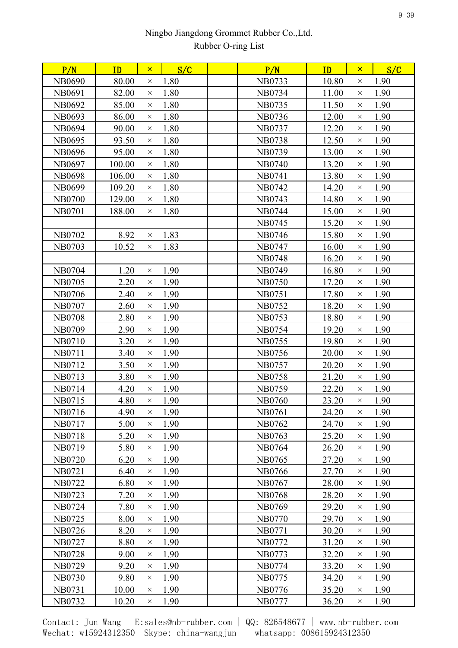| P/N           | ID     | $\mathsf{x}$ | S/C  | P/N           | ID    | $\mathsf{x}$ | S/C  |
|---------------|--------|--------------|------|---------------|-------|--------------|------|
| <b>NB0690</b> | 80.00  | $\times$     | 1.80 | NB0733        | 10.80 | $\times$     | 1.90 |
| NB0691        | 82.00  | $\times$     | 1.80 | NB0734        | 11.00 | $\times$     | 1.90 |
| NB0692        | 85.00  | $\times$     | 1.80 | NB0735        | 11.50 | $\times$     | 1.90 |
| NB0693        | 86.00  | $\times$     | 1.80 | NB0736        | 12.00 | $\times$     | 1.90 |
| NB0694        | 90.00  | $\times$     | 1.80 | NB0737        | 12.20 | $\times$     | 1.90 |
| NB0695        | 93.50  | $\times$     | 1.80 | <b>NB0738</b> | 12.50 | $\times$     | 1.90 |
| NB0696        | 95.00  | $\times$     | 1.80 | NB0739        | 13.00 | $\times$     | 1.90 |
| <b>NB0697</b> | 100.00 | $\times$     | 1.80 | <b>NB0740</b> | 13.20 | $\times$     | 1.90 |
| <b>NB0698</b> | 106.00 | $\times$     | 1.80 | <b>NB0741</b> | 13.80 | $\times$     | 1.90 |
| NB0699        | 109.20 | $\times$     | 1.80 | NB0742        | 14.20 | $\times$     | 1.90 |
| <b>NB0700</b> | 129.00 | $\times$     | 1.80 | <b>NB0743</b> | 14.80 | $\times$     | 1.90 |
| <b>NB0701</b> | 188.00 | $\times$     | 1.80 | <b>NB0744</b> | 15.00 | $\times$     | 1.90 |
|               |        |              |      | <b>NB0745</b> | 15.20 | $\times$     | 1.90 |
| NB0702        | 8.92   | $\times$     | 1.83 | NB0746        | 15.80 | $\times$     | 1.90 |
| <b>NB0703</b> | 10.52  | $\times$     | 1.83 | NB0747        | 16.00 | $\times$     | 1.90 |
|               |        |              |      | <b>NB0748</b> | 16.20 | $\times$     | 1.90 |
| <b>NB0704</b> | 1.20   | $\times$     | 1.90 | NB0749        | 16.80 | $\times$     | 1.90 |
| <b>NB0705</b> | 2.20   | $\times$     | 1.90 | <b>NB0750</b> | 17.20 | $\times$     | 1.90 |
| <b>NB0706</b> | 2.40   | $\times$     | 1.90 | <b>NB0751</b> | 17.80 | $\times$     | 1.90 |
| <b>NB0707</b> | 2.60   | $\times$     | 1.90 | NB0752        | 18.20 | $\times$     | 1.90 |
| <b>NB0708</b> | 2.80   | $\times$     | 1.90 | NB0753        | 18.80 | $\times$     | 1.90 |
| NB0709        | 2.90   | $\times$     | 1.90 | <b>NB0754</b> | 19.20 | $\times$     | 1.90 |
| NB0710        | 3.20   | $\times$     | 1.90 | NB0755        | 19.80 | $\times$     | 1.90 |
| <b>NB0711</b> | 3.40   | $\times$     | 1.90 | NB0756        | 20.00 | $\times$     | 1.90 |
| NB0712        | 3.50   | $\times$     | 1.90 | <b>NB0757</b> | 20.20 | $\times$     | 1.90 |
| NB0713        | 3.80   | $\times$     | 1.90 | <b>NB0758</b> | 21.20 | $\times$     | 1.90 |
| NB0714        | 4.20   | $\times$     | 1.90 | NB0759        | 22.20 | $\times$     | 1.90 |
| NB0715        | 4.80   | $\times$     | 1.90 | <b>NB0760</b> | 23.20 | $\times$     | 1.90 |
| NB0716        | 4.90   | $\times$     | 1.90 | <b>NB0761</b> | 24.20 | $\times$     | 1.90 |
| NB0717        | 5.00   | $\times$     | 1.90 | NB0762        | 24.70 | $\times$     | 1.90 |
| <b>NB0718</b> | 5.20   | $\times$     | 1.90 | NB0763        | 25.20 | $\times$     | 1.90 |
| NB0719        | 5.80   | $\times$     | 1.90 | <b>NB0764</b> | 26.20 | $\times$     | 1.90 |
| <b>NB0720</b> | 6.20   | $\times$     | 1.90 | NB0765        | 27.20 | $\times$     | 1.90 |
| <b>NB0721</b> | 6.40   | $\times$     | 1.90 | NB0766        | 27.70 | $\times$     | 1.90 |
| NB0722        | 6.80   | $\times$     | 1.90 | NB0767        | 28.00 | $\times$     | 1.90 |
| NB0723        | 7.20   | $\times$     | 1.90 | <b>NB0768</b> | 28.20 | $\times$     | 1.90 |
| NB0724        | 7.80   | $\times$     | 1.90 | NB0769        | 29.20 | $\times$     | 1.90 |
| NB0725        | 8.00   | $\times$     | 1.90 | <b>NB0770</b> | 29.70 | $\times$     | 1.90 |
| NB0726        | 8.20   | $\times$     | 1.90 | <b>NB0771</b> | 30.20 | $\times$     | 1.90 |
| NB0727        | 8.80   | $\times$     | 1.90 | NB0772        | 31.20 | $\times$     | 1.90 |
| <b>NB0728</b> | 9.00   | $\times$     | 1.90 | NB0773        | 32.20 | $\times$     | 1.90 |
| NB0729        | 9.20   | $\times$     | 1.90 | NB0774        | 33.20 | $\times$     | 1.90 |
| <b>NB0730</b> | 9.80   | $\times$     | 1.90 | NB0775        | 34.20 | $\times$     | 1.90 |
| NB0731        | 10.00  | $\times$     | 1.90 | NB0776        | 35.20 | $\times$     | 1.90 |
| NB0732        | 10.20  | $\times$     | 1.90 | <b>NB0777</b> | 36.20 | X            | 1.90 |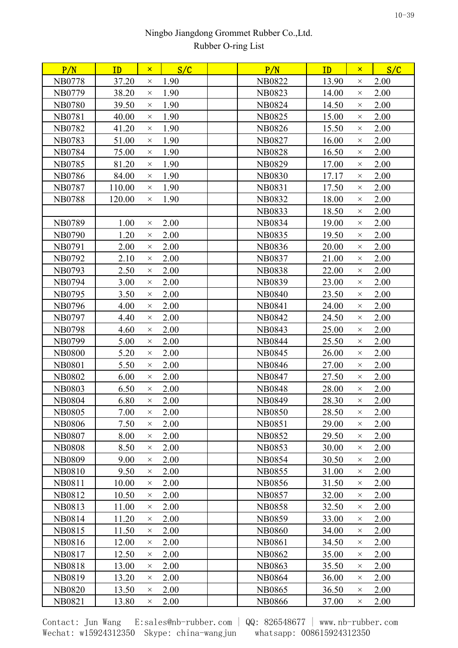| P/N           | ID     | $\mathsf{x}$ | S/C  | P/N           | ID    | $\mathsf{x}$ | S/C  |
|---------------|--------|--------------|------|---------------|-------|--------------|------|
| <b>NB0778</b> | 37.20  | $\times$     | 1.90 | <b>NB0822</b> | 13.90 | $\times$     | 2.00 |
| NB0779        | 38.20  | $\times$     | 1.90 | <b>NB0823</b> | 14.00 | $\times$     | 2.00 |
| <b>NB0780</b> | 39.50  | $\times$     | 1.90 | <b>NB0824</b> | 14.50 | $\times$     | 2.00 |
| <b>NB0781</b> | 40.00  | $\times$     | 1.90 | <b>NB0825</b> | 15.00 | $\times$     | 2.00 |
| NB0782        | 41.20  | $\times$     | 1.90 | <b>NB0826</b> | 15.50 | $\times$     | 2.00 |
| <b>NB0783</b> | 51.00  | $\times$     | 1.90 | <b>NB0827</b> | 16.00 | $\times$     | 2.00 |
| <b>NB0784</b> | 75.00  | $\times$     | 1.90 | <b>NB0828</b> | 16.50 | $\times$     | 2.00 |
| <b>NB0785</b> | 81.20  | $\times$     | 1.90 | <b>NB0829</b> | 17.00 | $\times$     | 2.00 |
| <b>NB0786</b> | 84.00  | $\times$     | 1.90 | <b>NB0830</b> | 17.17 | $\times$     | 2.00 |
| <b>NB0787</b> | 110.00 | $\times$     | 1.90 | <b>NB0831</b> | 17.50 | $\times$     | 2.00 |
| <b>NB0788</b> | 120.00 | $\times$     | 1.90 | <b>NB0832</b> | 18.00 | $\times$     | 2.00 |
|               |        |              |      | <b>NB0833</b> | 18.50 | $\times$     | 2.00 |
| NB0789        | 1.00   | $\times$     | 2.00 | <b>NB0834</b> | 19.00 | $\times$     | 2.00 |
| <b>NB0790</b> | 1.20   | $\times$     | 2.00 | <b>NB0835</b> | 19.50 | $\times$     | 2.00 |
| <b>NB0791</b> | 2.00   | $\times$     | 2.00 | <b>NB0836</b> | 20.00 | $\times$     | 2.00 |
| NB0792        | 2.10   | $\times$     | 2.00 | <b>NB0837</b> | 21.00 | $\times$     | 2.00 |
| <b>NB0793</b> | 2.50   | $\times$     | 2.00 | <b>NB0838</b> | 22.00 | $\times$     | 2.00 |
| <b>NB0794</b> | 3.00   | $\times$     | 2.00 | <b>NB0839</b> | 23.00 | $\times$     | 2.00 |
| <b>NB0795</b> | 3.50   | $\times$     | 2.00 | <b>NB0840</b> | 23.50 | $\times$     | 2.00 |
| <b>NB0796</b> | 4.00   | $\times$     | 2.00 | <b>NB0841</b> | 24.00 | $\times$     | 2.00 |
| NB0797        | 4.40   | $\times$     | 2.00 | <b>NB0842</b> | 24.50 | $\times$     | 2.00 |
| <b>NB0798</b> | 4.60   | $\times$     | 2.00 | <b>NB0843</b> | 25.00 | $\times$     | 2.00 |
| NB0799        | 5.00   | $\times$     | 2.00 | <b>NB0844</b> | 25.50 | $\times$     | 2.00 |
| <b>NB0800</b> | 5.20   | $\times$     | 2.00 | <b>NB0845</b> | 26.00 | $\times$     | 2.00 |
| <b>NB0801</b> | 5.50   | $\times$     | 2.00 | <b>NB0846</b> | 27.00 | $\times$     | 2.00 |
| <b>NB0802</b> | 6.00   | $\times$     | 2.00 | <b>NB0847</b> | 27.50 | $\times$     | 2.00 |
| <b>NB0803</b> | 6.50   | $\times$     | 2.00 | <b>NB0848</b> | 28.00 | $\times$     | 2.00 |
| <b>NB0804</b> | 6.80   | $\times$     | 2.00 | <b>NB0849</b> | 28.30 | $\times$     | 2.00 |
| <b>NB0805</b> | 7.00   | $\times$     | 2.00 | <b>NB0850</b> | 28.50 | $\times$     | 2.00 |
| <b>NB0806</b> | 7.50   | $\times$     | 2.00 | <b>NB0851</b> | 29.00 | $\times$     | 2.00 |
| <b>NB0807</b> | 8.00   | $\times$     | 2.00 | <b>NB0852</b> | 29.50 | $\times$     | 2.00 |
| <b>NB0808</b> | 8.50   | $\times$     | 2.00 | <b>NB0853</b> | 30.00 | $\times$     | 2.00 |
| <b>NB0809</b> | 9.00   | $\times$     | 2.00 | <b>NB0854</b> | 30.50 | $\times$     | 2.00 |
| <b>NB0810</b> | 9.50   | $\times$     | 2.00 | <b>NB0855</b> | 31.00 | $\times$     | 2.00 |
| <b>NB0811</b> | 10.00  | $\times$     | 2.00 | <b>NB0856</b> | 31.50 | $\times$     | 2.00 |
| NB0812        | 10.50  | $\times$     | 2.00 | <b>NB0857</b> | 32.00 | $\times$     | 2.00 |
| <b>NB0813</b> | 11.00  | $\times$     | 2.00 | <b>NB0858</b> | 32.50 | $\times$     | 2.00 |
| NB0814        | 11.20  | $\times$     | 2.00 | <b>NB0859</b> | 33.00 | $\times$     | 2.00 |
| NB0815        | 11.50  | $\times$     | 2.00 | <b>NB0860</b> | 34.00 | $\times$     | 2.00 |
| NB0816        | 12.00  | $\times$     | 2.00 | <b>NB0861</b> | 34.50 | $\times$     | 2.00 |
| NB0817        | 12.50  | $\times$     | 2.00 | <b>NB0862</b> | 35.00 | $\times$     | 2.00 |
| <b>NB0818</b> | 13.00  | $\times$     | 2.00 | <b>NB0863</b> | 35.50 | $\times$     | 2.00 |
| NB0819        | 13.20  | $\times$     | 2.00 | <b>NB0864</b> | 36.00 | $\times$     | 2.00 |
| <b>NB0820</b> | 13.50  | $\times$     | 2.00 | <b>NB0865</b> | 36.50 | $\times$     | 2.00 |
| NB0821        | 13.80  | $\times$     | 2.00 | <b>NB0866</b> | 37.00 | X            | 2.00 |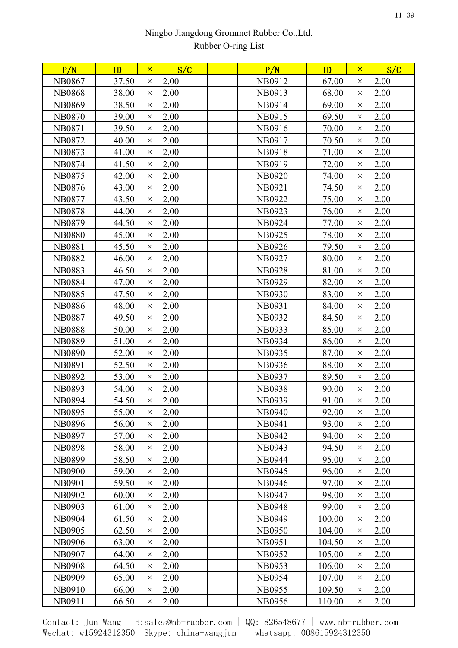| P/N           | ID    | $\mathsf{x}$ | S/C  | P/N           | ID     | $\mathsf{x}$ | S/C  |
|---------------|-------|--------------|------|---------------|--------|--------------|------|
| <b>NB0867</b> | 37.50 | $\times$     | 2.00 | NB0912        | 67.00  | $\times$     | 2.00 |
| <b>NB0868</b> | 38.00 | $\times$     | 2.00 | NB0913        | 68.00  | $\times$     | 2.00 |
| <b>NB0869</b> | 38.50 | $\times$     | 2.00 | NB0914        | 69.00  | $\times$     | 2.00 |
| <b>NB0870</b> | 39.00 | $\times$     | 2.00 | NB0915        | 69.50  | $\times$     | 2.00 |
| <b>NB0871</b> | 39.50 | $\times$     | 2.00 | NB0916        | 70.00  | $\times$     | 2.00 |
| NB0872        | 40.00 | $\times$     | 2.00 | NB0917        | 70.50  | $\times$     | 2.00 |
| NB0873        | 41.00 | $\times$     | 2.00 | NB0918        | 71.00  | $\times$     | 2.00 |
| <b>NB0874</b> | 41.50 | $\times$     | 2.00 | NB0919        | 72.00  | $\times$     | 2.00 |
| <b>NB0875</b> | 42.00 | $\times$     | 2.00 | <b>NB0920</b> | 74.00  | $\times$     | 2.00 |
| <b>NB0876</b> | 43.00 | $\times$     | 2.00 | <b>NB0921</b> | 74.50  | $\times$     | 2.00 |
| <b>NB0877</b> | 43.50 | $\times$     | 2.00 | NB0922        | 75.00  | $\times$     | 2.00 |
| <b>NB0878</b> | 44.00 | $\times$     | 2.00 | NB0923        | 76.00  | $\times$     | 2.00 |
| <b>NB0879</b> | 44.50 | $\times$     | 2.00 | NB0924        | 77.00  | $\times$     | 2.00 |
| <b>NB0880</b> | 45.00 | $\times$     | 2.00 | NB0925        | 78.00  | $\times$     | 2.00 |
| <b>NB0881</b> | 45.50 | $\times$     | 2.00 | NB0926        | 79.50  | $\times$     | 2.00 |
| <b>NB0882</b> | 46.00 | $\times$     | 2.00 | NB0927        | 80.00  | $\times$     | 2.00 |
| <b>NB0883</b> | 46.50 | $\times$     | 2.00 | <b>NB0928</b> | 81.00  | $\times$     | 2.00 |
| <b>NB0884</b> | 47.00 | $\times$     | 2.00 | NB0929        | 82.00  | $\times$     | 2.00 |
| <b>NB0885</b> | 47.50 | $\times$     | 2.00 | <b>NB0930</b> | 83.00  | $\times$     | 2.00 |
| <b>NB0886</b> | 48.00 | $\times$     | 2.00 | <b>NB0931</b> | 84.00  | $\times$     | 2.00 |
| <b>NB0887</b> | 49.50 | $\times$     | 2.00 | NB0932        | 84.50  | $\times$     | 2.00 |
| <b>NB0888</b> | 50.00 | $\times$     | 2.00 | NB0933        | 85.00  | $\times$     | 2.00 |
| <b>NB0889</b> | 51.00 | $\times$     | 2.00 | NB0934        | 86.00  | $\times$     | 2.00 |
| <b>NB0890</b> | 52.00 | $\times$     | 2.00 | NB0935        | 87.00  | $\times$     | 2.00 |
| <b>NB0891</b> | 52.50 | $\times$     | 2.00 | NB0936        | 88.00  | $\times$     | 2.00 |
| <b>NB0892</b> | 53.00 | $\times$     | 2.00 | <b>NB0937</b> | 89.50  | $\times$     | 2.00 |
| <b>NB0893</b> | 54.00 | $\times$     | 2.00 | <b>NB0938</b> | 90.00  | $\times$     | 2.00 |
| <b>NB0894</b> | 54.50 | $\times$     | 2.00 | NB0939        | 91.00  | $\times$     | 2.00 |
| <b>NB0895</b> | 55.00 | $\times$     | 2.00 | <b>NB0940</b> | 92.00  | $\times$     | 2.00 |
| <b>NB0896</b> | 56.00 | $\times$     | 2.00 | <b>NB0941</b> | 93.00  | $\times$     | 2.00 |
| <b>NB0897</b> | 57.00 | $\times$     | 2.00 | NB0942        | 94.00  | $\times$     | 2.00 |
| <b>NB0898</b> | 58.00 | $\times$     | 2.00 | NB0943        | 94.50  | $\times$     | 2.00 |
| <b>NB0899</b> | 58.50 | $\times$     | 2.00 | <b>NB0944</b> | 95.00  | $\times$     | 2.00 |
| <b>NB0900</b> | 59.00 | $\times$     | 2.00 | <b>NB0945</b> | 96.00  | $\times$     | 2.00 |
| <b>NB0901</b> | 59.50 | $\times$     | 2.00 | NB0946        | 97.00  | $\times$     | 2.00 |
| <b>NB0902</b> | 60.00 | $\times$     | 2.00 | <b>NB0947</b> | 98.00  | $\times$     | 2.00 |
| <b>NB0903</b> | 61.00 | $\times$     | 2.00 | <b>NB0948</b> | 99.00  | $\times$     | 2.00 |
| <b>NB0904</b> | 61.50 | $\times$     | 2.00 | NB0949        | 100.00 | $\times$     | 2.00 |
| <b>NB0905</b> | 62.50 | $\times$     | 2.00 | <b>NB0950</b> | 104.00 | $\times$     | 2.00 |
| <b>NB0906</b> | 63.00 | $\times$     | 2.00 | <b>NB0951</b> | 104.50 | $\times$     | 2.00 |
| <b>NB0907</b> | 64.00 | $\times$     | 2.00 | NB0952        | 105.00 | $\times$     | 2.00 |
| <b>NB0908</b> | 64.50 | $\times$     | 2.00 | <b>NB0953</b> | 106.00 | $\times$     | 2.00 |
| <b>NB0909</b> | 65.00 | $\times$     | 2.00 | <b>NB0954</b> | 107.00 | $\times$     | 2.00 |
| NB0910        | 66.00 | $\times$     | 2.00 | NB0955        | 109.50 | $\times$     | 2.00 |
| NB0911        | 66.50 | $\times$     | 2.00 | NB0956        | 110.00 | $\times$     | 2.00 |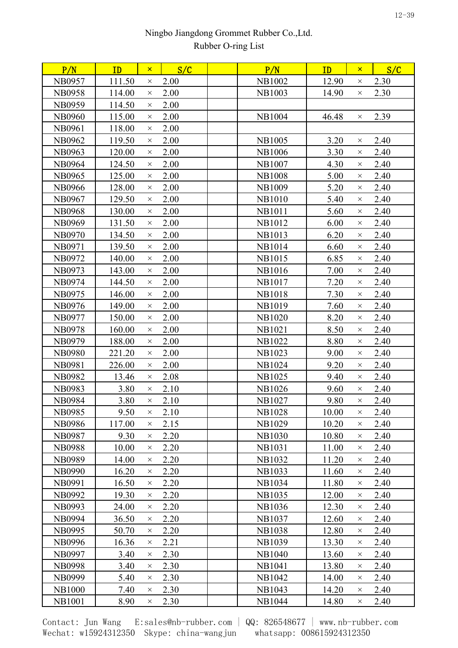| P/N           | ID     | $\mathsf{x}$ | S/C  | P/N           | ID    | $\mathsf{x}$ | S/C  |  |
|---------------|--------|--------------|------|---------------|-------|--------------|------|--|
| NB0957        | 111.50 | $\times$     | 2.00 | <b>NB1002</b> | 12.90 | $\times$     | 2.30 |  |
| <b>NB0958</b> | 114.00 | $\times$     | 2.00 | <b>NB1003</b> | 14.90 | $\times$     | 2.30 |  |
| <b>NB0959</b> | 114.50 | $\times$     | 2.00 |               |       |              |      |  |
| <b>NB0960</b> | 115.00 | $\times$     | 2.00 | <b>NB1004</b> | 46.48 | $\times$     | 2.39 |  |
| <b>NB0961</b> | 118.00 | $\times$     | 2.00 |               |       |              |      |  |
| <b>NB0962</b> | 119.50 | $\times$     | 2.00 | <b>NB1005</b> | 3.20  | $\times$     | 2.40 |  |
| <b>NB0963</b> | 120.00 | $\times$     | 2.00 | <b>NB1006</b> | 3.30  | $\times$     | 2.40 |  |
| <b>NB0964</b> | 124.50 | $\times$     | 2.00 | <b>NB1007</b> | 4.30  | $\times$     | 2.40 |  |
| <b>NB0965</b> | 125.00 | $\times$     | 2.00 | <b>NB1008</b> | 5.00  | $\times$     | 2.40 |  |
| <b>NB0966</b> | 128.00 | $\times$     | 2.00 | <b>NB1009</b> | 5.20  | $\times$     | 2.40 |  |
| <b>NB0967</b> | 129.50 | $\times$     | 2.00 | <b>NB1010</b> | 5.40  | $\times$     | 2.40 |  |
| <b>NB0968</b> | 130.00 | $\times$     | 2.00 | <b>NB1011</b> | 5.60  | $\times$     | 2.40 |  |
| <b>NB0969</b> | 131.50 | $\times$     | 2.00 | NB1012        | 6.00  | $\times$     | 2.40 |  |
| <b>NB0970</b> | 134.50 | $\times$     | 2.00 | <b>NB1013</b> | 6.20  | $\times$     | 2.40 |  |
| <b>NB0971</b> | 139.50 | $\times$     | 2.00 | <b>NB1014</b> | 6.60  | $\times$     | 2.40 |  |
| NB0972        | 140.00 | $\times$     | 2.00 | <b>NB1015</b> | 6.85  | $\times$     | 2.40 |  |
| NB0973        | 143.00 | $\times$     | 2.00 | <b>NB1016</b> | 7.00  | $\times$     | 2.40 |  |
| NB0974        | 144.50 | $\times$     | 2.00 | <b>NB1017</b> | 7.20  | $\times$     | 2.40 |  |
| NB0975        | 146.00 | $\times$     | 2.00 | <b>NB1018</b> | 7.30  | $\times$     | 2.40 |  |
| NB0976        | 149.00 | $\times$     | 2.00 | NB1019        | 7.60  | $\times$     | 2.40 |  |
| <b>NB0977</b> | 150.00 | $\times$     | 2.00 | <b>NB1020</b> | 8.20  | $\times$     | 2.40 |  |
| <b>NB0978</b> | 160.00 | $\times$     | 2.00 | <b>NB1021</b> | 8.50  | $\times$     | 2.40 |  |
| NB0979        | 188.00 | $\times$     | 2.00 | <b>NB1022</b> | 8.80  | $\times$     | 2.40 |  |
| <b>NB0980</b> | 221.20 | $\times$     | 2.00 | <b>NB1023</b> | 9.00  | $\times$     | 2.40 |  |
| <b>NB0981</b> | 226.00 | $\times$     | 2.00 | <b>NB1024</b> | 9.20  | $\times$     | 2.40 |  |
| <b>NB0982</b> | 13.46  | $\times$     | 2.08 | <b>NB1025</b> | 9.40  | $\times$     | 2.40 |  |
| <b>NB0983</b> | 3.80   | $\times$     | 2.10 | <b>NB1026</b> | 9.60  | $\times$     | 2.40 |  |
| <b>NB0984</b> | 3.80   | $\times$     | 2.10 | NB1027        | 9.80  | $\times$     | 2.40 |  |
| <b>NB0985</b> | 9.50   | $\times$     | 2.10 | <b>NB1028</b> | 10.00 | $\times$     | 2.40 |  |
| <b>NB0986</b> | 117.00 | $\times$     | 2.15 | <b>NB1029</b> | 10.20 | $\times$     | 2.40 |  |
| <b>NB0987</b> | 9.30   | $\times$     | 2.20 | <b>NB1030</b> | 10.80 | $\times$     | 2.40 |  |
| <b>NB0988</b> | 10.00  | $\times$     | 2.20 | <b>NB1031</b> | 11.00 | $\times$     | 2.40 |  |
| <b>NB0989</b> | 14.00  | $\times$     | 2.20 | <b>NB1032</b> | 11.20 | $\times$     | 2.40 |  |
| <b>NB0990</b> | 16.20  | $\times$     | 2.20 | <b>NB1033</b> | 11.60 | $\times$     | 2.40 |  |
| <b>NB0991</b> | 16.50  | $\times$     | 2.20 | <b>NB1034</b> | 11.80 | $\times$     | 2.40 |  |
| <b>NB0992</b> | 19.30  | $\times$     | 2.20 | <b>NB1035</b> | 12.00 | $\times$     | 2.40 |  |
| <b>NB0993</b> | 24.00  | $\times$     | 2.20 | NB1036        | 12.30 | $\times$     | 2.40 |  |
| <b>NB0994</b> | 36.50  | $\times$     | 2.20 | <b>NB1037</b> | 12.60 | $\times$     | 2.40 |  |
| <b>NB0995</b> | 50.70  | $\times$     | 2.20 | <b>NB1038</b> | 12.80 | $\times$     | 2.40 |  |
| <b>NB0996</b> | 16.36  | $\times$     | 2.21 | <b>NB1039</b> | 13.30 | $\times$     | 2.40 |  |
| <b>NB0997</b> | 3.40   | $\times$     | 2.30 | <b>NB1040</b> | 13.60 | $\times$     | 2.40 |  |
| <b>NB0998</b> | 3.40   | $\times$     | 2.30 | <b>NB1041</b> | 13.80 | $\times$     | 2.40 |  |
| <b>NB0999</b> | 5.40   | $\times$     | 2.30 | NB1042        | 14.00 | $\times$     | 2.40 |  |
| <b>NB1000</b> | 7.40   | $\times$     | 2.30 | NB1043        | 14.20 | X            | 2.40 |  |
| <b>NB1001</b> | 8.90   | $\times$     | 2.30 | NB1044        | 14.80 | $\times$     | 2.40 |  |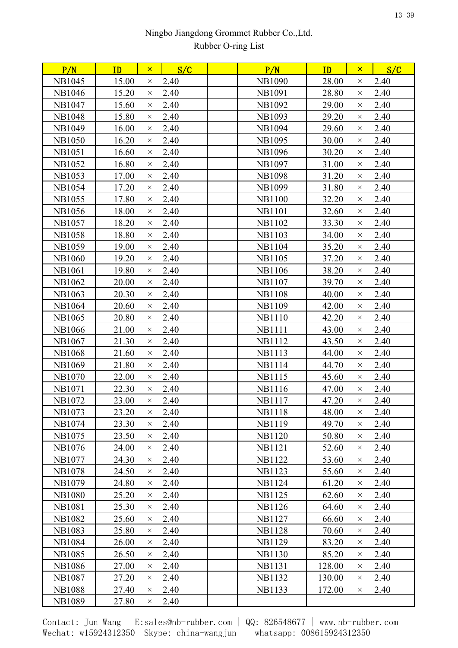| 15.00<br>2.40<br>28.00<br>2.40<br><b>NB1045</b><br><b>NB1090</b><br>$\times$<br>$\times$<br><b>NB1046</b><br>15.20<br>2.40<br><b>NB1091</b><br>28.80<br>2.40<br>$\times$<br>$\times$<br>2.40<br><b>NB1047</b><br>15.60<br>2.40<br><b>NB1092</b><br>29.00<br>$\times$<br>$\times$<br>2.40<br>2.40<br><b>NB1048</b><br>15.80<br><b>NB1093</b><br>29.20<br>$\times$<br>$\times$<br>2.40<br>2.40<br><b>NB1049</b><br>16.00<br><b>NB1094</b><br>29.60<br>$\times$<br>$\times$<br>2.40<br><b>NB1050</b><br><b>NB1095</b><br>30.00<br>2.40<br>16.20<br>$\times$<br>$\times$<br>2.40<br>30.20<br>2.40<br>NB1051<br>16.60<br><b>NB1096</b><br>$\times$<br>$\times$<br>2.40<br><b>NB1052</b><br>16.80<br><b>NB1097</b><br>2.40<br>31.00<br>$\times$<br>$\times$<br>17.00<br>2.40<br><b>NB1098</b><br>2.40<br><b>NB1053</b><br>31.20<br>$\times$<br>$\times$<br><b>NB1054</b><br>17.20<br>2.40<br><b>NB1099</b><br>31.80<br>2.40<br>$\times$<br>$\times$<br>17.80<br>2.40<br>2.40<br><b>NB1055</b><br><b>NB1100</b><br>32.20<br>$\times$<br>$\times$<br><b>NB1056</b><br>18.00<br>2.40<br><b>NB1101</b><br>32.60<br>2.40<br>$\times$<br>$\times$<br>2.40<br><b>NB1057</b><br>18.20<br><b>NB1102</b><br>33.30<br>2.40<br>$\times$<br>$\times$<br><b>NB1058</b><br>18.80<br>2.40<br>NB1103<br>34.00<br>2.40<br>$\times$<br>$\times$<br>2.40<br><b>NB1059</b><br>19.00<br><b>NB1104</b><br>35.20<br>2.40<br>$\times$<br>$\times$<br>2.40<br>37.20<br>2.40<br><b>NB1060</b><br>19.20<br><b>NB1105</b><br>$\times$<br>$\times$<br>2.40<br>2.40<br><b>NB1061</b><br>19.80<br><b>NB1106</b><br>38.20<br>$\times$<br>$\times$<br>2.40<br>2.40<br><b>NB1062</b><br>20.00<br><b>NB1107</b><br>39.70<br>$\times$<br>$\times$<br><b>NB1063</b><br>2.40<br><b>NB1108</b><br>2.40<br>20.30<br>40.00<br>$\times$<br>$\times$<br>2.40<br>20.60<br><b>NB1109</b><br>42.00<br>2.40<br><b>NB1064</b><br>$\times$<br>$\times$<br>NB1065<br>20.80<br>2.40<br><b>NB1110</b><br>42.20<br>2.40<br>$\times$<br>$\times$<br>2.40<br>2.40<br><b>NB1066</b><br>21.00<br><b>NB1111</b><br>43.00<br>$\times$<br>$\times$<br>21.30<br>2.40<br><b>NB1112</b><br>2.40<br><b>NB1067</b><br>43.50<br>$\times$<br>$\times$<br>2.40<br><b>NB1068</b><br>21.60<br><b>NB1113</b><br>44.00<br>2.40<br>$\times$<br>$\times$<br>21.80<br>2.40<br>44.70<br>2.40<br><b>NB1069</b><br><b>NB1114</b><br>$\times$<br>$\times$<br>2.40<br><b>NB1115</b><br>45.60<br>2.40<br><b>NB1070</b><br>22.00<br>$\times$<br>$\times$<br>22.30<br>2.40<br><b>NB1116</b><br>47.00<br>2.40<br><b>NB1071</b><br>$\times$<br>$\times$<br>23.00<br>2.40<br><b>NB1117</b><br>47.20<br>2.40<br>NB1072<br>$\times$<br>$\times$<br>NB1073<br>23.20<br>2.40<br><b>NB1118</b><br>48.00<br>2.40<br>$\times$<br>$\times$<br>49.70<br>2.40<br><b>NB1074</b><br>23.30<br>2.40<br><b>NB1119</b><br>$\times$<br>$\times$<br>2.40<br>2.40<br>NB1075<br>23.50<br><b>NB1120</b><br>50.80<br>$\times$<br>$\times$<br>2.40<br>2.40<br><b>NB1076</b><br>24.00<br><b>NB1121</b><br>52.60<br>$\times$<br>$\times$<br>2.40<br>2.40<br><b>NB1077</b><br>24.30<br><b>NB1122</b><br>53.60<br>$\times$<br>$\times$<br>24.50<br>2.40<br>2.40<br><b>NB1078</b><br><b>NB1123</b><br>55.60<br>$\times$<br>$\times$<br><b>NB1079</b><br>2.40<br><b>NB1124</b><br>2.40<br>24.80<br>61.20<br>$\times$<br>$\times$<br><b>NB1080</b><br>25.20<br>2.40<br><b>NB1125</b><br>2.40<br>62.60<br>$\times$<br>$\times$<br><b>NB1081</b><br>25.30<br>2.40<br><b>NB1126</b><br>2.40<br>64.60<br>$\times$<br>$\times$<br>2.40<br><b>NB1082</b><br>25.60<br><b>NB1127</b><br>66.60<br>2.40<br>$\times$<br>$\times$<br><b>NB1083</b><br>25.80<br>2.40<br><b>NB1128</b><br>70.60<br>2.40<br>$\times$<br>$\times$<br>2.40<br><b>NB1129</b><br>2.40<br><b>NB1084</b><br>26.00<br>83.20<br>$\times$<br>$\times$<br>2.40<br>85.20<br><b>NB1085</b><br>26.50<br><b>NB1130</b><br>2.40<br>$\times$<br>$\times$<br><b>NB1086</b><br>2.40<br><b>NB1131</b><br>128.00<br>2.40<br>27.00<br>$\times$<br>$\times$<br><b>NB1087</b><br>27.20<br>2.40<br><b>NB1132</b><br>130.00<br>2.40<br>$\times$<br>$\times$<br><b>NB1088</b><br>27.40<br>2.40<br><b>NB1133</b><br>172.00<br>2.40<br>$\times$<br>$\times$<br><b>NB1089</b><br>2.40<br>27.80<br>$\times$ | P/N | ID | $\mathsf{x}$ | S/C | P/N | ID | $\mathsf{x}$ | S/C |  |
|---------------------------------------------------------------------------------------------------------------------------------------------------------------------------------------------------------------------------------------------------------------------------------------------------------------------------------------------------------------------------------------------------------------------------------------------------------------------------------------------------------------------------------------------------------------------------------------------------------------------------------------------------------------------------------------------------------------------------------------------------------------------------------------------------------------------------------------------------------------------------------------------------------------------------------------------------------------------------------------------------------------------------------------------------------------------------------------------------------------------------------------------------------------------------------------------------------------------------------------------------------------------------------------------------------------------------------------------------------------------------------------------------------------------------------------------------------------------------------------------------------------------------------------------------------------------------------------------------------------------------------------------------------------------------------------------------------------------------------------------------------------------------------------------------------------------------------------------------------------------------------------------------------------------------------------------------------------------------------------------------------------------------------------------------------------------------------------------------------------------------------------------------------------------------------------------------------------------------------------------------------------------------------------------------------------------------------------------------------------------------------------------------------------------------------------------------------------------------------------------------------------------------------------------------------------------------------------------------------------------------------------------------------------------------------------------------------------------------------------------------------------------------------------------------------------------------------------------------------------------------------------------------------------------------------------------------------------------------------------------------------------------------------------------------------------------------------------------------------------------------------------------------------------------------------------------------------------------------------------------------------------------------------------------------------------------------------------------------------------------------------------------------------------------------------------------------------------------------------------------------------------------------------------------------------------------------------------------------------------------------------------------------------------------------------------------------------------------------------------------------------------------------------------------------------------------------------------------------------------------------------------------------------------------------------------------------------------------------------------------------------------------------------------------------------------------------------------------------------------------------------------------------------------------------------------------------------------------|-----|----|--------------|-----|-----|----|--------------|-----|--|
|                                                                                                                                                                                                                                                                                                                                                                                                                                                                                                                                                                                                                                                                                                                                                                                                                                                                                                                                                                                                                                                                                                                                                                                                                                                                                                                                                                                                                                                                                                                                                                                                                                                                                                                                                                                                                                                                                                                                                                                                                                                                                                                                                                                                                                                                                                                                                                                                                                                                                                                                                                                                                                                                                                                                                                                                                                                                                                                                                                                                                                                                                                                                                                                                                                                                                                                                                                                                                                                                                                                                                                                                                                                                                                                                                                                                                                                                                                                                                                                                                                                                                                                                                                                                                     |     |    |              |     |     |    |              |     |  |
|                                                                                                                                                                                                                                                                                                                                                                                                                                                                                                                                                                                                                                                                                                                                                                                                                                                                                                                                                                                                                                                                                                                                                                                                                                                                                                                                                                                                                                                                                                                                                                                                                                                                                                                                                                                                                                                                                                                                                                                                                                                                                                                                                                                                                                                                                                                                                                                                                                                                                                                                                                                                                                                                                                                                                                                                                                                                                                                                                                                                                                                                                                                                                                                                                                                                                                                                                                                                                                                                                                                                                                                                                                                                                                                                                                                                                                                                                                                                                                                                                                                                                                                                                                                                                     |     |    |              |     |     |    |              |     |  |
|                                                                                                                                                                                                                                                                                                                                                                                                                                                                                                                                                                                                                                                                                                                                                                                                                                                                                                                                                                                                                                                                                                                                                                                                                                                                                                                                                                                                                                                                                                                                                                                                                                                                                                                                                                                                                                                                                                                                                                                                                                                                                                                                                                                                                                                                                                                                                                                                                                                                                                                                                                                                                                                                                                                                                                                                                                                                                                                                                                                                                                                                                                                                                                                                                                                                                                                                                                                                                                                                                                                                                                                                                                                                                                                                                                                                                                                                                                                                                                                                                                                                                                                                                                                                                     |     |    |              |     |     |    |              |     |  |
|                                                                                                                                                                                                                                                                                                                                                                                                                                                                                                                                                                                                                                                                                                                                                                                                                                                                                                                                                                                                                                                                                                                                                                                                                                                                                                                                                                                                                                                                                                                                                                                                                                                                                                                                                                                                                                                                                                                                                                                                                                                                                                                                                                                                                                                                                                                                                                                                                                                                                                                                                                                                                                                                                                                                                                                                                                                                                                                                                                                                                                                                                                                                                                                                                                                                                                                                                                                                                                                                                                                                                                                                                                                                                                                                                                                                                                                                                                                                                                                                                                                                                                                                                                                                                     |     |    |              |     |     |    |              |     |  |
|                                                                                                                                                                                                                                                                                                                                                                                                                                                                                                                                                                                                                                                                                                                                                                                                                                                                                                                                                                                                                                                                                                                                                                                                                                                                                                                                                                                                                                                                                                                                                                                                                                                                                                                                                                                                                                                                                                                                                                                                                                                                                                                                                                                                                                                                                                                                                                                                                                                                                                                                                                                                                                                                                                                                                                                                                                                                                                                                                                                                                                                                                                                                                                                                                                                                                                                                                                                                                                                                                                                                                                                                                                                                                                                                                                                                                                                                                                                                                                                                                                                                                                                                                                                                                     |     |    |              |     |     |    |              |     |  |
|                                                                                                                                                                                                                                                                                                                                                                                                                                                                                                                                                                                                                                                                                                                                                                                                                                                                                                                                                                                                                                                                                                                                                                                                                                                                                                                                                                                                                                                                                                                                                                                                                                                                                                                                                                                                                                                                                                                                                                                                                                                                                                                                                                                                                                                                                                                                                                                                                                                                                                                                                                                                                                                                                                                                                                                                                                                                                                                                                                                                                                                                                                                                                                                                                                                                                                                                                                                                                                                                                                                                                                                                                                                                                                                                                                                                                                                                                                                                                                                                                                                                                                                                                                                                                     |     |    |              |     |     |    |              |     |  |
|                                                                                                                                                                                                                                                                                                                                                                                                                                                                                                                                                                                                                                                                                                                                                                                                                                                                                                                                                                                                                                                                                                                                                                                                                                                                                                                                                                                                                                                                                                                                                                                                                                                                                                                                                                                                                                                                                                                                                                                                                                                                                                                                                                                                                                                                                                                                                                                                                                                                                                                                                                                                                                                                                                                                                                                                                                                                                                                                                                                                                                                                                                                                                                                                                                                                                                                                                                                                                                                                                                                                                                                                                                                                                                                                                                                                                                                                                                                                                                                                                                                                                                                                                                                                                     |     |    |              |     |     |    |              |     |  |
|                                                                                                                                                                                                                                                                                                                                                                                                                                                                                                                                                                                                                                                                                                                                                                                                                                                                                                                                                                                                                                                                                                                                                                                                                                                                                                                                                                                                                                                                                                                                                                                                                                                                                                                                                                                                                                                                                                                                                                                                                                                                                                                                                                                                                                                                                                                                                                                                                                                                                                                                                                                                                                                                                                                                                                                                                                                                                                                                                                                                                                                                                                                                                                                                                                                                                                                                                                                                                                                                                                                                                                                                                                                                                                                                                                                                                                                                                                                                                                                                                                                                                                                                                                                                                     |     |    |              |     |     |    |              |     |  |
|                                                                                                                                                                                                                                                                                                                                                                                                                                                                                                                                                                                                                                                                                                                                                                                                                                                                                                                                                                                                                                                                                                                                                                                                                                                                                                                                                                                                                                                                                                                                                                                                                                                                                                                                                                                                                                                                                                                                                                                                                                                                                                                                                                                                                                                                                                                                                                                                                                                                                                                                                                                                                                                                                                                                                                                                                                                                                                                                                                                                                                                                                                                                                                                                                                                                                                                                                                                                                                                                                                                                                                                                                                                                                                                                                                                                                                                                                                                                                                                                                                                                                                                                                                                                                     |     |    |              |     |     |    |              |     |  |
|                                                                                                                                                                                                                                                                                                                                                                                                                                                                                                                                                                                                                                                                                                                                                                                                                                                                                                                                                                                                                                                                                                                                                                                                                                                                                                                                                                                                                                                                                                                                                                                                                                                                                                                                                                                                                                                                                                                                                                                                                                                                                                                                                                                                                                                                                                                                                                                                                                                                                                                                                                                                                                                                                                                                                                                                                                                                                                                                                                                                                                                                                                                                                                                                                                                                                                                                                                                                                                                                                                                                                                                                                                                                                                                                                                                                                                                                                                                                                                                                                                                                                                                                                                                                                     |     |    |              |     |     |    |              |     |  |
|                                                                                                                                                                                                                                                                                                                                                                                                                                                                                                                                                                                                                                                                                                                                                                                                                                                                                                                                                                                                                                                                                                                                                                                                                                                                                                                                                                                                                                                                                                                                                                                                                                                                                                                                                                                                                                                                                                                                                                                                                                                                                                                                                                                                                                                                                                                                                                                                                                                                                                                                                                                                                                                                                                                                                                                                                                                                                                                                                                                                                                                                                                                                                                                                                                                                                                                                                                                                                                                                                                                                                                                                                                                                                                                                                                                                                                                                                                                                                                                                                                                                                                                                                                                                                     |     |    |              |     |     |    |              |     |  |
|                                                                                                                                                                                                                                                                                                                                                                                                                                                                                                                                                                                                                                                                                                                                                                                                                                                                                                                                                                                                                                                                                                                                                                                                                                                                                                                                                                                                                                                                                                                                                                                                                                                                                                                                                                                                                                                                                                                                                                                                                                                                                                                                                                                                                                                                                                                                                                                                                                                                                                                                                                                                                                                                                                                                                                                                                                                                                                                                                                                                                                                                                                                                                                                                                                                                                                                                                                                                                                                                                                                                                                                                                                                                                                                                                                                                                                                                                                                                                                                                                                                                                                                                                                                                                     |     |    |              |     |     |    |              |     |  |
|                                                                                                                                                                                                                                                                                                                                                                                                                                                                                                                                                                                                                                                                                                                                                                                                                                                                                                                                                                                                                                                                                                                                                                                                                                                                                                                                                                                                                                                                                                                                                                                                                                                                                                                                                                                                                                                                                                                                                                                                                                                                                                                                                                                                                                                                                                                                                                                                                                                                                                                                                                                                                                                                                                                                                                                                                                                                                                                                                                                                                                                                                                                                                                                                                                                                                                                                                                                                                                                                                                                                                                                                                                                                                                                                                                                                                                                                                                                                                                                                                                                                                                                                                                                                                     |     |    |              |     |     |    |              |     |  |
|                                                                                                                                                                                                                                                                                                                                                                                                                                                                                                                                                                                                                                                                                                                                                                                                                                                                                                                                                                                                                                                                                                                                                                                                                                                                                                                                                                                                                                                                                                                                                                                                                                                                                                                                                                                                                                                                                                                                                                                                                                                                                                                                                                                                                                                                                                                                                                                                                                                                                                                                                                                                                                                                                                                                                                                                                                                                                                                                                                                                                                                                                                                                                                                                                                                                                                                                                                                                                                                                                                                                                                                                                                                                                                                                                                                                                                                                                                                                                                                                                                                                                                                                                                                                                     |     |    |              |     |     |    |              |     |  |
|                                                                                                                                                                                                                                                                                                                                                                                                                                                                                                                                                                                                                                                                                                                                                                                                                                                                                                                                                                                                                                                                                                                                                                                                                                                                                                                                                                                                                                                                                                                                                                                                                                                                                                                                                                                                                                                                                                                                                                                                                                                                                                                                                                                                                                                                                                                                                                                                                                                                                                                                                                                                                                                                                                                                                                                                                                                                                                                                                                                                                                                                                                                                                                                                                                                                                                                                                                                                                                                                                                                                                                                                                                                                                                                                                                                                                                                                                                                                                                                                                                                                                                                                                                                                                     |     |    |              |     |     |    |              |     |  |
|                                                                                                                                                                                                                                                                                                                                                                                                                                                                                                                                                                                                                                                                                                                                                                                                                                                                                                                                                                                                                                                                                                                                                                                                                                                                                                                                                                                                                                                                                                                                                                                                                                                                                                                                                                                                                                                                                                                                                                                                                                                                                                                                                                                                                                                                                                                                                                                                                                                                                                                                                                                                                                                                                                                                                                                                                                                                                                                                                                                                                                                                                                                                                                                                                                                                                                                                                                                                                                                                                                                                                                                                                                                                                                                                                                                                                                                                                                                                                                                                                                                                                                                                                                                                                     |     |    |              |     |     |    |              |     |  |
|                                                                                                                                                                                                                                                                                                                                                                                                                                                                                                                                                                                                                                                                                                                                                                                                                                                                                                                                                                                                                                                                                                                                                                                                                                                                                                                                                                                                                                                                                                                                                                                                                                                                                                                                                                                                                                                                                                                                                                                                                                                                                                                                                                                                                                                                                                                                                                                                                                                                                                                                                                                                                                                                                                                                                                                                                                                                                                                                                                                                                                                                                                                                                                                                                                                                                                                                                                                                                                                                                                                                                                                                                                                                                                                                                                                                                                                                                                                                                                                                                                                                                                                                                                                                                     |     |    |              |     |     |    |              |     |  |
|                                                                                                                                                                                                                                                                                                                                                                                                                                                                                                                                                                                                                                                                                                                                                                                                                                                                                                                                                                                                                                                                                                                                                                                                                                                                                                                                                                                                                                                                                                                                                                                                                                                                                                                                                                                                                                                                                                                                                                                                                                                                                                                                                                                                                                                                                                                                                                                                                                                                                                                                                                                                                                                                                                                                                                                                                                                                                                                                                                                                                                                                                                                                                                                                                                                                                                                                                                                                                                                                                                                                                                                                                                                                                                                                                                                                                                                                                                                                                                                                                                                                                                                                                                                                                     |     |    |              |     |     |    |              |     |  |
|                                                                                                                                                                                                                                                                                                                                                                                                                                                                                                                                                                                                                                                                                                                                                                                                                                                                                                                                                                                                                                                                                                                                                                                                                                                                                                                                                                                                                                                                                                                                                                                                                                                                                                                                                                                                                                                                                                                                                                                                                                                                                                                                                                                                                                                                                                                                                                                                                                                                                                                                                                                                                                                                                                                                                                                                                                                                                                                                                                                                                                                                                                                                                                                                                                                                                                                                                                                                                                                                                                                                                                                                                                                                                                                                                                                                                                                                                                                                                                                                                                                                                                                                                                                                                     |     |    |              |     |     |    |              |     |  |
|                                                                                                                                                                                                                                                                                                                                                                                                                                                                                                                                                                                                                                                                                                                                                                                                                                                                                                                                                                                                                                                                                                                                                                                                                                                                                                                                                                                                                                                                                                                                                                                                                                                                                                                                                                                                                                                                                                                                                                                                                                                                                                                                                                                                                                                                                                                                                                                                                                                                                                                                                                                                                                                                                                                                                                                                                                                                                                                                                                                                                                                                                                                                                                                                                                                                                                                                                                                                                                                                                                                                                                                                                                                                                                                                                                                                                                                                                                                                                                                                                                                                                                                                                                                                                     |     |    |              |     |     |    |              |     |  |
|                                                                                                                                                                                                                                                                                                                                                                                                                                                                                                                                                                                                                                                                                                                                                                                                                                                                                                                                                                                                                                                                                                                                                                                                                                                                                                                                                                                                                                                                                                                                                                                                                                                                                                                                                                                                                                                                                                                                                                                                                                                                                                                                                                                                                                                                                                                                                                                                                                                                                                                                                                                                                                                                                                                                                                                                                                                                                                                                                                                                                                                                                                                                                                                                                                                                                                                                                                                                                                                                                                                                                                                                                                                                                                                                                                                                                                                                                                                                                                                                                                                                                                                                                                                                                     |     |    |              |     |     |    |              |     |  |
|                                                                                                                                                                                                                                                                                                                                                                                                                                                                                                                                                                                                                                                                                                                                                                                                                                                                                                                                                                                                                                                                                                                                                                                                                                                                                                                                                                                                                                                                                                                                                                                                                                                                                                                                                                                                                                                                                                                                                                                                                                                                                                                                                                                                                                                                                                                                                                                                                                                                                                                                                                                                                                                                                                                                                                                                                                                                                                                                                                                                                                                                                                                                                                                                                                                                                                                                                                                                                                                                                                                                                                                                                                                                                                                                                                                                                                                                                                                                                                                                                                                                                                                                                                                                                     |     |    |              |     |     |    |              |     |  |
|                                                                                                                                                                                                                                                                                                                                                                                                                                                                                                                                                                                                                                                                                                                                                                                                                                                                                                                                                                                                                                                                                                                                                                                                                                                                                                                                                                                                                                                                                                                                                                                                                                                                                                                                                                                                                                                                                                                                                                                                                                                                                                                                                                                                                                                                                                                                                                                                                                                                                                                                                                                                                                                                                                                                                                                                                                                                                                                                                                                                                                                                                                                                                                                                                                                                                                                                                                                                                                                                                                                                                                                                                                                                                                                                                                                                                                                                                                                                                                                                                                                                                                                                                                                                                     |     |    |              |     |     |    |              |     |  |
|                                                                                                                                                                                                                                                                                                                                                                                                                                                                                                                                                                                                                                                                                                                                                                                                                                                                                                                                                                                                                                                                                                                                                                                                                                                                                                                                                                                                                                                                                                                                                                                                                                                                                                                                                                                                                                                                                                                                                                                                                                                                                                                                                                                                                                                                                                                                                                                                                                                                                                                                                                                                                                                                                                                                                                                                                                                                                                                                                                                                                                                                                                                                                                                                                                                                                                                                                                                                                                                                                                                                                                                                                                                                                                                                                                                                                                                                                                                                                                                                                                                                                                                                                                                                                     |     |    |              |     |     |    |              |     |  |
|                                                                                                                                                                                                                                                                                                                                                                                                                                                                                                                                                                                                                                                                                                                                                                                                                                                                                                                                                                                                                                                                                                                                                                                                                                                                                                                                                                                                                                                                                                                                                                                                                                                                                                                                                                                                                                                                                                                                                                                                                                                                                                                                                                                                                                                                                                                                                                                                                                                                                                                                                                                                                                                                                                                                                                                                                                                                                                                                                                                                                                                                                                                                                                                                                                                                                                                                                                                                                                                                                                                                                                                                                                                                                                                                                                                                                                                                                                                                                                                                                                                                                                                                                                                                                     |     |    |              |     |     |    |              |     |  |
|                                                                                                                                                                                                                                                                                                                                                                                                                                                                                                                                                                                                                                                                                                                                                                                                                                                                                                                                                                                                                                                                                                                                                                                                                                                                                                                                                                                                                                                                                                                                                                                                                                                                                                                                                                                                                                                                                                                                                                                                                                                                                                                                                                                                                                                                                                                                                                                                                                                                                                                                                                                                                                                                                                                                                                                                                                                                                                                                                                                                                                                                                                                                                                                                                                                                                                                                                                                                                                                                                                                                                                                                                                                                                                                                                                                                                                                                                                                                                                                                                                                                                                                                                                                                                     |     |    |              |     |     |    |              |     |  |
|                                                                                                                                                                                                                                                                                                                                                                                                                                                                                                                                                                                                                                                                                                                                                                                                                                                                                                                                                                                                                                                                                                                                                                                                                                                                                                                                                                                                                                                                                                                                                                                                                                                                                                                                                                                                                                                                                                                                                                                                                                                                                                                                                                                                                                                                                                                                                                                                                                                                                                                                                                                                                                                                                                                                                                                                                                                                                                                                                                                                                                                                                                                                                                                                                                                                                                                                                                                                                                                                                                                                                                                                                                                                                                                                                                                                                                                                                                                                                                                                                                                                                                                                                                                                                     |     |    |              |     |     |    |              |     |  |
|                                                                                                                                                                                                                                                                                                                                                                                                                                                                                                                                                                                                                                                                                                                                                                                                                                                                                                                                                                                                                                                                                                                                                                                                                                                                                                                                                                                                                                                                                                                                                                                                                                                                                                                                                                                                                                                                                                                                                                                                                                                                                                                                                                                                                                                                                                                                                                                                                                                                                                                                                                                                                                                                                                                                                                                                                                                                                                                                                                                                                                                                                                                                                                                                                                                                                                                                                                                                                                                                                                                                                                                                                                                                                                                                                                                                                                                                                                                                                                                                                                                                                                                                                                                                                     |     |    |              |     |     |    |              |     |  |
|                                                                                                                                                                                                                                                                                                                                                                                                                                                                                                                                                                                                                                                                                                                                                                                                                                                                                                                                                                                                                                                                                                                                                                                                                                                                                                                                                                                                                                                                                                                                                                                                                                                                                                                                                                                                                                                                                                                                                                                                                                                                                                                                                                                                                                                                                                                                                                                                                                                                                                                                                                                                                                                                                                                                                                                                                                                                                                                                                                                                                                                                                                                                                                                                                                                                                                                                                                                                                                                                                                                                                                                                                                                                                                                                                                                                                                                                                                                                                                                                                                                                                                                                                                                                                     |     |    |              |     |     |    |              |     |  |
|                                                                                                                                                                                                                                                                                                                                                                                                                                                                                                                                                                                                                                                                                                                                                                                                                                                                                                                                                                                                                                                                                                                                                                                                                                                                                                                                                                                                                                                                                                                                                                                                                                                                                                                                                                                                                                                                                                                                                                                                                                                                                                                                                                                                                                                                                                                                                                                                                                                                                                                                                                                                                                                                                                                                                                                                                                                                                                                                                                                                                                                                                                                                                                                                                                                                                                                                                                                                                                                                                                                                                                                                                                                                                                                                                                                                                                                                                                                                                                                                                                                                                                                                                                                                                     |     |    |              |     |     |    |              |     |  |
|                                                                                                                                                                                                                                                                                                                                                                                                                                                                                                                                                                                                                                                                                                                                                                                                                                                                                                                                                                                                                                                                                                                                                                                                                                                                                                                                                                                                                                                                                                                                                                                                                                                                                                                                                                                                                                                                                                                                                                                                                                                                                                                                                                                                                                                                                                                                                                                                                                                                                                                                                                                                                                                                                                                                                                                                                                                                                                                                                                                                                                                                                                                                                                                                                                                                                                                                                                                                                                                                                                                                                                                                                                                                                                                                                                                                                                                                                                                                                                                                                                                                                                                                                                                                                     |     |    |              |     |     |    |              |     |  |
|                                                                                                                                                                                                                                                                                                                                                                                                                                                                                                                                                                                                                                                                                                                                                                                                                                                                                                                                                                                                                                                                                                                                                                                                                                                                                                                                                                                                                                                                                                                                                                                                                                                                                                                                                                                                                                                                                                                                                                                                                                                                                                                                                                                                                                                                                                                                                                                                                                                                                                                                                                                                                                                                                                                                                                                                                                                                                                                                                                                                                                                                                                                                                                                                                                                                                                                                                                                                                                                                                                                                                                                                                                                                                                                                                                                                                                                                                                                                                                                                                                                                                                                                                                                                                     |     |    |              |     |     |    |              |     |  |
|                                                                                                                                                                                                                                                                                                                                                                                                                                                                                                                                                                                                                                                                                                                                                                                                                                                                                                                                                                                                                                                                                                                                                                                                                                                                                                                                                                                                                                                                                                                                                                                                                                                                                                                                                                                                                                                                                                                                                                                                                                                                                                                                                                                                                                                                                                                                                                                                                                                                                                                                                                                                                                                                                                                                                                                                                                                                                                                                                                                                                                                                                                                                                                                                                                                                                                                                                                                                                                                                                                                                                                                                                                                                                                                                                                                                                                                                                                                                                                                                                                                                                                                                                                                                                     |     |    |              |     |     |    |              |     |  |
|                                                                                                                                                                                                                                                                                                                                                                                                                                                                                                                                                                                                                                                                                                                                                                                                                                                                                                                                                                                                                                                                                                                                                                                                                                                                                                                                                                                                                                                                                                                                                                                                                                                                                                                                                                                                                                                                                                                                                                                                                                                                                                                                                                                                                                                                                                                                                                                                                                                                                                                                                                                                                                                                                                                                                                                                                                                                                                                                                                                                                                                                                                                                                                                                                                                                                                                                                                                                                                                                                                                                                                                                                                                                                                                                                                                                                                                                                                                                                                                                                                                                                                                                                                                                                     |     |    |              |     |     |    |              |     |  |
|                                                                                                                                                                                                                                                                                                                                                                                                                                                                                                                                                                                                                                                                                                                                                                                                                                                                                                                                                                                                                                                                                                                                                                                                                                                                                                                                                                                                                                                                                                                                                                                                                                                                                                                                                                                                                                                                                                                                                                                                                                                                                                                                                                                                                                                                                                                                                                                                                                                                                                                                                                                                                                                                                                                                                                                                                                                                                                                                                                                                                                                                                                                                                                                                                                                                                                                                                                                                                                                                                                                                                                                                                                                                                                                                                                                                                                                                                                                                                                                                                                                                                                                                                                                                                     |     |    |              |     |     |    |              |     |  |
|                                                                                                                                                                                                                                                                                                                                                                                                                                                                                                                                                                                                                                                                                                                                                                                                                                                                                                                                                                                                                                                                                                                                                                                                                                                                                                                                                                                                                                                                                                                                                                                                                                                                                                                                                                                                                                                                                                                                                                                                                                                                                                                                                                                                                                                                                                                                                                                                                                                                                                                                                                                                                                                                                                                                                                                                                                                                                                                                                                                                                                                                                                                                                                                                                                                                                                                                                                                                                                                                                                                                                                                                                                                                                                                                                                                                                                                                                                                                                                                                                                                                                                                                                                                                                     |     |    |              |     |     |    |              |     |  |
|                                                                                                                                                                                                                                                                                                                                                                                                                                                                                                                                                                                                                                                                                                                                                                                                                                                                                                                                                                                                                                                                                                                                                                                                                                                                                                                                                                                                                                                                                                                                                                                                                                                                                                                                                                                                                                                                                                                                                                                                                                                                                                                                                                                                                                                                                                                                                                                                                                                                                                                                                                                                                                                                                                                                                                                                                                                                                                                                                                                                                                                                                                                                                                                                                                                                                                                                                                                                                                                                                                                                                                                                                                                                                                                                                                                                                                                                                                                                                                                                                                                                                                                                                                                                                     |     |    |              |     |     |    |              |     |  |
|                                                                                                                                                                                                                                                                                                                                                                                                                                                                                                                                                                                                                                                                                                                                                                                                                                                                                                                                                                                                                                                                                                                                                                                                                                                                                                                                                                                                                                                                                                                                                                                                                                                                                                                                                                                                                                                                                                                                                                                                                                                                                                                                                                                                                                                                                                                                                                                                                                                                                                                                                                                                                                                                                                                                                                                                                                                                                                                                                                                                                                                                                                                                                                                                                                                                                                                                                                                                                                                                                                                                                                                                                                                                                                                                                                                                                                                                                                                                                                                                                                                                                                                                                                                                                     |     |    |              |     |     |    |              |     |  |
|                                                                                                                                                                                                                                                                                                                                                                                                                                                                                                                                                                                                                                                                                                                                                                                                                                                                                                                                                                                                                                                                                                                                                                                                                                                                                                                                                                                                                                                                                                                                                                                                                                                                                                                                                                                                                                                                                                                                                                                                                                                                                                                                                                                                                                                                                                                                                                                                                                                                                                                                                                                                                                                                                                                                                                                                                                                                                                                                                                                                                                                                                                                                                                                                                                                                                                                                                                                                                                                                                                                                                                                                                                                                                                                                                                                                                                                                                                                                                                                                                                                                                                                                                                                                                     |     |    |              |     |     |    |              |     |  |
|                                                                                                                                                                                                                                                                                                                                                                                                                                                                                                                                                                                                                                                                                                                                                                                                                                                                                                                                                                                                                                                                                                                                                                                                                                                                                                                                                                                                                                                                                                                                                                                                                                                                                                                                                                                                                                                                                                                                                                                                                                                                                                                                                                                                                                                                                                                                                                                                                                                                                                                                                                                                                                                                                                                                                                                                                                                                                                                                                                                                                                                                                                                                                                                                                                                                                                                                                                                                                                                                                                                                                                                                                                                                                                                                                                                                                                                                                                                                                                                                                                                                                                                                                                                                                     |     |    |              |     |     |    |              |     |  |
|                                                                                                                                                                                                                                                                                                                                                                                                                                                                                                                                                                                                                                                                                                                                                                                                                                                                                                                                                                                                                                                                                                                                                                                                                                                                                                                                                                                                                                                                                                                                                                                                                                                                                                                                                                                                                                                                                                                                                                                                                                                                                                                                                                                                                                                                                                                                                                                                                                                                                                                                                                                                                                                                                                                                                                                                                                                                                                                                                                                                                                                                                                                                                                                                                                                                                                                                                                                                                                                                                                                                                                                                                                                                                                                                                                                                                                                                                                                                                                                                                                                                                                                                                                                                                     |     |    |              |     |     |    |              |     |  |
|                                                                                                                                                                                                                                                                                                                                                                                                                                                                                                                                                                                                                                                                                                                                                                                                                                                                                                                                                                                                                                                                                                                                                                                                                                                                                                                                                                                                                                                                                                                                                                                                                                                                                                                                                                                                                                                                                                                                                                                                                                                                                                                                                                                                                                                                                                                                                                                                                                                                                                                                                                                                                                                                                                                                                                                                                                                                                                                                                                                                                                                                                                                                                                                                                                                                                                                                                                                                                                                                                                                                                                                                                                                                                                                                                                                                                                                                                                                                                                                                                                                                                                                                                                                                                     |     |    |              |     |     |    |              |     |  |
|                                                                                                                                                                                                                                                                                                                                                                                                                                                                                                                                                                                                                                                                                                                                                                                                                                                                                                                                                                                                                                                                                                                                                                                                                                                                                                                                                                                                                                                                                                                                                                                                                                                                                                                                                                                                                                                                                                                                                                                                                                                                                                                                                                                                                                                                                                                                                                                                                                                                                                                                                                                                                                                                                                                                                                                                                                                                                                                                                                                                                                                                                                                                                                                                                                                                                                                                                                                                                                                                                                                                                                                                                                                                                                                                                                                                                                                                                                                                                                                                                                                                                                                                                                                                                     |     |    |              |     |     |    |              |     |  |
|                                                                                                                                                                                                                                                                                                                                                                                                                                                                                                                                                                                                                                                                                                                                                                                                                                                                                                                                                                                                                                                                                                                                                                                                                                                                                                                                                                                                                                                                                                                                                                                                                                                                                                                                                                                                                                                                                                                                                                                                                                                                                                                                                                                                                                                                                                                                                                                                                                                                                                                                                                                                                                                                                                                                                                                                                                                                                                                                                                                                                                                                                                                                                                                                                                                                                                                                                                                                                                                                                                                                                                                                                                                                                                                                                                                                                                                                                                                                                                                                                                                                                                                                                                                                                     |     |    |              |     |     |    |              |     |  |
|                                                                                                                                                                                                                                                                                                                                                                                                                                                                                                                                                                                                                                                                                                                                                                                                                                                                                                                                                                                                                                                                                                                                                                                                                                                                                                                                                                                                                                                                                                                                                                                                                                                                                                                                                                                                                                                                                                                                                                                                                                                                                                                                                                                                                                                                                                                                                                                                                                                                                                                                                                                                                                                                                                                                                                                                                                                                                                                                                                                                                                                                                                                                                                                                                                                                                                                                                                                                                                                                                                                                                                                                                                                                                                                                                                                                                                                                                                                                                                                                                                                                                                                                                                                                                     |     |    |              |     |     |    |              |     |  |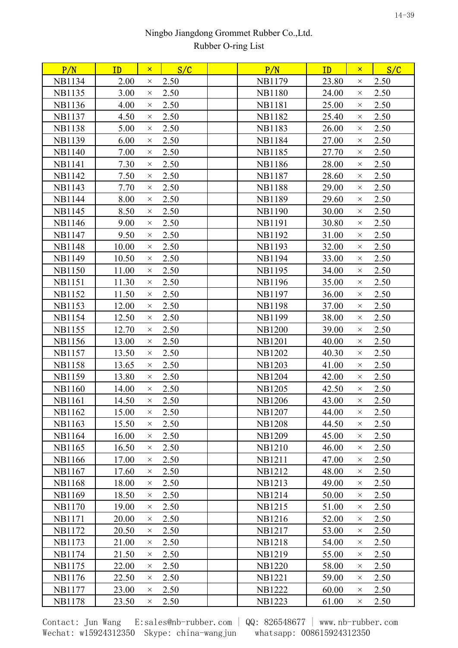| P/N           | ID    | $\mathsf{x}$ | S/C  | P/N           | ID    | $\mathsf{x}$ | S/C  |  |
|---------------|-------|--------------|------|---------------|-------|--------------|------|--|
| <b>NB1134</b> | 2.00  | $\times$     | 2.50 | NB1179        | 23.80 | $\times$     | 2.50 |  |
| <b>NB1135</b> | 3.00  | $\times$     | 2.50 | <b>NB1180</b> | 24.00 | $\times$     | 2.50 |  |
| <b>NB1136</b> | 4.00  | $\times$     | 2.50 | <b>NB1181</b> | 25.00 | $\times$     | 2.50 |  |
| <b>NB1137</b> | 4.50  | $\times$     | 2.50 | <b>NB1182</b> | 25.40 | $\times$     | 2.50 |  |
| <b>NB1138</b> | 5.00  | $\times$     | 2.50 | <b>NB1183</b> | 26.00 | $\times$     | 2.50 |  |
| <b>NB1139</b> | 6.00  | $\times$     | 2.50 | <b>NB1184</b> | 27.00 | $\times$     | 2.50 |  |
| <b>NB1140</b> | 7.00  | $\times$     | 2.50 | <b>NB1185</b> | 27.70 | $\times$     | 2.50 |  |
| <b>NB1141</b> | 7.30  | $\times$     | 2.50 | <b>NB1186</b> | 28.00 | $\times$     | 2.50 |  |
| <b>NB1142</b> | 7.50  | $\times$     | 2.50 | <b>NB1187</b> | 28.60 | $\times$     | 2.50 |  |
| <b>NB1143</b> | 7.70  | $\times$     | 2.50 | <b>NB1188</b> | 29.00 | $\times$     | 2.50 |  |
| <b>NB1144</b> | 8.00  | $\times$     | 2.50 | <b>NB1189</b> | 29.60 | $\times$     | 2.50 |  |
| <b>NB1145</b> | 8.50  | $\times$     | 2.50 | <b>NB1190</b> | 30.00 | $\times$     | 2.50 |  |
| <b>NB1146</b> | 9.00  | $\times$     | 2.50 | <b>NB1191</b> | 30.80 | $\times$     | 2.50 |  |
| NB1147        | 9.50  | $\times$     | 2.50 | <b>NB1192</b> | 31.00 | $\times$     | 2.50 |  |
| <b>NB1148</b> | 10.00 | $\times$     | 2.50 | <b>NB1193</b> | 32.00 | $\times$     | 2.50 |  |
| <b>NB1149</b> | 10.50 | $\times$     | 2.50 | <b>NB1194</b> | 33.00 | $\times$     | 2.50 |  |
| <b>NB1150</b> | 11.00 | $\times$     | 2.50 | <b>NB1195</b> | 34.00 | $\times$     | 2.50 |  |
| <b>NB1151</b> | 11.30 | $\times$     | 2.50 | <b>NB1196</b> | 35.00 | $\times$     | 2.50 |  |
| <b>NB1152</b> | 11.50 | $\times$     | 2.50 | <b>NB1197</b> | 36.00 | $\times$     | 2.50 |  |
| <b>NB1153</b> | 12.00 | $\times$     | 2.50 | <b>NB1198</b> | 37.00 | $\times$     | 2.50 |  |
| <b>NB1154</b> | 12.50 | $\times$     | 2.50 | <b>NB1199</b> | 38.00 | $\times$     | 2.50 |  |
| <b>NB1155</b> | 12.70 | $\times$     | 2.50 | <b>NB1200</b> | 39.00 | $\times$     | 2.50 |  |
| <b>NB1156</b> | 13.00 | $\times$     | 2.50 | <b>NB1201</b> | 40.00 | $\times$     | 2.50 |  |
| <b>NB1157</b> | 13.50 | $\times$     | 2.50 | <b>NB1202</b> | 40.30 | $\times$     | 2.50 |  |
| <b>NB1158</b> | 13.65 | $\times$     | 2.50 | <b>NB1203</b> | 41.00 | $\times$     | 2.50 |  |
| <b>NB1159</b> | 13.80 | $\times$     | 2.50 | <b>NB1204</b> | 42.00 | $\times$     | 2.50 |  |
| <b>NB1160</b> | 14.00 | $\times$     | 2.50 | <b>NB1205</b> | 42.50 | $\times$     | 2.50 |  |
| NB1161        | 14.50 | $\times$     | 2.50 | NB1206        | 43.00 | $\times$     | 2.50 |  |
| <b>NB1162</b> | 15.00 | $\times$     | 2.50 | <b>NB1207</b> | 44.00 | $\times$     | 2.50 |  |
| <b>NB1163</b> | 15.50 | $\times$     | 2.50 | <b>NB1208</b> | 44.50 | $\times$     | 2.50 |  |
| <b>NB1164</b> | 16.00 | $\times$     | 2.50 | <b>NB1209</b> | 45.00 | $\times$     | 2.50 |  |
| <b>NB1165</b> | 16.50 | $\times$     | 2.50 | <b>NB1210</b> | 46.00 | $\times$     | 2.50 |  |
| <b>NB1166</b> | 17.00 | $\times$     | 2.50 | <b>NB1211</b> | 47.00 | $\times$     | 2.50 |  |
| <b>NB1167</b> | 17.60 | $\times$     | 2.50 | NB1212        | 48.00 | $\times$     | 2.50 |  |
| <b>NB1168</b> | 18.00 | $\times$     | 2.50 | <b>NB1213</b> | 49.00 | $\times$     | 2.50 |  |
| <b>NB1169</b> | 18.50 | $\times$     | 2.50 | <b>NB1214</b> | 50.00 | $\times$     | 2.50 |  |
| <b>NB1170</b> | 19.00 | $\times$     | 2.50 | NB1215        | 51.00 | $\times$     | 2.50 |  |
| <b>NB1171</b> | 20.00 | $\times$     | 2.50 | <b>NB1216</b> | 52.00 | $\times$     | 2.50 |  |
| <b>NB1172</b> | 20.50 | $\times$     | 2.50 | <b>NB1217</b> | 53.00 | $\times$     | 2.50 |  |
| NB1173        | 21.00 | $\times$     | 2.50 | <b>NB1218</b> | 54.00 | $\times$     | 2.50 |  |
| NB1174        | 21.50 | $\times$     | 2.50 | <b>NB1219</b> | 55.00 | $\times$     | 2.50 |  |
| <b>NB1175</b> | 22.00 | $\times$     | 2.50 | <b>NB1220</b> | 58.00 | $\times$     | 2.50 |  |
| NB1176        | 22.50 | $\times$     | 2.50 | <b>NB1221</b> | 59.00 | $\times$     | 2.50 |  |
| <b>NB1177</b> | 23.00 | $\times$     | 2.50 | <b>NB1222</b> | 60.00 | $\times$     | 2.50 |  |
| <b>NB1178</b> | 23.50 | $\times$     | 2.50 | <b>NB1223</b> | 61.00 | X            | 2.50 |  |
|               |       |              |      |               |       |              |      |  |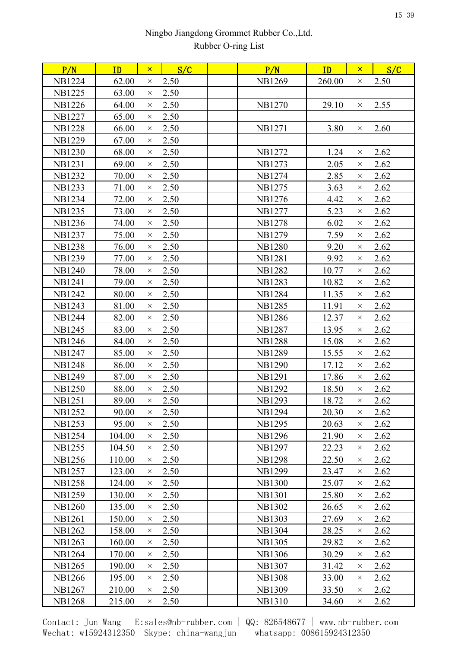| P/N           | ID     | $\mathsf{X}^-$ | S/C  | P/N           | ID     | $\mathsf{x}$ | S/C  |  |
|---------------|--------|----------------|------|---------------|--------|--------------|------|--|
| <b>NB1224</b> | 62.00  | $\times$       | 2.50 | <b>NB1269</b> | 260.00 | $\times$     | 2.50 |  |
| <b>NB1225</b> | 63.00  | $\times$       | 2.50 |               |        |              |      |  |
| <b>NB1226</b> | 64.00  | $\times$       | 2.50 | <b>NB1270</b> | 29.10  | $\times$     | 2.55 |  |
| <b>NB1227</b> | 65.00  | $\times$       | 2.50 |               |        |              |      |  |
| <b>NB1228</b> | 66.00  | $\times$       | 2.50 | <b>NB1271</b> | 3.80   | $\times$     | 2.60 |  |
| <b>NB1229</b> | 67.00  | $\times$       | 2.50 |               |        |              |      |  |
| <b>NB1230</b> | 68.00  | $\times$       | 2.50 | NB1272        | 1.24   | $\times$     | 2.62 |  |
| <b>NB1231</b> | 69.00  | $\times$       | 2.50 | <b>NB1273</b> | 2.05   | $\times$     | 2.62 |  |
| <b>NB1232</b> | 70.00  | $\times$       | 2.50 | <b>NB1274</b> | 2.85   | $\times$     | 2.62 |  |
| <b>NB1233</b> | 71.00  | $\times$       | 2.50 | NB1275        | 3.63   | $\times$     | 2.62 |  |
| <b>NB1234</b> | 72.00  | $\times$       | 2.50 | NB1276        | 4.42   | $\times$     | 2.62 |  |
| <b>NB1235</b> | 73.00  | $\times$       | 2.50 | <b>NB1277</b> | 5.23   | $\times$     | 2.62 |  |
| <b>NB1236</b> | 74.00  | $\times$       | 2.50 | <b>NB1278</b> | 6.02   | $\times$     | 2.62 |  |
| <b>NB1237</b> | 75.00  | $\times$       | 2.50 | <b>NB1279</b> | 7.59   | $\times$     | 2.62 |  |
| <b>NB1238</b> | 76.00  | $\times$       | 2.50 | <b>NB1280</b> | 9.20   | $\times$     | 2.62 |  |
| <b>NB1239</b> | 77.00  | $\times$       | 2.50 | <b>NB1281</b> | 9.92   | $\times$     | 2.62 |  |
| <b>NB1240</b> | 78.00  | $\times$       | 2.50 | <b>NB1282</b> | 10.77  | $\times$     | 2.62 |  |
| NB1241        | 79.00  | $\times$       | 2.50 | <b>NB1283</b> | 10.82  | $\times$     | 2.62 |  |
| <b>NB1242</b> | 80.00  | $\times$       | 2.50 | <b>NB1284</b> | 11.35  | $\times$     | 2.62 |  |
| <b>NB1243</b> | 81.00  | $\times$       | 2.50 | <b>NB1285</b> | 11.91  | $\times$     | 2.62 |  |
| <b>NB1244</b> | 82.00  | $\times$       | 2.50 | <b>NB1286</b> | 12.37  | $\times$     | 2.62 |  |
| <b>NB1245</b> | 83.00  | $\times$       | 2.50 | <b>NB1287</b> | 13.95  | $\times$     | 2.62 |  |
| <b>NB1246</b> | 84.00  | $\times$       | 2.50 | <b>NB1288</b> | 15.08  | $\times$     | 2.62 |  |
| <b>NB1247</b> | 85.00  | $\times$       | 2.50 | <b>NB1289</b> | 15.55  | $\times$     | 2.62 |  |
| <b>NB1248</b> | 86.00  | $\times$       | 2.50 | <b>NB1290</b> | 17.12  | $\times$     | 2.62 |  |
| <b>NB1249</b> | 87.00  | $\times$       | 2.50 | <b>NB1291</b> | 17.86  | $\times$     | 2.62 |  |
| <b>NB1250</b> | 88.00  | $\times$       | 2.50 | <b>NB1292</b> | 18.50  | $\times$     | 2.62 |  |
| <b>NB1251</b> | 89.00  | $\times$       | 2.50 | <b>NB1293</b> | 18.72  | $\times$     | 2.62 |  |
| <b>NB1252</b> | 90.00  | $\times$       | 2.50 | <b>NB1294</b> | 20.30  | $\times$     | 2.62 |  |
| <b>NB1253</b> | 95.00  | $\times$       | 2.50 | <b>NB1295</b> | 20.63  | $\times$     | 2.62 |  |
| <b>NB1254</b> | 104.00 | $\times$       | 2.50 | <b>NB1296</b> | 21.90  | $\times$     | 2.62 |  |
| <b>NB1255</b> | 104.50 | $\times$       | 2.50 | <b>NB1297</b> | 22.23  | $\times$     | 2.62 |  |
| <b>NB1256</b> | 110.00 | $\times$       | 2.50 | <b>NB1298</b> | 22.50  | $\times$     | 2.62 |  |
| <b>NB1257</b> | 123.00 | $\times$       | 2.50 | <b>NB1299</b> | 23.47  | $\times$     | 2.62 |  |
| <b>NB1258</b> | 124.00 | $\times$       | 2.50 | <b>NB1300</b> | 25.07  | $\times$     | 2.62 |  |
| <b>NB1259</b> | 130.00 | $\times$       | 2.50 | <b>NB1301</b> | 25.80  | $\times$     | 2.62 |  |
| NB1260        | 135.00 | $\times$       | 2.50 | <b>NB1302</b> | 26.65  | $\times$     | 2.62 |  |
| <b>NB1261</b> | 150.00 | $\times$       | 2.50 | <b>NB1303</b> | 27.69  | $\times$     | 2.62 |  |
| <b>NB1262</b> | 158.00 | $\times$       | 2.50 | <b>NB1304</b> | 28.25  | $\times$     | 2.62 |  |
| <b>NB1263</b> | 160.00 | $\times$       | 2.50 | <b>NB1305</b> | 29.82  | $\times$     | 2.62 |  |
| <b>NB1264</b> | 170.00 | $\times$       | 2.50 | <b>NB1306</b> | 30.29  | $\times$     | 2.62 |  |
| <b>NB1265</b> | 190.00 | $\times$       | 2.50 | <b>NB1307</b> | 31.42  | $\times$     | 2.62 |  |
| <b>NB1266</b> | 195.00 | $\times$       | 2.50 | <b>NB1308</b> | 33.00  | $\times$     | 2.62 |  |
| <b>NB1267</b> | 210.00 | $\times$       | 2.50 | <b>NB1309</b> | 33.50  | $\times$     | 2.62 |  |
| <b>NB1268</b> | 215.00 | $\times$       | 2.50 | <b>NB1310</b> | 34.60  | $\times$     | 2.62 |  |
|               |        |                |      |               |        |              |      |  |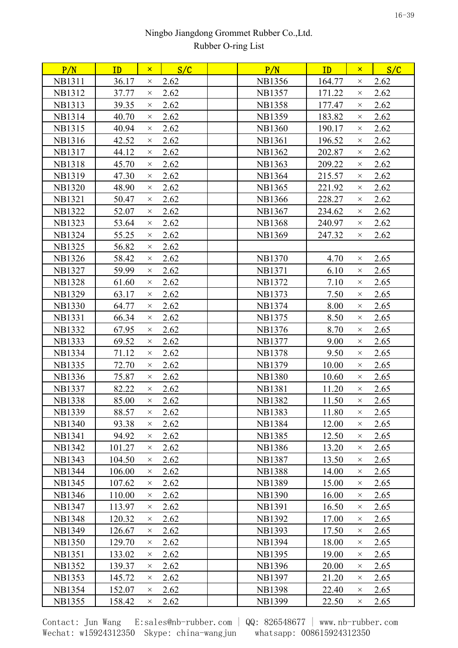| P/N           | ID     | $\mathsf{x}$ | S/C  | P/N           | ID     | $\mathsf{x}$ | S/C  |  |
|---------------|--------|--------------|------|---------------|--------|--------------|------|--|
| <b>NB1311</b> | 36.17  | $\times$     | 2.62 | <b>NB1356</b> | 164.77 | $\times$     | 2.62 |  |
| <b>NB1312</b> | 37.77  | $\times$     | 2.62 | <b>NB1357</b> | 171.22 | $\times$     | 2.62 |  |
| <b>NB1313</b> | 39.35  | $\times$     | 2.62 | <b>NB1358</b> | 177.47 | $\times$     | 2.62 |  |
| <b>NB1314</b> | 40.70  | $\times$     | 2.62 | <b>NB1359</b> | 183.82 | $\times$     | 2.62 |  |
| <b>NB1315</b> | 40.94  | $\times$     | 2.62 | <b>NB1360</b> | 190.17 | $\times$     | 2.62 |  |
| <b>NB1316</b> | 42.52  | $\times$     | 2.62 | <b>NB1361</b> | 196.52 | $\times$     | 2.62 |  |
| <b>NB1317</b> | 44.12  | $\times$     | 2.62 | <b>NB1362</b> | 202.87 | $\times$     | 2.62 |  |
| <b>NB1318</b> | 45.70  | $\times$     | 2.62 | <b>NB1363</b> | 209.22 | $\times$     | 2.62 |  |
| <b>NB1319</b> | 47.30  | $\times$     | 2.62 | <b>NB1364</b> | 215.57 | $\times$     | 2.62 |  |
| <b>NB1320</b> | 48.90  | $\times$     | 2.62 | <b>NB1365</b> | 221.92 | $\times$     | 2.62 |  |
| <b>NB1321</b> | 50.47  | $\times$     | 2.62 | <b>NB1366</b> | 228.27 | $\times$     | 2.62 |  |
| <b>NB1322</b> | 52.07  | $\times$     | 2.62 | <b>NB1367</b> | 234.62 | $\times$     | 2.62 |  |
| <b>NB1323</b> | 53.64  | $\times$     | 2.62 | <b>NB1368</b> | 240.97 | $\times$     | 2.62 |  |
| <b>NB1324</b> | 55.25  | $\times$     | 2.62 | <b>NB1369</b> | 247.32 | $\times$     | 2.62 |  |
| <b>NB1325</b> | 56.82  | $\times$     | 2.62 |               |        |              |      |  |
| <b>NB1326</b> | 58.42  | $\times$     | 2.62 | <b>NB1370</b> | 4.70   | $\times$     | 2.65 |  |
| <b>NB1327</b> | 59.99  | $\times$     | 2.62 | <b>NB1371</b> | 6.10   | $\times$     | 2.65 |  |
| <b>NB1328</b> | 61.60  | $\times$     | 2.62 | NB1372        | 7.10   | $\times$     | 2.65 |  |
| <b>NB1329</b> | 63.17  | $\times$     | 2.62 | NB1373        | 7.50   | $\times$     | 2.65 |  |
| <b>NB1330</b> | 64.77  | $\times$     | 2.62 | NB1374        | 8.00   | $\times$     | 2.65 |  |
| <b>NB1331</b> | 66.34  | $\times$     | 2.62 | NB1375        | 8.50   | $\times$     | 2.65 |  |
| <b>NB1332</b> | 67.95  | $\times$     | 2.62 | NB1376        | 8.70   | $\times$     | 2.65 |  |
| <b>NB1333</b> | 69.52  | $\times$     | 2.62 | <b>NB1377</b> | 9.00   | $\times$     | 2.65 |  |
| <b>NB1334</b> | 71.12  | $\times$     | 2.62 | <b>NB1378</b> | 9.50   | $\times$     | 2.65 |  |
| <b>NB1335</b> | 72.70  | $\times$     | 2.62 | NB1379        | 10.00  | $\times$     | 2.65 |  |
| NB1336        | 75.87  | $\times$     | 2.62 | <b>NB1380</b> | 10.60  | $\times$     | 2.65 |  |
| <b>NB1337</b> | 82.22  | $\times$     | 2.62 | <b>NB1381</b> | 11.20  | $\times$     | 2.65 |  |
| <b>NB1338</b> | 85.00  | $\times$     | 2.62 | <b>NB1382</b> | 11.50  | $\times$     | 2.65 |  |
| <b>NB1339</b> | 88.57  | $\times$     | 2.62 | <b>NB1383</b> | 11.80  | $\times$     | 2.65 |  |
| <b>NB1340</b> | 93.38  | $\times$     | 2.62 | <b>NB1384</b> | 12.00  | $\times$     | 2.65 |  |
| <b>NB1341</b> | 94.92  | $\times$     | 2.62 | <b>NB1385</b> | 12.50  | $\times$     | 2.65 |  |
| <b>NB1342</b> | 101.27 | $\times$     | 2.62 | <b>NB1386</b> | 13.20  | $\times$     | 2.65 |  |
| <b>NB1343</b> | 104.50 | $\times$     | 2.62 | <b>NB1387</b> | 13.50  | $\times$     | 2.65 |  |
| <b>NB1344</b> | 106.00 | $\times$     | 2.62 | <b>NB1388</b> | 14.00  | $\times$     | 2.65 |  |
| <b>NB1345</b> | 107.62 | $\times$     | 2.62 | <b>NB1389</b> | 15.00  | $\times$     | 2.65 |  |
| <b>NB1346</b> | 110.00 | $\times$     | 2.62 | <b>NB1390</b> | 16.00  | $\times$     | 2.65 |  |
| <b>NB1347</b> | 113.97 | $\times$     | 2.62 | <b>NB1391</b> | 16.50  | $\times$     | 2.65 |  |
| <b>NB1348</b> | 120.32 | $\times$     | 2.62 | NB1392        | 17.00  | $\times$     | 2.65 |  |
| <b>NB1349</b> | 126.67 | $\times$     | 2.62 | <b>NB1393</b> | 17.50  | $\times$     | 2.65 |  |
| <b>NB1350</b> | 129.70 | $\times$     | 2.62 | <b>NB1394</b> | 18.00  | $\times$     | 2.65 |  |
| <b>NB1351</b> | 133.02 | $\times$     | 2.62 | <b>NB1395</b> | 19.00  | $\times$     | 2.65 |  |
| <b>NB1352</b> | 139.37 | $\times$     | 2.62 | <b>NB1396</b> | 20.00  | $\times$     | 2.65 |  |
| <b>NB1353</b> | 145.72 | $\times$     | 2.62 | <b>NB1397</b> | 21.20  | $\times$     | 2.65 |  |
| <b>NB1354</b> | 152.07 | $\times$     | 2.62 | <b>NB1398</b> | 22.40  | $\times$     | 2.65 |  |
| <b>NB1355</b> | 158.42 | $\times$     | 2.62 | <b>NB1399</b> | 22.50  | $\times$     | 2.65 |  |
|               |        |              |      |               |        |              |      |  |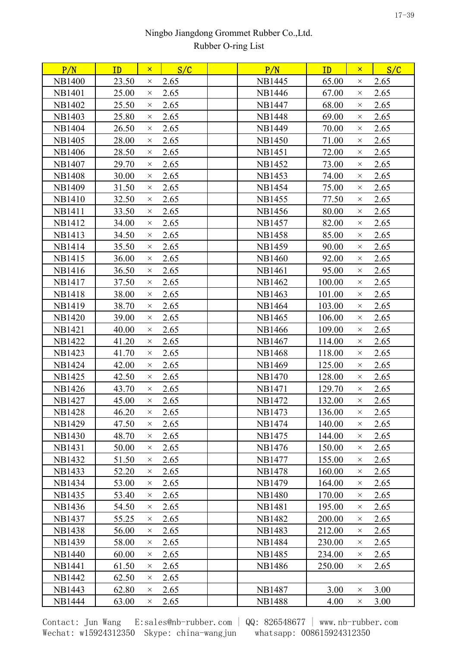| 23.50<br>2.65<br>NB1445<br>65.00<br>2.65<br>$\times$<br>$\times$<br>2.65<br>25.00<br>2.65<br>67.00<br>NB1446<br>$\times$<br>$\times$<br>2.65<br>25.50<br>2.65<br>NB1447<br>68.00<br>$\times$<br>$\times$<br>25.80<br>2.65<br><b>NB1448</b><br>69.00<br>2.65<br>$\times$<br>$\times$<br>2.65<br>26.50<br>2.65<br><b>NB1449</b><br>70.00<br>$\times$<br>$\times$<br>28.00<br>2.65<br>71.00<br>2.65<br><b>NB1450</b><br>$\times$<br>$\times$<br>2.65<br>28.50<br>2.65<br>NB1451<br>72.00<br>$\times$<br>$\times$<br>2.65<br>2.65<br>29.70<br><b>NB1452</b><br>73.00<br>$\times$<br>$\times$<br>2.65<br>2.65<br>30.00<br><b>NB1453</b><br>74.00<br>$\times$<br>$\times$<br>31.50<br>2.65<br>75.00<br>2.65<br>NB1454<br>$\times$<br>$\times$<br>2.65<br>32.50<br>2.65<br><b>NB1455</b><br>77.50<br>$\times$<br>$\times$<br>33.50<br>2.65<br>NB1456<br>80.00<br>2.65<br>$\times$<br>$\times$<br>2.65<br>2.65<br>34.00<br>82.00<br><b>NB1457</b><br>$\times$<br>$\times$<br>2.65<br>85.00<br>2.65<br>34.50<br><b>NB1458</b><br>$\times$<br>$\times$<br>2.65<br>2.65<br>35.50<br><b>NB1459</b><br>90.00<br>$\times$<br>$\times$<br>2.65<br>92.00<br>2.65<br>36.00<br><b>NB1460</b><br>$\times$<br>$\times$<br>2.65<br>36.50<br>2.65<br>NB1461<br>95.00<br>$\times$<br>$\times$<br>37.50<br>2.65<br>2.65<br>NB1462<br>100.00<br>$\times$<br>$\times$<br>38.00<br>2.65<br><b>NB1463</b><br>101.00<br>2.65<br>$\times$<br>$\times$<br>2.65<br>103.00<br>2.65<br>38.70<br>NB1464<br>$\times$<br>$\times$<br>39.00<br>2.65<br>NB1465<br>106.00<br>2.65<br>$\times$<br>$\times$<br>2.65<br><b>NB1421</b><br>40.00<br>NB1466<br>109.00<br>2.65<br>$\times$<br>$\times$<br>41.20<br>2.65<br>114.00<br>2.65<br>NB1467<br>$\times$<br>$\times$<br>2.65<br><b>NB1468</b><br>118.00<br>2.65<br>41.70<br>$\times$<br>$\times$<br>2.65<br>125.00<br>2.65<br>42.00<br><b>NB1469</b><br>$\times$<br>$\times$<br>2.65<br>2.65<br>42.50<br><b>NB1470</b><br>128.00<br>$\times$<br>$\times$<br>2.65<br>129.70<br>2.65<br>43.70<br><b>NB1471</b><br>$\times$<br>$\times$<br>2.65<br>2.65<br>45.00<br>NB1472<br>132.00<br>$\times$<br>$\times$<br>136.00<br>46.20<br>2.65<br>NB1473<br>2.65<br>$\times$<br>$\times$<br>47.50<br>2.65<br>2.65<br>NB1474<br>140.00<br>$\times$<br>$\times$<br>48.70<br>2.65<br>144.00<br>2.65<br>NB1475<br>$\times$<br>$\times$<br>50.00<br>2.65<br>NB1476<br>150.00<br>2.65<br>$\times$<br>$\times$<br>2.65<br>51.50<br>2.65<br>NB1477<br>155.00<br>$\times$<br>$\times$<br>52.20<br>2.65<br>2.65<br><b>NB1478</b><br>160.00<br>$\times$<br>$\times$<br>2.65<br>NB1479<br>164.00<br>2.65<br>53.00<br>$\times$<br>$\times$<br>2.65<br>170.00<br>2.65<br>53.40<br><b>NB1480</b><br>$\times$<br>$\times$<br>2.65<br><b>NB1481</b><br>195.00<br>2.65<br>54.50<br>$\times$<br>$\times$<br>2.65<br>55.25<br><b>NB1482</b><br>200.00<br>2.65<br>$\times$<br>$\times$<br>2.65<br>212.00<br>2.65<br>56.00<br><b>NB1483</b><br>$\times$<br>$\times$<br>58.00<br>2.65<br><b>NB1484</b><br>230.00<br>2.65<br>$\times$<br>$\times$<br>2.65<br>234.00<br>2.65<br>60.00<br><b>NB1485</b><br>$\times$<br>$\times$<br>61.50<br>2.65<br>NB1486<br>250.00<br>2.65<br>$\times$<br>$\times$<br>62.50<br>2.65<br>$\times$<br><b>NB1487</b><br>3.00<br>3.00<br>62.80<br>2.65<br>$\times$<br>$\times$<br>2.65<br><b>NB1488</b><br>3.00<br>63.00<br>4.00<br>$\times$<br>X | P/N           | ID | $\mathsf{x}$ | S/C | P/N | ID | $\mathsf{x}$ | S/C |
|----------------------------------------------------------------------------------------------------------------------------------------------------------------------------------------------------------------------------------------------------------------------------------------------------------------------------------------------------------------------------------------------------------------------------------------------------------------------------------------------------------------------------------------------------------------------------------------------------------------------------------------------------------------------------------------------------------------------------------------------------------------------------------------------------------------------------------------------------------------------------------------------------------------------------------------------------------------------------------------------------------------------------------------------------------------------------------------------------------------------------------------------------------------------------------------------------------------------------------------------------------------------------------------------------------------------------------------------------------------------------------------------------------------------------------------------------------------------------------------------------------------------------------------------------------------------------------------------------------------------------------------------------------------------------------------------------------------------------------------------------------------------------------------------------------------------------------------------------------------------------------------------------------------------------------------------------------------------------------------------------------------------------------------------------------------------------------------------------------------------------------------------------------------------------------------------------------------------------------------------------------------------------------------------------------------------------------------------------------------------------------------------------------------------------------------------------------------------------------------------------------------------------------------------------------------------------------------------------------------------------------------------------------------------------------------------------------------------------------------------------------------------------------------------------------------------------------------------------------------------------------------------------------------------------------------------------------------------------------------------------------------------------------------------------------------------------------------------------------------------------------------------------------------------------------------------------------------------------------------------------------------------------------------------------------------------------------------------------|---------------|----|--------------|-----|-----|----|--------------|-----|
|                                                                                                                                                                                                                                                                                                                                                                                                                                                                                                                                                                                                                                                                                                                                                                                                                                                                                                                                                                                                                                                                                                                                                                                                                                                                                                                                                                                                                                                                                                                                                                                                                                                                                                                                                                                                                                                                                                                                                                                                                                                                                                                                                                                                                                                                                                                                                                                                                                                                                                                                                                                                                                                                                                                                                                                                                                                                                                                                                                                                                                                                                                                                                                                                                                                                                                                                                    | <b>NB1400</b> |    |              |     |     |    |              |     |
|                                                                                                                                                                                                                                                                                                                                                                                                                                                                                                                                                                                                                                                                                                                                                                                                                                                                                                                                                                                                                                                                                                                                                                                                                                                                                                                                                                                                                                                                                                                                                                                                                                                                                                                                                                                                                                                                                                                                                                                                                                                                                                                                                                                                                                                                                                                                                                                                                                                                                                                                                                                                                                                                                                                                                                                                                                                                                                                                                                                                                                                                                                                                                                                                                                                                                                                                                    | <b>NB1401</b> |    |              |     |     |    |              |     |
|                                                                                                                                                                                                                                                                                                                                                                                                                                                                                                                                                                                                                                                                                                                                                                                                                                                                                                                                                                                                                                                                                                                                                                                                                                                                                                                                                                                                                                                                                                                                                                                                                                                                                                                                                                                                                                                                                                                                                                                                                                                                                                                                                                                                                                                                                                                                                                                                                                                                                                                                                                                                                                                                                                                                                                                                                                                                                                                                                                                                                                                                                                                                                                                                                                                                                                                                                    | <b>NB1402</b> |    |              |     |     |    |              |     |
|                                                                                                                                                                                                                                                                                                                                                                                                                                                                                                                                                                                                                                                                                                                                                                                                                                                                                                                                                                                                                                                                                                                                                                                                                                                                                                                                                                                                                                                                                                                                                                                                                                                                                                                                                                                                                                                                                                                                                                                                                                                                                                                                                                                                                                                                                                                                                                                                                                                                                                                                                                                                                                                                                                                                                                                                                                                                                                                                                                                                                                                                                                                                                                                                                                                                                                                                                    | <b>NB1403</b> |    |              |     |     |    |              |     |
|                                                                                                                                                                                                                                                                                                                                                                                                                                                                                                                                                                                                                                                                                                                                                                                                                                                                                                                                                                                                                                                                                                                                                                                                                                                                                                                                                                                                                                                                                                                                                                                                                                                                                                                                                                                                                                                                                                                                                                                                                                                                                                                                                                                                                                                                                                                                                                                                                                                                                                                                                                                                                                                                                                                                                                                                                                                                                                                                                                                                                                                                                                                                                                                                                                                                                                                                                    | <b>NB1404</b> |    |              |     |     |    |              |     |
|                                                                                                                                                                                                                                                                                                                                                                                                                                                                                                                                                                                                                                                                                                                                                                                                                                                                                                                                                                                                                                                                                                                                                                                                                                                                                                                                                                                                                                                                                                                                                                                                                                                                                                                                                                                                                                                                                                                                                                                                                                                                                                                                                                                                                                                                                                                                                                                                                                                                                                                                                                                                                                                                                                                                                                                                                                                                                                                                                                                                                                                                                                                                                                                                                                                                                                                                                    | <b>NB1405</b> |    |              |     |     |    |              |     |
|                                                                                                                                                                                                                                                                                                                                                                                                                                                                                                                                                                                                                                                                                                                                                                                                                                                                                                                                                                                                                                                                                                                                                                                                                                                                                                                                                                                                                                                                                                                                                                                                                                                                                                                                                                                                                                                                                                                                                                                                                                                                                                                                                                                                                                                                                                                                                                                                                                                                                                                                                                                                                                                                                                                                                                                                                                                                                                                                                                                                                                                                                                                                                                                                                                                                                                                                                    | <b>NB1406</b> |    |              |     |     |    |              |     |
|                                                                                                                                                                                                                                                                                                                                                                                                                                                                                                                                                                                                                                                                                                                                                                                                                                                                                                                                                                                                                                                                                                                                                                                                                                                                                                                                                                                                                                                                                                                                                                                                                                                                                                                                                                                                                                                                                                                                                                                                                                                                                                                                                                                                                                                                                                                                                                                                                                                                                                                                                                                                                                                                                                                                                                                                                                                                                                                                                                                                                                                                                                                                                                                                                                                                                                                                                    | <b>NB1407</b> |    |              |     |     |    |              |     |
|                                                                                                                                                                                                                                                                                                                                                                                                                                                                                                                                                                                                                                                                                                                                                                                                                                                                                                                                                                                                                                                                                                                                                                                                                                                                                                                                                                                                                                                                                                                                                                                                                                                                                                                                                                                                                                                                                                                                                                                                                                                                                                                                                                                                                                                                                                                                                                                                                                                                                                                                                                                                                                                                                                                                                                                                                                                                                                                                                                                                                                                                                                                                                                                                                                                                                                                                                    | <b>NB1408</b> |    |              |     |     |    |              |     |
|                                                                                                                                                                                                                                                                                                                                                                                                                                                                                                                                                                                                                                                                                                                                                                                                                                                                                                                                                                                                                                                                                                                                                                                                                                                                                                                                                                                                                                                                                                                                                                                                                                                                                                                                                                                                                                                                                                                                                                                                                                                                                                                                                                                                                                                                                                                                                                                                                                                                                                                                                                                                                                                                                                                                                                                                                                                                                                                                                                                                                                                                                                                                                                                                                                                                                                                                                    | <b>NB1409</b> |    |              |     |     |    |              |     |
|                                                                                                                                                                                                                                                                                                                                                                                                                                                                                                                                                                                                                                                                                                                                                                                                                                                                                                                                                                                                                                                                                                                                                                                                                                                                                                                                                                                                                                                                                                                                                                                                                                                                                                                                                                                                                                                                                                                                                                                                                                                                                                                                                                                                                                                                                                                                                                                                                                                                                                                                                                                                                                                                                                                                                                                                                                                                                                                                                                                                                                                                                                                                                                                                                                                                                                                                                    | <b>NB1410</b> |    |              |     |     |    |              |     |
|                                                                                                                                                                                                                                                                                                                                                                                                                                                                                                                                                                                                                                                                                                                                                                                                                                                                                                                                                                                                                                                                                                                                                                                                                                                                                                                                                                                                                                                                                                                                                                                                                                                                                                                                                                                                                                                                                                                                                                                                                                                                                                                                                                                                                                                                                                                                                                                                                                                                                                                                                                                                                                                                                                                                                                                                                                                                                                                                                                                                                                                                                                                                                                                                                                                                                                                                                    | <b>NB1411</b> |    |              |     |     |    |              |     |
|                                                                                                                                                                                                                                                                                                                                                                                                                                                                                                                                                                                                                                                                                                                                                                                                                                                                                                                                                                                                                                                                                                                                                                                                                                                                                                                                                                                                                                                                                                                                                                                                                                                                                                                                                                                                                                                                                                                                                                                                                                                                                                                                                                                                                                                                                                                                                                                                                                                                                                                                                                                                                                                                                                                                                                                                                                                                                                                                                                                                                                                                                                                                                                                                                                                                                                                                                    | NB1412        |    |              |     |     |    |              |     |
|                                                                                                                                                                                                                                                                                                                                                                                                                                                                                                                                                                                                                                                                                                                                                                                                                                                                                                                                                                                                                                                                                                                                                                                                                                                                                                                                                                                                                                                                                                                                                                                                                                                                                                                                                                                                                                                                                                                                                                                                                                                                                                                                                                                                                                                                                                                                                                                                                                                                                                                                                                                                                                                                                                                                                                                                                                                                                                                                                                                                                                                                                                                                                                                                                                                                                                                                                    | <b>NB1413</b> |    |              |     |     |    |              |     |
|                                                                                                                                                                                                                                                                                                                                                                                                                                                                                                                                                                                                                                                                                                                                                                                                                                                                                                                                                                                                                                                                                                                                                                                                                                                                                                                                                                                                                                                                                                                                                                                                                                                                                                                                                                                                                                                                                                                                                                                                                                                                                                                                                                                                                                                                                                                                                                                                                                                                                                                                                                                                                                                                                                                                                                                                                                                                                                                                                                                                                                                                                                                                                                                                                                                                                                                                                    | <b>NB1414</b> |    |              |     |     |    |              |     |
|                                                                                                                                                                                                                                                                                                                                                                                                                                                                                                                                                                                                                                                                                                                                                                                                                                                                                                                                                                                                                                                                                                                                                                                                                                                                                                                                                                                                                                                                                                                                                                                                                                                                                                                                                                                                                                                                                                                                                                                                                                                                                                                                                                                                                                                                                                                                                                                                                                                                                                                                                                                                                                                                                                                                                                                                                                                                                                                                                                                                                                                                                                                                                                                                                                                                                                                                                    | <b>NB1415</b> |    |              |     |     |    |              |     |
|                                                                                                                                                                                                                                                                                                                                                                                                                                                                                                                                                                                                                                                                                                                                                                                                                                                                                                                                                                                                                                                                                                                                                                                                                                                                                                                                                                                                                                                                                                                                                                                                                                                                                                                                                                                                                                                                                                                                                                                                                                                                                                                                                                                                                                                                                                                                                                                                                                                                                                                                                                                                                                                                                                                                                                                                                                                                                                                                                                                                                                                                                                                                                                                                                                                                                                                                                    | NB1416        |    |              |     |     |    |              |     |
|                                                                                                                                                                                                                                                                                                                                                                                                                                                                                                                                                                                                                                                                                                                                                                                                                                                                                                                                                                                                                                                                                                                                                                                                                                                                                                                                                                                                                                                                                                                                                                                                                                                                                                                                                                                                                                                                                                                                                                                                                                                                                                                                                                                                                                                                                                                                                                                                                                                                                                                                                                                                                                                                                                                                                                                                                                                                                                                                                                                                                                                                                                                                                                                                                                                                                                                                                    | <b>NB1417</b> |    |              |     |     |    |              |     |
|                                                                                                                                                                                                                                                                                                                                                                                                                                                                                                                                                                                                                                                                                                                                                                                                                                                                                                                                                                                                                                                                                                                                                                                                                                                                                                                                                                                                                                                                                                                                                                                                                                                                                                                                                                                                                                                                                                                                                                                                                                                                                                                                                                                                                                                                                                                                                                                                                                                                                                                                                                                                                                                                                                                                                                                                                                                                                                                                                                                                                                                                                                                                                                                                                                                                                                                                                    | <b>NB1418</b> |    |              |     |     |    |              |     |
|                                                                                                                                                                                                                                                                                                                                                                                                                                                                                                                                                                                                                                                                                                                                                                                                                                                                                                                                                                                                                                                                                                                                                                                                                                                                                                                                                                                                                                                                                                                                                                                                                                                                                                                                                                                                                                                                                                                                                                                                                                                                                                                                                                                                                                                                                                                                                                                                                                                                                                                                                                                                                                                                                                                                                                                                                                                                                                                                                                                                                                                                                                                                                                                                                                                                                                                                                    | <b>NB1419</b> |    |              |     |     |    |              |     |
|                                                                                                                                                                                                                                                                                                                                                                                                                                                                                                                                                                                                                                                                                                                                                                                                                                                                                                                                                                                                                                                                                                                                                                                                                                                                                                                                                                                                                                                                                                                                                                                                                                                                                                                                                                                                                                                                                                                                                                                                                                                                                                                                                                                                                                                                                                                                                                                                                                                                                                                                                                                                                                                                                                                                                                                                                                                                                                                                                                                                                                                                                                                                                                                                                                                                                                                                                    | <b>NB1420</b> |    |              |     |     |    |              |     |
|                                                                                                                                                                                                                                                                                                                                                                                                                                                                                                                                                                                                                                                                                                                                                                                                                                                                                                                                                                                                                                                                                                                                                                                                                                                                                                                                                                                                                                                                                                                                                                                                                                                                                                                                                                                                                                                                                                                                                                                                                                                                                                                                                                                                                                                                                                                                                                                                                                                                                                                                                                                                                                                                                                                                                                                                                                                                                                                                                                                                                                                                                                                                                                                                                                                                                                                                                    |               |    |              |     |     |    |              |     |
|                                                                                                                                                                                                                                                                                                                                                                                                                                                                                                                                                                                                                                                                                                                                                                                                                                                                                                                                                                                                                                                                                                                                                                                                                                                                                                                                                                                                                                                                                                                                                                                                                                                                                                                                                                                                                                                                                                                                                                                                                                                                                                                                                                                                                                                                                                                                                                                                                                                                                                                                                                                                                                                                                                                                                                                                                                                                                                                                                                                                                                                                                                                                                                                                                                                                                                                                                    | <b>NB1422</b> |    |              |     |     |    |              |     |
|                                                                                                                                                                                                                                                                                                                                                                                                                                                                                                                                                                                                                                                                                                                                                                                                                                                                                                                                                                                                                                                                                                                                                                                                                                                                                                                                                                                                                                                                                                                                                                                                                                                                                                                                                                                                                                                                                                                                                                                                                                                                                                                                                                                                                                                                                                                                                                                                                                                                                                                                                                                                                                                                                                                                                                                                                                                                                                                                                                                                                                                                                                                                                                                                                                                                                                                                                    | <b>NB1423</b> |    |              |     |     |    |              |     |
|                                                                                                                                                                                                                                                                                                                                                                                                                                                                                                                                                                                                                                                                                                                                                                                                                                                                                                                                                                                                                                                                                                                                                                                                                                                                                                                                                                                                                                                                                                                                                                                                                                                                                                                                                                                                                                                                                                                                                                                                                                                                                                                                                                                                                                                                                                                                                                                                                                                                                                                                                                                                                                                                                                                                                                                                                                                                                                                                                                                                                                                                                                                                                                                                                                                                                                                                                    | <b>NB1424</b> |    |              |     |     |    |              |     |
|                                                                                                                                                                                                                                                                                                                                                                                                                                                                                                                                                                                                                                                                                                                                                                                                                                                                                                                                                                                                                                                                                                                                                                                                                                                                                                                                                                                                                                                                                                                                                                                                                                                                                                                                                                                                                                                                                                                                                                                                                                                                                                                                                                                                                                                                                                                                                                                                                                                                                                                                                                                                                                                                                                                                                                                                                                                                                                                                                                                                                                                                                                                                                                                                                                                                                                                                                    | NB1425        |    |              |     |     |    |              |     |
|                                                                                                                                                                                                                                                                                                                                                                                                                                                                                                                                                                                                                                                                                                                                                                                                                                                                                                                                                                                                                                                                                                                                                                                                                                                                                                                                                                                                                                                                                                                                                                                                                                                                                                                                                                                                                                                                                                                                                                                                                                                                                                                                                                                                                                                                                                                                                                                                                                                                                                                                                                                                                                                                                                                                                                                                                                                                                                                                                                                                                                                                                                                                                                                                                                                                                                                                                    | NB1426        |    |              |     |     |    |              |     |
|                                                                                                                                                                                                                                                                                                                                                                                                                                                                                                                                                                                                                                                                                                                                                                                                                                                                                                                                                                                                                                                                                                                                                                                                                                                                                                                                                                                                                                                                                                                                                                                                                                                                                                                                                                                                                                                                                                                                                                                                                                                                                                                                                                                                                                                                                                                                                                                                                                                                                                                                                                                                                                                                                                                                                                                                                                                                                                                                                                                                                                                                                                                                                                                                                                                                                                                                                    | <b>NB1427</b> |    |              |     |     |    |              |     |
|                                                                                                                                                                                                                                                                                                                                                                                                                                                                                                                                                                                                                                                                                                                                                                                                                                                                                                                                                                                                                                                                                                                                                                                                                                                                                                                                                                                                                                                                                                                                                                                                                                                                                                                                                                                                                                                                                                                                                                                                                                                                                                                                                                                                                                                                                                                                                                                                                                                                                                                                                                                                                                                                                                                                                                                                                                                                                                                                                                                                                                                                                                                                                                                                                                                                                                                                                    | <b>NB1428</b> |    |              |     |     |    |              |     |
|                                                                                                                                                                                                                                                                                                                                                                                                                                                                                                                                                                                                                                                                                                                                                                                                                                                                                                                                                                                                                                                                                                                                                                                                                                                                                                                                                                                                                                                                                                                                                                                                                                                                                                                                                                                                                                                                                                                                                                                                                                                                                                                                                                                                                                                                                                                                                                                                                                                                                                                                                                                                                                                                                                                                                                                                                                                                                                                                                                                                                                                                                                                                                                                                                                                                                                                                                    | NB1429        |    |              |     |     |    |              |     |
|                                                                                                                                                                                                                                                                                                                                                                                                                                                                                                                                                                                                                                                                                                                                                                                                                                                                                                                                                                                                                                                                                                                                                                                                                                                                                                                                                                                                                                                                                                                                                                                                                                                                                                                                                                                                                                                                                                                                                                                                                                                                                                                                                                                                                                                                                                                                                                                                                                                                                                                                                                                                                                                                                                                                                                                                                                                                                                                                                                                                                                                                                                                                                                                                                                                                                                                                                    | <b>NB1430</b> |    |              |     |     |    |              |     |
|                                                                                                                                                                                                                                                                                                                                                                                                                                                                                                                                                                                                                                                                                                                                                                                                                                                                                                                                                                                                                                                                                                                                                                                                                                                                                                                                                                                                                                                                                                                                                                                                                                                                                                                                                                                                                                                                                                                                                                                                                                                                                                                                                                                                                                                                                                                                                                                                                                                                                                                                                                                                                                                                                                                                                                                                                                                                                                                                                                                                                                                                                                                                                                                                                                                                                                                                                    | <b>NB1431</b> |    |              |     |     |    |              |     |
|                                                                                                                                                                                                                                                                                                                                                                                                                                                                                                                                                                                                                                                                                                                                                                                                                                                                                                                                                                                                                                                                                                                                                                                                                                                                                                                                                                                                                                                                                                                                                                                                                                                                                                                                                                                                                                                                                                                                                                                                                                                                                                                                                                                                                                                                                                                                                                                                                                                                                                                                                                                                                                                                                                                                                                                                                                                                                                                                                                                                                                                                                                                                                                                                                                                                                                                                                    | <b>NB1432</b> |    |              |     |     |    |              |     |
|                                                                                                                                                                                                                                                                                                                                                                                                                                                                                                                                                                                                                                                                                                                                                                                                                                                                                                                                                                                                                                                                                                                                                                                                                                                                                                                                                                                                                                                                                                                                                                                                                                                                                                                                                                                                                                                                                                                                                                                                                                                                                                                                                                                                                                                                                                                                                                                                                                                                                                                                                                                                                                                                                                                                                                                                                                                                                                                                                                                                                                                                                                                                                                                                                                                                                                                                                    | <b>NB1433</b> |    |              |     |     |    |              |     |
|                                                                                                                                                                                                                                                                                                                                                                                                                                                                                                                                                                                                                                                                                                                                                                                                                                                                                                                                                                                                                                                                                                                                                                                                                                                                                                                                                                                                                                                                                                                                                                                                                                                                                                                                                                                                                                                                                                                                                                                                                                                                                                                                                                                                                                                                                                                                                                                                                                                                                                                                                                                                                                                                                                                                                                                                                                                                                                                                                                                                                                                                                                                                                                                                                                                                                                                                                    | <b>NB1434</b> |    |              |     |     |    |              |     |
|                                                                                                                                                                                                                                                                                                                                                                                                                                                                                                                                                                                                                                                                                                                                                                                                                                                                                                                                                                                                                                                                                                                                                                                                                                                                                                                                                                                                                                                                                                                                                                                                                                                                                                                                                                                                                                                                                                                                                                                                                                                                                                                                                                                                                                                                                                                                                                                                                                                                                                                                                                                                                                                                                                                                                                                                                                                                                                                                                                                                                                                                                                                                                                                                                                                                                                                                                    | NB1435        |    |              |     |     |    |              |     |
|                                                                                                                                                                                                                                                                                                                                                                                                                                                                                                                                                                                                                                                                                                                                                                                                                                                                                                                                                                                                                                                                                                                                                                                                                                                                                                                                                                                                                                                                                                                                                                                                                                                                                                                                                                                                                                                                                                                                                                                                                                                                                                                                                                                                                                                                                                                                                                                                                                                                                                                                                                                                                                                                                                                                                                                                                                                                                                                                                                                                                                                                                                                                                                                                                                                                                                                                                    | NB1436        |    |              |     |     |    |              |     |
|                                                                                                                                                                                                                                                                                                                                                                                                                                                                                                                                                                                                                                                                                                                                                                                                                                                                                                                                                                                                                                                                                                                                                                                                                                                                                                                                                                                                                                                                                                                                                                                                                                                                                                                                                                                                                                                                                                                                                                                                                                                                                                                                                                                                                                                                                                                                                                                                                                                                                                                                                                                                                                                                                                                                                                                                                                                                                                                                                                                                                                                                                                                                                                                                                                                                                                                                                    | <b>NB1437</b> |    |              |     |     |    |              |     |
|                                                                                                                                                                                                                                                                                                                                                                                                                                                                                                                                                                                                                                                                                                                                                                                                                                                                                                                                                                                                                                                                                                                                                                                                                                                                                                                                                                                                                                                                                                                                                                                                                                                                                                                                                                                                                                                                                                                                                                                                                                                                                                                                                                                                                                                                                                                                                                                                                                                                                                                                                                                                                                                                                                                                                                                                                                                                                                                                                                                                                                                                                                                                                                                                                                                                                                                                                    | <b>NB1438</b> |    |              |     |     |    |              |     |
|                                                                                                                                                                                                                                                                                                                                                                                                                                                                                                                                                                                                                                                                                                                                                                                                                                                                                                                                                                                                                                                                                                                                                                                                                                                                                                                                                                                                                                                                                                                                                                                                                                                                                                                                                                                                                                                                                                                                                                                                                                                                                                                                                                                                                                                                                                                                                                                                                                                                                                                                                                                                                                                                                                                                                                                                                                                                                                                                                                                                                                                                                                                                                                                                                                                                                                                                                    | <b>NB1439</b> |    |              |     |     |    |              |     |
|                                                                                                                                                                                                                                                                                                                                                                                                                                                                                                                                                                                                                                                                                                                                                                                                                                                                                                                                                                                                                                                                                                                                                                                                                                                                                                                                                                                                                                                                                                                                                                                                                                                                                                                                                                                                                                                                                                                                                                                                                                                                                                                                                                                                                                                                                                                                                                                                                                                                                                                                                                                                                                                                                                                                                                                                                                                                                                                                                                                                                                                                                                                                                                                                                                                                                                                                                    | <b>NB1440</b> |    |              |     |     |    |              |     |
|                                                                                                                                                                                                                                                                                                                                                                                                                                                                                                                                                                                                                                                                                                                                                                                                                                                                                                                                                                                                                                                                                                                                                                                                                                                                                                                                                                                                                                                                                                                                                                                                                                                                                                                                                                                                                                                                                                                                                                                                                                                                                                                                                                                                                                                                                                                                                                                                                                                                                                                                                                                                                                                                                                                                                                                                                                                                                                                                                                                                                                                                                                                                                                                                                                                                                                                                                    | <b>NB1441</b> |    |              |     |     |    |              |     |
|                                                                                                                                                                                                                                                                                                                                                                                                                                                                                                                                                                                                                                                                                                                                                                                                                                                                                                                                                                                                                                                                                                                                                                                                                                                                                                                                                                                                                                                                                                                                                                                                                                                                                                                                                                                                                                                                                                                                                                                                                                                                                                                                                                                                                                                                                                                                                                                                                                                                                                                                                                                                                                                                                                                                                                                                                                                                                                                                                                                                                                                                                                                                                                                                                                                                                                                                                    | <b>NB1442</b> |    |              |     |     |    |              |     |
|                                                                                                                                                                                                                                                                                                                                                                                                                                                                                                                                                                                                                                                                                                                                                                                                                                                                                                                                                                                                                                                                                                                                                                                                                                                                                                                                                                                                                                                                                                                                                                                                                                                                                                                                                                                                                                                                                                                                                                                                                                                                                                                                                                                                                                                                                                                                                                                                                                                                                                                                                                                                                                                                                                                                                                                                                                                                                                                                                                                                                                                                                                                                                                                                                                                                                                                                                    | NB1443        |    |              |     |     |    |              |     |
|                                                                                                                                                                                                                                                                                                                                                                                                                                                                                                                                                                                                                                                                                                                                                                                                                                                                                                                                                                                                                                                                                                                                                                                                                                                                                                                                                                                                                                                                                                                                                                                                                                                                                                                                                                                                                                                                                                                                                                                                                                                                                                                                                                                                                                                                                                                                                                                                                                                                                                                                                                                                                                                                                                                                                                                                                                                                                                                                                                                                                                                                                                                                                                                                                                                                                                                                                    | NB1444        |    |              |     |     |    |              |     |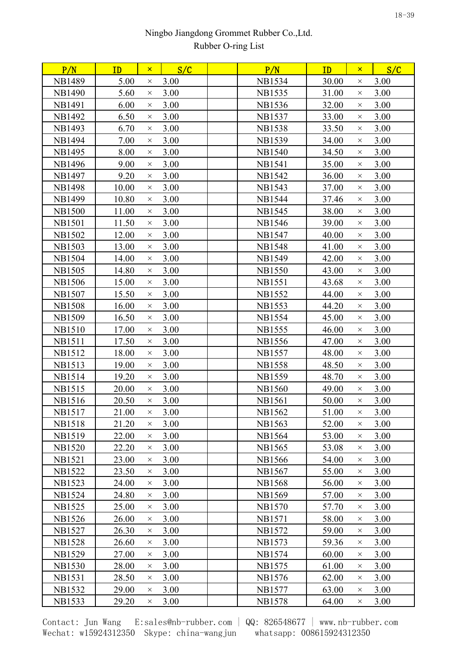| P/N           | ID    | $\mathsf{x}$ | S/C  | P/N           | ID    | $\mathsf{x}$ | S/C  |
|---------------|-------|--------------|------|---------------|-------|--------------|------|
| <b>NB1489</b> | 5.00  | $\times$     | 3.00 | <b>NB1534</b> | 30.00 | $\times$     | 3.00 |
| <b>NB1490</b> | 5.60  | $\times$     | 3.00 | <b>NB1535</b> | 31.00 | $\times$     | 3.00 |
| <b>NB1491</b> | 6.00  | $\times$     | 3.00 | <b>NB1536</b> | 32.00 | $\times$     | 3.00 |
| <b>NB1492</b> | 6.50  | $\times$     | 3.00 | <b>NB1537</b> | 33.00 | $\times$     | 3.00 |
| <b>NB1493</b> | 6.70  | $\times$     | 3.00 | <b>NB1538</b> | 33.50 | $\times$     | 3.00 |
| <b>NB1494</b> | 7.00  | $\times$     | 3.00 | <b>NB1539</b> | 34.00 | $\times$     | 3.00 |
| <b>NB1495</b> | 8.00  | $\times$     | 3.00 | <b>NB1540</b> | 34.50 | $\times$     | 3.00 |
| <b>NB1496</b> | 9.00  | $\times$     | 3.00 | <b>NB1541</b> | 35.00 | $\times$     | 3.00 |
| <b>NB1497</b> | 9.20  | $\times$     | 3.00 | <b>NB1542</b> | 36.00 | $\times$     | 3.00 |
| <b>NB1498</b> | 10.00 | $\times$     | 3.00 | <b>NB1543</b> | 37.00 | $\times$     | 3.00 |
| <b>NB1499</b> | 10.80 | $\times$     | 3.00 | <b>NB1544</b> | 37.46 | $\times$     | 3.00 |
| <b>NB1500</b> | 11.00 | $\times$     | 3.00 | <b>NB1545</b> | 38.00 | $\times$     | 3.00 |
| <b>NB1501</b> | 11.50 | $\times$     | 3.00 | <b>NB1546</b> | 39.00 | $\times$     | 3.00 |
| <b>NB1502</b> | 12.00 | $\times$     | 3.00 | <b>NB1547</b> | 40.00 | $\times$     | 3.00 |
| <b>NB1503</b> | 13.00 | $\times$     | 3.00 | <b>NB1548</b> | 41.00 | $\times$     | 3.00 |
| <b>NB1504</b> | 14.00 | $\times$     | 3.00 | <b>NB1549</b> | 42.00 | $\times$     | 3.00 |
| <b>NB1505</b> | 14.80 | $\times$     | 3.00 | <b>NB1550</b> | 43.00 | $\times$     | 3.00 |
| <b>NB1506</b> | 15.00 | $\times$     | 3.00 | <b>NB1551</b> | 43.68 | $\times$     | 3.00 |
| <b>NB1507</b> | 15.50 | $\times$     | 3.00 | <b>NB1552</b> | 44.00 | $\times$     | 3.00 |
| <b>NB1508</b> | 16.00 | $\times$     | 3.00 | <b>NB1553</b> | 44.20 | $\times$     | 3.00 |
| <b>NB1509</b> | 16.50 | $\times$     | 3.00 | <b>NB1554</b> | 45.00 | $\times$     | 3.00 |
| <b>NB1510</b> | 17.00 | $\times$     | 3.00 | <b>NB1555</b> | 46.00 | $\times$     | 3.00 |
| <b>NB1511</b> | 17.50 | $\times$     | 3.00 | <b>NB1556</b> | 47.00 | $\times$     | 3.00 |
| <b>NB1512</b> | 18.00 | $\times$     | 3.00 | <b>NB1557</b> | 48.00 | $\times$     | 3.00 |
| <b>NB1513</b> | 19.00 | $\times$     | 3.00 | <b>NB1558</b> | 48.50 | $\times$     | 3.00 |
| <b>NB1514</b> | 19.20 | $\times$     | 3.00 | <b>NB1559</b> | 48.70 | $\times$     | 3.00 |
| <b>NB1515</b> | 20.00 | $\times$     | 3.00 | <b>NB1560</b> | 49.00 | $\times$     | 3.00 |
| <b>NB1516</b> | 20.50 | $\times$     | 3.00 | <b>NB1561</b> | 50.00 | $\times$     | 3.00 |
| <b>NB1517</b> | 21.00 | $\times$     | 3.00 | <b>NB1562</b> | 51.00 | $\times$     | 3.00 |
| NB1518        | 21.20 | $\times$     | 3.00 | NB1563        | 52.00 | $\times$     | 3.00 |
| <b>NB1519</b> | 22.00 | $\times$     | 3.00 | <b>NB1564</b> | 53.00 | $\times$     | 3.00 |
| <b>NB1520</b> | 22.20 | $\times$     | 3.00 | NB1565        | 53.08 | $\times$     | 3.00 |
| <b>NB1521</b> | 23.00 | $\times$     | 3.00 | <b>NB1566</b> | 54.00 | $\times$     | 3.00 |
| <b>NB1522</b> | 23.50 | $\times$     | 3.00 | <b>NB1567</b> | 55.00 | $\times$     | 3.00 |
| <b>NB1523</b> | 24.00 | $\times$     | 3.00 | <b>NB1568</b> | 56.00 | $\times$     | 3.00 |
| <b>NB1524</b> | 24.80 | $\times$     | 3.00 | <b>NB1569</b> | 57.00 | $\times$     | 3.00 |
| <b>NB1525</b> | 25.00 | $\times$     | 3.00 | <b>NB1570</b> | 57.70 | $\times$     | 3.00 |
| <b>NB1526</b> | 26.00 | $\times$     | 3.00 | <b>NB1571</b> | 58.00 | $\times$     | 3.00 |
| <b>NB1527</b> | 26.30 | $\times$     | 3.00 | NB1572        | 59.00 | $\times$     | 3.00 |
| <b>NB1528</b> | 26.60 | $\times$     | 3.00 | <b>NB1573</b> | 59.36 | $\times$     | 3.00 |
| <b>NB1529</b> | 27.00 | $\times$     | 3.00 | <b>NB1574</b> | 60.00 | $\times$     | 3.00 |
| <b>NB1530</b> | 28.00 | $\times$     | 3.00 | <b>NB1575</b> | 61.00 | $\times$     | 3.00 |
| <b>NB1531</b> | 28.50 | $\times$     | 3.00 | NB1576        | 62.00 | $\times$     | 3.00 |
| <b>NB1532</b> | 29.00 | $\times$     | 3.00 | <b>NB1577</b> | 63.00 | $\times$     | 3.00 |
| <b>NB1533</b> | 29.20 | $\times$     | 3.00 | <b>NB1578</b> | 64.00 | $\times$     | 3.00 |
|               |       |              |      |               |       |              |      |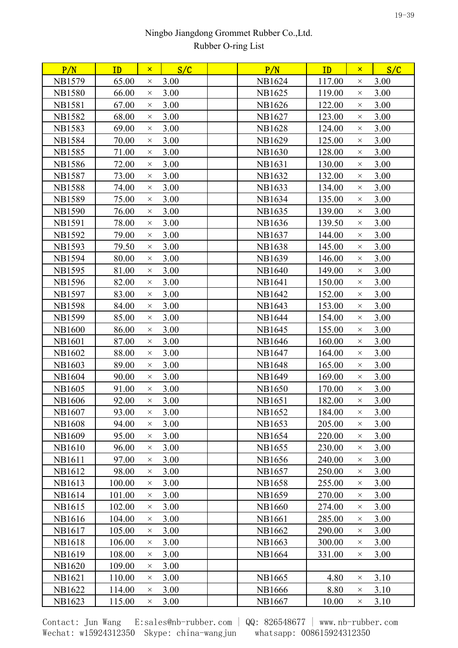| P/N           | ID     | $\mathsf{x}$ | S/C  | P/N           | S/C<br>ID<br>$\mathsf{x}$  |
|---------------|--------|--------------|------|---------------|----------------------------|
| <b>NB1579</b> | 65.00  | $\times$     | 3.00 | NB1624        | 117.00<br>3.00<br>$\times$ |
| <b>NB1580</b> | 66.00  | $\times$     | 3.00 | NB1625        | 3.00<br>119.00<br>$\times$ |
| <b>NB1581</b> | 67.00  | $\times$     | 3.00 | NB1626        | 122.00<br>3.00<br>$\times$ |
| <b>NB1582</b> | 68.00  | $\times$     | 3.00 | NB1627        | 3.00<br>123.00<br>$\times$ |
| <b>NB1583</b> | 69.00  | $\times$     | 3.00 | <b>NB1628</b> | 124.00<br>3.00<br>$\times$ |
| <b>NB1584</b> | 70.00  | $\times$     | 3.00 | NB1629        | 125.00<br>3.00<br>$\times$ |
| <b>NB1585</b> | 71.00  | $\times$     | 3.00 | <b>NB1630</b> | 128.00<br>3.00<br>$\times$ |
| <b>NB1586</b> | 72.00  | $\times$     | 3.00 | NB1631        | 130.00<br>3.00<br>$\times$ |
| <b>NB1587</b> | 73.00  | $\times$     | 3.00 | NB1632        | 132.00<br>3.00<br>$\times$ |
| <b>NB1588</b> | 74.00  | $\times$     | 3.00 | NB1633        | 134.00<br>3.00<br>$\times$ |
| <b>NB1589</b> | 75.00  | $\times$     | 3.00 | NB1634        | 3.00<br>135.00<br>$\times$ |
| <b>NB1590</b> | 76.00  | $\times$     | 3.00 | NB1635        | 139.00<br>3.00<br>$\times$ |
| <b>NB1591</b> | 78.00  | $\times$     | 3.00 | NB1636        | 139.50<br>3.00<br>$\times$ |
| NB1592        | 79.00  | $\times$     | 3.00 | NB1637        | 144.00<br>3.00<br>$\times$ |
| <b>NB1593</b> | 79.50  | $\times$     | 3.00 | <b>NB1638</b> | 3.00<br>145.00<br>$\times$ |
| <b>NB1594</b> | 80.00  | $\times$     | 3.00 | NB1639        | 146.00<br>3.00<br>$\times$ |
| <b>NB1595</b> | 81.00  | $\times$     | 3.00 | <b>NB1640</b> | 3.00<br>149.00<br>$\times$ |
| <b>NB1596</b> | 82.00  | $\times$     | 3.00 | <b>NB1641</b> | 150.00<br>3.00<br>$\times$ |
| <b>NB1597</b> | 83.00  | $\times$     | 3.00 | NB1642        | 152.00<br>3.00<br>$\times$ |
| <b>NB1598</b> | 84.00  | $\times$     | 3.00 | NB1643        | 153.00<br>3.00<br>$\times$ |
| <b>NB1599</b> | 85.00  | $\times$     | 3.00 | <b>NB1644</b> | 154.00<br>3.00<br>$\times$ |
| <b>NB1600</b> | 86.00  | $\times$     | 3.00 | NB1645        | 3.00<br>155.00<br>$\times$ |
| <b>NB1601</b> | 87.00  | $\times$     | 3.00 | <b>NB1646</b> | 160.00<br>3.00<br>$\times$ |
| NB1602        | 88.00  | $\times$     | 3.00 | NB1647        | 3.00<br>164.00<br>$\times$ |
| <b>NB1603</b> | 89.00  | $\times$     | 3.00 | <b>NB1648</b> | 165.00<br>3.00<br>$\times$ |
| <b>NB1604</b> | 90.00  | $\times$     | 3.00 | <b>NB1649</b> | 3.00<br>169.00<br>$\times$ |
| <b>NB1605</b> | 91.00  | $\times$     | 3.00 | <b>NB1650</b> | 170.00<br>3.00<br>$\times$ |
| <b>NB1606</b> | 92.00  | $\times$     | 3.00 | <b>NB1651</b> | 182.00<br>3.00<br>$\times$ |
| <b>NB1607</b> | 93.00  | X            | 3.00 | NB1652        | 184.00<br>3.00<br>$\times$ |
| <b>NB1608</b> | 94.00  | $\times$     | 3.00 | NB1653        | 205.00<br>3.00<br>$\times$ |
| <b>NB1609</b> | 95.00  | $\times$     | 3.00 | <b>NB1654</b> | 220.00<br>3.00<br>$\times$ |
| <b>NB1610</b> | 96.00  | $\times$     | 3.00 | NB1655        | 230.00<br>3.00<br>$\times$ |
| <b>NB1611</b> | 97.00  | $\times$     | 3.00 | NB1656        | 240.00<br>3.00<br>$\times$ |
| NB1612        | 98.00  | $\times$     | 3.00 | NB1657        | 250.00<br>3.00<br>$\times$ |
| NB1613        | 100.00 | $\times$     | 3.00 | <b>NB1658</b> | 255.00<br>3.00<br>$\times$ |
| <b>NB1614</b> | 101.00 | $\times$     | 3.00 | <b>NB1659</b> | 270.00<br>3.00<br>$\times$ |
| NB1615        | 102.00 | $\times$     | 3.00 | <b>NB1660</b> | 274.00<br>3.00<br>$\times$ |
| <b>NB1616</b> | 104.00 | $\times$     | 3.00 | <b>NB1661</b> | 285.00<br>3.00<br>$\times$ |
| NB1617        | 105.00 | $\times$     | 3.00 | NB1662        | 290.00<br>3.00<br>$\times$ |
| <b>NB1618</b> | 106.00 | $\times$     | 3.00 | NB1663        | 300.00<br>3.00<br>$\times$ |
| NB1619        | 108.00 | $\times$     | 3.00 | NB1664        | 331.00<br>3.00<br>$\times$ |
| <b>NB1620</b> | 109.00 | $\times$     | 3.00 |               |                            |
| NB1621        | 110.00 | $\times$     | 3.00 | NB1665        | 3.10<br>4.80<br>$\times$   |
| NB1622        | 114.00 | $\times$     | 3.00 | <b>NB1666</b> | 8.80<br>3.10<br>$\times$   |
| NB1623        | 115.00 | $\times$     | 3.00 | NB1667        | 3.10<br>10.00<br>$\times$  |
|               |        |              |      |               |                            |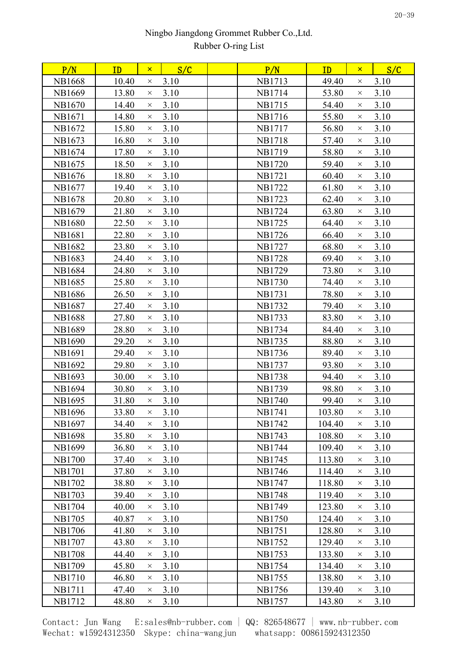| P/N           | ID    | $\mathsf{x}$ | S/C  | P/N           | ID     | $\mathsf{x}$ | S/C  |
|---------------|-------|--------------|------|---------------|--------|--------------|------|
| <b>NB1668</b> | 10.40 | $\times$     | 3.10 | <b>NB1713</b> | 49.40  | $\times$     | 3.10 |
| <b>NB1669</b> | 13.80 | $\times$     | 3.10 | NB1714        | 53.80  | $\times$     | 3.10 |
| <b>NB1670</b> | 14.40 | $\times$     | 3.10 | <b>NB1715</b> | 54.40  | $\times$     | 3.10 |
| <b>NB1671</b> | 14.80 | $\times$     | 3.10 | <b>NB1716</b> | 55.80  | $\times$     | 3.10 |
| NB1672        | 15.80 | $\times$     | 3.10 | <b>NB1717</b> | 56.80  | $\times$     | 3.10 |
| NB1673        | 16.80 | $\times$     | 3.10 | <b>NB1718</b> | 57.40  | $\times$     | 3.10 |
| NB1674        | 17.80 | $\times$     | 3.10 | <b>NB1719</b> | 58.80  | $\times$     | 3.10 |
| NB1675        | 18.50 | $\times$     | 3.10 | <b>NB1720</b> | 59.40  | $\times$     | 3.10 |
| NB1676        | 18.80 | $\times$     | 3.10 | <b>NB1721</b> | 60.40  | $\times$     | 3.10 |
| NB1677        | 19.40 | $\times$     | 3.10 | <b>NB1722</b> | 61.80  | $\times$     | 3.10 |
| <b>NB1678</b> | 20.80 | $\times$     | 3.10 | <b>NB1723</b> | 62.40  | $\times$     | 3.10 |
| NB1679        | 21.80 | $\times$     | 3.10 | <b>NB1724</b> | 63.80  | $\times$     | 3.10 |
| <b>NB1680</b> | 22.50 | $\times$     | 3.10 | <b>NB1725</b> | 64.40  | $\times$     | 3.10 |
| NB1681        | 22.80 | $\times$     | 3.10 | NB1726        | 66.40  | $\times$     | 3.10 |
| <b>NB1682</b> | 23.80 | $\times$     | 3.10 | <b>NB1727</b> | 68.80  | $\times$     | 3.10 |
| <b>NB1683</b> | 24.40 | $\times$     | 3.10 | <b>NB1728</b> | 69.40  | $\times$     | 3.10 |
| <b>NB1684</b> | 24.80 | $\times$     | 3.10 | <b>NB1729</b> | 73.80  | $\times$     | 3.10 |
| <b>NB1685</b> | 25.80 | $\times$     | 3.10 | <b>NB1730</b> | 74.40  | $\times$     | 3.10 |
| <b>NB1686</b> | 26.50 | $\times$     | 3.10 | <b>NB1731</b> | 78.80  | $\times$     | 3.10 |
| <b>NB1687</b> | 27.40 | $\times$     | 3.10 | <b>NB1732</b> | 79.40  | $\times$     | 3.10 |
| <b>NB1688</b> | 27.80 | $\times$     | 3.10 | <b>NB1733</b> | 83.80  | $\times$     | 3.10 |
| <b>NB1689</b> | 28.80 | $\times$     | 3.10 | <b>NB1734</b> | 84.40  | $\times$     | 3.10 |
| <b>NB1690</b> | 29.20 | $\times$     | 3.10 | <b>NB1735</b> | 88.80  | $\times$     | 3.10 |
| <b>NB1691</b> | 29.40 | $\times$     | 3.10 | <b>NB1736</b> | 89.40  | $\times$     | 3.10 |
| NB1692        | 29.80 | $\times$     | 3.10 | <b>NB1737</b> | 93.80  | $\times$     | 3.10 |
| NB1693        | 30.00 | $\times$     | 3.10 | <b>NB1738</b> | 94.40  | $\times$     | 3.10 |
| <b>NB1694</b> | 30.80 | $\times$     | 3.10 | <b>NB1739</b> | 98.80  | $\times$     | 3.10 |
| <b>NB1695</b> | 31.80 | $\times$     | 3.10 | <b>NB1740</b> | 99.40  | $\times$     | 3.10 |
| <b>NB1696</b> | 33.80 | $\times$     | 3.10 | NB1741        | 103.80 | $\times$     | 3.10 |
| NB1697        | 34.40 | $\times$     | 3.10 | NB1742        | 104.40 | $\times$     | 3.10 |
| <b>NB1698</b> | 35.80 | $\times$     | 3.10 | <b>NB1743</b> | 108.80 | $\times$     | 3.10 |
| <b>NB1699</b> | 36.80 | $\times$     | 3.10 | <b>NB1744</b> | 109.40 | $\times$     | 3.10 |
| <b>NB1700</b> | 37.40 | $\times$     | 3.10 | NB1745        | 113.80 | $\times$     | 3.10 |
| <b>NB1701</b> | 37.80 | $\times$     | 3.10 | NB1746        | 114.40 | $\times$     | 3.10 |
| <b>NB1702</b> | 38.80 | $\times$     | 3.10 | <b>NB1747</b> | 118.80 | $\times$     | 3.10 |
| <b>NB1703</b> | 39.40 | $\times$     | 3.10 | <b>NB1748</b> | 119.40 | $\times$     | 3.10 |
| <b>NB1704</b> | 40.00 | $\times$     | 3.10 | NB1749        | 123.80 | $\times$     | 3.10 |
| <b>NB1705</b> | 40.87 | $\times$     | 3.10 | <b>NB1750</b> | 124.40 | $\times$     | 3.10 |
| <b>NB1706</b> | 41.80 | $\times$     | 3.10 | <b>NB1751</b> | 128.80 | $\times$     | 3.10 |
| <b>NB1707</b> | 43.80 | $\times$     | 3.10 | <b>NB1752</b> | 129.40 | $\times$     | 3.10 |
| <b>NB1708</b> | 44.40 | $\times$     | 3.10 | <b>NB1753</b> | 133.80 | $\times$     | 3.10 |
| <b>NB1709</b> | 45.80 | $\times$     | 3.10 | <b>NB1754</b> | 134.40 | $\times$     | 3.10 |
| <b>NB1710</b> | 46.80 | $\times$     | 3.10 | <b>NB1755</b> | 138.80 | $\times$     | 3.10 |
| <b>NB1711</b> | 47.40 | $\times$     | 3.10 | NB1756        | 139.40 | $\times$     | 3.10 |
| <b>NB1712</b> | 48.80 | $\times$     | 3.10 | <b>NB1757</b> | 143.80 | $\times$     | 3.10 |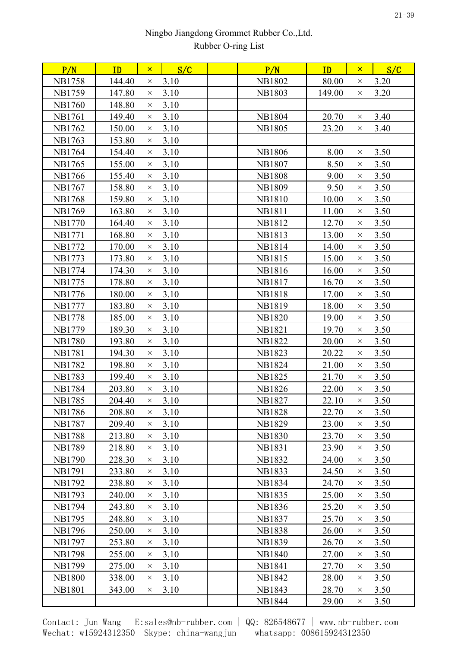| P/N           | ID     | $\mathsf{x}$ | S/C  | P/N           | ID     | $\mathsf{x}$ | S/C  |  |
|---------------|--------|--------------|------|---------------|--------|--------------|------|--|
| NB1758        | 144.40 | $\times$     | 3.10 | <b>NB1802</b> | 80.00  | $\times$     | 3.20 |  |
| <b>NB1759</b> | 147.80 | $\times$     | 3.10 | <b>NB1803</b> | 149.00 | $\times$     | 3.20 |  |
| <b>NB1760</b> | 148.80 | $\times$     | 3.10 |               |        |              |      |  |
| <b>NB1761</b> | 149.40 | $\times$     | 3.10 | <b>NB1804</b> | 20.70  | $\times$     | 3.40 |  |
| <b>NB1762</b> | 150.00 | $\times$     | 3.10 | <b>NB1805</b> | 23.20  | $\times$     | 3.40 |  |
| <b>NB1763</b> | 153.80 | $\times$     | 3.10 |               |        |              |      |  |
| <b>NB1764</b> | 154.40 | $\times$     | 3.10 | <b>NB1806</b> | 8.00   | $\times$     | 3.50 |  |
| <b>NB1765</b> | 155.00 | $\times$     | 3.10 | <b>NB1807</b> | 8.50   | X            | 3.50 |  |
| <b>NB1766</b> | 155.40 | $\times$     | 3.10 | <b>NB1808</b> | 9.00   | $\times$     | 3.50 |  |
| <b>NB1767</b> | 158.80 | $\times$     | 3.10 | <b>NB1809</b> | 9.50   | $\times$     | 3.50 |  |
| <b>NB1768</b> | 159.80 | $\times$     | 3.10 | <b>NB1810</b> | 10.00  | $\times$     | 3.50 |  |
| <b>NB1769</b> | 163.80 | $\times$     | 3.10 | <b>NB1811</b> | 11.00  | X            | 3.50 |  |
| <b>NB1770</b> | 164.40 | $\times$     | 3.10 | <b>NB1812</b> | 12.70  | $\times$     | 3.50 |  |
| <b>NB1771</b> | 168.80 | $\times$     | 3.10 | <b>NB1813</b> | 13.00  | $\times$     | 3.50 |  |
| <b>NB1772</b> | 170.00 | $\times$     | 3.10 | <b>NB1814</b> | 14.00  | $\times$     | 3.50 |  |
| <b>NB1773</b> | 173.80 | $\times$     | 3.10 | <b>NB1815</b> | 15.00  | $\times$     | 3.50 |  |
| NB1774        | 174.30 | $\times$     | 3.10 | NB1816        | 16.00  | X            | 3.50 |  |
| <b>NB1775</b> | 178.80 | $\times$     | 3.10 | <b>NB1817</b> | 16.70  | $\times$     | 3.50 |  |
| <b>NB1776</b> | 180.00 | $\times$     | 3.10 | <b>NB1818</b> | 17.00  | $\times$     | 3.50 |  |
| <b>NB1777</b> | 183.80 | $\times$     | 3.10 | <b>NB1819</b> | 18.00  | $\times$     | 3.50 |  |
| <b>NB1778</b> | 185.00 | $\times$     | 3.10 | <b>NB1820</b> | 19.00  | X            | 3.50 |  |
| <b>NB1779</b> | 189.30 | $\times$     | 3.10 | NB1821        | 19.70  | $\times$     | 3.50 |  |
| <b>NB1780</b> | 193.80 | $\times$     | 3.10 | <b>NB1822</b> | 20.00  | $\times$     | 3.50 |  |
| <b>NB1781</b> | 194.30 | $\times$     | 3.10 | <b>NB1823</b> | 20.22  | $\times$     | 3.50 |  |
| <b>NB1782</b> | 198.80 | $\times$     | 3.10 | <b>NB1824</b> | 21.00  | $\times$     | 3.50 |  |
| <b>NB1783</b> | 199.40 | $\times$     | 3.10 | <b>NB1825</b> | 21.70  | $\times$     | 3.50 |  |
| <b>NB1784</b> | 203.80 | $\times$     | 3.10 | <b>NB1826</b> | 22.00  | $\times$     | 3.50 |  |
| <b>NB1785</b> | 204.40 | $\times$     | 3.10 | <b>NB1827</b> | 22.10  | $\times$     | 3.50 |  |
| <b>NB1786</b> | 208.80 | $\times$     | 3.10 | <b>NB1828</b> | 22.70  | $\times$     | 3.50 |  |
| <b>NB1787</b> | 209.40 | $\times$     | 3.10 | <b>NB1829</b> | 23.00  | X            | 3.50 |  |
| <b>NB1788</b> | 213.80 | $\times$     | 3.10 | <b>NB1830</b> | 23.70  | $\times$     | 3.50 |  |
| <b>NB1789</b> | 218.80 | $\times$     | 3.10 | <b>NB1831</b> | 23.90  | $\times$     | 3.50 |  |
| <b>NB1790</b> | 228.30 | $\times$     | 3.10 | <b>NB1832</b> | 24.00  | X            | 3.50 |  |
| <b>NB1791</b> | 233.80 | $\times$     | 3.10 | <b>NB1833</b> | 24.50  | $\times$     | 3.50 |  |
| <b>NB1792</b> | 238.80 | $\times$     | 3.10 | <b>NB1834</b> | 24.70  | $\times$     | 3.50 |  |
| <b>NB1793</b> | 240.00 | $\times$     | 3.10 | <b>NB1835</b> | 25.00  | $\times$     | 3.50 |  |
| NB1794        | 243.80 | $\times$     | 3.10 | <b>NB1836</b> | 25.20  | ×            | 3.50 |  |
| <b>NB1795</b> | 248.80 | $\times$     | 3.10 | <b>NB1837</b> | 25.70  | $\times$     | 3.50 |  |
| NB1796        | 250.00 | $\times$     | 3.10 | <b>NB1838</b> | 26.00  | $\times$     | 3.50 |  |
| <b>NB1797</b> | 253.80 | $\times$     | 3.10 | <b>NB1839</b> | 26.70  | $\times$     | 3.50 |  |
| <b>NB1798</b> | 255.00 | $\times$     | 3.10 | <b>NB1840</b> | 27.00  | $\times$     | 3.50 |  |
| <b>NB1799</b> | 275.00 | $\times$     | 3.10 | <b>NB1841</b> | 27.70  | ×            | 3.50 |  |
| <b>NB1800</b> | 338.00 | $\times$     | 3.10 | <b>NB1842</b> | 28.00  | $\times$     | 3.50 |  |
| <b>NB1801</b> | 343.00 | $\times$     | 3.10 | NB1843        | 28.70  | ×            | 3.50 |  |
|               |        |              |      | <b>NB1844</b> | 29.00  | X            | 3.50 |  |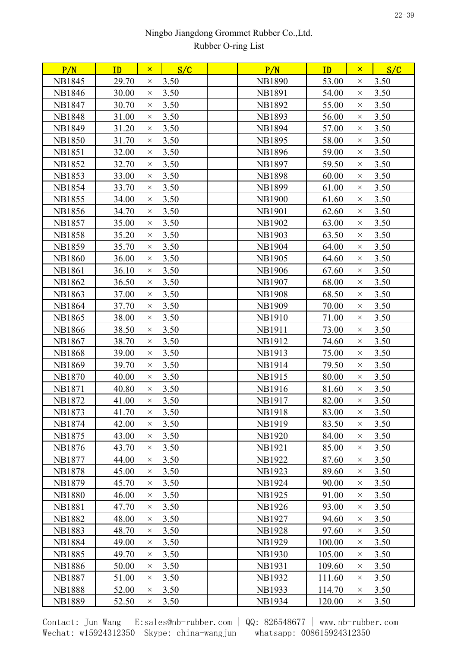| P/N           | ID    | $\mathsf{x}$ | S/C  | P/N           | ID     | $\mathsf{x}$ | S/C  |  |
|---------------|-------|--------------|------|---------------|--------|--------------|------|--|
| <b>NB1845</b> | 29.70 | $\times$     | 3.50 | <b>NB1890</b> | 53.00  | X            | 3.50 |  |
| <b>NB1846</b> | 30.00 | $\times$     | 3.50 | <b>NB1891</b> | 54.00  | $\times$     | 3.50 |  |
| <b>NB1847</b> | 30.70 | $\times$     | 3.50 | <b>NB1892</b> | 55.00  | $\times$     | 3.50 |  |
| <b>NB1848</b> | 31.00 | $\times$     | 3.50 | <b>NB1893</b> | 56.00  | $\times$     | 3.50 |  |
| <b>NB1849</b> | 31.20 | $\times$     | 3.50 | <b>NB1894</b> | 57.00  | $\times$     | 3.50 |  |
| <b>NB1850</b> | 31.70 | $\times$     | 3.50 | <b>NB1895</b> | 58.00  | $\times$     | 3.50 |  |
| <b>NB1851</b> | 32.00 | $\times$     | 3.50 | <b>NB1896</b> | 59.00  | $\times$     | 3.50 |  |
| <b>NB1852</b> | 32.70 | $\times$     | 3.50 | <b>NB1897</b> | 59.50  | $\times$     | 3.50 |  |
| <b>NB1853</b> | 33.00 | $\times$     | 3.50 | <b>NB1898</b> | 60.00  | $\times$     | 3.50 |  |
| <b>NB1854</b> | 33.70 | $\times$     | 3.50 | <b>NB1899</b> | 61.00  | X            | 3.50 |  |
| <b>NB1855</b> | 34.00 | $\times$     | 3.50 | <b>NB1900</b> | 61.60  | $\times$     | 3.50 |  |
| <b>NB1856</b> | 34.70 | $\times$     | 3.50 | <b>NB1901</b> | 62.60  | X            | 3.50 |  |
| <b>NB1857</b> | 35.00 | $\times$     | 3.50 | <b>NB1902</b> | 63.00  | $\times$     | 3.50 |  |
| <b>NB1858</b> | 35.20 | $\times$     | 3.50 | <b>NB1903</b> | 63.50  | $\times$     | 3.50 |  |
| <b>NB1859</b> | 35.70 | $\times$     | 3.50 | <b>NB1904</b> | 64.00  | $\times$     | 3.50 |  |
| <b>NB1860</b> | 36.00 | $\times$     | 3.50 | <b>NB1905</b> | 64.60  | $\times$     | 3.50 |  |
| <b>NB1861</b> | 36.10 | $\times$     | 3.50 | NB1906        | 67.60  | X            | 3.50 |  |
| <b>NB1862</b> | 36.50 | $\times$     | 3.50 | <b>NB1907</b> | 68.00  | $\times$     | 3.50 |  |
| <b>NB1863</b> | 37.00 | $\times$     | 3.50 | <b>NB1908</b> | 68.50  | X            | 3.50 |  |
| <b>NB1864</b> | 37.70 | $\times$     | 3.50 | <b>NB1909</b> | 70.00  | $\times$     | 3.50 |  |
| <b>NB1865</b> | 38.00 | $\times$     | 3.50 | <b>NB1910</b> | 71.00  | X            | 3.50 |  |
| <b>NB1866</b> | 38.50 | $\times$     | 3.50 | <b>NB1911</b> | 73.00  | $\times$     | 3.50 |  |
| <b>NB1867</b> | 38.70 | $\times$     | 3.50 | <b>NB1912</b> | 74.60  | $\times$     | 3.50 |  |
| <b>NB1868</b> | 39.00 | $\times$     | 3.50 | <b>NB1913</b> | 75.00  | X            | 3.50 |  |
| <b>NB1869</b> | 39.70 | $\times$     | 3.50 | NB1914        | 79.50  | $\times$     | 3.50 |  |
| <b>NB1870</b> | 40.00 | $\times$     | 3.50 | <b>NB1915</b> | 80.00  | $\times$     | 3.50 |  |
| <b>NB1871</b> | 40.80 | $\times$     | 3.50 | NB1916        | 81.60  | $\times$     | 3.50 |  |
| NB1872        | 41.00 | $\times$     | 3.50 | <b>NB1917</b> | 82.00  | $\times$     | 3.50 |  |
| <b>NB1873</b> | 41.70 | $\times$     | 3.50 | <b>NB1918</b> | 83.00  | $\times$     | 3.50 |  |
| <b>NB1874</b> | 42.00 | $\times$     | 3.50 | <b>NB1919</b> | 83.50  | X            | 3.50 |  |
| NB1875        | 43.00 | $\times$     | 3.50 | <b>NB1920</b> | 84.00  | $\times$     | 3.50 |  |
| <b>NB1876</b> | 43.70 | $\times$     | 3.50 | <b>NB1921</b> | 85.00  | $\times$     | 3.50 |  |
| <b>NB1877</b> | 44.00 | $\times$     | 3.50 | <b>NB1922</b> | 87.60  | X            | 3.50 |  |
| <b>NB1878</b> | 45.00 | $\times$     | 3.50 | <b>NB1923</b> | 89.60  | $\times$     | 3.50 |  |
| <b>NB1879</b> | 45.70 | $\times$     | 3.50 | <b>NB1924</b> | 90.00  | ×            | 3.50 |  |
| <b>NB1880</b> | 46.00 | $\times$     | 3.50 | <b>NB1925</b> | 91.00  | $\times$     | 3.50 |  |
| <b>NB1881</b> | 47.70 | $\times$     | 3.50 | NB1926        | 93.00  | X            | 3.50 |  |
| <b>NB1882</b> | 48.00 | $\times$     | 3.50 | <b>NB1927</b> | 94.60  | X            | 3.50 |  |
| <b>NB1883</b> | 48.70 | $\times$     | 3.50 | <b>NB1928</b> | 97.60  | $\times$     | 3.50 |  |
| <b>NB1884</b> | 49.00 | $\times$     | 3.50 | <b>NB1929</b> | 100.00 | $\times$     | 3.50 |  |
| <b>NB1885</b> | 49.70 | $\times$     | 3.50 | <b>NB1930</b> | 105.00 | $\times$     | 3.50 |  |
| <b>NB1886</b> | 50.00 | $\times$     | 3.50 | <b>NB1931</b> | 109.60 | X            | 3.50 |  |
| <b>NB1887</b> | 51.00 | $\times$     | 3.50 | <b>NB1932</b> | 111.60 | $\times$     | 3.50 |  |
| <b>NB1888</b> | 52.00 | $\times$     | 3.50 | NB1933        | 114.70 | ×            | 3.50 |  |
| NB1889        | 52.50 | $\times$     | 3.50 | <b>NB1934</b> | 120.00 | X            | 3.50 |  |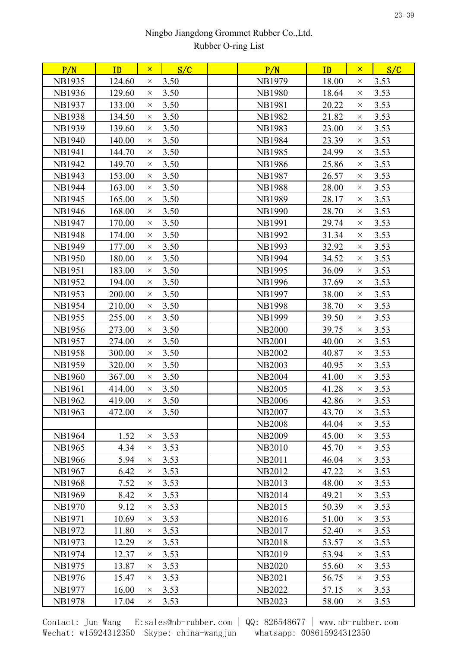| P/N           | ID     | $\mathsf{x}$ | S/C  | P/N           | ID    | $\mathsf{x}$ | S/C  |  |
|---------------|--------|--------------|------|---------------|-------|--------------|------|--|
| <b>NB1935</b> | 124.60 | $\times$     | 3.50 | <b>NB1979</b> | 18.00 | X            | 3.53 |  |
| <b>NB1936</b> | 129.60 | $\times$     | 3.50 | <b>NB1980</b> | 18.64 | X            | 3.53 |  |
| <b>NB1937</b> | 133.00 | $\times$     | 3.50 | NB1981        | 20.22 | $\times$     | 3.53 |  |
| <b>NB1938</b> | 134.50 | $\times$     | 3.50 | <b>NB1982</b> | 21.82 | $\times$     | 3.53 |  |
| <b>NB1939</b> | 139.60 | $\times$     | 3.50 | <b>NB1983</b> | 23.00 | $\times$     | 3.53 |  |
| <b>NB1940</b> | 140.00 | $\times$     | 3.50 | <b>NB1984</b> | 23.39 | $\times$     | 3.53 |  |
| <b>NB1941</b> | 144.70 | $\times$     | 3.50 | <b>NB1985</b> | 24.99 | $\times$     | 3.53 |  |
| <b>NB1942</b> | 149.70 | $\times$     | 3.50 | <b>NB1986</b> | 25.86 | X            | 3.53 |  |
| <b>NB1943</b> | 153.00 | $\times$     | 3.50 | <b>NB1987</b> | 26.57 | $\times$     | 3.53 |  |
| <b>NB1944</b> | 163.00 | $\times$     | 3.50 | <b>NB1988</b> | 28.00 | X            | 3.53 |  |
| NB1945        | 165.00 | $\times$     | 3.50 | <b>NB1989</b> | 28.17 | $\times$     | 3.53 |  |
| <b>NB1946</b> | 168.00 | $\times$     | 3.50 | <b>NB1990</b> | 28.70 | X            | 3.53 |  |
| <b>NB1947</b> | 170.00 | $\times$     | 3.50 | <b>NB1991</b> | 29.74 | $\times$     | 3.53 |  |
| <b>NB1948</b> | 174.00 | $\times$     | 3.50 | <b>NB1992</b> | 31.34 | $\times$     | 3.53 |  |
| <b>NB1949</b> | 177.00 | $\times$     | 3.50 | <b>NB1993</b> | 32.92 | $\times$     | 3.53 |  |
| <b>NB1950</b> | 180.00 | $\times$     | 3.50 | <b>NB1994</b> | 34.52 | $\times$     | 3.53 |  |
| <b>NB1951</b> | 183.00 | $\times$     | 3.50 | <b>NB1995</b> | 36.09 | X            | 3.53 |  |
| <b>NB1952</b> | 194.00 | $\times$     | 3.50 | <b>NB1996</b> | 37.69 | $\times$     | 3.53 |  |
| <b>NB1953</b> | 200.00 | $\times$     | 3.50 | <b>NB1997</b> | 38.00 | X            | 3.53 |  |
| <b>NB1954</b> | 210.00 | $\times$     | 3.50 | <b>NB1998</b> | 38.70 | $\times$     | 3.53 |  |
| <b>NB1955</b> | 255.00 | $\times$     | 3.50 | <b>NB1999</b> | 39.50 | X            | 3.53 |  |
| <b>NB1956</b> | 273.00 | $\times$     | 3.50 | <b>NB2000</b> | 39.75 | X            | 3.53 |  |
| <b>NB1957</b> | 274.00 | $\times$     | 3.50 | <b>NB2001</b> | 40.00 | $\times$     | 3.53 |  |
| <b>NB1958</b> | 300.00 | $\times$     | 3.50 | <b>NB2002</b> | 40.87 | X            | 3.53 |  |
| <b>NB1959</b> | 320.00 | $\times$     | 3.50 | <b>NB2003</b> | 40.95 | $\times$     | 3.53 |  |
| <b>NB1960</b> | 367.00 | $\times$     | 3.50 | <b>NB2004</b> | 41.00 | X            | 3.53 |  |
| <b>NB1961</b> | 414.00 | $\times$     | 3.50 | <b>NB2005</b> | 41.28 | X            | 3.53 |  |
| NB1962        | 419.00 | $\times$     | 3.50 | <b>NB2006</b> | 42.86 | $\times$     | 3.53 |  |
| <b>NB1963</b> | 472.00 | $\times$     | 3.50 | <b>NB2007</b> | 43.70 | $\times$     | 3.53 |  |
|               |        |              |      | <b>NB2008</b> | 44.04 | $\times$     | 3.53 |  |
| <b>NB1964</b> | 1.52   | $\times$     | 3.53 | <b>NB2009</b> | 45.00 | ×            | 3.53 |  |
| <b>NB1965</b> | 4.34   | $\times$     | 3.53 | <b>NB2010</b> | 45.70 | $\times$     | 3.53 |  |
| <b>NB1966</b> | 5.94   | $\times$     | 3.53 | <b>NB2011</b> | 46.04 | X            | 3.53 |  |
| <b>NB1967</b> | 6.42   | $\times$     | 3.53 | <b>NB2012</b> | 47.22 | $\times$     | 3.53 |  |
| <b>NB1968</b> | 7.52   | $\times$     | 3.53 | NB2013        | 48.00 | ×            | 3.53 |  |
| <b>NB1969</b> | 8.42   | $\times$     | 3.53 | <b>NB2014</b> | 49.21 | $\times$     | 3.53 |  |
| <b>NB1970</b> | 9.12   | $\times$     | 3.53 | <b>NB2015</b> | 50.39 | X            | 3.53 |  |
| NB1971        | 10.69  | $\times$     | 3.53 | NB2016        | 51.00 | X            | 3.53 |  |
| NB1972        | 11.80  | $\times$     | 3.53 | <b>NB2017</b> | 52.40 | $\times$     | 3.53 |  |
| <b>NB1973</b> | 12.29  | $\times$     | 3.53 | <b>NB2018</b> | 53.57 | $\times$     | 3.53 |  |
| <b>NB1974</b> | 12.37  | $\times$     | 3.53 | NB2019        | 53.94 | $\times$     | 3.53 |  |
| <b>NB1975</b> | 13.87  | $\times$     | 3.53 | <b>NB2020</b> | 55.60 | X            | 3.53 |  |
| <b>NB1976</b> | 15.47  | $\times$     | 3.53 | <b>NB2021</b> | 56.75 | $\times$     | 3.53 |  |
| <b>NB1977</b> | 16.00  | $\times$     | 3.53 | <b>NB2022</b> | 57.15 | ×            | 3.53 |  |
| NB1978        | 17.04  | $\times$     | 3.53 | <b>NB2023</b> | 58.00 | X            | 3.53 |  |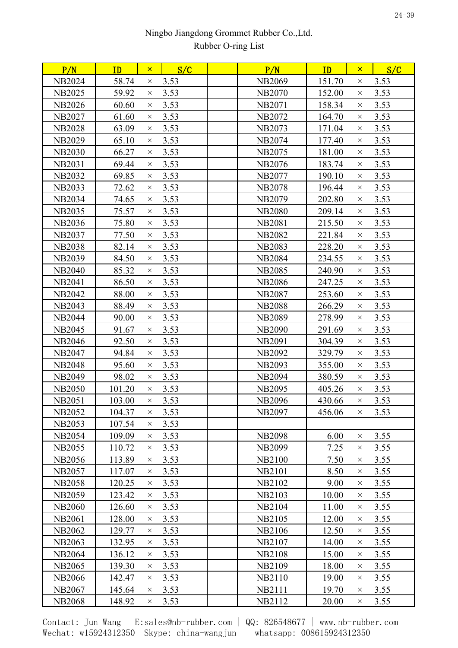| 58.74<br>3.53<br>151.70<br>3.53<br><b>NB2024</b><br><b>NB2069</b><br>$\times$<br>$\times$<br><b>NB2025</b><br>59.92<br>3.53<br><b>NB2070</b><br>152.00<br>3.53<br>$\times$<br>$\times$<br>3.53<br>158.34<br>3.53<br><b>NB2026</b><br>60.60<br><b>NB2071</b><br>$\times$<br>$\times$<br>3.53<br><b>NB2027</b><br>61.60<br><b>NB2072</b><br>164.70<br>3.53<br>$\times$<br>$\times$<br><b>NB2028</b><br>3.53<br>171.04<br>3.53<br>63.09<br><b>NB2073</b><br>$\times$<br>$\times$<br>3.53<br><b>NB2029</b><br>65.10<br><b>NB2074</b><br>177.40<br>3.53<br>$\times$<br>$\times$<br>66.27<br>3.53<br>3.53<br><b>NB2030</b><br><b>NB2075</b><br>181.00<br>$\times$<br>$\times$<br>3.53<br><b>NB2031</b><br><b>NB2076</b><br>183.74<br>3.53<br>69.44<br>$\times$<br>$\times$<br>3.53<br>3.53<br><b>NB2032</b><br>69.85<br>190.10<br><b>NB2077</b><br>$\times$<br>$\times$<br><b>NB2033</b><br>72.62<br>3.53<br>196.44<br>3.53<br><b>NB2078</b><br>$\times$<br>$\times$<br><b>NB2034</b><br>74.65<br>3.53<br><b>NB2079</b><br>202.80<br>3.53<br>$\times$<br>$\times$<br><b>NB2035</b><br>75.57<br>3.53<br><b>NB2080</b><br>209.14<br>3.53<br>$\times$<br>$\times$<br>3.53<br><b>NB2036</b><br>75.80<br><b>NB2081</b><br>215.50<br>3.53<br>$\times$<br>$\times$<br>77.50<br>3.53<br><b>NB2082</b><br>221.84<br>3.53<br><b>NB2037</b><br>$\times$<br>$\times$<br>3.53<br>228.20<br><b>NB2038</b><br>82.14<br><b>NB2083</b><br>3.53<br>$\times$<br>$\times$<br>3.53<br>84.50<br><b>NB2084</b><br>234.55<br>3.53<br><b>NB2039</b><br>$\times$<br>$\times$<br>3.53<br><b>NB2040</b><br>85.32<br><b>NB2085</b><br>240.90<br>3.53<br>$\times$<br>$\times$<br><b>NB2041</b><br>86.50<br>3.53<br><b>NB2086</b><br>247.25<br>3.53<br>$\times$<br>$\times$<br><b>NB2042</b><br>88.00<br>3.53<br><b>NB2087</b><br>253.60<br>3.53<br>$\times$<br>$\times$<br>3.53<br><b>NB2043</b><br>88.49<br><b>NB2088</b><br>266.29<br>3.53<br>$\times$<br>$\times$<br><b>NB2044</b><br>90.00<br>3.53<br><b>NB2089</b><br>278.99<br>3.53<br>$\times$<br>$\times$<br>3.53<br><b>NB2045</b><br>91.67<br><b>NB2090</b><br>291.69<br>3.53<br>$\times$<br>$\times$<br><b>NB2046</b><br>92.50<br>3.53<br><b>NB2091</b><br>304.39<br>3.53<br>$\times$<br>$\times$<br>3.53<br><b>NB2047</b><br>94.84<br><b>NB2092</b><br>329.79<br>3.53<br>$\times$<br>$\times$<br>3.53<br>355.00<br>3.53<br><b>NB2048</b><br>95.60<br><b>NB2093</b><br>$\times$<br>$\times$<br>98.02<br>3.53<br><b>NB2094</b><br>380.59<br>3.53<br><b>NB2049</b><br>$\times$<br>$\times$<br>3.53<br><b>NB2050</b><br>101.20<br><b>NB2095</b><br>405.26<br>3.53<br>$\times$<br>$\times$<br><b>NB2051</b><br>3.53<br>430.66<br>3.53<br>103.00<br><b>NB2096</b><br>$\times$<br>$\times$<br><b>NB2052</b><br>104.37<br>3.53<br>NB2097<br>456.06<br>$\times$ 3.53<br>$\times$<br>3.53<br><b>NB2053</b><br>107.54<br>$\times$<br><b>NB2054</b><br>3.53<br><b>NB2098</b><br>6.00<br>3.55<br>109.09<br>$\times$<br>$\times$<br>110.72<br>3.53<br>7.25<br>3.55<br><b>NB2055</b><br><b>NB2099</b><br>$\times$<br>$\times$<br>3.53<br>3.55<br><b>NB2056</b><br>113.89<br><b>NB2100</b><br>7.50<br>$\times$<br>$\times$<br>3.53<br>8.50<br>3.55<br><b>NB2057</b><br>117.07<br><b>NB2101</b><br>$\times$<br>$\times$<br><b>NB2058</b><br>3.53<br>NB2102<br>9.00<br>3.55<br>120.25<br>$\times$<br>$\times$<br><b>NB2059</b><br>123.42<br>3.53<br><b>NB2103</b><br>10.00<br>3.55<br>$\times$<br>$\times$<br><b>NB2060</b><br>3.53<br>NB2104<br>11.00<br>3.55<br>126.60<br>$\times$<br>$\times$<br>3.53<br><b>NB2061</b><br>128.00<br><b>NB2105</b><br>12.00<br>3.55<br>$\times$<br>$\times$<br><b>NB2062</b><br>3.53<br><b>NB2106</b><br>12.50<br>3.55<br>129.77<br>$\times$<br>$\times$<br>3.53<br><b>NB2063</b><br>132.95<br>NB2107<br>14.00<br>3.55<br>$\times$<br>$\times$<br><b>NB2064</b><br>3.53<br><b>NB2108</b><br>15.00<br>3.55<br>136.12<br>$\times$<br>$\times$<br><b>NB2065</b><br>3.53<br><b>NB2109</b><br>139.30<br>18.00<br>3.55<br>$\times$<br>$\times$<br>3.53<br>3.55<br><b>NB2066</b><br>142.47<br>NB2110<br>19.00<br>$\times$<br>$\times$<br><b>NB2067</b><br>3.53<br>NB2111<br>19.70<br>145.64<br>3.55<br>$\times$<br>$\times$<br><b>NB2068</b><br>3.53<br>NB2112<br>3.55<br>148.92<br>20.00<br>×.<br>X | P/N | ID | $\mathsf{x}$ | S/C | P/N | ID | $\mathsf{x}$ | S/C |  |
|--------------------------------------------------------------------------------------------------------------------------------------------------------------------------------------------------------------------------------------------------------------------------------------------------------------------------------------------------------------------------------------------------------------------------------------------------------------------------------------------------------------------------------------------------------------------------------------------------------------------------------------------------------------------------------------------------------------------------------------------------------------------------------------------------------------------------------------------------------------------------------------------------------------------------------------------------------------------------------------------------------------------------------------------------------------------------------------------------------------------------------------------------------------------------------------------------------------------------------------------------------------------------------------------------------------------------------------------------------------------------------------------------------------------------------------------------------------------------------------------------------------------------------------------------------------------------------------------------------------------------------------------------------------------------------------------------------------------------------------------------------------------------------------------------------------------------------------------------------------------------------------------------------------------------------------------------------------------------------------------------------------------------------------------------------------------------------------------------------------------------------------------------------------------------------------------------------------------------------------------------------------------------------------------------------------------------------------------------------------------------------------------------------------------------------------------------------------------------------------------------------------------------------------------------------------------------------------------------------------------------------------------------------------------------------------------------------------------------------------------------------------------------------------------------------------------------------------------------------------------------------------------------------------------------------------------------------------------------------------------------------------------------------------------------------------------------------------------------------------------------------------------------------------------------------------------------------------------------------------------------------------------------------------------------------------------------------------------------------------------------------------------------------------------------------------------------------------------------------------------------------------------------------------------------------------------------------------------------------------------------------------------------------------------------------------------------------------------------------------------------------------------------------------------------------------------------------------------------------------------------------------------------------------------------------------------------------------------------------------------------------------------------------------------------------------------------------------------------------------------------------------------------------------------------------------------------------------------------------------|-----|----|--------------|-----|-----|----|--------------|-----|--|
|                                                                                                                                                                                                                                                                                                                                                                                                                                                                                                                                                                                                                                                                                                                                                                                                                                                                                                                                                                                                                                                                                                                                                                                                                                                                                                                                                                                                                                                                                                                                                                                                                                                                                                                                                                                                                                                                                                                                                                                                                                                                                                                                                                                                                                                                                                                                                                                                                                                                                                                                                                                                                                                                                                                                                                                                                                                                                                                                                                                                                                                                                                                                                                                                                                                                                                                                                                                                                                                                                                                                                                                                                                                                                                                                                                                                                                                                                                                                                                                                                                                                                                                                                                                                                                      |     |    |              |     |     |    |              |     |  |
|                                                                                                                                                                                                                                                                                                                                                                                                                                                                                                                                                                                                                                                                                                                                                                                                                                                                                                                                                                                                                                                                                                                                                                                                                                                                                                                                                                                                                                                                                                                                                                                                                                                                                                                                                                                                                                                                                                                                                                                                                                                                                                                                                                                                                                                                                                                                                                                                                                                                                                                                                                                                                                                                                                                                                                                                                                                                                                                                                                                                                                                                                                                                                                                                                                                                                                                                                                                                                                                                                                                                                                                                                                                                                                                                                                                                                                                                                                                                                                                                                                                                                                                                                                                                                                      |     |    |              |     |     |    |              |     |  |
|                                                                                                                                                                                                                                                                                                                                                                                                                                                                                                                                                                                                                                                                                                                                                                                                                                                                                                                                                                                                                                                                                                                                                                                                                                                                                                                                                                                                                                                                                                                                                                                                                                                                                                                                                                                                                                                                                                                                                                                                                                                                                                                                                                                                                                                                                                                                                                                                                                                                                                                                                                                                                                                                                                                                                                                                                                                                                                                                                                                                                                                                                                                                                                                                                                                                                                                                                                                                                                                                                                                                                                                                                                                                                                                                                                                                                                                                                                                                                                                                                                                                                                                                                                                                                                      |     |    |              |     |     |    |              |     |  |
|                                                                                                                                                                                                                                                                                                                                                                                                                                                                                                                                                                                                                                                                                                                                                                                                                                                                                                                                                                                                                                                                                                                                                                                                                                                                                                                                                                                                                                                                                                                                                                                                                                                                                                                                                                                                                                                                                                                                                                                                                                                                                                                                                                                                                                                                                                                                                                                                                                                                                                                                                                                                                                                                                                                                                                                                                                                                                                                                                                                                                                                                                                                                                                                                                                                                                                                                                                                                                                                                                                                                                                                                                                                                                                                                                                                                                                                                                                                                                                                                                                                                                                                                                                                                                                      |     |    |              |     |     |    |              |     |  |
|                                                                                                                                                                                                                                                                                                                                                                                                                                                                                                                                                                                                                                                                                                                                                                                                                                                                                                                                                                                                                                                                                                                                                                                                                                                                                                                                                                                                                                                                                                                                                                                                                                                                                                                                                                                                                                                                                                                                                                                                                                                                                                                                                                                                                                                                                                                                                                                                                                                                                                                                                                                                                                                                                                                                                                                                                                                                                                                                                                                                                                                                                                                                                                                                                                                                                                                                                                                                                                                                                                                                                                                                                                                                                                                                                                                                                                                                                                                                                                                                                                                                                                                                                                                                                                      |     |    |              |     |     |    |              |     |  |
|                                                                                                                                                                                                                                                                                                                                                                                                                                                                                                                                                                                                                                                                                                                                                                                                                                                                                                                                                                                                                                                                                                                                                                                                                                                                                                                                                                                                                                                                                                                                                                                                                                                                                                                                                                                                                                                                                                                                                                                                                                                                                                                                                                                                                                                                                                                                                                                                                                                                                                                                                                                                                                                                                                                                                                                                                                                                                                                                                                                                                                                                                                                                                                                                                                                                                                                                                                                                                                                                                                                                                                                                                                                                                                                                                                                                                                                                                                                                                                                                                                                                                                                                                                                                                                      |     |    |              |     |     |    |              |     |  |
|                                                                                                                                                                                                                                                                                                                                                                                                                                                                                                                                                                                                                                                                                                                                                                                                                                                                                                                                                                                                                                                                                                                                                                                                                                                                                                                                                                                                                                                                                                                                                                                                                                                                                                                                                                                                                                                                                                                                                                                                                                                                                                                                                                                                                                                                                                                                                                                                                                                                                                                                                                                                                                                                                                                                                                                                                                                                                                                                                                                                                                                                                                                                                                                                                                                                                                                                                                                                                                                                                                                                                                                                                                                                                                                                                                                                                                                                                                                                                                                                                                                                                                                                                                                                                                      |     |    |              |     |     |    |              |     |  |
|                                                                                                                                                                                                                                                                                                                                                                                                                                                                                                                                                                                                                                                                                                                                                                                                                                                                                                                                                                                                                                                                                                                                                                                                                                                                                                                                                                                                                                                                                                                                                                                                                                                                                                                                                                                                                                                                                                                                                                                                                                                                                                                                                                                                                                                                                                                                                                                                                                                                                                                                                                                                                                                                                                                                                                                                                                                                                                                                                                                                                                                                                                                                                                                                                                                                                                                                                                                                                                                                                                                                                                                                                                                                                                                                                                                                                                                                                                                                                                                                                                                                                                                                                                                                                                      |     |    |              |     |     |    |              |     |  |
|                                                                                                                                                                                                                                                                                                                                                                                                                                                                                                                                                                                                                                                                                                                                                                                                                                                                                                                                                                                                                                                                                                                                                                                                                                                                                                                                                                                                                                                                                                                                                                                                                                                                                                                                                                                                                                                                                                                                                                                                                                                                                                                                                                                                                                                                                                                                                                                                                                                                                                                                                                                                                                                                                                                                                                                                                                                                                                                                                                                                                                                                                                                                                                                                                                                                                                                                                                                                                                                                                                                                                                                                                                                                                                                                                                                                                                                                                                                                                                                                                                                                                                                                                                                                                                      |     |    |              |     |     |    |              |     |  |
|                                                                                                                                                                                                                                                                                                                                                                                                                                                                                                                                                                                                                                                                                                                                                                                                                                                                                                                                                                                                                                                                                                                                                                                                                                                                                                                                                                                                                                                                                                                                                                                                                                                                                                                                                                                                                                                                                                                                                                                                                                                                                                                                                                                                                                                                                                                                                                                                                                                                                                                                                                                                                                                                                                                                                                                                                                                                                                                                                                                                                                                                                                                                                                                                                                                                                                                                                                                                                                                                                                                                                                                                                                                                                                                                                                                                                                                                                                                                                                                                                                                                                                                                                                                                                                      |     |    |              |     |     |    |              |     |  |
|                                                                                                                                                                                                                                                                                                                                                                                                                                                                                                                                                                                                                                                                                                                                                                                                                                                                                                                                                                                                                                                                                                                                                                                                                                                                                                                                                                                                                                                                                                                                                                                                                                                                                                                                                                                                                                                                                                                                                                                                                                                                                                                                                                                                                                                                                                                                                                                                                                                                                                                                                                                                                                                                                                                                                                                                                                                                                                                                                                                                                                                                                                                                                                                                                                                                                                                                                                                                                                                                                                                                                                                                                                                                                                                                                                                                                                                                                                                                                                                                                                                                                                                                                                                                                                      |     |    |              |     |     |    |              |     |  |
|                                                                                                                                                                                                                                                                                                                                                                                                                                                                                                                                                                                                                                                                                                                                                                                                                                                                                                                                                                                                                                                                                                                                                                                                                                                                                                                                                                                                                                                                                                                                                                                                                                                                                                                                                                                                                                                                                                                                                                                                                                                                                                                                                                                                                                                                                                                                                                                                                                                                                                                                                                                                                                                                                                                                                                                                                                                                                                                                                                                                                                                                                                                                                                                                                                                                                                                                                                                                                                                                                                                                                                                                                                                                                                                                                                                                                                                                                                                                                                                                                                                                                                                                                                                                                                      |     |    |              |     |     |    |              |     |  |
|                                                                                                                                                                                                                                                                                                                                                                                                                                                                                                                                                                                                                                                                                                                                                                                                                                                                                                                                                                                                                                                                                                                                                                                                                                                                                                                                                                                                                                                                                                                                                                                                                                                                                                                                                                                                                                                                                                                                                                                                                                                                                                                                                                                                                                                                                                                                                                                                                                                                                                                                                                                                                                                                                                                                                                                                                                                                                                                                                                                                                                                                                                                                                                                                                                                                                                                                                                                                                                                                                                                                                                                                                                                                                                                                                                                                                                                                                                                                                                                                                                                                                                                                                                                                                                      |     |    |              |     |     |    |              |     |  |
|                                                                                                                                                                                                                                                                                                                                                                                                                                                                                                                                                                                                                                                                                                                                                                                                                                                                                                                                                                                                                                                                                                                                                                                                                                                                                                                                                                                                                                                                                                                                                                                                                                                                                                                                                                                                                                                                                                                                                                                                                                                                                                                                                                                                                                                                                                                                                                                                                                                                                                                                                                                                                                                                                                                                                                                                                                                                                                                                                                                                                                                                                                                                                                                                                                                                                                                                                                                                                                                                                                                                                                                                                                                                                                                                                                                                                                                                                                                                                                                                                                                                                                                                                                                                                                      |     |    |              |     |     |    |              |     |  |
|                                                                                                                                                                                                                                                                                                                                                                                                                                                                                                                                                                                                                                                                                                                                                                                                                                                                                                                                                                                                                                                                                                                                                                                                                                                                                                                                                                                                                                                                                                                                                                                                                                                                                                                                                                                                                                                                                                                                                                                                                                                                                                                                                                                                                                                                                                                                                                                                                                                                                                                                                                                                                                                                                                                                                                                                                                                                                                                                                                                                                                                                                                                                                                                                                                                                                                                                                                                                                                                                                                                                                                                                                                                                                                                                                                                                                                                                                                                                                                                                                                                                                                                                                                                                                                      |     |    |              |     |     |    |              |     |  |
|                                                                                                                                                                                                                                                                                                                                                                                                                                                                                                                                                                                                                                                                                                                                                                                                                                                                                                                                                                                                                                                                                                                                                                                                                                                                                                                                                                                                                                                                                                                                                                                                                                                                                                                                                                                                                                                                                                                                                                                                                                                                                                                                                                                                                                                                                                                                                                                                                                                                                                                                                                                                                                                                                                                                                                                                                                                                                                                                                                                                                                                                                                                                                                                                                                                                                                                                                                                                                                                                                                                                                                                                                                                                                                                                                                                                                                                                                                                                                                                                                                                                                                                                                                                                                                      |     |    |              |     |     |    |              |     |  |
|                                                                                                                                                                                                                                                                                                                                                                                                                                                                                                                                                                                                                                                                                                                                                                                                                                                                                                                                                                                                                                                                                                                                                                                                                                                                                                                                                                                                                                                                                                                                                                                                                                                                                                                                                                                                                                                                                                                                                                                                                                                                                                                                                                                                                                                                                                                                                                                                                                                                                                                                                                                                                                                                                                                                                                                                                                                                                                                                                                                                                                                                                                                                                                                                                                                                                                                                                                                                                                                                                                                                                                                                                                                                                                                                                                                                                                                                                                                                                                                                                                                                                                                                                                                                                                      |     |    |              |     |     |    |              |     |  |
|                                                                                                                                                                                                                                                                                                                                                                                                                                                                                                                                                                                                                                                                                                                                                                                                                                                                                                                                                                                                                                                                                                                                                                                                                                                                                                                                                                                                                                                                                                                                                                                                                                                                                                                                                                                                                                                                                                                                                                                                                                                                                                                                                                                                                                                                                                                                                                                                                                                                                                                                                                                                                                                                                                                                                                                                                                                                                                                                                                                                                                                                                                                                                                                                                                                                                                                                                                                                                                                                                                                                                                                                                                                                                                                                                                                                                                                                                                                                                                                                                                                                                                                                                                                                                                      |     |    |              |     |     |    |              |     |  |
|                                                                                                                                                                                                                                                                                                                                                                                                                                                                                                                                                                                                                                                                                                                                                                                                                                                                                                                                                                                                                                                                                                                                                                                                                                                                                                                                                                                                                                                                                                                                                                                                                                                                                                                                                                                                                                                                                                                                                                                                                                                                                                                                                                                                                                                                                                                                                                                                                                                                                                                                                                                                                                                                                                                                                                                                                                                                                                                                                                                                                                                                                                                                                                                                                                                                                                                                                                                                                                                                                                                                                                                                                                                                                                                                                                                                                                                                                                                                                                                                                                                                                                                                                                                                                                      |     |    |              |     |     |    |              |     |  |
|                                                                                                                                                                                                                                                                                                                                                                                                                                                                                                                                                                                                                                                                                                                                                                                                                                                                                                                                                                                                                                                                                                                                                                                                                                                                                                                                                                                                                                                                                                                                                                                                                                                                                                                                                                                                                                                                                                                                                                                                                                                                                                                                                                                                                                                                                                                                                                                                                                                                                                                                                                                                                                                                                                                                                                                                                                                                                                                                                                                                                                                                                                                                                                                                                                                                                                                                                                                                                                                                                                                                                                                                                                                                                                                                                                                                                                                                                                                                                                                                                                                                                                                                                                                                                                      |     |    |              |     |     |    |              |     |  |
|                                                                                                                                                                                                                                                                                                                                                                                                                                                                                                                                                                                                                                                                                                                                                                                                                                                                                                                                                                                                                                                                                                                                                                                                                                                                                                                                                                                                                                                                                                                                                                                                                                                                                                                                                                                                                                                                                                                                                                                                                                                                                                                                                                                                                                                                                                                                                                                                                                                                                                                                                                                                                                                                                                                                                                                                                                                                                                                                                                                                                                                                                                                                                                                                                                                                                                                                                                                                                                                                                                                                                                                                                                                                                                                                                                                                                                                                                                                                                                                                                                                                                                                                                                                                                                      |     |    |              |     |     |    |              |     |  |
|                                                                                                                                                                                                                                                                                                                                                                                                                                                                                                                                                                                                                                                                                                                                                                                                                                                                                                                                                                                                                                                                                                                                                                                                                                                                                                                                                                                                                                                                                                                                                                                                                                                                                                                                                                                                                                                                                                                                                                                                                                                                                                                                                                                                                                                                                                                                                                                                                                                                                                                                                                                                                                                                                                                                                                                                                                                                                                                                                                                                                                                                                                                                                                                                                                                                                                                                                                                                                                                                                                                                                                                                                                                                                                                                                                                                                                                                                                                                                                                                                                                                                                                                                                                                                                      |     |    |              |     |     |    |              |     |  |
|                                                                                                                                                                                                                                                                                                                                                                                                                                                                                                                                                                                                                                                                                                                                                                                                                                                                                                                                                                                                                                                                                                                                                                                                                                                                                                                                                                                                                                                                                                                                                                                                                                                                                                                                                                                                                                                                                                                                                                                                                                                                                                                                                                                                                                                                                                                                                                                                                                                                                                                                                                                                                                                                                                                                                                                                                                                                                                                                                                                                                                                                                                                                                                                                                                                                                                                                                                                                                                                                                                                                                                                                                                                                                                                                                                                                                                                                                                                                                                                                                                                                                                                                                                                                                                      |     |    |              |     |     |    |              |     |  |
|                                                                                                                                                                                                                                                                                                                                                                                                                                                                                                                                                                                                                                                                                                                                                                                                                                                                                                                                                                                                                                                                                                                                                                                                                                                                                                                                                                                                                                                                                                                                                                                                                                                                                                                                                                                                                                                                                                                                                                                                                                                                                                                                                                                                                                                                                                                                                                                                                                                                                                                                                                                                                                                                                                                                                                                                                                                                                                                                                                                                                                                                                                                                                                                                                                                                                                                                                                                                                                                                                                                                                                                                                                                                                                                                                                                                                                                                                                                                                                                                                                                                                                                                                                                                                                      |     |    |              |     |     |    |              |     |  |
|                                                                                                                                                                                                                                                                                                                                                                                                                                                                                                                                                                                                                                                                                                                                                                                                                                                                                                                                                                                                                                                                                                                                                                                                                                                                                                                                                                                                                                                                                                                                                                                                                                                                                                                                                                                                                                                                                                                                                                                                                                                                                                                                                                                                                                                                                                                                                                                                                                                                                                                                                                                                                                                                                                                                                                                                                                                                                                                                                                                                                                                                                                                                                                                                                                                                                                                                                                                                                                                                                                                                                                                                                                                                                                                                                                                                                                                                                                                                                                                                                                                                                                                                                                                                                                      |     |    |              |     |     |    |              |     |  |
|                                                                                                                                                                                                                                                                                                                                                                                                                                                                                                                                                                                                                                                                                                                                                                                                                                                                                                                                                                                                                                                                                                                                                                                                                                                                                                                                                                                                                                                                                                                                                                                                                                                                                                                                                                                                                                                                                                                                                                                                                                                                                                                                                                                                                                                                                                                                                                                                                                                                                                                                                                                                                                                                                                                                                                                                                                                                                                                                                                                                                                                                                                                                                                                                                                                                                                                                                                                                                                                                                                                                                                                                                                                                                                                                                                                                                                                                                                                                                                                                                                                                                                                                                                                                                                      |     |    |              |     |     |    |              |     |  |
|                                                                                                                                                                                                                                                                                                                                                                                                                                                                                                                                                                                                                                                                                                                                                                                                                                                                                                                                                                                                                                                                                                                                                                                                                                                                                                                                                                                                                                                                                                                                                                                                                                                                                                                                                                                                                                                                                                                                                                                                                                                                                                                                                                                                                                                                                                                                                                                                                                                                                                                                                                                                                                                                                                                                                                                                                                                                                                                                                                                                                                                                                                                                                                                                                                                                                                                                                                                                                                                                                                                                                                                                                                                                                                                                                                                                                                                                                                                                                                                                                                                                                                                                                                                                                                      |     |    |              |     |     |    |              |     |  |
|                                                                                                                                                                                                                                                                                                                                                                                                                                                                                                                                                                                                                                                                                                                                                                                                                                                                                                                                                                                                                                                                                                                                                                                                                                                                                                                                                                                                                                                                                                                                                                                                                                                                                                                                                                                                                                                                                                                                                                                                                                                                                                                                                                                                                                                                                                                                                                                                                                                                                                                                                                                                                                                                                                                                                                                                                                                                                                                                                                                                                                                                                                                                                                                                                                                                                                                                                                                                                                                                                                                                                                                                                                                                                                                                                                                                                                                                                                                                                                                                                                                                                                                                                                                                                                      |     |    |              |     |     |    |              |     |  |
|                                                                                                                                                                                                                                                                                                                                                                                                                                                                                                                                                                                                                                                                                                                                                                                                                                                                                                                                                                                                                                                                                                                                                                                                                                                                                                                                                                                                                                                                                                                                                                                                                                                                                                                                                                                                                                                                                                                                                                                                                                                                                                                                                                                                                                                                                                                                                                                                                                                                                                                                                                                                                                                                                                                                                                                                                                                                                                                                                                                                                                                                                                                                                                                                                                                                                                                                                                                                                                                                                                                                                                                                                                                                                                                                                                                                                                                                                                                                                                                                                                                                                                                                                                                                                                      |     |    |              |     |     |    |              |     |  |
|                                                                                                                                                                                                                                                                                                                                                                                                                                                                                                                                                                                                                                                                                                                                                                                                                                                                                                                                                                                                                                                                                                                                                                                                                                                                                                                                                                                                                                                                                                                                                                                                                                                                                                                                                                                                                                                                                                                                                                                                                                                                                                                                                                                                                                                                                                                                                                                                                                                                                                                                                                                                                                                                                                                                                                                                                                                                                                                                                                                                                                                                                                                                                                                                                                                                                                                                                                                                                                                                                                                                                                                                                                                                                                                                                                                                                                                                                                                                                                                                                                                                                                                                                                                                                                      |     |    |              |     |     |    |              |     |  |
|                                                                                                                                                                                                                                                                                                                                                                                                                                                                                                                                                                                                                                                                                                                                                                                                                                                                                                                                                                                                                                                                                                                                                                                                                                                                                                                                                                                                                                                                                                                                                                                                                                                                                                                                                                                                                                                                                                                                                                                                                                                                                                                                                                                                                                                                                                                                                                                                                                                                                                                                                                                                                                                                                                                                                                                                                                                                                                                                                                                                                                                                                                                                                                                                                                                                                                                                                                                                                                                                                                                                                                                                                                                                                                                                                                                                                                                                                                                                                                                                                                                                                                                                                                                                                                      |     |    |              |     |     |    |              |     |  |
|                                                                                                                                                                                                                                                                                                                                                                                                                                                                                                                                                                                                                                                                                                                                                                                                                                                                                                                                                                                                                                                                                                                                                                                                                                                                                                                                                                                                                                                                                                                                                                                                                                                                                                                                                                                                                                                                                                                                                                                                                                                                                                                                                                                                                                                                                                                                                                                                                                                                                                                                                                                                                                                                                                                                                                                                                                                                                                                                                                                                                                                                                                                                                                                                                                                                                                                                                                                                                                                                                                                                                                                                                                                                                                                                                                                                                                                                                                                                                                                                                                                                                                                                                                                                                                      |     |    |              |     |     |    |              |     |  |
|                                                                                                                                                                                                                                                                                                                                                                                                                                                                                                                                                                                                                                                                                                                                                                                                                                                                                                                                                                                                                                                                                                                                                                                                                                                                                                                                                                                                                                                                                                                                                                                                                                                                                                                                                                                                                                                                                                                                                                                                                                                                                                                                                                                                                                                                                                                                                                                                                                                                                                                                                                                                                                                                                                                                                                                                                                                                                                                                                                                                                                                                                                                                                                                                                                                                                                                                                                                                                                                                                                                                                                                                                                                                                                                                                                                                                                                                                                                                                                                                                                                                                                                                                                                                                                      |     |    |              |     |     |    |              |     |  |
|                                                                                                                                                                                                                                                                                                                                                                                                                                                                                                                                                                                                                                                                                                                                                                                                                                                                                                                                                                                                                                                                                                                                                                                                                                                                                                                                                                                                                                                                                                                                                                                                                                                                                                                                                                                                                                                                                                                                                                                                                                                                                                                                                                                                                                                                                                                                                                                                                                                                                                                                                                                                                                                                                                                                                                                                                                                                                                                                                                                                                                                                                                                                                                                                                                                                                                                                                                                                                                                                                                                                                                                                                                                                                                                                                                                                                                                                                                                                                                                                                                                                                                                                                                                                                                      |     |    |              |     |     |    |              |     |  |
|                                                                                                                                                                                                                                                                                                                                                                                                                                                                                                                                                                                                                                                                                                                                                                                                                                                                                                                                                                                                                                                                                                                                                                                                                                                                                                                                                                                                                                                                                                                                                                                                                                                                                                                                                                                                                                                                                                                                                                                                                                                                                                                                                                                                                                                                                                                                                                                                                                                                                                                                                                                                                                                                                                                                                                                                                                                                                                                                                                                                                                                                                                                                                                                                                                                                                                                                                                                                                                                                                                                                                                                                                                                                                                                                                                                                                                                                                                                                                                                                                                                                                                                                                                                                                                      |     |    |              |     |     |    |              |     |  |
|                                                                                                                                                                                                                                                                                                                                                                                                                                                                                                                                                                                                                                                                                                                                                                                                                                                                                                                                                                                                                                                                                                                                                                                                                                                                                                                                                                                                                                                                                                                                                                                                                                                                                                                                                                                                                                                                                                                                                                                                                                                                                                                                                                                                                                                                                                                                                                                                                                                                                                                                                                                                                                                                                                                                                                                                                                                                                                                                                                                                                                                                                                                                                                                                                                                                                                                                                                                                                                                                                                                                                                                                                                                                                                                                                                                                                                                                                                                                                                                                                                                                                                                                                                                                                                      |     |    |              |     |     |    |              |     |  |
|                                                                                                                                                                                                                                                                                                                                                                                                                                                                                                                                                                                                                                                                                                                                                                                                                                                                                                                                                                                                                                                                                                                                                                                                                                                                                                                                                                                                                                                                                                                                                                                                                                                                                                                                                                                                                                                                                                                                                                                                                                                                                                                                                                                                                                                                                                                                                                                                                                                                                                                                                                                                                                                                                                                                                                                                                                                                                                                                                                                                                                                                                                                                                                                                                                                                                                                                                                                                                                                                                                                                                                                                                                                                                                                                                                                                                                                                                                                                                                                                                                                                                                                                                                                                                                      |     |    |              |     |     |    |              |     |  |
|                                                                                                                                                                                                                                                                                                                                                                                                                                                                                                                                                                                                                                                                                                                                                                                                                                                                                                                                                                                                                                                                                                                                                                                                                                                                                                                                                                                                                                                                                                                                                                                                                                                                                                                                                                                                                                                                                                                                                                                                                                                                                                                                                                                                                                                                                                                                                                                                                                                                                                                                                                                                                                                                                                                                                                                                                                                                                                                                                                                                                                                                                                                                                                                                                                                                                                                                                                                                                                                                                                                                                                                                                                                                                                                                                                                                                                                                                                                                                                                                                                                                                                                                                                                                                                      |     |    |              |     |     |    |              |     |  |
|                                                                                                                                                                                                                                                                                                                                                                                                                                                                                                                                                                                                                                                                                                                                                                                                                                                                                                                                                                                                                                                                                                                                                                                                                                                                                                                                                                                                                                                                                                                                                                                                                                                                                                                                                                                                                                                                                                                                                                                                                                                                                                                                                                                                                                                                                                                                                                                                                                                                                                                                                                                                                                                                                                                                                                                                                                                                                                                                                                                                                                                                                                                                                                                                                                                                                                                                                                                                                                                                                                                                                                                                                                                                                                                                                                                                                                                                                                                                                                                                                                                                                                                                                                                                                                      |     |    |              |     |     |    |              |     |  |
|                                                                                                                                                                                                                                                                                                                                                                                                                                                                                                                                                                                                                                                                                                                                                                                                                                                                                                                                                                                                                                                                                                                                                                                                                                                                                                                                                                                                                                                                                                                                                                                                                                                                                                                                                                                                                                                                                                                                                                                                                                                                                                                                                                                                                                                                                                                                                                                                                                                                                                                                                                                                                                                                                                                                                                                                                                                                                                                                                                                                                                                                                                                                                                                                                                                                                                                                                                                                                                                                                                                                                                                                                                                                                                                                                                                                                                                                                                                                                                                                                                                                                                                                                                                                                                      |     |    |              |     |     |    |              |     |  |
|                                                                                                                                                                                                                                                                                                                                                                                                                                                                                                                                                                                                                                                                                                                                                                                                                                                                                                                                                                                                                                                                                                                                                                                                                                                                                                                                                                                                                                                                                                                                                                                                                                                                                                                                                                                                                                                                                                                                                                                                                                                                                                                                                                                                                                                                                                                                                                                                                                                                                                                                                                                                                                                                                                                                                                                                                                                                                                                                                                                                                                                                                                                                                                                                                                                                                                                                                                                                                                                                                                                                                                                                                                                                                                                                                                                                                                                                                                                                                                                                                                                                                                                                                                                                                                      |     |    |              |     |     |    |              |     |  |
|                                                                                                                                                                                                                                                                                                                                                                                                                                                                                                                                                                                                                                                                                                                                                                                                                                                                                                                                                                                                                                                                                                                                                                                                                                                                                                                                                                                                                                                                                                                                                                                                                                                                                                                                                                                                                                                                                                                                                                                                                                                                                                                                                                                                                                                                                                                                                                                                                                                                                                                                                                                                                                                                                                                                                                                                                                                                                                                                                                                                                                                                                                                                                                                                                                                                                                                                                                                                                                                                                                                                                                                                                                                                                                                                                                                                                                                                                                                                                                                                                                                                                                                                                                                                                                      |     |    |              |     |     |    |              |     |  |
|                                                                                                                                                                                                                                                                                                                                                                                                                                                                                                                                                                                                                                                                                                                                                                                                                                                                                                                                                                                                                                                                                                                                                                                                                                                                                                                                                                                                                                                                                                                                                                                                                                                                                                                                                                                                                                                                                                                                                                                                                                                                                                                                                                                                                                                                                                                                                                                                                                                                                                                                                                                                                                                                                                                                                                                                                                                                                                                                                                                                                                                                                                                                                                                                                                                                                                                                                                                                                                                                                                                                                                                                                                                                                                                                                                                                                                                                                                                                                                                                                                                                                                                                                                                                                                      |     |    |              |     |     |    |              |     |  |
|                                                                                                                                                                                                                                                                                                                                                                                                                                                                                                                                                                                                                                                                                                                                                                                                                                                                                                                                                                                                                                                                                                                                                                                                                                                                                                                                                                                                                                                                                                                                                                                                                                                                                                                                                                                                                                                                                                                                                                                                                                                                                                                                                                                                                                                                                                                                                                                                                                                                                                                                                                                                                                                                                                                                                                                                                                                                                                                                                                                                                                                                                                                                                                                                                                                                                                                                                                                                                                                                                                                                                                                                                                                                                                                                                                                                                                                                                                                                                                                                                                                                                                                                                                                                                                      |     |    |              |     |     |    |              |     |  |
|                                                                                                                                                                                                                                                                                                                                                                                                                                                                                                                                                                                                                                                                                                                                                                                                                                                                                                                                                                                                                                                                                                                                                                                                                                                                                                                                                                                                                                                                                                                                                                                                                                                                                                                                                                                                                                                                                                                                                                                                                                                                                                                                                                                                                                                                                                                                                                                                                                                                                                                                                                                                                                                                                                                                                                                                                                                                                                                                                                                                                                                                                                                                                                                                                                                                                                                                                                                                                                                                                                                                                                                                                                                                                                                                                                                                                                                                                                                                                                                                                                                                                                                                                                                                                                      |     |    |              |     |     |    |              |     |  |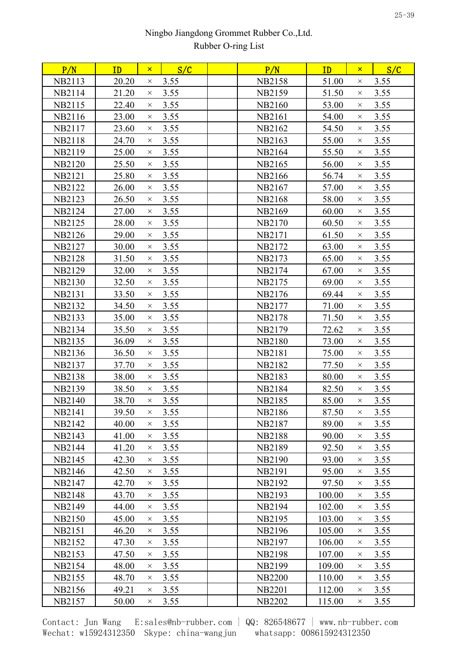| 20.20<br>3.55<br>3.55<br>NB2113<br><b>NB2158</b><br>51.00<br>$\times$<br>$\times$<br><b>NB2114</b><br>21.20<br>3.55<br><b>NB2159</b><br>51.50<br>3.55<br>$\times$<br>$\times$<br>NB2115<br>22.40<br>3.55<br><b>NB2160</b><br>53.00<br>3.55<br>$\times$<br>$\times$<br>23.00<br>3.55<br>3.55<br>NB2116<br>NB2161<br>54.00<br>$\times$<br>$\times$<br>3.55<br>NB2117<br>23.60<br>NB2162<br>54.50<br>3.55<br>$\times$<br>$\times$<br>24.70<br>3.55<br>3.55<br><b>NB2118</b><br>NB2163<br>55.00<br>$\times$<br>$\times$<br>3.55<br>3.55<br>NB2119<br>25.00<br>NB <sub>2164</sub><br>55.50<br>$\times$<br>$\times$<br>25.50<br>3.55<br>3.55<br><b>NB2120</b><br>NB2165<br>56.00<br>$\times$<br>$\times$<br><b>NB2121</b><br>25.80<br>3.55<br>56.74<br>3.55<br>NB2166<br>$\times$<br>$\times$<br><b>NB2122</b><br>26.00<br>3.55<br>NB2167<br>3.55<br>57.00<br>$\times$<br>$\times$<br><b>NB2123</b><br>26.50<br>3.55<br><b>NB2168</b><br>58.00<br>3.55<br>$\times$<br>$\times$<br>27.00<br>3.55<br><b>NB2124</b><br><b>NB2169</b><br>60.00<br>3.55<br>$\times$<br>$\times$<br><b>NB2125</b><br>28.00<br>3.55<br>60.50<br>3.55<br>NB2170<br>$\times$<br>$\times$<br>3.55<br>NB2126<br>29.00<br>61.50<br>3.55<br>NB2171<br>$\times$<br>$\times$<br>3.55<br>63.00<br>3.55<br>NB2127<br>30.00<br>NB2172<br>$\times$<br>$\times$<br><b>NB2128</b><br>3.55<br>3.55<br>31.50<br>NB2173<br>65.00<br>$\times$<br>$\times$<br>3.55<br>3.55<br><b>NB2129</b><br>32.00<br>NB2174<br>67.00<br>$\times$<br>$\times$<br>3.55<br>69.00<br>3.55<br><b>NB2130</b><br>32.50<br>NB <sub>2175</sub><br>$\times$<br>$\times$<br>3.55<br>NB2131<br>33.50<br>69.44<br>3.55<br>NB2176<br>$\times$<br>$\times$<br><b>NB2132</b><br>34.50<br>3.55<br>NB2177<br>71.00<br>3.55<br>$\times$<br>$\times$<br>3.55<br>NB2133<br>35.00<br>71.50<br>3.55<br>NB2178<br>$\times$<br>$\times$<br>NB2134<br>35.50<br>3.55<br>72.62<br>3.55<br>NB2179<br>$\times$<br>$\times$<br>3.55<br>3.55<br><b>NB2135</b><br>36.09<br><b>NB2180</b><br>73.00<br>$\times$<br>$\times$<br>3.55<br>3.55<br>NB2136<br>36.50<br>NB2181<br>75.00<br>$\times$<br>$\times$<br>3.55<br>3.55<br><b>NB2137</b><br>37.70<br>NB <sub>2182</sub><br>77.50<br>$\times$<br>$\times$<br>3.55<br>3.55<br><b>NB2138</b><br>38.00<br><b>NB2183</b><br>80.00<br>$\times$<br>$\times$<br><b>NB2139</b><br>38.50<br>3.55<br>NB2184<br>82.50<br>3.55<br>$\times$<br>$\times$<br>3.55<br>3.55<br>NB2140<br>38.70<br>NB <sub>2185</sub><br>85.00<br>$\times$<br>$\times$<br><b>NB2141</b><br>39.50<br>3.55<br><b>NB2186</b><br>87.50<br>3.55<br>$\times$<br>$\times$<br>NB2142<br>40.00<br>3.55<br>89.00<br>3.55<br><b>NB2187</b><br>$\times$<br>$\times$<br>41.00<br>3.55<br><b>NB2188</b><br>90.00<br>3.55<br>NB2143<br>$\times$<br>$\times$<br>3.55<br>3.55<br>NB2144<br>41.20<br><b>NB2189</b><br>92.50<br>$\times$<br>$\times$<br><b>NB2145</b><br>42.30<br>3.55<br>3.55<br><b>NB2190</b><br>93.00<br>$\times$<br>$\times$<br>3.55<br>95.00<br>3.55<br>NB <sub>2146</sub><br>42.50<br>NB2191<br>$\times$<br>$\times$<br><b>NB2147</b><br>42.70<br>3.55<br>3.55<br>NB2192<br>97.50<br>$\times$<br>$\times$<br><b>NB2148</b><br>3.55<br><b>NB2193</b><br>100.00<br>3.55<br>43.70<br>$\times$<br>$\times$<br>NB2149<br>44.00<br>3.55<br><b>NB2194</b><br>102.00<br>3.55<br>$\times$<br>$\times$<br>3.55<br>103.00<br>3.55<br><b>NB2150</b><br>45.00<br><b>NB2195</b><br>$\times$<br>$\times$<br><b>NB2151</b><br>3.55<br>NB2196<br>105.00<br>3.55<br>46.20<br>$\times$<br>$\times$<br>47.30<br>3.55<br>106.00<br>3.55<br><b>NB2152</b><br>NB2197<br>$\times$<br>$\times$<br>3.55<br>NB <sub>2153</sub><br>47.50<br><b>NB2198</b><br>107.00<br>3.55<br>$\times$<br>$\times$<br>3.55<br>NB2154<br><b>NB2199</b><br>109.00<br>3.55<br>48.00<br>$\times$<br>$\times$<br><b>NB2155</b><br><b>NB2200</b><br>110.00<br>48.70<br>3.55<br>3.55<br>$\times$<br>$\times$<br>49.21<br>3.55<br><b>NB2201</b><br>NB2156<br>112.00<br>3.55<br>$\times$<br>$\times$<br>NB2157<br><b>NB2202</b><br>115.00<br>50.00<br>3.55<br>3.55<br>$\times$<br>$\times$ | P/N | ID | $\mathsf{x}$ | S/C | P/N | ID | $\mathsf{x}$ | S/C |  |
|----------------------------------------------------------------------------------------------------------------------------------------------------------------------------------------------------------------------------------------------------------------------------------------------------------------------------------------------------------------------------------------------------------------------------------------------------------------------------------------------------------------------------------------------------------------------------------------------------------------------------------------------------------------------------------------------------------------------------------------------------------------------------------------------------------------------------------------------------------------------------------------------------------------------------------------------------------------------------------------------------------------------------------------------------------------------------------------------------------------------------------------------------------------------------------------------------------------------------------------------------------------------------------------------------------------------------------------------------------------------------------------------------------------------------------------------------------------------------------------------------------------------------------------------------------------------------------------------------------------------------------------------------------------------------------------------------------------------------------------------------------------------------------------------------------------------------------------------------------------------------------------------------------------------------------------------------------------------------------------------------------------------------------------------------------------------------------------------------------------------------------------------------------------------------------------------------------------------------------------------------------------------------------------------------------------------------------------------------------------------------------------------------------------------------------------------------------------------------------------------------------------------------------------------------------------------------------------------------------------------------------------------------------------------------------------------------------------------------------------------------------------------------------------------------------------------------------------------------------------------------------------------------------------------------------------------------------------------------------------------------------------------------------------------------------------------------------------------------------------------------------------------------------------------------------------------------------------------------------------------------------------------------------------------------------------------------------------------------------------------------------------------------------------------------------------------------------------------------------------------------------------------------------------------------------------------------------------------------------------------------------------------------------------------------------------------------------------------------------------------------------------------------------------------------------------------------------------------------------------------------------------------------------------------------------------------------------------------------------------------------------------------------------------------------------|-----|----|--------------|-----|-----|----|--------------|-----|--|
|                                                                                                                                                                                                                                                                                                                                                                                                                                                                                                                                                                                                                                                                                                                                                                                                                                                                                                                                                                                                                                                                                                                                                                                                                                                                                                                                                                                                                                                                                                                                                                                                                                                                                                                                                                                                                                                                                                                                                                                                                                                                                                                                                                                                                                                                                                                                                                                                                                                                                                                                                                                                                                                                                                                                                                                                                                                                                                                                                                                                                                                                                                                                                                                                                                                                                                                                                                                                                                                                                                                                                                                                                                                                                                                                                                                                                                                                                                                                                                                                                                                          |     |    |              |     |     |    |              |     |  |
|                                                                                                                                                                                                                                                                                                                                                                                                                                                                                                                                                                                                                                                                                                                                                                                                                                                                                                                                                                                                                                                                                                                                                                                                                                                                                                                                                                                                                                                                                                                                                                                                                                                                                                                                                                                                                                                                                                                                                                                                                                                                                                                                                                                                                                                                                                                                                                                                                                                                                                                                                                                                                                                                                                                                                                                                                                                                                                                                                                                                                                                                                                                                                                                                                                                                                                                                                                                                                                                                                                                                                                                                                                                                                                                                                                                                                                                                                                                                                                                                                                                          |     |    |              |     |     |    |              |     |  |
|                                                                                                                                                                                                                                                                                                                                                                                                                                                                                                                                                                                                                                                                                                                                                                                                                                                                                                                                                                                                                                                                                                                                                                                                                                                                                                                                                                                                                                                                                                                                                                                                                                                                                                                                                                                                                                                                                                                                                                                                                                                                                                                                                                                                                                                                                                                                                                                                                                                                                                                                                                                                                                                                                                                                                                                                                                                                                                                                                                                                                                                                                                                                                                                                                                                                                                                                                                                                                                                                                                                                                                                                                                                                                                                                                                                                                                                                                                                                                                                                                                                          |     |    |              |     |     |    |              |     |  |
|                                                                                                                                                                                                                                                                                                                                                                                                                                                                                                                                                                                                                                                                                                                                                                                                                                                                                                                                                                                                                                                                                                                                                                                                                                                                                                                                                                                                                                                                                                                                                                                                                                                                                                                                                                                                                                                                                                                                                                                                                                                                                                                                                                                                                                                                                                                                                                                                                                                                                                                                                                                                                                                                                                                                                                                                                                                                                                                                                                                                                                                                                                                                                                                                                                                                                                                                                                                                                                                                                                                                                                                                                                                                                                                                                                                                                                                                                                                                                                                                                                                          |     |    |              |     |     |    |              |     |  |
|                                                                                                                                                                                                                                                                                                                                                                                                                                                                                                                                                                                                                                                                                                                                                                                                                                                                                                                                                                                                                                                                                                                                                                                                                                                                                                                                                                                                                                                                                                                                                                                                                                                                                                                                                                                                                                                                                                                                                                                                                                                                                                                                                                                                                                                                                                                                                                                                                                                                                                                                                                                                                                                                                                                                                                                                                                                                                                                                                                                                                                                                                                                                                                                                                                                                                                                                                                                                                                                                                                                                                                                                                                                                                                                                                                                                                                                                                                                                                                                                                                                          |     |    |              |     |     |    |              |     |  |
|                                                                                                                                                                                                                                                                                                                                                                                                                                                                                                                                                                                                                                                                                                                                                                                                                                                                                                                                                                                                                                                                                                                                                                                                                                                                                                                                                                                                                                                                                                                                                                                                                                                                                                                                                                                                                                                                                                                                                                                                                                                                                                                                                                                                                                                                                                                                                                                                                                                                                                                                                                                                                                                                                                                                                                                                                                                                                                                                                                                                                                                                                                                                                                                                                                                                                                                                                                                                                                                                                                                                                                                                                                                                                                                                                                                                                                                                                                                                                                                                                                                          |     |    |              |     |     |    |              |     |  |
|                                                                                                                                                                                                                                                                                                                                                                                                                                                                                                                                                                                                                                                                                                                                                                                                                                                                                                                                                                                                                                                                                                                                                                                                                                                                                                                                                                                                                                                                                                                                                                                                                                                                                                                                                                                                                                                                                                                                                                                                                                                                                                                                                                                                                                                                                                                                                                                                                                                                                                                                                                                                                                                                                                                                                                                                                                                                                                                                                                                                                                                                                                                                                                                                                                                                                                                                                                                                                                                                                                                                                                                                                                                                                                                                                                                                                                                                                                                                                                                                                                                          |     |    |              |     |     |    |              |     |  |
|                                                                                                                                                                                                                                                                                                                                                                                                                                                                                                                                                                                                                                                                                                                                                                                                                                                                                                                                                                                                                                                                                                                                                                                                                                                                                                                                                                                                                                                                                                                                                                                                                                                                                                                                                                                                                                                                                                                                                                                                                                                                                                                                                                                                                                                                                                                                                                                                                                                                                                                                                                                                                                                                                                                                                                                                                                                                                                                                                                                                                                                                                                                                                                                                                                                                                                                                                                                                                                                                                                                                                                                                                                                                                                                                                                                                                                                                                                                                                                                                                                                          |     |    |              |     |     |    |              |     |  |
|                                                                                                                                                                                                                                                                                                                                                                                                                                                                                                                                                                                                                                                                                                                                                                                                                                                                                                                                                                                                                                                                                                                                                                                                                                                                                                                                                                                                                                                                                                                                                                                                                                                                                                                                                                                                                                                                                                                                                                                                                                                                                                                                                                                                                                                                                                                                                                                                                                                                                                                                                                                                                                                                                                                                                                                                                                                                                                                                                                                                                                                                                                                                                                                                                                                                                                                                                                                                                                                                                                                                                                                                                                                                                                                                                                                                                                                                                                                                                                                                                                                          |     |    |              |     |     |    |              |     |  |
|                                                                                                                                                                                                                                                                                                                                                                                                                                                                                                                                                                                                                                                                                                                                                                                                                                                                                                                                                                                                                                                                                                                                                                                                                                                                                                                                                                                                                                                                                                                                                                                                                                                                                                                                                                                                                                                                                                                                                                                                                                                                                                                                                                                                                                                                                                                                                                                                                                                                                                                                                                                                                                                                                                                                                                                                                                                                                                                                                                                                                                                                                                                                                                                                                                                                                                                                                                                                                                                                                                                                                                                                                                                                                                                                                                                                                                                                                                                                                                                                                                                          |     |    |              |     |     |    |              |     |  |
|                                                                                                                                                                                                                                                                                                                                                                                                                                                                                                                                                                                                                                                                                                                                                                                                                                                                                                                                                                                                                                                                                                                                                                                                                                                                                                                                                                                                                                                                                                                                                                                                                                                                                                                                                                                                                                                                                                                                                                                                                                                                                                                                                                                                                                                                                                                                                                                                                                                                                                                                                                                                                                                                                                                                                                                                                                                                                                                                                                                                                                                                                                                                                                                                                                                                                                                                                                                                                                                                                                                                                                                                                                                                                                                                                                                                                                                                                                                                                                                                                                                          |     |    |              |     |     |    |              |     |  |
|                                                                                                                                                                                                                                                                                                                                                                                                                                                                                                                                                                                                                                                                                                                                                                                                                                                                                                                                                                                                                                                                                                                                                                                                                                                                                                                                                                                                                                                                                                                                                                                                                                                                                                                                                                                                                                                                                                                                                                                                                                                                                                                                                                                                                                                                                                                                                                                                                                                                                                                                                                                                                                                                                                                                                                                                                                                                                                                                                                                                                                                                                                                                                                                                                                                                                                                                                                                                                                                                                                                                                                                                                                                                                                                                                                                                                                                                                                                                                                                                                                                          |     |    |              |     |     |    |              |     |  |
|                                                                                                                                                                                                                                                                                                                                                                                                                                                                                                                                                                                                                                                                                                                                                                                                                                                                                                                                                                                                                                                                                                                                                                                                                                                                                                                                                                                                                                                                                                                                                                                                                                                                                                                                                                                                                                                                                                                                                                                                                                                                                                                                                                                                                                                                                                                                                                                                                                                                                                                                                                                                                                                                                                                                                                                                                                                                                                                                                                                                                                                                                                                                                                                                                                                                                                                                                                                                                                                                                                                                                                                                                                                                                                                                                                                                                                                                                                                                                                                                                                                          |     |    |              |     |     |    |              |     |  |
|                                                                                                                                                                                                                                                                                                                                                                                                                                                                                                                                                                                                                                                                                                                                                                                                                                                                                                                                                                                                                                                                                                                                                                                                                                                                                                                                                                                                                                                                                                                                                                                                                                                                                                                                                                                                                                                                                                                                                                                                                                                                                                                                                                                                                                                                                                                                                                                                                                                                                                                                                                                                                                                                                                                                                                                                                                                                                                                                                                                                                                                                                                                                                                                                                                                                                                                                                                                                                                                                                                                                                                                                                                                                                                                                                                                                                                                                                                                                                                                                                                                          |     |    |              |     |     |    |              |     |  |
|                                                                                                                                                                                                                                                                                                                                                                                                                                                                                                                                                                                                                                                                                                                                                                                                                                                                                                                                                                                                                                                                                                                                                                                                                                                                                                                                                                                                                                                                                                                                                                                                                                                                                                                                                                                                                                                                                                                                                                                                                                                                                                                                                                                                                                                                                                                                                                                                                                                                                                                                                                                                                                                                                                                                                                                                                                                                                                                                                                                                                                                                                                                                                                                                                                                                                                                                                                                                                                                                                                                                                                                                                                                                                                                                                                                                                                                                                                                                                                                                                                                          |     |    |              |     |     |    |              |     |  |
|                                                                                                                                                                                                                                                                                                                                                                                                                                                                                                                                                                                                                                                                                                                                                                                                                                                                                                                                                                                                                                                                                                                                                                                                                                                                                                                                                                                                                                                                                                                                                                                                                                                                                                                                                                                                                                                                                                                                                                                                                                                                                                                                                                                                                                                                                                                                                                                                                                                                                                                                                                                                                                                                                                                                                                                                                                                                                                                                                                                                                                                                                                                                                                                                                                                                                                                                                                                                                                                                                                                                                                                                                                                                                                                                                                                                                                                                                                                                                                                                                                                          |     |    |              |     |     |    |              |     |  |
|                                                                                                                                                                                                                                                                                                                                                                                                                                                                                                                                                                                                                                                                                                                                                                                                                                                                                                                                                                                                                                                                                                                                                                                                                                                                                                                                                                                                                                                                                                                                                                                                                                                                                                                                                                                                                                                                                                                                                                                                                                                                                                                                                                                                                                                                                                                                                                                                                                                                                                                                                                                                                                                                                                                                                                                                                                                                                                                                                                                                                                                                                                                                                                                                                                                                                                                                                                                                                                                                                                                                                                                                                                                                                                                                                                                                                                                                                                                                                                                                                                                          |     |    |              |     |     |    |              |     |  |
|                                                                                                                                                                                                                                                                                                                                                                                                                                                                                                                                                                                                                                                                                                                                                                                                                                                                                                                                                                                                                                                                                                                                                                                                                                                                                                                                                                                                                                                                                                                                                                                                                                                                                                                                                                                                                                                                                                                                                                                                                                                                                                                                                                                                                                                                                                                                                                                                                                                                                                                                                                                                                                                                                                                                                                                                                                                                                                                                                                                                                                                                                                                                                                                                                                                                                                                                                                                                                                                                                                                                                                                                                                                                                                                                                                                                                                                                                                                                                                                                                                                          |     |    |              |     |     |    |              |     |  |
|                                                                                                                                                                                                                                                                                                                                                                                                                                                                                                                                                                                                                                                                                                                                                                                                                                                                                                                                                                                                                                                                                                                                                                                                                                                                                                                                                                                                                                                                                                                                                                                                                                                                                                                                                                                                                                                                                                                                                                                                                                                                                                                                                                                                                                                                                                                                                                                                                                                                                                                                                                                                                                                                                                                                                                                                                                                                                                                                                                                                                                                                                                                                                                                                                                                                                                                                                                                                                                                                                                                                                                                                                                                                                                                                                                                                                                                                                                                                                                                                                                                          |     |    |              |     |     |    |              |     |  |
|                                                                                                                                                                                                                                                                                                                                                                                                                                                                                                                                                                                                                                                                                                                                                                                                                                                                                                                                                                                                                                                                                                                                                                                                                                                                                                                                                                                                                                                                                                                                                                                                                                                                                                                                                                                                                                                                                                                                                                                                                                                                                                                                                                                                                                                                                                                                                                                                                                                                                                                                                                                                                                                                                                                                                                                                                                                                                                                                                                                                                                                                                                                                                                                                                                                                                                                                                                                                                                                                                                                                                                                                                                                                                                                                                                                                                                                                                                                                                                                                                                                          |     |    |              |     |     |    |              |     |  |
|                                                                                                                                                                                                                                                                                                                                                                                                                                                                                                                                                                                                                                                                                                                                                                                                                                                                                                                                                                                                                                                                                                                                                                                                                                                                                                                                                                                                                                                                                                                                                                                                                                                                                                                                                                                                                                                                                                                                                                                                                                                                                                                                                                                                                                                                                                                                                                                                                                                                                                                                                                                                                                                                                                                                                                                                                                                                                                                                                                                                                                                                                                                                                                                                                                                                                                                                                                                                                                                                                                                                                                                                                                                                                                                                                                                                                                                                                                                                                                                                                                                          |     |    |              |     |     |    |              |     |  |
|                                                                                                                                                                                                                                                                                                                                                                                                                                                                                                                                                                                                                                                                                                                                                                                                                                                                                                                                                                                                                                                                                                                                                                                                                                                                                                                                                                                                                                                                                                                                                                                                                                                                                                                                                                                                                                                                                                                                                                                                                                                                                                                                                                                                                                                                                                                                                                                                                                                                                                                                                                                                                                                                                                                                                                                                                                                                                                                                                                                                                                                                                                                                                                                                                                                                                                                                                                                                                                                                                                                                                                                                                                                                                                                                                                                                                                                                                                                                                                                                                                                          |     |    |              |     |     |    |              |     |  |
|                                                                                                                                                                                                                                                                                                                                                                                                                                                                                                                                                                                                                                                                                                                                                                                                                                                                                                                                                                                                                                                                                                                                                                                                                                                                                                                                                                                                                                                                                                                                                                                                                                                                                                                                                                                                                                                                                                                                                                                                                                                                                                                                                                                                                                                                                                                                                                                                                                                                                                                                                                                                                                                                                                                                                                                                                                                                                                                                                                                                                                                                                                                                                                                                                                                                                                                                                                                                                                                                                                                                                                                                                                                                                                                                                                                                                                                                                                                                                                                                                                                          |     |    |              |     |     |    |              |     |  |
|                                                                                                                                                                                                                                                                                                                                                                                                                                                                                                                                                                                                                                                                                                                                                                                                                                                                                                                                                                                                                                                                                                                                                                                                                                                                                                                                                                                                                                                                                                                                                                                                                                                                                                                                                                                                                                                                                                                                                                                                                                                                                                                                                                                                                                                                                                                                                                                                                                                                                                                                                                                                                                                                                                                                                                                                                                                                                                                                                                                                                                                                                                                                                                                                                                                                                                                                                                                                                                                                                                                                                                                                                                                                                                                                                                                                                                                                                                                                                                                                                                                          |     |    |              |     |     |    |              |     |  |
|                                                                                                                                                                                                                                                                                                                                                                                                                                                                                                                                                                                                                                                                                                                                                                                                                                                                                                                                                                                                                                                                                                                                                                                                                                                                                                                                                                                                                                                                                                                                                                                                                                                                                                                                                                                                                                                                                                                                                                                                                                                                                                                                                                                                                                                                                                                                                                                                                                                                                                                                                                                                                                                                                                                                                                                                                                                                                                                                                                                                                                                                                                                                                                                                                                                                                                                                                                                                                                                                                                                                                                                                                                                                                                                                                                                                                                                                                                                                                                                                                                                          |     |    |              |     |     |    |              |     |  |
|                                                                                                                                                                                                                                                                                                                                                                                                                                                                                                                                                                                                                                                                                                                                                                                                                                                                                                                                                                                                                                                                                                                                                                                                                                                                                                                                                                                                                                                                                                                                                                                                                                                                                                                                                                                                                                                                                                                                                                                                                                                                                                                                                                                                                                                                                                                                                                                                                                                                                                                                                                                                                                                                                                                                                                                                                                                                                                                                                                                                                                                                                                                                                                                                                                                                                                                                                                                                                                                                                                                                                                                                                                                                                                                                                                                                                                                                                                                                                                                                                                                          |     |    |              |     |     |    |              |     |  |
|                                                                                                                                                                                                                                                                                                                                                                                                                                                                                                                                                                                                                                                                                                                                                                                                                                                                                                                                                                                                                                                                                                                                                                                                                                                                                                                                                                                                                                                                                                                                                                                                                                                                                                                                                                                                                                                                                                                                                                                                                                                                                                                                                                                                                                                                                                                                                                                                                                                                                                                                                                                                                                                                                                                                                                                                                                                                                                                                                                                                                                                                                                                                                                                                                                                                                                                                                                                                                                                                                                                                                                                                                                                                                                                                                                                                                                                                                                                                                                                                                                                          |     |    |              |     |     |    |              |     |  |
|                                                                                                                                                                                                                                                                                                                                                                                                                                                                                                                                                                                                                                                                                                                                                                                                                                                                                                                                                                                                                                                                                                                                                                                                                                                                                                                                                                                                                                                                                                                                                                                                                                                                                                                                                                                                                                                                                                                                                                                                                                                                                                                                                                                                                                                                                                                                                                                                                                                                                                                                                                                                                                                                                                                                                                                                                                                                                                                                                                                                                                                                                                                                                                                                                                                                                                                                                                                                                                                                                                                                                                                                                                                                                                                                                                                                                                                                                                                                                                                                                                                          |     |    |              |     |     |    |              |     |  |
|                                                                                                                                                                                                                                                                                                                                                                                                                                                                                                                                                                                                                                                                                                                                                                                                                                                                                                                                                                                                                                                                                                                                                                                                                                                                                                                                                                                                                                                                                                                                                                                                                                                                                                                                                                                                                                                                                                                                                                                                                                                                                                                                                                                                                                                                                                                                                                                                                                                                                                                                                                                                                                                                                                                                                                                                                                                                                                                                                                                                                                                                                                                                                                                                                                                                                                                                                                                                                                                                                                                                                                                                                                                                                                                                                                                                                                                                                                                                                                                                                                                          |     |    |              |     |     |    |              |     |  |
|                                                                                                                                                                                                                                                                                                                                                                                                                                                                                                                                                                                                                                                                                                                                                                                                                                                                                                                                                                                                                                                                                                                                                                                                                                                                                                                                                                                                                                                                                                                                                                                                                                                                                                                                                                                                                                                                                                                                                                                                                                                                                                                                                                                                                                                                                                                                                                                                                                                                                                                                                                                                                                                                                                                                                                                                                                                                                                                                                                                                                                                                                                                                                                                                                                                                                                                                                                                                                                                                                                                                                                                                                                                                                                                                                                                                                                                                                                                                                                                                                                                          |     |    |              |     |     |    |              |     |  |
|                                                                                                                                                                                                                                                                                                                                                                                                                                                                                                                                                                                                                                                                                                                                                                                                                                                                                                                                                                                                                                                                                                                                                                                                                                                                                                                                                                                                                                                                                                                                                                                                                                                                                                                                                                                                                                                                                                                                                                                                                                                                                                                                                                                                                                                                                                                                                                                                                                                                                                                                                                                                                                                                                                                                                                                                                                                                                                                                                                                                                                                                                                                                                                                                                                                                                                                                                                                                                                                                                                                                                                                                                                                                                                                                                                                                                                                                                                                                                                                                                                                          |     |    |              |     |     |    |              |     |  |
|                                                                                                                                                                                                                                                                                                                                                                                                                                                                                                                                                                                                                                                                                                                                                                                                                                                                                                                                                                                                                                                                                                                                                                                                                                                                                                                                                                                                                                                                                                                                                                                                                                                                                                                                                                                                                                                                                                                                                                                                                                                                                                                                                                                                                                                                                                                                                                                                                                                                                                                                                                                                                                                                                                                                                                                                                                                                                                                                                                                                                                                                                                                                                                                                                                                                                                                                                                                                                                                                                                                                                                                                                                                                                                                                                                                                                                                                                                                                                                                                                                                          |     |    |              |     |     |    |              |     |  |
|                                                                                                                                                                                                                                                                                                                                                                                                                                                                                                                                                                                                                                                                                                                                                                                                                                                                                                                                                                                                                                                                                                                                                                                                                                                                                                                                                                                                                                                                                                                                                                                                                                                                                                                                                                                                                                                                                                                                                                                                                                                                                                                                                                                                                                                                                                                                                                                                                                                                                                                                                                                                                                                                                                                                                                                                                                                                                                                                                                                                                                                                                                                                                                                                                                                                                                                                                                                                                                                                                                                                                                                                                                                                                                                                                                                                                                                                                                                                                                                                                                                          |     |    |              |     |     |    |              |     |  |
|                                                                                                                                                                                                                                                                                                                                                                                                                                                                                                                                                                                                                                                                                                                                                                                                                                                                                                                                                                                                                                                                                                                                                                                                                                                                                                                                                                                                                                                                                                                                                                                                                                                                                                                                                                                                                                                                                                                                                                                                                                                                                                                                                                                                                                                                                                                                                                                                                                                                                                                                                                                                                                                                                                                                                                                                                                                                                                                                                                                                                                                                                                                                                                                                                                                                                                                                                                                                                                                                                                                                                                                                                                                                                                                                                                                                                                                                                                                                                                                                                                                          |     |    |              |     |     |    |              |     |  |
|                                                                                                                                                                                                                                                                                                                                                                                                                                                                                                                                                                                                                                                                                                                                                                                                                                                                                                                                                                                                                                                                                                                                                                                                                                                                                                                                                                                                                                                                                                                                                                                                                                                                                                                                                                                                                                                                                                                                                                                                                                                                                                                                                                                                                                                                                                                                                                                                                                                                                                                                                                                                                                                                                                                                                                                                                                                                                                                                                                                                                                                                                                                                                                                                                                                                                                                                                                                                                                                                                                                                                                                                                                                                                                                                                                                                                                                                                                                                                                                                                                                          |     |    |              |     |     |    |              |     |  |
|                                                                                                                                                                                                                                                                                                                                                                                                                                                                                                                                                                                                                                                                                                                                                                                                                                                                                                                                                                                                                                                                                                                                                                                                                                                                                                                                                                                                                                                                                                                                                                                                                                                                                                                                                                                                                                                                                                                                                                                                                                                                                                                                                                                                                                                                                                                                                                                                                                                                                                                                                                                                                                                                                                                                                                                                                                                                                                                                                                                                                                                                                                                                                                                                                                                                                                                                                                                                                                                                                                                                                                                                                                                                                                                                                                                                                                                                                                                                                                                                                                                          |     |    |              |     |     |    |              |     |  |
|                                                                                                                                                                                                                                                                                                                                                                                                                                                                                                                                                                                                                                                                                                                                                                                                                                                                                                                                                                                                                                                                                                                                                                                                                                                                                                                                                                                                                                                                                                                                                                                                                                                                                                                                                                                                                                                                                                                                                                                                                                                                                                                                                                                                                                                                                                                                                                                                                                                                                                                                                                                                                                                                                                                                                                                                                                                                                                                                                                                                                                                                                                                                                                                                                                                                                                                                                                                                                                                                                                                                                                                                                                                                                                                                                                                                                                                                                                                                                                                                                                                          |     |    |              |     |     |    |              |     |  |
|                                                                                                                                                                                                                                                                                                                                                                                                                                                                                                                                                                                                                                                                                                                                                                                                                                                                                                                                                                                                                                                                                                                                                                                                                                                                                                                                                                                                                                                                                                                                                                                                                                                                                                                                                                                                                                                                                                                                                                                                                                                                                                                                                                                                                                                                                                                                                                                                                                                                                                                                                                                                                                                                                                                                                                                                                                                                                                                                                                                                                                                                                                                                                                                                                                                                                                                                                                                                                                                                                                                                                                                                                                                                                                                                                                                                                                                                                                                                                                                                                                                          |     |    |              |     |     |    |              |     |  |
|                                                                                                                                                                                                                                                                                                                                                                                                                                                                                                                                                                                                                                                                                                                                                                                                                                                                                                                                                                                                                                                                                                                                                                                                                                                                                                                                                                                                                                                                                                                                                                                                                                                                                                                                                                                                                                                                                                                                                                                                                                                                                                                                                                                                                                                                                                                                                                                                                                                                                                                                                                                                                                                                                                                                                                                                                                                                                                                                                                                                                                                                                                                                                                                                                                                                                                                                                                                                                                                                                                                                                                                                                                                                                                                                                                                                                                                                                                                                                                                                                                                          |     |    |              |     |     |    |              |     |  |
|                                                                                                                                                                                                                                                                                                                                                                                                                                                                                                                                                                                                                                                                                                                                                                                                                                                                                                                                                                                                                                                                                                                                                                                                                                                                                                                                                                                                                                                                                                                                                                                                                                                                                                                                                                                                                                                                                                                                                                                                                                                                                                                                                                                                                                                                                                                                                                                                                                                                                                                                                                                                                                                                                                                                                                                                                                                                                                                                                                                                                                                                                                                                                                                                                                                                                                                                                                                                                                                                                                                                                                                                                                                                                                                                                                                                                                                                                                                                                                                                                                                          |     |    |              |     |     |    |              |     |  |
|                                                                                                                                                                                                                                                                                                                                                                                                                                                                                                                                                                                                                                                                                                                                                                                                                                                                                                                                                                                                                                                                                                                                                                                                                                                                                                                                                                                                                                                                                                                                                                                                                                                                                                                                                                                                                                                                                                                                                                                                                                                                                                                                                                                                                                                                                                                                                                                                                                                                                                                                                                                                                                                                                                                                                                                                                                                                                                                                                                                                                                                                                                                                                                                                                                                                                                                                                                                                                                                                                                                                                                                                                                                                                                                                                                                                                                                                                                                                                                                                                                                          |     |    |              |     |     |    |              |     |  |
|                                                                                                                                                                                                                                                                                                                                                                                                                                                                                                                                                                                                                                                                                                                                                                                                                                                                                                                                                                                                                                                                                                                                                                                                                                                                                                                                                                                                                                                                                                                                                                                                                                                                                                                                                                                                                                                                                                                                                                                                                                                                                                                                                                                                                                                                                                                                                                                                                                                                                                                                                                                                                                                                                                                                                                                                                                                                                                                                                                                                                                                                                                                                                                                                                                                                                                                                                                                                                                                                                                                                                                                                                                                                                                                                                                                                                                                                                                                                                                                                                                                          |     |    |              |     |     |    |              |     |  |
|                                                                                                                                                                                                                                                                                                                                                                                                                                                                                                                                                                                                                                                                                                                                                                                                                                                                                                                                                                                                                                                                                                                                                                                                                                                                                                                                                                                                                                                                                                                                                                                                                                                                                                                                                                                                                                                                                                                                                                                                                                                                                                                                                                                                                                                                                                                                                                                                                                                                                                                                                                                                                                                                                                                                                                                                                                                                                                                                                                                                                                                                                                                                                                                                                                                                                                                                                                                                                                                                                                                                                                                                                                                                                                                                                                                                                                                                                                                                                                                                                                                          |     |    |              |     |     |    |              |     |  |
|                                                                                                                                                                                                                                                                                                                                                                                                                                                                                                                                                                                                                                                                                                                                                                                                                                                                                                                                                                                                                                                                                                                                                                                                                                                                                                                                                                                                                                                                                                                                                                                                                                                                                                                                                                                                                                                                                                                                                                                                                                                                                                                                                                                                                                                                                                                                                                                                                                                                                                                                                                                                                                                                                                                                                                                                                                                                                                                                                                                                                                                                                                                                                                                                                                                                                                                                                                                                                                                                                                                                                                                                                                                                                                                                                                                                                                                                                                                                                                                                                                                          |     |    |              |     |     |    |              |     |  |
|                                                                                                                                                                                                                                                                                                                                                                                                                                                                                                                                                                                                                                                                                                                                                                                                                                                                                                                                                                                                                                                                                                                                                                                                                                                                                                                                                                                                                                                                                                                                                                                                                                                                                                                                                                                                                                                                                                                                                                                                                                                                                                                                                                                                                                                                                                                                                                                                                                                                                                                                                                                                                                                                                                                                                                                                                                                                                                                                                                                                                                                                                                                                                                                                                                                                                                                                                                                                                                                                                                                                                                                                                                                                                                                                                                                                                                                                                                                                                                                                                                                          |     |    |              |     |     |    |              |     |  |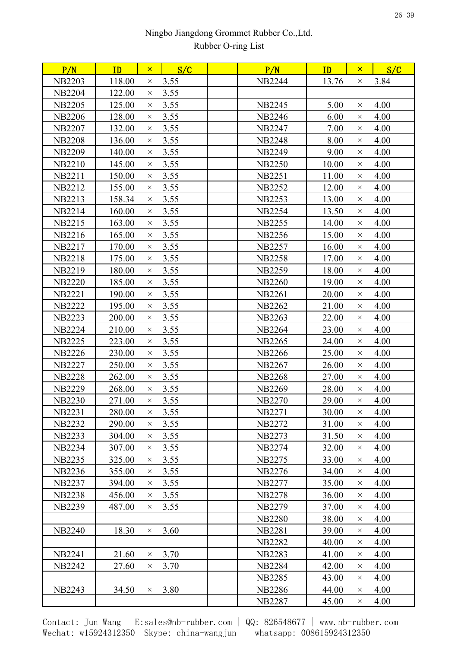| P/N           | ID     | $\mathsf{x}$ | S/C  | P/N           | ID    | $\mathsf{x}$ | S/C  |
|---------------|--------|--------------|------|---------------|-------|--------------|------|
| <b>NB2203</b> | 118.00 | $\times$     | 3.55 | <b>NB2244</b> | 13.76 | $\times$     | 3.84 |
| <b>NB2204</b> | 122.00 | $\times$     | 3.55 |               |       |              |      |
| <b>NB2205</b> | 125.00 | $\times$     | 3.55 | <b>NB2245</b> | 5.00  | $\times$     | 4.00 |
| <b>NB2206</b> | 128.00 | $\times$     | 3.55 | <b>NB2246</b> | 6.00  | $\times$     | 4.00 |
| <b>NB2207</b> | 132.00 | $\times$     | 3.55 | NB2247        | 7.00  | $\times$     | 4.00 |
| <b>NB2208</b> | 136.00 | $\times$     | 3.55 | <b>NB2248</b> | 8.00  | $\times$     | 4.00 |
| <b>NB2209</b> | 140.00 | $\times$     | 3.55 | <b>NB2249</b> | 9.00  | $\times$     | 4.00 |
| <b>NB2210</b> | 145.00 | $\times$     | 3.55 | <b>NB2250</b> | 10.00 | $\times$     | 4.00 |
| <b>NB2211</b> | 150.00 | $\times$     | 3.55 | <b>NB2251</b> | 11.00 | $\times$     | 4.00 |
| <b>NB2212</b> | 155.00 | $\times$     | 3.55 | <b>NB2252</b> | 12.00 | $\times$     | 4.00 |
| <b>NB2213</b> | 158.34 | $\times$     | 3.55 | <b>NB2253</b> | 13.00 | $\times$     | 4.00 |
| <b>NB2214</b> | 160.00 | $\times$     | 3.55 | <b>NB2254</b> | 13.50 | $\times$     | 4.00 |
| <b>NB2215</b> | 163.00 | $\times$     | 3.55 | <b>NB2255</b> | 14.00 | $\times$     | 4.00 |
| <b>NB2216</b> | 165.00 | $\times$     | 3.55 | <b>NB2256</b> | 15.00 | $\times$     | 4.00 |
| <b>NB2217</b> | 170.00 | $\times$     | 3.55 | <b>NB2257</b> | 16.00 | $\times$     | 4.00 |
| <b>NB2218</b> | 175.00 | $\times$     | 3.55 | <b>NB2258</b> | 17.00 | $\times$     | 4.00 |
| <b>NB2219</b> | 180.00 | $\times$     | 3.55 | <b>NB2259</b> | 18.00 | $\times$     | 4.00 |
| <b>NB2220</b> | 185.00 | $\times$     | 3.55 | <b>NB2260</b> | 19.00 | $\times$     | 4.00 |
| <b>NB2221</b> | 190.00 | $\times$     | 3.55 | <b>NB2261</b> | 20.00 | $\times$     | 4.00 |
| <b>NB2222</b> | 195.00 | $\times$     | 3.55 | <b>NB2262</b> | 21.00 | $\times$     | 4.00 |
| <b>NB2223</b> | 200.00 | $\times$     | 3.55 | <b>NB2263</b> | 22.00 | $\times$     | 4.00 |
| <b>NB2224</b> | 210.00 | $\times$     | 3.55 | <b>NB2264</b> | 23.00 | $\times$     | 4.00 |
| <b>NB2225</b> | 223.00 | $\times$     | 3.55 | <b>NB2265</b> | 24.00 | $\times$     | 4.00 |
| <b>NB2226</b> | 230.00 | $\times$     | 3.55 | <b>NB2266</b> | 25.00 | $\times$     | 4.00 |
| <b>NB2227</b> | 250.00 | $\times$     | 3.55 | <b>NB2267</b> | 26.00 | $\times$     | 4.00 |
| <b>NB2228</b> | 262.00 | $\times$     | 3.55 | <b>NB2268</b> | 27.00 | $\times$     | 4.00 |
| <b>NB2229</b> | 268.00 | $\times$     | 3.55 | <b>NB2269</b> | 28.00 | $\times$     | 4.00 |
| <b>NB2230</b> | 271.00 | $\times$     | 3.55 | <b>NB2270</b> | 29.00 | $\times$     | 4.00 |
| <b>NB2231</b> | 280.00 | $\times$     | 3.55 | <b>NB2271</b> | 30.00 | $\times$     | 4.00 |
| <b>NB2232</b> | 290.00 | $\times$     | 3.55 | <b>NB2272</b> | 31.00 | $\times$     | 4.00 |
| <b>NB2233</b> | 304.00 | $\times$     | 3.55 | <b>NB2273</b> | 31.50 | $\times$     | 4.00 |
| <b>NB2234</b> | 307.00 | $\times$     | 3.55 | <b>NB2274</b> | 32.00 | $\times$     | 4.00 |
| <b>NB2235</b> | 325.00 | $\times$     | 3.55 | <b>NB2275</b> | 33.00 | $\times$     | 4.00 |
| <b>NB2236</b> | 355.00 | $\times$     | 3.55 | <b>NB2276</b> | 34.00 | $\times$     | 4.00 |
| <b>NB2237</b> | 394.00 | $\times$     | 3.55 | <b>NB2277</b> | 35.00 | $\times$     | 4.00 |
| <b>NB2238</b> | 456.00 | $\times$     | 3.55 | <b>NB2278</b> | 36.00 | $\times$     | 4.00 |
| <b>NB2239</b> | 487.00 | $\times$     | 3.55 | <b>NB2279</b> | 37.00 | $\times$     | 4.00 |
|               |        |              |      | <b>NB2280</b> | 38.00 | $\times$     | 4.00 |
| <b>NB2240</b> | 18.30  | $\times$     | 3.60 | <b>NB2281</b> | 39.00 | $\times$     | 4.00 |
|               |        |              |      | <b>NB2282</b> | 40.00 | $\times$     | 4.00 |
| NB2241        | 21.60  | $\times$     | 3.70 | <b>NB2283</b> | 41.00 | $\times$     | 4.00 |
| <b>NB2242</b> | 27.60  | $\times$     | 3.70 | <b>NB2284</b> | 42.00 | $\times$     | 4.00 |
|               |        |              |      | <b>NB2285</b> | 43.00 | $\times$     | 4.00 |
| <b>NB2243</b> | 34.50  | $\times$     | 3.80 | <b>NB2286</b> | 44.00 | $\times$     | 4.00 |
|               |        |              |      | <b>NB2287</b> | 45.00 | X            | 4.00 |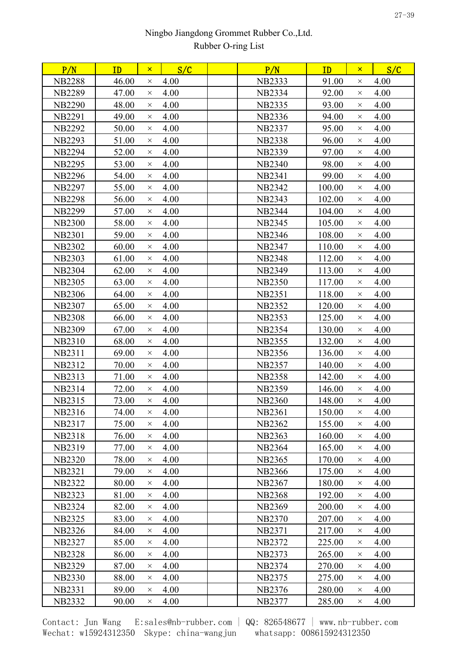| 46.00<br>4.00<br>91.00<br>4.00<br><b>NB2288</b><br><b>NB2333</b><br>$\times$<br>$\times$<br>4.00<br><b>NB2289</b><br>47.00<br><b>NB2334</b><br>92.00<br>4.00<br>$\times$<br>$\times$<br>4.00<br>4.00<br><b>NB2290</b><br>48.00<br><b>NB2335</b><br>93.00<br>$\times$<br>$\times$<br>4.00<br>4.00<br>49.00<br><b>NB2336</b><br>94.00<br><b>NB2291</b><br>$\times$<br>$\times$<br>4.00<br><b>NB2292</b><br>50.00<br><b>NB2337</b><br>95.00<br>4.00<br>$\times$<br>$\times$<br>4.00<br>51.00<br>96.00<br>4.00<br><b>NB2293</b><br><b>NB2338</b><br>$\times$<br>$\times$<br>4.00<br>97.00<br>4.00<br><b>NB2294</b><br>52.00<br><b>NB2339</b><br>$\times$<br>$\times$<br>4.00<br>4.00<br>98.00<br><b>NB2295</b><br>53.00<br><b>NB2340</b><br>$\times$<br>$\times$<br>4.00<br>99.00<br>4.00<br><b>NB2296</b><br>54.00<br><b>NB2341</b><br>$\times$<br>$\times$<br><b>NB2297</b><br>55.00<br>4.00<br><b>NB2342</b><br>100.00<br>4.00<br>$\times$<br>$\times$<br>4.00<br>4.00<br><b>NB2298</b><br>56.00<br><b>NB2343</b><br>102.00<br>$\times$<br>$\times$<br><b>NB2299</b><br>57.00<br>4.00<br><b>NB2344</b><br>104.00<br>4.00<br>$\times$<br>$\times$<br>4.00<br><b>NB2300</b><br>58.00<br><b>NB2345</b><br>105.00<br>4.00<br>$\times$<br>$\times$<br>108.00<br><b>NB2301</b><br>59.00<br>4.00<br><b>NB2346</b><br>4.00<br>$\times$<br>$\times$<br>4.00<br>4.00<br><b>NB2302</b><br>60.00<br><b>NB2347</b><br>110.00<br>$\times$<br>$\times$<br>4.00<br>112.00<br>4.00<br><b>NB2303</b><br>61.00<br><b>NB2348</b><br>$\times$<br>$\times$<br>4.00<br>113.00<br>4.00<br><b>NB2304</b><br>62.00<br><b>NB2349</b><br>$\times$<br>$\times$<br><b>NB2305</b><br>4.00<br>4.00<br>63.00<br><b>NB2350</b><br>117.00<br>$\times$<br>$\times$<br><b>NB2306</b><br>4.00<br><b>NB2351</b><br>118.00<br>4.00<br>64.00<br>$\times$<br>$\times$<br>4.00<br>65.00<br>120.00<br>4.00<br><b>NB2307</b><br><b>NB2352</b><br>$\times$<br>$\times$<br><b>NB2308</b><br>66.00<br>4.00<br><b>NB2353</b><br>125.00<br>4.00<br>$\times$<br>$\times$<br>4.00<br><b>NB2309</b><br>67.00<br><b>NB2354</b><br>130.00<br>4.00<br>$\times$<br>$\times$<br>NB2310<br>68.00<br>4.00<br>132.00<br>4.00<br><b>NB2355</b><br>$\times$<br>$\times$<br>4.00<br>4.00<br><b>NB2311</b><br>69.00<br><b>NB2356</b><br>136.00<br>$\times$<br>$\times$<br>NB2312<br>70.00<br>4.00<br>140.00<br>4.00<br><b>NB2357</b><br>$\times$<br>$\times$<br>71.00<br>4.00<br>142.00<br>4.00<br><b>NB2313</b><br><b>NB2358</b><br>$\times$<br>$\times$<br>4.00<br>NB2314<br>72.00<br><b>NB2359</b><br>146.00<br>4.00<br>$\times$<br>$\times$<br><b>NB2315</b><br>4.00<br><b>NB2360</b><br>148.00<br>4.00<br>73.00<br>$\times$<br>$\times$<br>NB2316<br>74.00<br>4.00<br><b>NB2361</b><br>150.00<br>4.00<br>$\times$<br>$\times$<br>75.00<br>4.00<br>155.00<br>4.00<br>NB2317<br><b>NB2362</b><br>$\times$<br>$\times$<br>4.00<br>76.00<br><b>NB2363</b><br>160.00<br>4.00<br><b>NB2318</b><br>X<br>$\times$<br>77.00<br>4.00<br>165.00<br>4.00<br><b>NB2319</b><br><b>NB2364</b><br>$\times$<br>$\times$<br>4.00<br>170.00<br>4.00<br><b>NB2320</b><br>78.00<br><b>NB2365</b><br>$\times$<br>$\times$<br>4.00<br>175.00<br>4.00<br><b>NB2321</b><br>79.00<br><b>NB2366</b><br>$\times$<br>$\times$<br><b>NB2322</b><br>80.00<br>4.00<br><b>NB2367</b><br>180.00<br>4.00<br>$\times$<br>$\times$<br><b>NB2323</b><br>81.00<br>4.00<br><b>NB2368</b><br>192.00<br>4.00<br>$\times$<br>$\times$<br><b>NB2324</b><br>82.00<br>4.00<br><b>NB2369</b><br>200.00<br>4.00<br>$\times$<br>$\times$<br>4.00<br><b>NB2325</b><br>83.00<br><b>NB2370</b><br>207.00<br>4.00<br>$\times$<br>$\times$<br><b>NB2326</b><br>84.00<br>4.00<br>217.00<br>4.00<br><b>NB2371</b><br>$\times$<br>$\times$<br>4.00<br>85.00<br>225.00<br>4.00<br><b>NB2327</b><br>NB2372<br>$\times$<br>$\times$<br>4.00<br><b>NB2328</b><br>86.00<br><b>NB2373</b><br>265.00<br>4.00<br>$\times$<br>$\times$<br><b>NB2329</b><br>87.00<br>4.00<br>270.00<br>4.00<br>NB2374<br>$\times$<br>$\times$<br><b>NB2330</b><br>88.00<br>4.00<br><b>NB2375</b><br>275.00<br>4.00<br>$\times$<br>$\times$<br>4.00<br>280.00<br>NB2331<br>89.00<br>NB2376<br>4.00<br>$\times$<br>$\times$<br><b>NB2332</b><br>4.00<br>90.00<br><b>NB2377</b><br>4.00<br>$\times$<br>$\times$ | P/N | ID | $\mathsf{x}$ | S/C | P/N | ID     | $\mathsf{x}$ | S/C |
|--------------------------------------------------------------------------------------------------------------------------------------------------------------------------------------------------------------------------------------------------------------------------------------------------------------------------------------------------------------------------------------------------------------------------------------------------------------------------------------------------------------------------------------------------------------------------------------------------------------------------------------------------------------------------------------------------------------------------------------------------------------------------------------------------------------------------------------------------------------------------------------------------------------------------------------------------------------------------------------------------------------------------------------------------------------------------------------------------------------------------------------------------------------------------------------------------------------------------------------------------------------------------------------------------------------------------------------------------------------------------------------------------------------------------------------------------------------------------------------------------------------------------------------------------------------------------------------------------------------------------------------------------------------------------------------------------------------------------------------------------------------------------------------------------------------------------------------------------------------------------------------------------------------------------------------------------------------------------------------------------------------------------------------------------------------------------------------------------------------------------------------------------------------------------------------------------------------------------------------------------------------------------------------------------------------------------------------------------------------------------------------------------------------------------------------------------------------------------------------------------------------------------------------------------------------------------------------------------------------------------------------------------------------------------------------------------------------------------------------------------------------------------------------------------------------------------------------------------------------------------------------------------------------------------------------------------------------------------------------------------------------------------------------------------------------------------------------------------------------------------------------------------------------------------------------------------------------------------------------------------------------------------------------------------------------------------------------------------------------------------------------------------------------------------------------------------------------------------------------------------------------------------------------------------------------------------------------------------------------------------------------------------------------------------------------------------------------------------------------------------------------------------------------------------------------------------------------------------------------------------------------------------------------------------------------------------------------------------------------------------------------------------------------------------------------------------------------------------------------------------------------------------------------------------------------------------------------------------------------------------------------|-----|----|--------------|-----|-----|--------|--------------|-----|
|                                                                                                                                                                                                                                                                                                                                                                                                                                                                                                                                                                                                                                                                                                                                                                                                                                                                                                                                                                                                                                                                                                                                                                                                                                                                                                                                                                                                                                                                                                                                                                                                                                                                                                                                                                                                                                                                                                                                                                                                                                                                                                                                                                                                                                                                                                                                                                                                                                                                                                                                                                                                                                                                                                                                                                                                                                                                                                                                                                                                                                                                                                                                                                                                                                                                                                                                                                                                                                                                                                                                                                                                                                                                                                                                                                                                                                                                                                                                                                                                                                                                                                                                                                                                                                                              |     |    |              |     |     |        |              |     |
|                                                                                                                                                                                                                                                                                                                                                                                                                                                                                                                                                                                                                                                                                                                                                                                                                                                                                                                                                                                                                                                                                                                                                                                                                                                                                                                                                                                                                                                                                                                                                                                                                                                                                                                                                                                                                                                                                                                                                                                                                                                                                                                                                                                                                                                                                                                                                                                                                                                                                                                                                                                                                                                                                                                                                                                                                                                                                                                                                                                                                                                                                                                                                                                                                                                                                                                                                                                                                                                                                                                                                                                                                                                                                                                                                                                                                                                                                                                                                                                                                                                                                                                                                                                                                                                              |     |    |              |     |     |        |              |     |
|                                                                                                                                                                                                                                                                                                                                                                                                                                                                                                                                                                                                                                                                                                                                                                                                                                                                                                                                                                                                                                                                                                                                                                                                                                                                                                                                                                                                                                                                                                                                                                                                                                                                                                                                                                                                                                                                                                                                                                                                                                                                                                                                                                                                                                                                                                                                                                                                                                                                                                                                                                                                                                                                                                                                                                                                                                                                                                                                                                                                                                                                                                                                                                                                                                                                                                                                                                                                                                                                                                                                                                                                                                                                                                                                                                                                                                                                                                                                                                                                                                                                                                                                                                                                                                                              |     |    |              |     |     |        |              |     |
|                                                                                                                                                                                                                                                                                                                                                                                                                                                                                                                                                                                                                                                                                                                                                                                                                                                                                                                                                                                                                                                                                                                                                                                                                                                                                                                                                                                                                                                                                                                                                                                                                                                                                                                                                                                                                                                                                                                                                                                                                                                                                                                                                                                                                                                                                                                                                                                                                                                                                                                                                                                                                                                                                                                                                                                                                                                                                                                                                                                                                                                                                                                                                                                                                                                                                                                                                                                                                                                                                                                                                                                                                                                                                                                                                                                                                                                                                                                                                                                                                                                                                                                                                                                                                                                              |     |    |              |     |     |        |              |     |
|                                                                                                                                                                                                                                                                                                                                                                                                                                                                                                                                                                                                                                                                                                                                                                                                                                                                                                                                                                                                                                                                                                                                                                                                                                                                                                                                                                                                                                                                                                                                                                                                                                                                                                                                                                                                                                                                                                                                                                                                                                                                                                                                                                                                                                                                                                                                                                                                                                                                                                                                                                                                                                                                                                                                                                                                                                                                                                                                                                                                                                                                                                                                                                                                                                                                                                                                                                                                                                                                                                                                                                                                                                                                                                                                                                                                                                                                                                                                                                                                                                                                                                                                                                                                                                                              |     |    |              |     |     |        |              |     |
|                                                                                                                                                                                                                                                                                                                                                                                                                                                                                                                                                                                                                                                                                                                                                                                                                                                                                                                                                                                                                                                                                                                                                                                                                                                                                                                                                                                                                                                                                                                                                                                                                                                                                                                                                                                                                                                                                                                                                                                                                                                                                                                                                                                                                                                                                                                                                                                                                                                                                                                                                                                                                                                                                                                                                                                                                                                                                                                                                                                                                                                                                                                                                                                                                                                                                                                                                                                                                                                                                                                                                                                                                                                                                                                                                                                                                                                                                                                                                                                                                                                                                                                                                                                                                                                              |     |    |              |     |     |        |              |     |
|                                                                                                                                                                                                                                                                                                                                                                                                                                                                                                                                                                                                                                                                                                                                                                                                                                                                                                                                                                                                                                                                                                                                                                                                                                                                                                                                                                                                                                                                                                                                                                                                                                                                                                                                                                                                                                                                                                                                                                                                                                                                                                                                                                                                                                                                                                                                                                                                                                                                                                                                                                                                                                                                                                                                                                                                                                                                                                                                                                                                                                                                                                                                                                                                                                                                                                                                                                                                                                                                                                                                                                                                                                                                                                                                                                                                                                                                                                                                                                                                                                                                                                                                                                                                                                                              |     |    |              |     |     |        |              |     |
|                                                                                                                                                                                                                                                                                                                                                                                                                                                                                                                                                                                                                                                                                                                                                                                                                                                                                                                                                                                                                                                                                                                                                                                                                                                                                                                                                                                                                                                                                                                                                                                                                                                                                                                                                                                                                                                                                                                                                                                                                                                                                                                                                                                                                                                                                                                                                                                                                                                                                                                                                                                                                                                                                                                                                                                                                                                                                                                                                                                                                                                                                                                                                                                                                                                                                                                                                                                                                                                                                                                                                                                                                                                                                                                                                                                                                                                                                                                                                                                                                                                                                                                                                                                                                                                              |     |    |              |     |     |        |              |     |
|                                                                                                                                                                                                                                                                                                                                                                                                                                                                                                                                                                                                                                                                                                                                                                                                                                                                                                                                                                                                                                                                                                                                                                                                                                                                                                                                                                                                                                                                                                                                                                                                                                                                                                                                                                                                                                                                                                                                                                                                                                                                                                                                                                                                                                                                                                                                                                                                                                                                                                                                                                                                                                                                                                                                                                                                                                                                                                                                                                                                                                                                                                                                                                                                                                                                                                                                                                                                                                                                                                                                                                                                                                                                                                                                                                                                                                                                                                                                                                                                                                                                                                                                                                                                                                                              |     |    |              |     |     |        |              |     |
|                                                                                                                                                                                                                                                                                                                                                                                                                                                                                                                                                                                                                                                                                                                                                                                                                                                                                                                                                                                                                                                                                                                                                                                                                                                                                                                                                                                                                                                                                                                                                                                                                                                                                                                                                                                                                                                                                                                                                                                                                                                                                                                                                                                                                                                                                                                                                                                                                                                                                                                                                                                                                                                                                                                                                                                                                                                                                                                                                                                                                                                                                                                                                                                                                                                                                                                                                                                                                                                                                                                                                                                                                                                                                                                                                                                                                                                                                                                                                                                                                                                                                                                                                                                                                                                              |     |    |              |     |     |        |              |     |
|                                                                                                                                                                                                                                                                                                                                                                                                                                                                                                                                                                                                                                                                                                                                                                                                                                                                                                                                                                                                                                                                                                                                                                                                                                                                                                                                                                                                                                                                                                                                                                                                                                                                                                                                                                                                                                                                                                                                                                                                                                                                                                                                                                                                                                                                                                                                                                                                                                                                                                                                                                                                                                                                                                                                                                                                                                                                                                                                                                                                                                                                                                                                                                                                                                                                                                                                                                                                                                                                                                                                                                                                                                                                                                                                                                                                                                                                                                                                                                                                                                                                                                                                                                                                                                                              |     |    |              |     |     |        |              |     |
|                                                                                                                                                                                                                                                                                                                                                                                                                                                                                                                                                                                                                                                                                                                                                                                                                                                                                                                                                                                                                                                                                                                                                                                                                                                                                                                                                                                                                                                                                                                                                                                                                                                                                                                                                                                                                                                                                                                                                                                                                                                                                                                                                                                                                                                                                                                                                                                                                                                                                                                                                                                                                                                                                                                                                                                                                                                                                                                                                                                                                                                                                                                                                                                                                                                                                                                                                                                                                                                                                                                                                                                                                                                                                                                                                                                                                                                                                                                                                                                                                                                                                                                                                                                                                                                              |     |    |              |     |     |        |              |     |
|                                                                                                                                                                                                                                                                                                                                                                                                                                                                                                                                                                                                                                                                                                                                                                                                                                                                                                                                                                                                                                                                                                                                                                                                                                                                                                                                                                                                                                                                                                                                                                                                                                                                                                                                                                                                                                                                                                                                                                                                                                                                                                                                                                                                                                                                                                                                                                                                                                                                                                                                                                                                                                                                                                                                                                                                                                                                                                                                                                                                                                                                                                                                                                                                                                                                                                                                                                                                                                                                                                                                                                                                                                                                                                                                                                                                                                                                                                                                                                                                                                                                                                                                                                                                                                                              |     |    |              |     |     |        |              |     |
|                                                                                                                                                                                                                                                                                                                                                                                                                                                                                                                                                                                                                                                                                                                                                                                                                                                                                                                                                                                                                                                                                                                                                                                                                                                                                                                                                                                                                                                                                                                                                                                                                                                                                                                                                                                                                                                                                                                                                                                                                                                                                                                                                                                                                                                                                                                                                                                                                                                                                                                                                                                                                                                                                                                                                                                                                                                                                                                                                                                                                                                                                                                                                                                                                                                                                                                                                                                                                                                                                                                                                                                                                                                                                                                                                                                                                                                                                                                                                                                                                                                                                                                                                                                                                                                              |     |    |              |     |     |        |              |     |
|                                                                                                                                                                                                                                                                                                                                                                                                                                                                                                                                                                                                                                                                                                                                                                                                                                                                                                                                                                                                                                                                                                                                                                                                                                                                                                                                                                                                                                                                                                                                                                                                                                                                                                                                                                                                                                                                                                                                                                                                                                                                                                                                                                                                                                                                                                                                                                                                                                                                                                                                                                                                                                                                                                                                                                                                                                                                                                                                                                                                                                                                                                                                                                                                                                                                                                                                                                                                                                                                                                                                                                                                                                                                                                                                                                                                                                                                                                                                                                                                                                                                                                                                                                                                                                                              |     |    |              |     |     |        |              |     |
|                                                                                                                                                                                                                                                                                                                                                                                                                                                                                                                                                                                                                                                                                                                                                                                                                                                                                                                                                                                                                                                                                                                                                                                                                                                                                                                                                                                                                                                                                                                                                                                                                                                                                                                                                                                                                                                                                                                                                                                                                                                                                                                                                                                                                                                                                                                                                                                                                                                                                                                                                                                                                                                                                                                                                                                                                                                                                                                                                                                                                                                                                                                                                                                                                                                                                                                                                                                                                                                                                                                                                                                                                                                                                                                                                                                                                                                                                                                                                                                                                                                                                                                                                                                                                                                              |     |    |              |     |     |        |              |     |
|                                                                                                                                                                                                                                                                                                                                                                                                                                                                                                                                                                                                                                                                                                                                                                                                                                                                                                                                                                                                                                                                                                                                                                                                                                                                                                                                                                                                                                                                                                                                                                                                                                                                                                                                                                                                                                                                                                                                                                                                                                                                                                                                                                                                                                                                                                                                                                                                                                                                                                                                                                                                                                                                                                                                                                                                                                                                                                                                                                                                                                                                                                                                                                                                                                                                                                                                                                                                                                                                                                                                                                                                                                                                                                                                                                                                                                                                                                                                                                                                                                                                                                                                                                                                                                                              |     |    |              |     |     |        |              |     |
|                                                                                                                                                                                                                                                                                                                                                                                                                                                                                                                                                                                                                                                                                                                                                                                                                                                                                                                                                                                                                                                                                                                                                                                                                                                                                                                                                                                                                                                                                                                                                                                                                                                                                                                                                                                                                                                                                                                                                                                                                                                                                                                                                                                                                                                                                                                                                                                                                                                                                                                                                                                                                                                                                                                                                                                                                                                                                                                                                                                                                                                                                                                                                                                                                                                                                                                                                                                                                                                                                                                                                                                                                                                                                                                                                                                                                                                                                                                                                                                                                                                                                                                                                                                                                                                              |     |    |              |     |     |        |              |     |
|                                                                                                                                                                                                                                                                                                                                                                                                                                                                                                                                                                                                                                                                                                                                                                                                                                                                                                                                                                                                                                                                                                                                                                                                                                                                                                                                                                                                                                                                                                                                                                                                                                                                                                                                                                                                                                                                                                                                                                                                                                                                                                                                                                                                                                                                                                                                                                                                                                                                                                                                                                                                                                                                                                                                                                                                                                                                                                                                                                                                                                                                                                                                                                                                                                                                                                                                                                                                                                                                                                                                                                                                                                                                                                                                                                                                                                                                                                                                                                                                                                                                                                                                                                                                                                                              |     |    |              |     |     |        |              |     |
|                                                                                                                                                                                                                                                                                                                                                                                                                                                                                                                                                                                                                                                                                                                                                                                                                                                                                                                                                                                                                                                                                                                                                                                                                                                                                                                                                                                                                                                                                                                                                                                                                                                                                                                                                                                                                                                                                                                                                                                                                                                                                                                                                                                                                                                                                                                                                                                                                                                                                                                                                                                                                                                                                                                                                                                                                                                                                                                                                                                                                                                                                                                                                                                                                                                                                                                                                                                                                                                                                                                                                                                                                                                                                                                                                                                                                                                                                                                                                                                                                                                                                                                                                                                                                                                              |     |    |              |     |     |        |              |     |
|                                                                                                                                                                                                                                                                                                                                                                                                                                                                                                                                                                                                                                                                                                                                                                                                                                                                                                                                                                                                                                                                                                                                                                                                                                                                                                                                                                                                                                                                                                                                                                                                                                                                                                                                                                                                                                                                                                                                                                                                                                                                                                                                                                                                                                                                                                                                                                                                                                                                                                                                                                                                                                                                                                                                                                                                                                                                                                                                                                                                                                                                                                                                                                                                                                                                                                                                                                                                                                                                                                                                                                                                                                                                                                                                                                                                                                                                                                                                                                                                                                                                                                                                                                                                                                                              |     |    |              |     |     |        |              |     |
|                                                                                                                                                                                                                                                                                                                                                                                                                                                                                                                                                                                                                                                                                                                                                                                                                                                                                                                                                                                                                                                                                                                                                                                                                                                                                                                                                                                                                                                                                                                                                                                                                                                                                                                                                                                                                                                                                                                                                                                                                                                                                                                                                                                                                                                                                                                                                                                                                                                                                                                                                                                                                                                                                                                                                                                                                                                                                                                                                                                                                                                                                                                                                                                                                                                                                                                                                                                                                                                                                                                                                                                                                                                                                                                                                                                                                                                                                                                                                                                                                                                                                                                                                                                                                                                              |     |    |              |     |     |        |              |     |
|                                                                                                                                                                                                                                                                                                                                                                                                                                                                                                                                                                                                                                                                                                                                                                                                                                                                                                                                                                                                                                                                                                                                                                                                                                                                                                                                                                                                                                                                                                                                                                                                                                                                                                                                                                                                                                                                                                                                                                                                                                                                                                                                                                                                                                                                                                                                                                                                                                                                                                                                                                                                                                                                                                                                                                                                                                                                                                                                                                                                                                                                                                                                                                                                                                                                                                                                                                                                                                                                                                                                                                                                                                                                                                                                                                                                                                                                                                                                                                                                                                                                                                                                                                                                                                                              |     |    |              |     |     |        |              |     |
|                                                                                                                                                                                                                                                                                                                                                                                                                                                                                                                                                                                                                                                                                                                                                                                                                                                                                                                                                                                                                                                                                                                                                                                                                                                                                                                                                                                                                                                                                                                                                                                                                                                                                                                                                                                                                                                                                                                                                                                                                                                                                                                                                                                                                                                                                                                                                                                                                                                                                                                                                                                                                                                                                                                                                                                                                                                                                                                                                                                                                                                                                                                                                                                                                                                                                                                                                                                                                                                                                                                                                                                                                                                                                                                                                                                                                                                                                                                                                                                                                                                                                                                                                                                                                                                              |     |    |              |     |     |        |              |     |
|                                                                                                                                                                                                                                                                                                                                                                                                                                                                                                                                                                                                                                                                                                                                                                                                                                                                                                                                                                                                                                                                                                                                                                                                                                                                                                                                                                                                                                                                                                                                                                                                                                                                                                                                                                                                                                                                                                                                                                                                                                                                                                                                                                                                                                                                                                                                                                                                                                                                                                                                                                                                                                                                                                                                                                                                                                                                                                                                                                                                                                                                                                                                                                                                                                                                                                                                                                                                                                                                                                                                                                                                                                                                                                                                                                                                                                                                                                                                                                                                                                                                                                                                                                                                                                                              |     |    |              |     |     |        |              |     |
|                                                                                                                                                                                                                                                                                                                                                                                                                                                                                                                                                                                                                                                                                                                                                                                                                                                                                                                                                                                                                                                                                                                                                                                                                                                                                                                                                                                                                                                                                                                                                                                                                                                                                                                                                                                                                                                                                                                                                                                                                                                                                                                                                                                                                                                                                                                                                                                                                                                                                                                                                                                                                                                                                                                                                                                                                                                                                                                                                                                                                                                                                                                                                                                                                                                                                                                                                                                                                                                                                                                                                                                                                                                                                                                                                                                                                                                                                                                                                                                                                                                                                                                                                                                                                                                              |     |    |              |     |     |        |              |     |
|                                                                                                                                                                                                                                                                                                                                                                                                                                                                                                                                                                                                                                                                                                                                                                                                                                                                                                                                                                                                                                                                                                                                                                                                                                                                                                                                                                                                                                                                                                                                                                                                                                                                                                                                                                                                                                                                                                                                                                                                                                                                                                                                                                                                                                                                                                                                                                                                                                                                                                                                                                                                                                                                                                                                                                                                                                                                                                                                                                                                                                                                                                                                                                                                                                                                                                                                                                                                                                                                                                                                                                                                                                                                                                                                                                                                                                                                                                                                                                                                                                                                                                                                                                                                                                                              |     |    |              |     |     |        |              |     |
|                                                                                                                                                                                                                                                                                                                                                                                                                                                                                                                                                                                                                                                                                                                                                                                                                                                                                                                                                                                                                                                                                                                                                                                                                                                                                                                                                                                                                                                                                                                                                                                                                                                                                                                                                                                                                                                                                                                                                                                                                                                                                                                                                                                                                                                                                                                                                                                                                                                                                                                                                                                                                                                                                                                                                                                                                                                                                                                                                                                                                                                                                                                                                                                                                                                                                                                                                                                                                                                                                                                                                                                                                                                                                                                                                                                                                                                                                                                                                                                                                                                                                                                                                                                                                                                              |     |    |              |     |     |        |              |     |
|                                                                                                                                                                                                                                                                                                                                                                                                                                                                                                                                                                                                                                                                                                                                                                                                                                                                                                                                                                                                                                                                                                                                                                                                                                                                                                                                                                                                                                                                                                                                                                                                                                                                                                                                                                                                                                                                                                                                                                                                                                                                                                                                                                                                                                                                                                                                                                                                                                                                                                                                                                                                                                                                                                                                                                                                                                                                                                                                                                                                                                                                                                                                                                                                                                                                                                                                                                                                                                                                                                                                                                                                                                                                                                                                                                                                                                                                                                                                                                                                                                                                                                                                                                                                                                                              |     |    |              |     |     |        |              |     |
|                                                                                                                                                                                                                                                                                                                                                                                                                                                                                                                                                                                                                                                                                                                                                                                                                                                                                                                                                                                                                                                                                                                                                                                                                                                                                                                                                                                                                                                                                                                                                                                                                                                                                                                                                                                                                                                                                                                                                                                                                                                                                                                                                                                                                                                                                                                                                                                                                                                                                                                                                                                                                                                                                                                                                                                                                                                                                                                                                                                                                                                                                                                                                                                                                                                                                                                                                                                                                                                                                                                                                                                                                                                                                                                                                                                                                                                                                                                                                                                                                                                                                                                                                                                                                                                              |     |    |              |     |     |        |              |     |
|                                                                                                                                                                                                                                                                                                                                                                                                                                                                                                                                                                                                                                                                                                                                                                                                                                                                                                                                                                                                                                                                                                                                                                                                                                                                                                                                                                                                                                                                                                                                                                                                                                                                                                                                                                                                                                                                                                                                                                                                                                                                                                                                                                                                                                                                                                                                                                                                                                                                                                                                                                                                                                                                                                                                                                                                                                                                                                                                                                                                                                                                                                                                                                                                                                                                                                                                                                                                                                                                                                                                                                                                                                                                                                                                                                                                                                                                                                                                                                                                                                                                                                                                                                                                                                                              |     |    |              |     |     |        |              |     |
|                                                                                                                                                                                                                                                                                                                                                                                                                                                                                                                                                                                                                                                                                                                                                                                                                                                                                                                                                                                                                                                                                                                                                                                                                                                                                                                                                                                                                                                                                                                                                                                                                                                                                                                                                                                                                                                                                                                                                                                                                                                                                                                                                                                                                                                                                                                                                                                                                                                                                                                                                                                                                                                                                                                                                                                                                                                                                                                                                                                                                                                                                                                                                                                                                                                                                                                                                                                                                                                                                                                                                                                                                                                                                                                                                                                                                                                                                                                                                                                                                                                                                                                                                                                                                                                              |     |    |              |     |     |        |              |     |
|                                                                                                                                                                                                                                                                                                                                                                                                                                                                                                                                                                                                                                                                                                                                                                                                                                                                                                                                                                                                                                                                                                                                                                                                                                                                                                                                                                                                                                                                                                                                                                                                                                                                                                                                                                                                                                                                                                                                                                                                                                                                                                                                                                                                                                                                                                                                                                                                                                                                                                                                                                                                                                                                                                                                                                                                                                                                                                                                                                                                                                                                                                                                                                                                                                                                                                                                                                                                                                                                                                                                                                                                                                                                                                                                                                                                                                                                                                                                                                                                                                                                                                                                                                                                                                                              |     |    |              |     |     |        |              |     |
|                                                                                                                                                                                                                                                                                                                                                                                                                                                                                                                                                                                                                                                                                                                                                                                                                                                                                                                                                                                                                                                                                                                                                                                                                                                                                                                                                                                                                                                                                                                                                                                                                                                                                                                                                                                                                                                                                                                                                                                                                                                                                                                                                                                                                                                                                                                                                                                                                                                                                                                                                                                                                                                                                                                                                                                                                                                                                                                                                                                                                                                                                                                                                                                                                                                                                                                                                                                                                                                                                                                                                                                                                                                                                                                                                                                                                                                                                                                                                                                                                                                                                                                                                                                                                                                              |     |    |              |     |     |        |              |     |
|                                                                                                                                                                                                                                                                                                                                                                                                                                                                                                                                                                                                                                                                                                                                                                                                                                                                                                                                                                                                                                                                                                                                                                                                                                                                                                                                                                                                                                                                                                                                                                                                                                                                                                                                                                                                                                                                                                                                                                                                                                                                                                                                                                                                                                                                                                                                                                                                                                                                                                                                                                                                                                                                                                                                                                                                                                                                                                                                                                                                                                                                                                                                                                                                                                                                                                                                                                                                                                                                                                                                                                                                                                                                                                                                                                                                                                                                                                                                                                                                                                                                                                                                                                                                                                                              |     |    |              |     |     |        |              |     |
|                                                                                                                                                                                                                                                                                                                                                                                                                                                                                                                                                                                                                                                                                                                                                                                                                                                                                                                                                                                                                                                                                                                                                                                                                                                                                                                                                                                                                                                                                                                                                                                                                                                                                                                                                                                                                                                                                                                                                                                                                                                                                                                                                                                                                                                                                                                                                                                                                                                                                                                                                                                                                                                                                                                                                                                                                                                                                                                                                                                                                                                                                                                                                                                                                                                                                                                                                                                                                                                                                                                                                                                                                                                                                                                                                                                                                                                                                                                                                                                                                                                                                                                                                                                                                                                              |     |    |              |     |     |        |              |     |
|                                                                                                                                                                                                                                                                                                                                                                                                                                                                                                                                                                                                                                                                                                                                                                                                                                                                                                                                                                                                                                                                                                                                                                                                                                                                                                                                                                                                                                                                                                                                                                                                                                                                                                                                                                                                                                                                                                                                                                                                                                                                                                                                                                                                                                                                                                                                                                                                                                                                                                                                                                                                                                                                                                                                                                                                                                                                                                                                                                                                                                                                                                                                                                                                                                                                                                                                                                                                                                                                                                                                                                                                                                                                                                                                                                                                                                                                                                                                                                                                                                                                                                                                                                                                                                                              |     |    |              |     |     |        |              |     |
|                                                                                                                                                                                                                                                                                                                                                                                                                                                                                                                                                                                                                                                                                                                                                                                                                                                                                                                                                                                                                                                                                                                                                                                                                                                                                                                                                                                                                                                                                                                                                                                                                                                                                                                                                                                                                                                                                                                                                                                                                                                                                                                                                                                                                                                                                                                                                                                                                                                                                                                                                                                                                                                                                                                                                                                                                                                                                                                                                                                                                                                                                                                                                                                                                                                                                                                                                                                                                                                                                                                                                                                                                                                                                                                                                                                                                                                                                                                                                                                                                                                                                                                                                                                                                                                              |     |    |              |     |     |        |              |     |
|                                                                                                                                                                                                                                                                                                                                                                                                                                                                                                                                                                                                                                                                                                                                                                                                                                                                                                                                                                                                                                                                                                                                                                                                                                                                                                                                                                                                                                                                                                                                                                                                                                                                                                                                                                                                                                                                                                                                                                                                                                                                                                                                                                                                                                                                                                                                                                                                                                                                                                                                                                                                                                                                                                                                                                                                                                                                                                                                                                                                                                                                                                                                                                                                                                                                                                                                                                                                                                                                                                                                                                                                                                                                                                                                                                                                                                                                                                                                                                                                                                                                                                                                                                                                                                                              |     |    |              |     |     |        |              |     |
|                                                                                                                                                                                                                                                                                                                                                                                                                                                                                                                                                                                                                                                                                                                                                                                                                                                                                                                                                                                                                                                                                                                                                                                                                                                                                                                                                                                                                                                                                                                                                                                                                                                                                                                                                                                                                                                                                                                                                                                                                                                                                                                                                                                                                                                                                                                                                                                                                                                                                                                                                                                                                                                                                                                                                                                                                                                                                                                                                                                                                                                                                                                                                                                                                                                                                                                                                                                                                                                                                                                                                                                                                                                                                                                                                                                                                                                                                                                                                                                                                                                                                                                                                                                                                                                              |     |    |              |     |     |        |              |     |
|                                                                                                                                                                                                                                                                                                                                                                                                                                                                                                                                                                                                                                                                                                                                                                                                                                                                                                                                                                                                                                                                                                                                                                                                                                                                                                                                                                                                                                                                                                                                                                                                                                                                                                                                                                                                                                                                                                                                                                                                                                                                                                                                                                                                                                                                                                                                                                                                                                                                                                                                                                                                                                                                                                                                                                                                                                                                                                                                                                                                                                                                                                                                                                                                                                                                                                                                                                                                                                                                                                                                                                                                                                                                                                                                                                                                                                                                                                                                                                                                                                                                                                                                                                                                                                                              |     |    |              |     |     |        |              |     |
|                                                                                                                                                                                                                                                                                                                                                                                                                                                                                                                                                                                                                                                                                                                                                                                                                                                                                                                                                                                                                                                                                                                                                                                                                                                                                                                                                                                                                                                                                                                                                                                                                                                                                                                                                                                                                                                                                                                                                                                                                                                                                                                                                                                                                                                                                                                                                                                                                                                                                                                                                                                                                                                                                                                                                                                                                                                                                                                                                                                                                                                                                                                                                                                                                                                                                                                                                                                                                                                                                                                                                                                                                                                                                                                                                                                                                                                                                                                                                                                                                                                                                                                                                                                                                                                              |     |    |              |     |     |        |              |     |
|                                                                                                                                                                                                                                                                                                                                                                                                                                                                                                                                                                                                                                                                                                                                                                                                                                                                                                                                                                                                                                                                                                                                                                                                                                                                                                                                                                                                                                                                                                                                                                                                                                                                                                                                                                                                                                                                                                                                                                                                                                                                                                                                                                                                                                                                                                                                                                                                                                                                                                                                                                                                                                                                                                                                                                                                                                                                                                                                                                                                                                                                                                                                                                                                                                                                                                                                                                                                                                                                                                                                                                                                                                                                                                                                                                                                                                                                                                                                                                                                                                                                                                                                                                                                                                                              |     |    |              |     |     |        |              |     |
|                                                                                                                                                                                                                                                                                                                                                                                                                                                                                                                                                                                                                                                                                                                                                                                                                                                                                                                                                                                                                                                                                                                                                                                                                                                                                                                                                                                                                                                                                                                                                                                                                                                                                                                                                                                                                                                                                                                                                                                                                                                                                                                                                                                                                                                                                                                                                                                                                                                                                                                                                                                                                                                                                                                                                                                                                                                                                                                                                                                                                                                                                                                                                                                                                                                                                                                                                                                                                                                                                                                                                                                                                                                                                                                                                                                                                                                                                                                                                                                                                                                                                                                                                                                                                                                              |     |    |              |     |     |        |              |     |
|                                                                                                                                                                                                                                                                                                                                                                                                                                                                                                                                                                                                                                                                                                                                                                                                                                                                                                                                                                                                                                                                                                                                                                                                                                                                                                                                                                                                                                                                                                                                                                                                                                                                                                                                                                                                                                                                                                                                                                                                                                                                                                                                                                                                                                                                                                                                                                                                                                                                                                                                                                                                                                                                                                                                                                                                                                                                                                                                                                                                                                                                                                                                                                                                                                                                                                                                                                                                                                                                                                                                                                                                                                                                                                                                                                                                                                                                                                                                                                                                                                                                                                                                                                                                                                                              |     |    |              |     |     | 285.00 |              |     |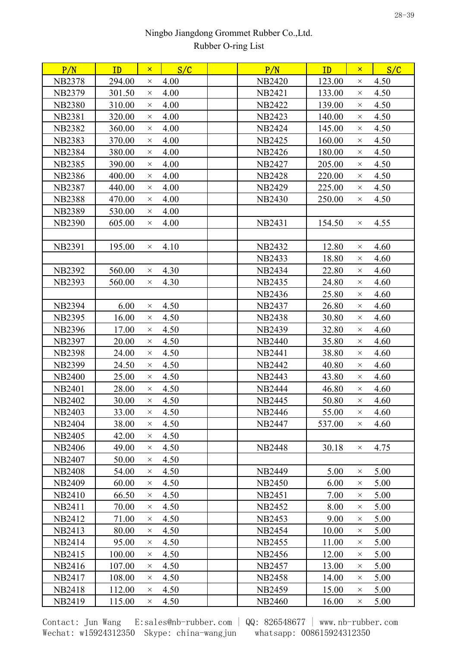| P/N           | ID     | $\mathsf{x}$ | S/C  | P/N           | ID     | $\mathsf{x}$ | S/C  |
|---------------|--------|--------------|------|---------------|--------|--------------|------|
| <b>NB2378</b> | 294.00 | $\times$     | 4.00 | <b>NB2420</b> | 123.00 | $\times$     | 4.50 |
| <b>NB2379</b> | 301.50 | $\times$     | 4.00 | <b>NB2421</b> | 133.00 | $\times$     | 4.50 |
| <b>NB2380</b> | 310.00 | $\times$     | 4.00 | <b>NB2422</b> | 139.00 | $\times$     | 4.50 |
| <b>NB2381</b> | 320.00 | $\times$     | 4.00 | <b>NB2423</b> | 140.00 | $\times$     | 4.50 |
| <b>NB2382</b> | 360.00 | $\times$     | 4.00 | <b>NB2424</b> | 145.00 | $\times$     | 4.50 |
| <b>NB2383</b> | 370.00 | $\times$     | 4.00 | <b>NB2425</b> | 160.00 | $\times$     | 4.50 |
| <b>NB2384</b> | 380.00 | $\times$     | 4.00 | <b>NB2426</b> | 180.00 | $\times$     | 4.50 |
| <b>NB2385</b> | 390.00 | $\times$     | 4.00 | <b>NB2427</b> | 205.00 | $\times$     | 4.50 |
| <b>NB2386</b> | 400.00 | $\times$     | 4.00 | <b>NB2428</b> | 220.00 | $\times$     | 4.50 |
| <b>NB2387</b> | 440.00 | $\times$     | 4.00 | <b>NB2429</b> | 225.00 | $\times$     | 4.50 |
| <b>NB2388</b> | 470.00 | $\times$     | 4.00 | <b>NB2430</b> | 250.00 | $\times$     | 4.50 |
| <b>NB2389</b> | 530.00 | $\times$     | 4.00 |               |        |              |      |
| <b>NB2390</b> | 605.00 | $\times$     | 4.00 | <b>NB2431</b> | 154.50 | $\times$     | 4.55 |
|               |        |              |      |               |        |              |      |
| <b>NB2391</b> | 195.00 | $\times$     | 4.10 | <b>NB2432</b> | 12.80  | $\times$     | 4.60 |
|               |        |              |      | <b>NB2433</b> | 18.80  | $\times$     | 4.60 |
| <b>NB2392</b> | 560.00 | $\times$     | 4.30 | <b>NB2434</b> | 22.80  | $\times$     | 4.60 |
| <b>NB2393</b> | 560.00 | $\times$     | 4.30 | <b>NB2435</b> | 24.80  | $\times$     | 4.60 |
|               |        |              |      | NB2436        | 25.80  | $\times$     | 4.60 |
| <b>NB2394</b> | 6.00   | $\times$     | 4.50 | NB2437        | 26.80  | $\times$     | 4.60 |
| <b>NB2395</b> | 16.00  | $\times$     | 4.50 | <b>NB2438</b> | 30.80  | $\times$     | 4.60 |
| <b>NB2396</b> | 17.00  | $\times$     | 4.50 | <b>NB2439</b> | 32.80  | $\times$     | 4.60 |
| <b>NB2397</b> | 20.00  | $\times$     | 4.50 | <b>NB2440</b> | 35.80  | $\times$     | 4.60 |
| <b>NB2398</b> | 24.00  | $\times$     | 4.50 | <b>NB2441</b> | 38.80  | $\times$     | 4.60 |
| <b>NB2399</b> | 24.50  | $\times$     | 4.50 | <b>NB2442</b> | 40.80  | $\times$     | 4.60 |
| <b>NB2400</b> | 25.00  | $\times$     | 4.50 | <b>NB2443</b> | 43.80  | $\times$     | 4.60 |
| <b>NB2401</b> | 28.00  | $\times$     | 4.50 | <b>NB2444</b> | 46.80  | $\times$     | 4.60 |
| <b>NB2402</b> | 30.00  | $\times$     | 4.50 | <b>NB2445</b> | 50.80  | $\times$     | 4.60 |
| <b>NB2403</b> | 33.00  | $\times$     | 4.50 | <b>NB2446</b> | 55.00  | $\times$     | 4.60 |
| <b>NB2404</b> | 38.00  | $\times$     | 4.50 | <b>NB2447</b> | 537.00 | $\times$     | 4.60 |
| <b>NB2405</b> | 42.00  | $\times$     | 4.50 |               |        |              |      |
| <b>NB2406</b> | 49.00  | $\times$     | 4.50 | <b>NB2448</b> | 30.18  | $\times$     | 4.75 |
| <b>NB2407</b> | 50.00  | $\times$     | 4.50 |               |        |              |      |
| <b>NB2408</b> | 54.00  | $\times$     | 4.50 | <b>NB2449</b> | 5.00   | $\times$     | 5.00 |
| <b>NB2409</b> | 60.00  | $\times$     | 4.50 | <b>NB2450</b> | 6.00   | $\times$     | 5.00 |
| <b>NB2410</b> | 66.50  | $\times$     | 4.50 | <b>NB2451</b> | 7.00   | $\times$     | 5.00 |
| NB2411        | 70.00  | $\times$     | 4.50 | <b>NB2452</b> | 8.00   | $\times$     | 5.00 |
| NB2412        | 71.00  | $\times$     | 4.50 | NB2453        | 9.00   | $\times$     | 5.00 |
| <b>NB2413</b> | 80.00  | $\times$     | 4.50 | <b>NB2454</b> | 10.00  | $\times$     | 5.00 |
| NB2414        | 95.00  | $\times$     | 4.50 | <b>NB2455</b> | 11.00  | $\times$     | 5.00 |
| NB2415        | 100.00 | $\times$     | 4.50 | NB2456        | 12.00  | $\times$     | 5.00 |
| NB2416        | 107.00 | $\times$     | 4.50 | <b>NB2457</b> | 13.00  | $\times$     | 5.00 |
| NB2417        | 108.00 | $\times$     | 4.50 | <b>NB2458</b> | 14.00  | $\times$     | 5.00 |
| <b>NB2418</b> | 112.00 | $\times$     | 4.50 | <b>NB2459</b> | 15.00  | $\times$     | 5.00 |
| NB2419        | 115.00 | ×.           | 4.50 | NB2460        | 16.00  | X            | 5.00 |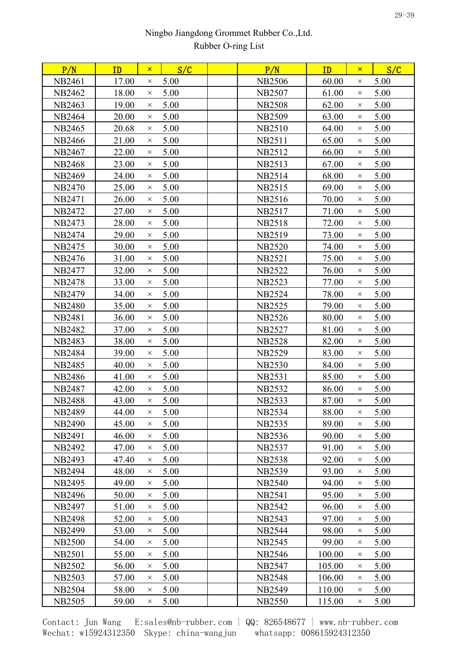| P/N           | ID    | $\mathsf{x}$ | S/C  | P/N           | ID     | $\mathsf{x}$ | S/C  |  |
|---------------|-------|--------------|------|---------------|--------|--------------|------|--|
| <b>NB2461</b> | 17.00 | $\times$     | 5.00 | <b>NB2506</b> | 60.00  | $\times$     | 5.00 |  |
| <b>NB2462</b> | 18.00 | $\times$     | 5.00 | <b>NB2507</b> | 61.00  | $\times$     | 5.00 |  |
| NB2463        | 19.00 | $\times$     | 5.00 | <b>NB2508</b> | 62.00  | $\times$     | 5.00 |  |
| <b>NB2464</b> | 20.00 | $\times$     | 5.00 | <b>NB2509</b> | 63.00  | $\times$     | 5.00 |  |
| <b>NB2465</b> | 20.68 | $\times$     | 5.00 | <b>NB2510</b> | 64.00  | $\times$     | 5.00 |  |
| NB2466        | 21.00 | $\times$     | 5.00 | <b>NB2511</b> | 65.00  | $\times$     | 5.00 |  |
| <b>NB2467</b> | 22.00 | $\times$     | 5.00 | NB2512        | 66.00  | $\times$     | 5.00 |  |
| <b>NB2468</b> | 23.00 | $\times$     | 5.00 | NB2513        | 67.00  | $\times$     | 5.00 |  |
| <b>NB2469</b> | 24.00 | $\times$     | 5.00 | <b>NB2514</b> | 68.00  | $\times$     | 5.00 |  |
| <b>NB2470</b> | 25.00 | $\times$     | 5.00 | <b>NB2515</b> | 69.00  | $\times$     | 5.00 |  |
| <b>NB2471</b> | 26.00 | $\times$     | 5.00 | NB2516        | 70.00  | $\times$     | 5.00 |  |
| NB2472        | 27.00 | $\times$     | 5.00 | NB2517        | 71.00  | $\times$     | 5.00 |  |
| NB2473        | 28.00 | $\times$     | 5.00 | <b>NB2518</b> | 72.00  | $\times$     | 5.00 |  |
| NB2474        | 29.00 | $\times$     | 5.00 | NB2519        | 73.00  | $\times$     | 5.00 |  |
| NB2475        | 30.00 | $\times$     | 5.00 | <b>NB2520</b> | 74.00  | $\times$     | 5.00 |  |
| NB2476        | 31.00 | $\times$     | 5.00 | <b>NB2521</b> | 75.00  | $\times$     | 5.00 |  |
| NB2477        | 32.00 | $\times$     | 5.00 | <b>NB2522</b> | 76.00  | $\times$     | 5.00 |  |
| <b>NB2478</b> | 33.00 | $\times$     | 5.00 | <b>NB2523</b> | 77.00  | $\times$     | 5.00 |  |
| <b>NB2479</b> | 34.00 | $\times$     | 5.00 | <b>NB2524</b> | 78.00  | $\times$     | 5.00 |  |
| <b>NB2480</b> | 35.00 | $\times$     | 5.00 | <b>NB2525</b> | 79.00  | $\times$     | 5.00 |  |
| NB2481        | 36.00 | $\times$     | 5.00 | NB2526        | 80.00  | $\times$     | 5.00 |  |
| <b>NB2482</b> | 37.00 | $\times$     | 5.00 | <b>NB2527</b> | 81.00  | $\times$     | 5.00 |  |
| <b>NB2483</b> | 38.00 | $\times$     | 5.00 | <b>NB2528</b> | 82.00  | $\times$     | 5.00 |  |
| <b>NB2484</b> | 39.00 | $\times$     | 5.00 | <b>NB2529</b> | 83.00  | $\times$     | 5.00 |  |
| <b>NB2485</b> | 40.00 | $\times$     | 5.00 | <b>NB2530</b> | 84.00  | $\times$     | 5.00 |  |
| <b>NB2486</b> | 41.00 | $\times$     | 5.00 | <b>NB2531</b> | 85.00  | $\times$     | 5.00 |  |
| <b>NB2487</b> | 42.00 | $\times$     | 5.00 | <b>NB2532</b> | 86.00  | $\times$     | 5.00 |  |
| <b>NB2488</b> | 43.00 | $\times$     | 5.00 | <b>NB2533</b> | 87.00  | $\times$     | 5.00 |  |
| <b>NB2489</b> | 44.00 | $\times$     | 5.00 | <b>NB2534</b> | 88.00  | $\times$     | 5.00 |  |
| <b>NB2490</b> | 45.00 | $\times$     | 5.00 | <b>NB2535</b> | 89.00  | $\times$     | 5.00 |  |
| <b>NB2491</b> | 46.00 | $\times$     | 5.00 | <b>NB2536</b> | 90.00  | $\times$     | 5.00 |  |
| <b>NB2492</b> | 47.00 | $\times$     | 5.00 | <b>NB2537</b> | 91.00  | $\times$     | 5.00 |  |
| <b>NB2493</b> | 47.40 | $\times$     | 5.00 | <b>NB2538</b> | 92.00  | $\times$     | 5.00 |  |
| <b>NB2494</b> | 48.00 | $\times$     | 5.00 | <b>NB2539</b> | 93.00  | $\times$     | 5.00 |  |
| <b>NB2495</b> | 49.00 | $\times$     | 5.00 | <b>NB2540</b> | 94.00  | $\times$     | 5.00 |  |
| <b>NB2496</b> | 50.00 | $\times$     | 5.00 | <b>NB2541</b> | 95.00  | $\times$     | 5.00 |  |
| <b>NB2497</b> | 51.00 | $\times$     | 5.00 | <b>NB2542</b> | 96.00  | $\times$     | 5.00 |  |
| <b>NB2498</b> | 52.00 | $\times$     | 5.00 | <b>NB2543</b> | 97.00  | $\times$     | 5.00 |  |
| <b>NB2499</b> | 53.00 | $\times$     | 5.00 | <b>NB2544</b> | 98.00  | $\times$     | 5.00 |  |
| <b>NB2500</b> | 54.00 | $\times$     | 5.00 | <b>NB2545</b> | 99.00  | $\times$     | 5.00 |  |
| <b>NB2501</b> | 55.00 | $\times$     | 5.00 | <b>NB2546</b> | 100.00 | $\times$     | 5.00 |  |
| <b>NB2502</b> | 56.00 | $\times$     | 5.00 | <b>NB2547</b> | 105.00 | $\times$     | 5.00 |  |
| <b>NB2503</b> | 57.00 | $\times$     | 5.00 | <b>NB2548</b> | 106.00 | $\times$     | 5.00 |  |
| <b>NB2504</b> | 58.00 | $\times$     | 5.00 | <b>NB2549</b> | 110.00 | $\times$     | 5.00 |  |
| <b>NB2505</b> | 59.00 | $\times$     | 5.00 | <b>NB2550</b> | 115.00 | $\times$     | 5.00 |  |
|               |       |              |      |               |        |              |      |  |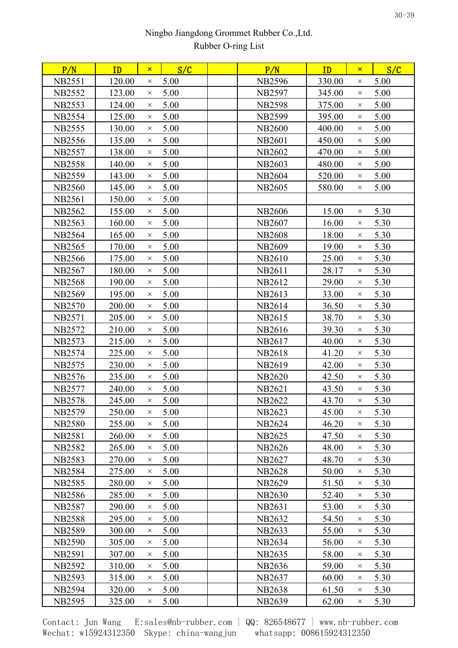| P/N           | ID     | $\mathsf{x}$ | S/C  | P/N           | ID     | $\mathsf{x}$ | S/C  |  |
|---------------|--------|--------------|------|---------------|--------|--------------|------|--|
| <b>NB2551</b> | 120.00 | $\times$     | 5.00 | <b>NB2596</b> | 330.00 | $\times$     | 5.00 |  |
| <b>NB2552</b> | 123.00 | $\times$     | 5.00 | <b>NB2597</b> | 345.00 | $\times$     | 5.00 |  |
| <b>NB2553</b> | 124.00 | $\times$     | 5.00 | <b>NB2598</b> | 375.00 | $\times$     | 5.00 |  |
| <b>NB2554</b> | 125.00 | $\times$     | 5.00 | <b>NB2599</b> | 395.00 | $\times$     | 5.00 |  |
| <b>NB2555</b> | 130.00 | $\times$     | 5.00 | <b>NB2600</b> | 400.00 | $\times$     | 5.00 |  |
| <b>NB2556</b> | 135.00 | $\times$     | 5.00 | <b>NB2601</b> | 450.00 | $\times$     | 5.00 |  |
| <b>NB2557</b> | 138.00 | $\times$     | 5.00 | <b>NB2602</b> | 470.00 | $\times$     | 5.00 |  |
| <b>NB2558</b> | 140.00 | $\times$     | 5.00 | <b>NB2603</b> | 480.00 | $\times$     | 5.00 |  |
| <b>NB2559</b> | 143.00 | $\times$     | 5.00 | <b>NB2604</b> | 520.00 | $\times$     | 5.00 |  |
| <b>NB2560</b> | 145.00 | $\times$     | 5.00 | NB2605        | 580.00 | $\times$     | 5.00 |  |
| <b>NB2561</b> | 150.00 | $\times$     | 5.00 |               |        |              |      |  |
| <b>NB2562</b> | 155.00 | $\times$     | 5.00 | <b>NB2606</b> | 15.00  | $\times$     | 5.30 |  |
| <b>NB2563</b> | 160.00 | $\times$     | 5.00 | <b>NB2607</b> | 16.00  | $\times$     | 5.30 |  |
| <b>NB2564</b> | 165.00 | $\times$     | 5.00 | <b>NB2608</b> | 18.00  | $\times$     | 5.30 |  |
| <b>NB2565</b> | 170.00 | $\times$     | 5.00 | NB2609        | 19.00  | $\times$     | 5.30 |  |
| <b>NB2566</b> | 175.00 | $\times$     | 5.00 | <b>NB2610</b> | 25.00  | $\times$     | 5.30 |  |
| NB2567        | 180.00 | $\times$     | 5.00 | NB2611        | 28.17  | $\times$     | 5.30 |  |
| <b>NB2568</b> | 190.00 | $\times$     | 5.00 | NB2612        | 29.00  | $\times$     | 5.30 |  |
| <b>NB2569</b> | 195.00 | $\times$     | 5.00 | NB2613        | 33.00  | $\times$     | 5.30 |  |
| <b>NB2570</b> | 200.00 | $\times$     | 5.00 | NB2614        | 36.50  | $\times$     | 5.30 |  |
| NB2571        | 205.00 | $\times$     | 5.00 | NB2615        | 38.70  | X            | 5.30 |  |
| <b>NB2572</b> | 210.00 | $\times$     | 5.00 | NB2616        | 39.30  | $\times$     | 5.30 |  |
| <b>NB2573</b> | 215.00 | $\times$     | 5.00 | NB2617        | 40.00  | $\times$     | 5.30 |  |
| <b>NB2574</b> | 225.00 | $\times$     | 5.00 | <b>NB2618</b> | 41.20  | $\times$     | 5.30 |  |
| NB2575        | 230.00 | $\times$     | 5.00 | NB2619        | 42.00  | $\times$     | 5.30 |  |
| <b>NB2576</b> | 235.00 | $\times$     | 5.00 | <b>NB2620</b> | 42.50  | $\times$     | 5.30 |  |
| <b>NB2577</b> | 240.00 | $\times$     | 5.00 | <b>NB2621</b> | 43.50  | $\times$     | 5.30 |  |
| <b>NB2578</b> | 245.00 | $\times$     | 5.00 | <b>NB2622</b> | 43.70  | $\times$     | 5.30 |  |
| <b>NB2579</b> | 250.00 | $\times$     | 5.00 | NB2623        | 45.00  | $\times$     | 5.30 |  |
| <b>NB2580</b> | 255.00 | $\times$     | 5.00 | <b>NB2624</b> | 46.20  | $\times$     | 5.30 |  |
| <b>NB2581</b> | 260.00 | $\times$     | 5.00 | NB2625        | 47.50  | $\times$     | 5.30 |  |
| <b>NB2582</b> | 265.00 | $\times$     | 5.00 | <b>NB2626</b> | 48.00  | $\times$     | 5.30 |  |
| <b>NB2583</b> | 270.00 | $\times$     | 5.00 | <b>NB2627</b> | 48.70  | $\times$     | 5.30 |  |
| <b>NB2584</b> | 275.00 | $\times$     | 5.00 | <b>NB2628</b> | 50.00  | $\times$     | 5.30 |  |
| <b>NB2585</b> | 280.00 | $\times$     | 5.00 | <b>NB2629</b> | 51.50  | $\times$     | 5.30 |  |
| <b>NB2586</b> | 285.00 | $\times$     | 5.00 | <b>NB2630</b> | 52.40  | $\times$     | 5.30 |  |
| <b>NB2587</b> | 290.00 | $\times$     | 5.00 | <b>NB2631</b> | 53.00  | $\times$     | 5.30 |  |
| <b>NB2588</b> | 295.00 | $\times$     | 5.00 | NB2632        | 54.50  | $\times$     | 5.30 |  |
| <b>NB2589</b> | 300.00 | $\times$     | 5.00 | NB2633        | 55.00  | $\times$     | 5.30 |  |
| <b>NB2590</b> | 305.00 | $\times$     | 5.00 | <b>NB2634</b> | 56.00  | $\times$     | 5.30 |  |
| <b>NB2591</b> | 307.00 | $\times$     | 5.00 | NB2635        | 58.00  | $\times$     | 5.30 |  |
| <b>NB2592</b> | 310.00 | $\times$     | 5.00 | NB2636        | 59.00  | $\times$     | 5.30 |  |
| <b>NB2593</b> | 315.00 | $\times$     | 5.00 | NB2637        | 60.00  | $\times$     | 5.30 |  |
| <b>NB2594</b> | 320.00 | $\times$     | 5.00 | <b>NB2638</b> | 61.50  | $\times$     | 5.30 |  |
| <b>NB2595</b> | 325.00 | X            | 5.00 | NB2639        | 62.00  | $\times$     | 5.30 |  |
|               |        |              |      |               |        |              |      |  |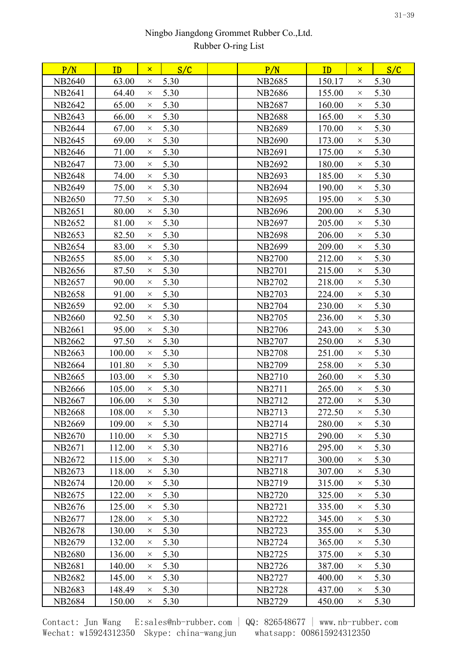| P/N           | ID     | $\mathsf{x}$ | S/C  | P/N           | ID     | $\mathsf{x}$ | S/C  |
|---------------|--------|--------------|------|---------------|--------|--------------|------|
| <b>NB2640</b> | 63.00  | $\times$     | 5.30 | <b>NB2685</b> | 150.17 | $\times$     | 5.30 |
| <b>NB2641</b> | 64.40  | $\times$     | 5.30 | <b>NB2686</b> | 155.00 | $\times$     | 5.30 |
| <b>NB2642</b> | 65.00  | $\times$     | 5.30 | <b>NB2687</b> | 160.00 | $\times$     | 5.30 |
| <b>NB2643</b> | 66.00  | $\times$     | 5.30 | <b>NB2688</b> | 165.00 | $\times$     | 5.30 |
| <b>NB2644</b> | 67.00  | $\times$     | 5.30 | <b>NB2689</b> | 170.00 | $\times$     | 5.30 |
| <b>NB2645</b> | 69.00  | $\times$     | 5.30 | <b>NB2690</b> | 173.00 | $\times$     | 5.30 |
| <b>NB2646</b> | 71.00  | $\times$     | 5.30 | NB2691        | 175.00 | $\times$     | 5.30 |
| <b>NB2647</b> | 73.00  | $\times$     | 5.30 | <b>NB2692</b> | 180.00 | $\times$     | 5.30 |
| <b>NB2648</b> | 74.00  | $\times$     | 5.30 | <b>NB2693</b> | 185.00 | $\times$     | 5.30 |
| <b>NB2649</b> | 75.00  | $\times$     | 5.30 | <b>NB2694</b> | 190.00 | $\times$     | 5.30 |
| <b>NB2650</b> | 77.50  | $\times$     | 5.30 | <b>NB2695</b> | 195.00 | $\times$     | 5.30 |
| <b>NB2651</b> | 80.00  | $\times$     | 5.30 | NB2696        | 200.00 | $\times$     | 5.30 |
| <b>NB2652</b> | 81.00  | $\times$     | 5.30 | <b>NB2697</b> | 205.00 | $\times$     | 5.30 |
| NB2653        | 82.50  | $\times$     | 5.30 | <b>NB2698</b> | 206.00 | $\times$     | 5.30 |
| <b>NB2654</b> | 83.00  | $\times$     | 5.30 | <b>NB2699</b> | 209.00 | $\times$     | 5.30 |
| NB2655        | 85.00  | $\times$     | 5.30 | <b>NB2700</b> | 212.00 | $\times$     | 5.30 |
| NB2656        | 87.50  | $\times$     | 5.30 | <b>NB2701</b> | 215.00 | $\times$     | 5.30 |
| <b>NB2657</b> | 90.00  | $\times$     | 5.30 | NB2702        | 218.00 | $\times$     | 5.30 |
| <b>NB2658</b> | 91.00  | $\times$     | 5.30 | <b>NB2703</b> | 224.00 | $\times$     | 5.30 |
| <b>NB2659</b> | 92.00  | $\times$     | 5.30 | <b>NB2704</b> | 230.00 | $\times$     | 5.30 |
| <b>NB2660</b> | 92.50  | $\times$     | 5.30 | <b>NB2705</b> | 236.00 | $\times$     | 5.30 |
| <b>NB2661</b> | 95.00  | $\times$     | 5.30 | <b>NB2706</b> | 243.00 | $\times$     | 5.30 |
| <b>NB2662</b> | 97.50  | $\times$     | 5.30 | <b>NB2707</b> | 250.00 | $\times$     | 5.30 |
| <b>NB2663</b> | 100.00 | $\times$     | 5.30 | <b>NB2708</b> | 251.00 | $\times$     | 5.30 |
| <b>NB2664</b> | 101.80 | $\times$     | 5.30 | <b>NB2709</b> | 258.00 | $\times$     | 5.30 |
| <b>NB2665</b> | 103.00 | $\times$     | 5.30 | <b>NB2710</b> | 260.00 | $\times$     | 5.30 |
| <b>NB2666</b> | 105.00 | $\times$     | 5.30 | NB2711        | 265.00 | $\times$     | 5.30 |
| <b>NB2667</b> | 106.00 | $\times$     | 5.30 | <b>NB2712</b> | 272.00 | $\times$     | 5.30 |
| <b>NB2668</b> | 108.00 | $\times$     | 5.30 | <b>NB2713</b> | 272.50 | $\times$     | 5.30 |
| <b>NB2669</b> | 109.00 | $\times$     | 5.30 | NB2714        | 280.00 | $\times$     | 5.30 |
| NB2670        | 110.00 | $\times$     | 5.30 | NB2715        | 290.00 | $\times$     | 5.30 |
| NB2671        | 112.00 | $\times$     | 5.30 | NB2716        | 295.00 | $\times$     | 5.30 |
| NB2672        | 115.00 | $\times$     | 5.30 | <b>NB2717</b> | 300.00 | $\times$     | 5.30 |
| NB2673        | 118.00 | $\times$     | 5.30 | <b>NB2718</b> | 307.00 | $\times$     | 5.30 |
| NB2674        | 120.00 | $\times$     | 5.30 | NB2719        | 315.00 | $\times$     | 5.30 |
| NB2675        | 122.00 | $\times$     | 5.30 | <b>NB2720</b> | 325.00 | $\times$     | 5.30 |
| NB2676        | 125.00 | $\times$     | 5.30 | <b>NB2721</b> | 335.00 | $\times$     | 5.30 |
| <b>NB2677</b> | 128.00 | $\times$     | 5.30 | <b>NB2722</b> | 345.00 | $\times$     | 5.30 |
| <b>NB2678</b> | 130.00 | $\times$     | 5.30 | <b>NB2723</b> | 355.00 | $\times$     | 5.30 |
| NB2679        | 132.00 | $\times$     | 5.30 | NB2724        | 365.00 | $\times$     | 5.30 |
| <b>NB2680</b> | 136.00 | $\times$     | 5.30 | <b>NB2725</b> | 375.00 | X            | 5.30 |
| <b>NB2681</b> | 140.00 | $\times$     | 5.30 | <b>NB2726</b> | 387.00 | $\times$     | 5.30 |
| NB2682        | 145.00 | $\times$     | 5.30 | <b>NB2727</b> | 400.00 | $\times$     | 5.30 |
| <b>NB2683</b> | 148.49 | $\times$     | 5.30 | <b>NB2728</b> | 437.00 | $\times$     | 5.30 |
| <b>NB2684</b> | 150.00 | ×            | 5.30 | <b>NB2729</b> | 450.00 | ×            | 5.30 |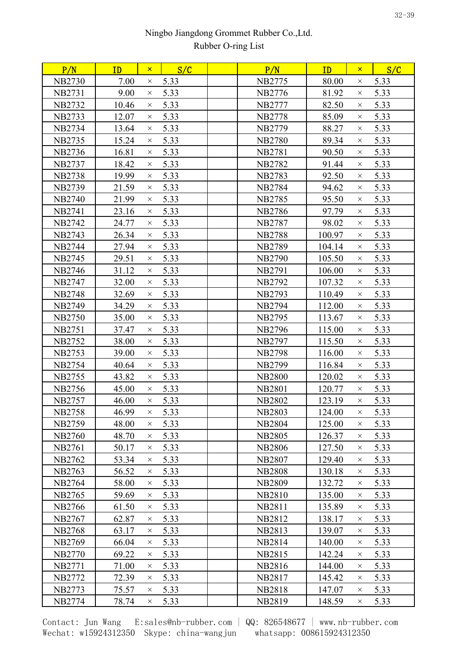| P/N           | ID    | $\mathsf{x}$ | S/C  | P/N           | ID     | $\mathsf{x}$ | S/C  |  |
|---------------|-------|--------------|------|---------------|--------|--------------|------|--|
| <b>NB2730</b> | 7.00  | $\times$     | 5.33 | <b>NB2775</b> | 80.00  | $\times$     | 5.33 |  |
| <b>NB2731</b> | 9.00  | $\times$     | 5.33 | NB2776        | 81.92  | $\times$     | 5.33 |  |
| <b>NB2732</b> | 10.46 | $\times$     | 5.33 | NB2777        | 82.50  | $\times$     | 5.33 |  |
| <b>NB2733</b> | 12.07 | $\times$     | 5.33 | <b>NB2778</b> | 85.09  | $\times$     | 5.33 |  |
| <b>NB2734</b> | 13.64 | $\times$     | 5.33 | <b>NB2779</b> | 88.27  | $\times$     | 5.33 |  |
| <b>NB2735</b> | 15.24 | $\times$     | 5.33 | <b>NB2780</b> | 89.34  | $\times$     | 5.33 |  |
| NB2736        | 16.81 | $\times$     | 5.33 | <b>NB2781</b> | 90.50  | $\times$     | 5.33 |  |
| <b>NB2737</b> | 18.42 | $\times$     | 5.33 | <b>NB2782</b> | 91.44  | $\times$     | 5.33 |  |
| <b>NB2738</b> | 19.99 | $\times$     | 5.33 | <b>NB2783</b> | 92.50  | $\times$     | 5.33 |  |
| <b>NB2739</b> | 21.59 | $\times$     | 5.33 | <b>NB2784</b> | 94.62  | $\times$     | 5.33 |  |
| <b>NB2740</b> | 21.99 | $\times$     | 5.33 | <b>NB2785</b> | 95.50  | $\times$     | 5.33 |  |
| <b>NB2741</b> | 23.16 | $\times$     | 5.33 | <b>NB2786</b> | 97.79  | $\times$     | 5.33 |  |
| <b>NB2742</b> | 24.77 | $\times$     | 5.33 | <b>NB2787</b> | 98.02  | $\times$     | 5.33 |  |
| <b>NB2743</b> | 26.34 | $\times$     | 5.33 | <b>NB2788</b> | 100.97 | $\times$     | 5.33 |  |
| <b>NB2744</b> | 27.94 | $\times$     | 5.33 | <b>NB2789</b> | 104.14 | $\times$     | 5.33 |  |
| <b>NB2745</b> | 29.51 | $\times$     | 5.33 | <b>NB2790</b> | 105.50 | $\times$     | 5.33 |  |
| NB2746        | 31.12 | $\times$     | 5.33 | <b>NB2791</b> | 106.00 | $\times$     | 5.33 |  |
| NB2747        | 32.00 | $\times$     | 5.33 | NB2792        | 107.32 | $\times$     | 5.33 |  |
| <b>NB2748</b> | 32.69 | $\times$     | 5.33 | <b>NB2793</b> | 110.49 | $\times$     | 5.33 |  |
| <b>NB2749</b> | 34.29 | $\times$     | 5.33 | NB2794        | 112.00 | $\times$     | 5.33 |  |
| <b>NB2750</b> | 35.00 | $\times$     | 5.33 | NB2795        | 113.67 | $\times$     | 5.33 |  |
| <b>NB2751</b> | 37.47 | $\times$     | 5.33 | <b>NB2796</b> | 115.00 | $\times$     | 5.33 |  |
| <b>NB2752</b> | 38.00 | $\times$     | 5.33 | <b>NB2797</b> | 115.50 | $\times$     | 5.33 |  |
| <b>NB2753</b> | 39.00 | $\times$     | 5.33 | <b>NB2798</b> | 116.00 | $\times$     | 5.33 |  |
| NB2754        | 40.64 | $\times$     | 5.33 | <b>NB2799</b> | 116.84 | $\times$     | 5.33 |  |
| <b>NB2755</b> | 43.82 | $\times$     | 5.33 | <b>NB2800</b> | 120.02 | $\times$     | 5.33 |  |
| <b>NB2756</b> | 45.00 | $\times$     | 5.33 | <b>NB2801</b> | 120.77 | $\times$     | 5.33 |  |
| <b>NB2757</b> | 46.00 | $\times$     | 5.33 | <b>NB2802</b> | 123.19 | $\times$     | 5.33 |  |
| <b>NB2758</b> | 46.99 | $\times$     | 5.33 | <b>NB2803</b> | 124.00 | $\times$     | 5.33 |  |
| <b>NB2759</b> | 48.00 | $\times$     | 5.33 | <b>NB2804</b> | 125.00 | $\times$     | 5.33 |  |
| <b>NB2760</b> | 48.70 | $\times$     | 5.33 | <b>NB2805</b> | 126.37 | $\times$     | 5.33 |  |
| <b>NB2761</b> | 50.17 | $\times$     | 5.33 | <b>NB2806</b> | 127.50 | $\times$     | 5.33 |  |
| <b>NB2762</b> | 53.34 | $\times$     | 5.33 | <b>NB2807</b> | 129.40 | $\times$     | 5.33 |  |
| <b>NB2763</b> | 56.52 | $\times$     | 5.33 | <b>NB2808</b> | 130.18 | $\times$     | 5.33 |  |
| <b>NB2764</b> | 58.00 | $\times$     | 5.33 | <b>NB2809</b> | 132.72 | $\times$     | 5.33 |  |
| <b>NB2765</b> | 59.69 | $\times$     | 5.33 | <b>NB2810</b> | 135.00 | $\times$     | 5.33 |  |
| <b>NB2766</b> | 61.50 | $\times$     | 5.33 | <b>NB2811</b> | 135.89 | $\times$     | 5.33 |  |
| <b>NB2767</b> | 62.87 | $\times$     | 5.33 | NB2812        | 138.17 | $\times$     | 5.33 |  |
| <b>NB2768</b> | 63.17 | $\times$     | 5.33 | <b>NB2813</b> | 139.07 | $\times$     | 5.33 |  |
| <b>NB2769</b> | 66.04 | $\times$     | 5.33 | <b>NB2814</b> | 140.00 | $\times$     | 5.33 |  |
| <b>NB2770</b> | 69.22 | $\times$     | 5.33 | <b>NB2815</b> | 142.24 | $\times$     | 5.33 |  |
| <b>NB2771</b> | 71.00 | $\times$     | 5.33 | <b>NB2816</b> | 144.00 | $\times$     | 5.33 |  |
| <b>NB2772</b> | 72.39 | $\times$     | 5.33 | <b>NB2817</b> | 145.42 | $\times$     | 5.33 |  |
| <b>NB2773</b> | 75.57 | $\times$     | 5.33 | <b>NB2818</b> | 147.07 | $\times$     | 5.33 |  |
| NB2774        | 78.74 | $\times$     | 5.33 | <b>NB2819</b> | 148.59 | $\times$     | 5.33 |  |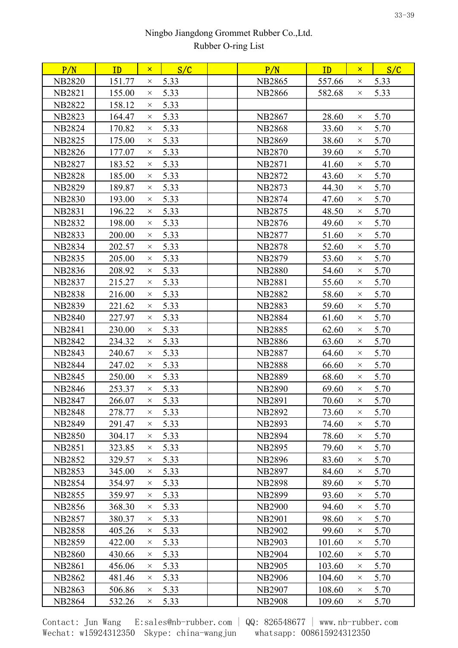| P/N           | ID     | $\mathsf{x}$ | S/C  | P/N           | ID     | $\mathsf{x}$ | S/C  |
|---------------|--------|--------------|------|---------------|--------|--------------|------|
| <b>NB2820</b> | 151.77 | $\times$     | 5.33 | <b>NB2865</b> | 557.66 | $\times$     | 5.33 |
| <b>NB2821</b> | 155.00 | $\times$     | 5.33 | <b>NB2866</b> | 582.68 | $\times$     | 5.33 |
| <b>NB2822</b> | 158.12 | $\times$     | 5.33 |               |        |              |      |
| <b>NB2823</b> | 164.47 | $\times$     | 5.33 | <b>NB2867</b> | 28.60  | $\times$     | 5.70 |
| <b>NB2824</b> | 170.82 | $\times$     | 5.33 | <b>NB2868</b> | 33.60  | $\times$     | 5.70 |
| <b>NB2825</b> | 175.00 | $\times$     | 5.33 | <b>NB2869</b> | 38.60  | $\times$     | 5.70 |
| <b>NB2826</b> | 177.07 | $\times$     | 5.33 | <b>NB2870</b> | 39.60  | $\times$     | 5.70 |
| <b>NB2827</b> | 183.52 | $\times$     | 5.33 | <b>NB2871</b> | 41.60  | $\times$     | 5.70 |
| <b>NB2828</b> | 185.00 | $\times$     | 5.33 | <b>NB2872</b> | 43.60  | $\times$     | 5.70 |
| <b>NB2829</b> | 189.87 | $\times$     | 5.33 | <b>NB2873</b> | 44.30  | $\times$     | 5.70 |
| <b>NB2830</b> | 193.00 | $\times$     | 5.33 | <b>NB2874</b> | 47.60  | $\times$     | 5.70 |
| <b>NB2831</b> | 196.22 | $\times$     | 5.33 | <b>NB2875</b> | 48.50  | $\times$     | 5.70 |
| <b>NB2832</b> | 198.00 | $\times$     | 5.33 | <b>NB2876</b> | 49.60  | $\times$     | 5.70 |
| <b>NB2833</b> | 200.00 | $\times$     | 5.33 | <b>NB2877</b> | 51.60  | $\times$     | 5.70 |
| <b>NB2834</b> | 202.57 | $\times$     | 5.33 | <b>NB2878</b> | 52.60  | $\times$     | 5.70 |
| <b>NB2835</b> | 205.00 | $\times$     | 5.33 | <b>NB2879</b> | 53.60  | $\times$     | 5.70 |
| NB2836        | 208.92 | $\times$     | 5.33 | <b>NB2880</b> | 54.60  | $\times$     | 5.70 |
| <b>NB2837</b> | 215.27 | $\times$     | 5.33 | <b>NB2881</b> | 55.60  | $\times$     | 5.70 |
| <b>NB2838</b> | 216.00 | $\times$     | 5.33 | <b>NB2882</b> | 58.60  | $\times$     | 5.70 |
| <b>NB2839</b> | 221.62 | $\times$     | 5.33 | <b>NB2883</b> | 59.60  | $\times$     | 5.70 |
| <b>NB2840</b> | 227.97 | $\times$     | 5.33 | <b>NB2884</b> | 61.60  | $\times$     | 5.70 |
| <b>NB2841</b> | 230.00 | $\times$     | 5.33 | <b>NB2885</b> | 62.60  | $\times$     | 5.70 |
| <b>NB2842</b> | 234.32 | $\times$     | 5.33 | <b>NB2886</b> | 63.60  | $\times$     | 5.70 |
| <b>NB2843</b> | 240.67 | $\times$     | 5.33 | <b>NB2887</b> | 64.60  | $\times$     | 5.70 |
| <b>NB2844</b> | 247.02 | $\times$     | 5.33 | <b>NB2888</b> | 66.60  | $\times$     | 5.70 |
| <b>NB2845</b> | 250.00 | $\times$     | 5.33 | <b>NB2889</b> | 68.60  | $\times$     | 5.70 |
| <b>NB2846</b> | 253.37 | $\times$     | 5.33 | <b>NB2890</b> | 69.60  | $\times$     | 5.70 |
| <b>NB2847</b> | 266.07 | $\times$     | 5.33 | <b>NB2891</b> | 70.60  | $\times$     | 5.70 |
| <b>NB2848</b> | 278.77 | $\times$     | 5.33 | <b>NB2892</b> | 73.60  | $\times$     | 5.70 |
| <b>NB2849</b> | 291.47 | $\times$     | 5.33 | <b>NB2893</b> | 74.60  | $\times$     | 5.70 |
| <b>NB2850</b> | 304.17 | $\times$     | 5.33 | <b>NB2894</b> | 78.60  | $\times$     | 5.70 |
| <b>NB2851</b> | 323.85 | $\times$     | 5.33 | <b>NB2895</b> | 79.60  | $\times$     | 5.70 |
| <b>NB2852</b> | 329.57 | $\times$     | 5.33 | <b>NB2896</b> | 83.60  | $\times$     | 5.70 |
| <b>NB2853</b> | 345.00 | $\times$     | 5.33 | <b>NB2897</b> | 84.60  | $\times$     | 5.70 |
| <b>NB2854</b> | 354.97 | $\times$     | 5.33 | <b>NB2898</b> | 89.60  | $\times$     | 5.70 |
| <b>NB2855</b> | 359.97 | $\times$     | 5.33 | <b>NB2899</b> | 93.60  | $\times$     | 5.70 |
| <b>NB2856</b> | 368.30 | $\times$     | 5.33 | <b>NB2900</b> | 94.60  | $\times$     | 5.70 |
| <b>NB2857</b> | 380.37 | $\times$     | 5.33 | <b>NB2901</b> | 98.60  | $\times$     | 5.70 |
| <b>NB2858</b> | 405.26 | $\times$     | 5.33 | <b>NB2902</b> | 99.60  | $\times$     | 5.70 |
| <b>NB2859</b> | 422.00 | $\times$     | 5.33 | <b>NB2903</b> | 101.60 | $\times$     | 5.70 |
| <b>NB2860</b> | 430.66 | $\times$     | 5.33 | <b>NB2904</b> | 102.60 | $\times$     | 5.70 |
| <b>NB2861</b> | 456.06 | $\times$     | 5.33 | <b>NB2905</b> | 103.60 | $\times$     | 5.70 |
| NB2862        | 481.46 | $\times$     | 5.33 | <b>NB2906</b> | 104.60 | $\times$     | 5.70 |
| <b>NB2863</b> | 506.86 | $\times$     | 5.33 | <b>NB2907</b> | 108.60 | $\times$     | 5.70 |
| <b>NB2864</b> | 532.26 | ×            | 5.33 | <b>NB2908</b> | 109.60 | $\times$     | 5.70 |
|               |        |              |      |               |        |              |      |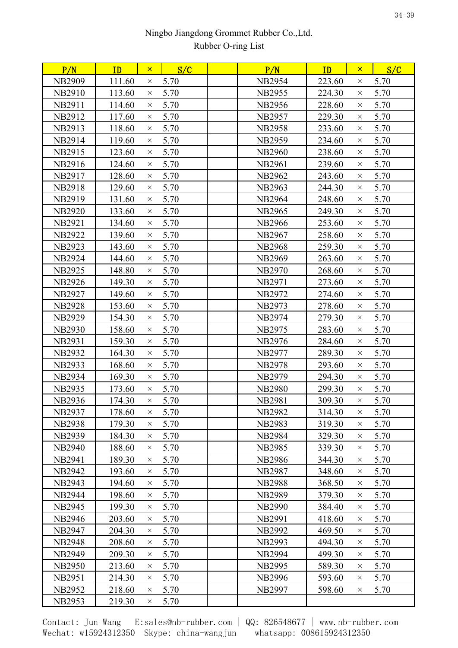| P/N           | ID     | $\mathsf{x}$ | S/C  | P/N           | ID     | $\mathsf{x}$ | S/C  |
|---------------|--------|--------------|------|---------------|--------|--------------|------|
| <b>NB2909</b> | 111.60 | $\times$     | 5.70 | <b>NB2954</b> | 223.60 | $\times$     | 5.70 |
| <b>NB2910</b> | 113.60 | $\times$     | 5.70 | <b>NB2955</b> | 224.30 | $\times$     | 5.70 |
| <b>NB2911</b> | 114.60 | $\times$     | 5.70 | <b>NB2956</b> | 228.60 | $\times$     | 5.70 |
| NB2912        | 117.60 | $\times$     | 5.70 | <b>NB2957</b> | 229.30 | $\times$     | 5.70 |
| <b>NB2913</b> | 118.60 | $\times$     | 5.70 | <b>NB2958</b> | 233.60 | $\times$     | 5.70 |
| <b>NB2914</b> | 119.60 | $\times$     | 5.70 | <b>NB2959</b> | 234.60 | $\times$     | 5.70 |
| NB2915        | 123.60 | $\times$     | 5.70 | <b>NB2960</b> | 238.60 | $\times$     | 5.70 |
| NB2916        | 124.60 | $\times$     | 5.70 | <b>NB2961</b> | 239.60 | $\times$     | 5.70 |
| NB2917        | 128.60 | $\times$     | 5.70 | <b>NB2962</b> | 243.60 | $\times$     | 5.70 |
| <b>NB2918</b> | 129.60 | $\times$     | 5.70 | <b>NB2963</b> | 244.30 | $\times$     | 5.70 |
| NB2919        | 131.60 | $\times$     | 5.70 | <b>NB2964</b> | 248.60 | $\times$     | 5.70 |
| <b>NB2920</b> | 133.60 | $\times$     | 5.70 | <b>NB2965</b> | 249.30 | $\times$     | 5.70 |
| <b>NB2921</b> | 134.60 | $\times$     | 5.70 | <b>NB2966</b> | 253.60 | $\times$     | 5.70 |
| <b>NB2922</b> | 139.60 | $\times$     | 5.70 | <b>NB2967</b> | 258.60 | $\times$     | 5.70 |
| <b>NB2923</b> | 143.60 | $\times$     | 5.70 | <b>NB2968</b> | 259.30 | $\times$     | 5.70 |
| <b>NB2924</b> | 144.60 | $\times$     | 5.70 | <b>NB2969</b> | 263.60 | $\times$     | 5.70 |
| <b>NB2925</b> | 148.80 | $\times$     | 5.70 | <b>NB2970</b> | 268.60 | $\times$     | 5.70 |
| <b>NB2926</b> | 149.30 | $\times$     | 5.70 | <b>NB2971</b> | 273.60 | $\times$     | 5.70 |
| <b>NB2927</b> | 149.60 | $\times$     | 5.70 | <b>NB2972</b> | 274.60 | $\times$     | 5.70 |
| <b>NB2928</b> | 153.60 | $\times$     | 5.70 | <b>NB2973</b> | 278.60 | $\times$     | 5.70 |
| <b>NB2929</b> | 154.30 | $\times$     | 5.70 | <b>NB2974</b> | 279.30 | $\times$     | 5.70 |
| <b>NB2930</b> | 158.60 | $\times$     | 5.70 | NB2975        | 283.60 | $\times$     | 5.70 |
| <b>NB2931</b> | 159.30 | $\times$     | 5.70 | NB2976        | 284.60 | $\times$     | 5.70 |
| <b>NB2932</b> | 164.30 | $\times$     | 5.70 | <b>NB2977</b> | 289.30 | $\times$     | 5.70 |
| <b>NB2933</b> | 168.60 | $\times$     | 5.70 | <b>NB2978</b> | 293.60 | $\times$     | 5.70 |
| <b>NB2934</b> | 169.30 | $\times$     | 5.70 | <b>NB2979</b> | 294.30 | $\times$     | 5.70 |
| <b>NB2935</b> | 173.60 | $\times$     | 5.70 | <b>NB2980</b> | 299.30 | $\times$     | 5.70 |
| <b>NB2936</b> | 174.30 | $\times$     | 5.70 | <b>NB2981</b> | 309.30 | $\times$     | 5.70 |
| <b>NB2937</b> | 178.60 | $\times$     | 5.70 | <b>NB2982</b> | 314.30 | $\times$     | 5.70 |
| <b>NB2938</b> | 179.30 | $\times$     | 5.70 | <b>NB2983</b> | 319.30 | $\times$     | 5.70 |
| <b>NB2939</b> | 184.30 | $\times$     | 5.70 | <b>NB2984</b> | 329.30 | $\times$     | 5.70 |
| <b>NB2940</b> | 188.60 | $\times$     | 5.70 | <b>NB2985</b> | 339.30 | $\times$     | 5.70 |
| <b>NB2941</b> | 189.30 | $\times$     | 5.70 | <b>NB2986</b> | 344.30 | $\times$     | 5.70 |
| <b>NB2942</b> | 193.60 | $\times$     | 5.70 | <b>NB2987</b> | 348.60 | $\times$     | 5.70 |
| <b>NB2943</b> | 194.60 | $\times$     | 5.70 | <b>NB2988</b> | 368.50 | $\times$     | 5.70 |
| <b>NB2944</b> | 198.60 | $\times$     | 5.70 | <b>NB2989</b> | 379.30 | $\times$     | 5.70 |
| <b>NB2945</b> | 199.30 | $\times$     | 5.70 | <b>NB2990</b> | 384.40 | $\times$     | 5.70 |
| <b>NB2946</b> | 203.60 | $\times$     | 5.70 | <b>NB2991</b> | 418.60 | $\times$     | 5.70 |
| <b>NB2947</b> | 204.30 | $\times$     | 5.70 | <b>NB2992</b> | 469.50 | $\times$     | 5.70 |
| <b>NB2948</b> | 208.60 | $\times$     | 5.70 | <b>NB2993</b> | 494.30 | $\times$     | 5.70 |
| <b>NB2949</b> | 209.30 | $\times$     | 5.70 | <b>NB2994</b> | 499.30 | $\times$     | 5.70 |
| <b>NB2950</b> | 213.60 | $\times$     | 5.70 | <b>NB2995</b> | 589.30 | $\times$     | 5.70 |
| <b>NB2951</b> | 214.30 | $\times$     | 5.70 | <b>NB2996</b> | 593.60 | $\times$     | 5.70 |
| <b>NB2952</b> | 218.60 | $\times$     | 5.70 | <b>NB2997</b> | 598.60 | $\times$     | 5.70 |
| <b>NB2953</b> | 219.30 | $\times$     | 5.70 |               |        |              |      |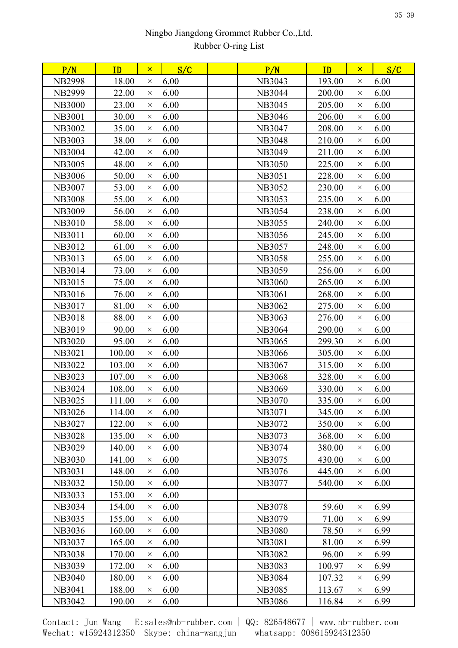| P/N           | ID     | $\mathsf{x}$ | S/C  | P/N           | ID     | $\mathsf{x}$ | S/C  |  |
|---------------|--------|--------------|------|---------------|--------|--------------|------|--|
| <b>NB2998</b> | 18.00  | X            | 6.00 | <b>NB3043</b> | 193.00 | $\times$     | 6.00 |  |
| <b>NB2999</b> | 22.00  | $\times$     | 6.00 | <b>NB3044</b> | 200.00 | $\times$     | 6.00 |  |
| <b>NB3000</b> | 23.00  | $\times$     | 6.00 | <b>NB3045</b> | 205.00 | $\times$     | 6.00 |  |
| <b>NB3001</b> | 30.00  | $\times$     | 6.00 | <b>NB3046</b> | 206.00 | $\times$     | 6.00 |  |
| <b>NB3002</b> | 35.00  | $\times$     | 6.00 | NB3047        | 208.00 | $\times$     | 6.00 |  |
| <b>NB3003</b> | 38.00  | $\times$     | 6.00 | <b>NB3048</b> | 210.00 | $\times$     | 6.00 |  |
| <b>NB3004</b> | 42.00  | $\times$     | 6.00 | NB3049        | 211.00 | $\times$     | 6.00 |  |
| <b>NB3005</b> | 48.00  | $\times$     | 6.00 | <b>NB3050</b> | 225.00 | $\times$     | 6.00 |  |
| <b>NB3006</b> | 50.00  | $\times$     | 6.00 | <b>NB3051</b> | 228.00 | $\times$     | 6.00 |  |
| <b>NB3007</b> | 53.00  | $\times$     | 6.00 | <b>NB3052</b> | 230.00 | $\times$     | 6.00 |  |
| <b>NB3008</b> | 55.00  | $\times$     | 6.00 | NB3053        | 235.00 | $\times$     | 6.00 |  |
| <b>NB3009</b> | 56.00  | $\times$     | 6.00 | <b>NB3054</b> | 238.00 | $\times$     | 6.00 |  |
| <b>NB3010</b> | 58.00  | $\times$     | 6.00 | <b>NB3055</b> | 240.00 | $\times$     | 6.00 |  |
| <b>NB3011</b> | 60.00  | $\times$     | 6.00 | <b>NB3056</b> | 245.00 | $\times$     | 6.00 |  |
| NB3012        | 61.00  | $\times$     | 6.00 | <b>NB3057</b> | 248.00 | $\times$     | 6.00 |  |
| <b>NB3013</b> | 65.00  | $\times$     | 6.00 | <b>NB3058</b> | 255.00 | $\times$     | 6.00 |  |
| <b>NB3014</b> | 73.00  | $\times$     | 6.00 | <b>NB3059</b> | 256.00 | $\times$     | 6.00 |  |
| NB3015        | 75.00  | $\times$     | 6.00 | <b>NB3060</b> | 265.00 | $\times$     | 6.00 |  |
| <b>NB3016</b> | 76.00  | $\times$     | 6.00 | <b>NB3061</b> | 268.00 | $\times$     | 6.00 |  |
| NB3017        | 81.00  | $\times$     | 6.00 | NB3062        | 275.00 | $\times$     | 6.00 |  |
| <b>NB3018</b> | 88.00  | $\times$     | 6.00 | <b>NB3063</b> | 276.00 | $\times$     | 6.00 |  |
| NB3019        | 90.00  | $\times$     | 6.00 | <b>NB3064</b> | 290.00 | $\times$     | 6.00 |  |
| <b>NB3020</b> | 95.00  | $\times$     | 6.00 | <b>NB3065</b> | 299.30 | $\times$     | 6.00 |  |
| <b>NB3021</b> | 100.00 | $\times$     | 6.00 | <b>NB3066</b> | 305.00 | $\times$     | 6.00 |  |
| <b>NB3022</b> | 103.00 | $\times$     | 6.00 | NB3067        | 315.00 | $\times$     | 6.00 |  |
| <b>NB3023</b> | 107.00 | $\times$     | 6.00 | <b>NB3068</b> | 328.00 | $\times$     | 6.00 |  |
| <b>NB3024</b> | 108.00 | $\times$     | 6.00 | <b>NB3069</b> | 330.00 | $\times$     | 6.00 |  |
| <b>NB3025</b> | 111.00 | $\times$     | 6.00 | <b>NB3070</b> | 335.00 | $\times$     | 6.00 |  |
| NB3026        | 114.00 | $\times$     | 6.00 | NB3071        | 345.00 | $\times$     | 6.00 |  |
| NB3027        | 122.00 | $\times$     | 6.00 | NB3072        | 350.00 | $\times$     | 6.00 |  |
| <b>NB3028</b> | 135.00 | $\times$     | 6.00 | NB3073        | 368.00 | $\times$     | 6.00 |  |
| <b>NB3029</b> | 140.00 | $\times$     | 6.00 | <b>NB3074</b> | 380.00 | $\times$     | 6.00 |  |
| <b>NB3030</b> | 141.00 | $\times$     | 6.00 | NB3075        | 430.00 | $\times$     | 6.00 |  |
| <b>NB3031</b> | 148.00 | $\times$     | 6.00 | NB3076        | 445.00 | $\times$     | 6.00 |  |
| <b>NB3032</b> | 150.00 | $\times$     | 6.00 | <b>NB3077</b> | 540.00 | $\times$     | 6.00 |  |
| <b>NB3033</b> | 153.00 | $\times$     | 6.00 |               |        |              |      |  |
| <b>NB3034</b> | 154.00 | $\times$     | 6.00 | <b>NB3078</b> | 59.60  | $\times$     | 6.99 |  |
| <b>NB3035</b> | 155.00 | $\times$     | 6.00 | NB3079        | 71.00  | $\times$     | 6.99 |  |
| <b>NB3036</b> | 160.00 | $\times$     | 6.00 | <b>NB3080</b> | 78.50  | $\times$     | 6.99 |  |
| <b>NB3037</b> | 165.00 | $\times$     | 6.00 | <b>NB3081</b> | 81.00  | $\times$     | 6.99 |  |
| <b>NB3038</b> | 170.00 | $\times$     | 6.00 | <b>NB3082</b> | 96.00  | $\times$     | 6.99 |  |
| <b>NB3039</b> | 172.00 | $\times$     | 6.00 | <b>NB3083</b> | 100.97 | $\times$     | 6.99 |  |
| <b>NB3040</b> | 180.00 | $\times$     | 6.00 | <b>NB3084</b> | 107.32 | $\times$     | 6.99 |  |
| NB3041        | 188.00 | $\times$     | 6.00 | <b>NB3085</b> | 113.67 | $\times$     | 6.99 |  |
| NB3042        | 190.00 | $\times$     | 6.00 | <b>NB3086</b> | 116.84 | X            | 6.99 |  |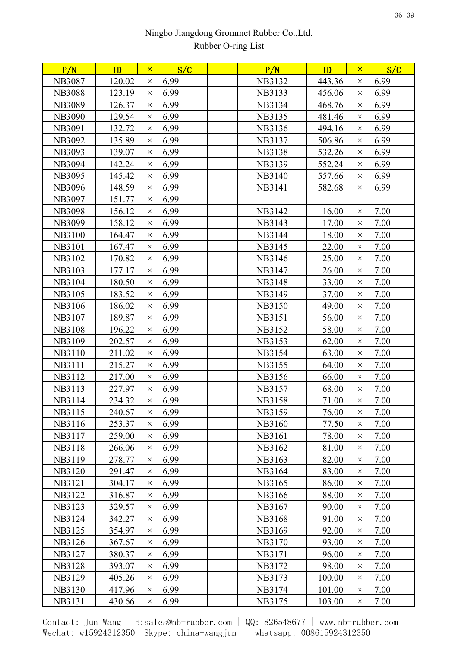| 6.99<br>6.99<br><b>NB3087</b><br>120.02<br>NB3132<br>443.36<br>$\times$<br>$\times$<br>6.99<br><b>NB3088</b><br>123.19<br>NB3133<br>456.06<br>6.99<br>$\times$<br>$\times$<br>6.99<br>6.99<br><b>NB3089</b><br>126.37<br>NB3134<br>468.76<br>$\times$<br>$\times$<br>129.54<br>6.99<br>481.46<br>6.99<br><b>NB3090</b><br>NB3135<br>$\times$<br>$\times$<br>6.99<br>6.99<br>NB3091<br>132.72<br>NB3136<br>494.16<br>$\times$<br>$\times$<br>135.89<br>6.99<br>506.86<br>6.99<br><b>NB3092</b><br>NB3137<br>$\times$<br>$\times$<br>6.99<br>6.99<br>139.07<br>532.26<br>NB3093<br><b>NB3138</b><br>$\times$<br>$\times$<br>6.99<br><b>NB3094</b><br>142.24<br>NB3139<br>552.24<br>6.99<br>$\times$<br>$\times$<br>6.99<br>6.99<br><b>NB3095</b><br>145.42<br><b>NB3140</b><br>557.66<br>$\times$<br>$\times$<br>6.99<br><b>NB3096</b><br>148.59<br>582.68<br>6.99<br>NB3141<br>$\times$<br>$\times$<br>6.99<br><b>NB3097</b><br>151.77<br>$\times$<br>6.99<br>7.00<br><b>NB3098</b><br>156.12<br>NB3142<br>16.00<br>$\times$<br>X<br><b>NB3099</b><br>158.12<br>6.99<br>NB3143<br>17.00<br>7.00<br>$\times$<br>$\times$<br>6.99<br>7.00<br><b>NB3100</b><br>164.47<br>NB3144<br>18.00<br>$\times$<br>$\times$<br>7.00<br><b>NB3101</b><br>6.99<br>22.00<br>167.47<br>NB3145<br>$\times$<br>$\times$<br>NB3102<br>170.82<br>6.99<br>NB3146<br>25.00<br>7.00<br>$\times$<br>$\times$<br>6.99<br>NB3103<br>7.00<br>177.17<br>NB3147<br>26.00<br>$\times$<br>$\times$<br>6.99<br>NB3104<br>180.50<br><b>NB3148</b><br>33.00<br>7.00<br>$\times$<br>$\times$<br>6.99<br>7.00<br><b>NB3105</b><br>183.52<br>NB3149<br>37.00<br>$\times$<br>$\times$<br>186.02<br>6.99<br>49.00<br>7.00<br>NB3106<br><b>NB3150</b><br>$\times$<br>$\times$<br>NB3107<br>6.99<br>56.00<br>7.00<br>189.87<br><b>NB3151</b><br>$\times$<br>X<br>6.99<br>7.00<br><b>NB3108</b><br>196.22<br>58.00<br>NB3152<br>$\times$<br>$\times$<br>6.99<br>NB3109<br><b>NB3153</b><br>7.00<br>202.57<br>62.00<br>$\times$<br>$\times$<br><b>NB3110</b><br>211.02<br>6.99<br>NB3154<br>63.00<br>7.00<br>$\times$<br>$\times$<br>6.99<br>7.00<br><b>NB3111</b><br>215.27<br>NB3155<br>64.00<br>$\times$<br>$\times$<br>6.99<br>7.00<br>NB3112<br>217.00<br>NB3156<br>66.00<br>$\times$<br>$\times$<br>NB3113<br>227.97<br>6.99<br>NB3157<br>68.00<br>7.00<br>$\times$<br>$\times$<br>6.99<br>71.00<br>7.00<br>NB3114<br>234.32<br>NB3158<br>$\times$<br>$\times$<br>NB3115<br>240.67<br>NB3159<br>6.99<br>76.00<br>7.00<br>$\times$<br>$\times$<br>6.99<br>7.00<br>NB3116<br>253.37<br>NB3160<br>77.50<br>$\times$<br>$\times$<br>6.99<br>7.00<br>NB3117<br>259.00<br>NB3161<br>78.00<br>$\times$<br>$\times$<br>6.99<br>7.00<br><b>NB3118</b><br>NB3162<br>81.00<br>266.06<br>$\times$<br>$\times$<br>6.99<br>7.00<br>NB3119<br>278.77<br>NB3163<br>82.00<br>$\times$<br>$\times$<br><b>NB3120</b><br>6.99<br>NB3164<br>83.00<br>7.00<br>291.47<br>$\times$<br>$\times$<br>6.99<br><b>NB3121</b><br>NB3165<br>86.00<br>7.00<br>304.17<br>$\times$<br>$\times$<br><b>NB3122</b><br>316.87<br>6.99<br>NB3166<br>88.00<br>7.00<br>$\times$<br>$\times$<br>6.99<br><b>NB3123</b><br>90.00<br>7.00<br>329.57<br>NB3167<br>X<br>$\times$<br>6.99<br>NB3168<br>91.00<br>7.00<br>NB3124<br>342.27<br>$\times$<br>$\times$<br>6.99<br>7.00<br><b>NB3125</b><br>NB3169<br>92.00<br>354.97<br>$\times$<br>$\times$<br>6.99<br>93.00<br>7.00<br>NB3126<br>367.67<br>NB3170<br>$\times$<br>$\times$<br>NB3127<br>6.99<br>7.00<br>380.37<br>NB3171<br>96.00<br>$\times$<br>$\times$<br>6.99<br><b>NB3128</b><br>NB3172<br>98.00<br>7.00<br>393.07<br>$\times$<br>$\times$<br>6.99<br><b>NB3129</b><br>405.26<br>NB3173<br>100.00<br>7.00<br>$\times$<br>$\times$<br>6.99<br><b>NB3130</b><br>417.96<br>101.00<br>7.00<br>NB3174<br>$\times$<br>$\times$<br>NB3131<br>103.00<br>430.66<br>6.99<br>NB3175<br>7.00<br>$\times$<br>$\times$ | P/N | ID | $\mathsf{x}$ | S/C | P/N | ID | $\mathsf{x}$ | S/C |  |
|----------------------------------------------------------------------------------------------------------------------------------------------------------------------------------------------------------------------------------------------------------------------------------------------------------------------------------------------------------------------------------------------------------------------------------------------------------------------------------------------------------------------------------------------------------------------------------------------------------------------------------------------------------------------------------------------------------------------------------------------------------------------------------------------------------------------------------------------------------------------------------------------------------------------------------------------------------------------------------------------------------------------------------------------------------------------------------------------------------------------------------------------------------------------------------------------------------------------------------------------------------------------------------------------------------------------------------------------------------------------------------------------------------------------------------------------------------------------------------------------------------------------------------------------------------------------------------------------------------------------------------------------------------------------------------------------------------------------------------------------------------------------------------------------------------------------------------------------------------------------------------------------------------------------------------------------------------------------------------------------------------------------------------------------------------------------------------------------------------------------------------------------------------------------------------------------------------------------------------------------------------------------------------------------------------------------------------------------------------------------------------------------------------------------------------------------------------------------------------------------------------------------------------------------------------------------------------------------------------------------------------------------------------------------------------------------------------------------------------------------------------------------------------------------------------------------------------------------------------------------------------------------------------------------------------------------------------------------------------------------------------------------------------------------------------------------------------------------------------------------------------------------------------------------------------------------------------------------------------------------------------------------------------------------------------------------------------------------------------------------------------------------------------------------------------------------------------------------------------------------------------------------------------------------------------------------------------------------------------------------------------------------------------------------------------------------------------------------------------------------------------------------------------------------------------------------------------------------------------------------------------|-----|----|--------------|-----|-----|----|--------------|-----|--|
|                                                                                                                                                                                                                                                                                                                                                                                                                                                                                                                                                                                                                                                                                                                                                                                                                                                                                                                                                                                                                                                                                                                                                                                                                                                                                                                                                                                                                                                                                                                                                                                                                                                                                                                                                                                                                                                                                                                                                                                                                                                                                                                                                                                                                                                                                                                                                                                                                                                                                                                                                                                                                                                                                                                                                                                                                                                                                                                                                                                                                                                                                                                                                                                                                                                                                                                                                                                                                                                                                                                                                                                                                                                                                                                                                                                                                                                                                  |     |    |              |     |     |    |              |     |  |
|                                                                                                                                                                                                                                                                                                                                                                                                                                                                                                                                                                                                                                                                                                                                                                                                                                                                                                                                                                                                                                                                                                                                                                                                                                                                                                                                                                                                                                                                                                                                                                                                                                                                                                                                                                                                                                                                                                                                                                                                                                                                                                                                                                                                                                                                                                                                                                                                                                                                                                                                                                                                                                                                                                                                                                                                                                                                                                                                                                                                                                                                                                                                                                                                                                                                                                                                                                                                                                                                                                                                                                                                                                                                                                                                                                                                                                                                                  |     |    |              |     |     |    |              |     |  |
|                                                                                                                                                                                                                                                                                                                                                                                                                                                                                                                                                                                                                                                                                                                                                                                                                                                                                                                                                                                                                                                                                                                                                                                                                                                                                                                                                                                                                                                                                                                                                                                                                                                                                                                                                                                                                                                                                                                                                                                                                                                                                                                                                                                                                                                                                                                                                                                                                                                                                                                                                                                                                                                                                                                                                                                                                                                                                                                                                                                                                                                                                                                                                                                                                                                                                                                                                                                                                                                                                                                                                                                                                                                                                                                                                                                                                                                                                  |     |    |              |     |     |    |              |     |  |
|                                                                                                                                                                                                                                                                                                                                                                                                                                                                                                                                                                                                                                                                                                                                                                                                                                                                                                                                                                                                                                                                                                                                                                                                                                                                                                                                                                                                                                                                                                                                                                                                                                                                                                                                                                                                                                                                                                                                                                                                                                                                                                                                                                                                                                                                                                                                                                                                                                                                                                                                                                                                                                                                                                                                                                                                                                                                                                                                                                                                                                                                                                                                                                                                                                                                                                                                                                                                                                                                                                                                                                                                                                                                                                                                                                                                                                                                                  |     |    |              |     |     |    |              |     |  |
|                                                                                                                                                                                                                                                                                                                                                                                                                                                                                                                                                                                                                                                                                                                                                                                                                                                                                                                                                                                                                                                                                                                                                                                                                                                                                                                                                                                                                                                                                                                                                                                                                                                                                                                                                                                                                                                                                                                                                                                                                                                                                                                                                                                                                                                                                                                                                                                                                                                                                                                                                                                                                                                                                                                                                                                                                                                                                                                                                                                                                                                                                                                                                                                                                                                                                                                                                                                                                                                                                                                                                                                                                                                                                                                                                                                                                                                                                  |     |    |              |     |     |    |              |     |  |
|                                                                                                                                                                                                                                                                                                                                                                                                                                                                                                                                                                                                                                                                                                                                                                                                                                                                                                                                                                                                                                                                                                                                                                                                                                                                                                                                                                                                                                                                                                                                                                                                                                                                                                                                                                                                                                                                                                                                                                                                                                                                                                                                                                                                                                                                                                                                                                                                                                                                                                                                                                                                                                                                                                                                                                                                                                                                                                                                                                                                                                                                                                                                                                                                                                                                                                                                                                                                                                                                                                                                                                                                                                                                                                                                                                                                                                                                                  |     |    |              |     |     |    |              |     |  |
|                                                                                                                                                                                                                                                                                                                                                                                                                                                                                                                                                                                                                                                                                                                                                                                                                                                                                                                                                                                                                                                                                                                                                                                                                                                                                                                                                                                                                                                                                                                                                                                                                                                                                                                                                                                                                                                                                                                                                                                                                                                                                                                                                                                                                                                                                                                                                                                                                                                                                                                                                                                                                                                                                                                                                                                                                                                                                                                                                                                                                                                                                                                                                                                                                                                                                                                                                                                                                                                                                                                                                                                                                                                                                                                                                                                                                                                                                  |     |    |              |     |     |    |              |     |  |
|                                                                                                                                                                                                                                                                                                                                                                                                                                                                                                                                                                                                                                                                                                                                                                                                                                                                                                                                                                                                                                                                                                                                                                                                                                                                                                                                                                                                                                                                                                                                                                                                                                                                                                                                                                                                                                                                                                                                                                                                                                                                                                                                                                                                                                                                                                                                                                                                                                                                                                                                                                                                                                                                                                                                                                                                                                                                                                                                                                                                                                                                                                                                                                                                                                                                                                                                                                                                                                                                                                                                                                                                                                                                                                                                                                                                                                                                                  |     |    |              |     |     |    |              |     |  |
|                                                                                                                                                                                                                                                                                                                                                                                                                                                                                                                                                                                                                                                                                                                                                                                                                                                                                                                                                                                                                                                                                                                                                                                                                                                                                                                                                                                                                                                                                                                                                                                                                                                                                                                                                                                                                                                                                                                                                                                                                                                                                                                                                                                                                                                                                                                                                                                                                                                                                                                                                                                                                                                                                                                                                                                                                                                                                                                                                                                                                                                                                                                                                                                                                                                                                                                                                                                                                                                                                                                                                                                                                                                                                                                                                                                                                                                                                  |     |    |              |     |     |    |              |     |  |
|                                                                                                                                                                                                                                                                                                                                                                                                                                                                                                                                                                                                                                                                                                                                                                                                                                                                                                                                                                                                                                                                                                                                                                                                                                                                                                                                                                                                                                                                                                                                                                                                                                                                                                                                                                                                                                                                                                                                                                                                                                                                                                                                                                                                                                                                                                                                                                                                                                                                                                                                                                                                                                                                                                                                                                                                                                                                                                                                                                                                                                                                                                                                                                                                                                                                                                                                                                                                                                                                                                                                                                                                                                                                                                                                                                                                                                                                                  |     |    |              |     |     |    |              |     |  |
|                                                                                                                                                                                                                                                                                                                                                                                                                                                                                                                                                                                                                                                                                                                                                                                                                                                                                                                                                                                                                                                                                                                                                                                                                                                                                                                                                                                                                                                                                                                                                                                                                                                                                                                                                                                                                                                                                                                                                                                                                                                                                                                                                                                                                                                                                                                                                                                                                                                                                                                                                                                                                                                                                                                                                                                                                                                                                                                                                                                                                                                                                                                                                                                                                                                                                                                                                                                                                                                                                                                                                                                                                                                                                                                                                                                                                                                                                  |     |    |              |     |     |    |              |     |  |
|                                                                                                                                                                                                                                                                                                                                                                                                                                                                                                                                                                                                                                                                                                                                                                                                                                                                                                                                                                                                                                                                                                                                                                                                                                                                                                                                                                                                                                                                                                                                                                                                                                                                                                                                                                                                                                                                                                                                                                                                                                                                                                                                                                                                                                                                                                                                                                                                                                                                                                                                                                                                                                                                                                                                                                                                                                                                                                                                                                                                                                                                                                                                                                                                                                                                                                                                                                                                                                                                                                                                                                                                                                                                                                                                                                                                                                                                                  |     |    |              |     |     |    |              |     |  |
|                                                                                                                                                                                                                                                                                                                                                                                                                                                                                                                                                                                                                                                                                                                                                                                                                                                                                                                                                                                                                                                                                                                                                                                                                                                                                                                                                                                                                                                                                                                                                                                                                                                                                                                                                                                                                                                                                                                                                                                                                                                                                                                                                                                                                                                                                                                                                                                                                                                                                                                                                                                                                                                                                                                                                                                                                                                                                                                                                                                                                                                                                                                                                                                                                                                                                                                                                                                                                                                                                                                                                                                                                                                                                                                                                                                                                                                                                  |     |    |              |     |     |    |              |     |  |
|                                                                                                                                                                                                                                                                                                                                                                                                                                                                                                                                                                                                                                                                                                                                                                                                                                                                                                                                                                                                                                                                                                                                                                                                                                                                                                                                                                                                                                                                                                                                                                                                                                                                                                                                                                                                                                                                                                                                                                                                                                                                                                                                                                                                                                                                                                                                                                                                                                                                                                                                                                                                                                                                                                                                                                                                                                                                                                                                                                                                                                                                                                                                                                                                                                                                                                                                                                                                                                                                                                                                                                                                                                                                                                                                                                                                                                                                                  |     |    |              |     |     |    |              |     |  |
|                                                                                                                                                                                                                                                                                                                                                                                                                                                                                                                                                                                                                                                                                                                                                                                                                                                                                                                                                                                                                                                                                                                                                                                                                                                                                                                                                                                                                                                                                                                                                                                                                                                                                                                                                                                                                                                                                                                                                                                                                                                                                                                                                                                                                                                                                                                                                                                                                                                                                                                                                                                                                                                                                                                                                                                                                                                                                                                                                                                                                                                                                                                                                                                                                                                                                                                                                                                                                                                                                                                                                                                                                                                                                                                                                                                                                                                                                  |     |    |              |     |     |    |              |     |  |
|                                                                                                                                                                                                                                                                                                                                                                                                                                                                                                                                                                                                                                                                                                                                                                                                                                                                                                                                                                                                                                                                                                                                                                                                                                                                                                                                                                                                                                                                                                                                                                                                                                                                                                                                                                                                                                                                                                                                                                                                                                                                                                                                                                                                                                                                                                                                                                                                                                                                                                                                                                                                                                                                                                                                                                                                                                                                                                                                                                                                                                                                                                                                                                                                                                                                                                                                                                                                                                                                                                                                                                                                                                                                                                                                                                                                                                                                                  |     |    |              |     |     |    |              |     |  |
|                                                                                                                                                                                                                                                                                                                                                                                                                                                                                                                                                                                                                                                                                                                                                                                                                                                                                                                                                                                                                                                                                                                                                                                                                                                                                                                                                                                                                                                                                                                                                                                                                                                                                                                                                                                                                                                                                                                                                                                                                                                                                                                                                                                                                                                                                                                                                                                                                                                                                                                                                                                                                                                                                                                                                                                                                                                                                                                                                                                                                                                                                                                                                                                                                                                                                                                                                                                                                                                                                                                                                                                                                                                                                                                                                                                                                                                                                  |     |    |              |     |     |    |              |     |  |
|                                                                                                                                                                                                                                                                                                                                                                                                                                                                                                                                                                                                                                                                                                                                                                                                                                                                                                                                                                                                                                                                                                                                                                                                                                                                                                                                                                                                                                                                                                                                                                                                                                                                                                                                                                                                                                                                                                                                                                                                                                                                                                                                                                                                                                                                                                                                                                                                                                                                                                                                                                                                                                                                                                                                                                                                                                                                                                                                                                                                                                                                                                                                                                                                                                                                                                                                                                                                                                                                                                                                                                                                                                                                                                                                                                                                                                                                                  |     |    |              |     |     |    |              |     |  |
|                                                                                                                                                                                                                                                                                                                                                                                                                                                                                                                                                                                                                                                                                                                                                                                                                                                                                                                                                                                                                                                                                                                                                                                                                                                                                                                                                                                                                                                                                                                                                                                                                                                                                                                                                                                                                                                                                                                                                                                                                                                                                                                                                                                                                                                                                                                                                                                                                                                                                                                                                                                                                                                                                                                                                                                                                                                                                                                                                                                                                                                                                                                                                                                                                                                                                                                                                                                                                                                                                                                                                                                                                                                                                                                                                                                                                                                                                  |     |    |              |     |     |    |              |     |  |
|                                                                                                                                                                                                                                                                                                                                                                                                                                                                                                                                                                                                                                                                                                                                                                                                                                                                                                                                                                                                                                                                                                                                                                                                                                                                                                                                                                                                                                                                                                                                                                                                                                                                                                                                                                                                                                                                                                                                                                                                                                                                                                                                                                                                                                                                                                                                                                                                                                                                                                                                                                                                                                                                                                                                                                                                                                                                                                                                                                                                                                                                                                                                                                                                                                                                                                                                                                                                                                                                                                                                                                                                                                                                                                                                                                                                                                                                                  |     |    |              |     |     |    |              |     |  |
|                                                                                                                                                                                                                                                                                                                                                                                                                                                                                                                                                                                                                                                                                                                                                                                                                                                                                                                                                                                                                                                                                                                                                                                                                                                                                                                                                                                                                                                                                                                                                                                                                                                                                                                                                                                                                                                                                                                                                                                                                                                                                                                                                                                                                                                                                                                                                                                                                                                                                                                                                                                                                                                                                                                                                                                                                                                                                                                                                                                                                                                                                                                                                                                                                                                                                                                                                                                                                                                                                                                                                                                                                                                                                                                                                                                                                                                                                  |     |    |              |     |     |    |              |     |  |
|                                                                                                                                                                                                                                                                                                                                                                                                                                                                                                                                                                                                                                                                                                                                                                                                                                                                                                                                                                                                                                                                                                                                                                                                                                                                                                                                                                                                                                                                                                                                                                                                                                                                                                                                                                                                                                                                                                                                                                                                                                                                                                                                                                                                                                                                                                                                                                                                                                                                                                                                                                                                                                                                                                                                                                                                                                                                                                                                                                                                                                                                                                                                                                                                                                                                                                                                                                                                                                                                                                                                                                                                                                                                                                                                                                                                                                                                                  |     |    |              |     |     |    |              |     |  |
|                                                                                                                                                                                                                                                                                                                                                                                                                                                                                                                                                                                                                                                                                                                                                                                                                                                                                                                                                                                                                                                                                                                                                                                                                                                                                                                                                                                                                                                                                                                                                                                                                                                                                                                                                                                                                                                                                                                                                                                                                                                                                                                                                                                                                                                                                                                                                                                                                                                                                                                                                                                                                                                                                                                                                                                                                                                                                                                                                                                                                                                                                                                                                                                                                                                                                                                                                                                                                                                                                                                                                                                                                                                                                                                                                                                                                                                                                  |     |    |              |     |     |    |              |     |  |
|                                                                                                                                                                                                                                                                                                                                                                                                                                                                                                                                                                                                                                                                                                                                                                                                                                                                                                                                                                                                                                                                                                                                                                                                                                                                                                                                                                                                                                                                                                                                                                                                                                                                                                                                                                                                                                                                                                                                                                                                                                                                                                                                                                                                                                                                                                                                                                                                                                                                                                                                                                                                                                                                                                                                                                                                                                                                                                                                                                                                                                                                                                                                                                                                                                                                                                                                                                                                                                                                                                                                                                                                                                                                                                                                                                                                                                                                                  |     |    |              |     |     |    |              |     |  |
|                                                                                                                                                                                                                                                                                                                                                                                                                                                                                                                                                                                                                                                                                                                                                                                                                                                                                                                                                                                                                                                                                                                                                                                                                                                                                                                                                                                                                                                                                                                                                                                                                                                                                                                                                                                                                                                                                                                                                                                                                                                                                                                                                                                                                                                                                                                                                                                                                                                                                                                                                                                                                                                                                                                                                                                                                                                                                                                                                                                                                                                                                                                                                                                                                                                                                                                                                                                                                                                                                                                                                                                                                                                                                                                                                                                                                                                                                  |     |    |              |     |     |    |              |     |  |
|                                                                                                                                                                                                                                                                                                                                                                                                                                                                                                                                                                                                                                                                                                                                                                                                                                                                                                                                                                                                                                                                                                                                                                                                                                                                                                                                                                                                                                                                                                                                                                                                                                                                                                                                                                                                                                                                                                                                                                                                                                                                                                                                                                                                                                                                                                                                                                                                                                                                                                                                                                                                                                                                                                                                                                                                                                                                                                                                                                                                                                                                                                                                                                                                                                                                                                                                                                                                                                                                                                                                                                                                                                                                                                                                                                                                                                                                                  |     |    |              |     |     |    |              |     |  |
|                                                                                                                                                                                                                                                                                                                                                                                                                                                                                                                                                                                                                                                                                                                                                                                                                                                                                                                                                                                                                                                                                                                                                                                                                                                                                                                                                                                                                                                                                                                                                                                                                                                                                                                                                                                                                                                                                                                                                                                                                                                                                                                                                                                                                                                                                                                                                                                                                                                                                                                                                                                                                                                                                                                                                                                                                                                                                                                                                                                                                                                                                                                                                                                                                                                                                                                                                                                                                                                                                                                                                                                                                                                                                                                                                                                                                                                                                  |     |    |              |     |     |    |              |     |  |
|                                                                                                                                                                                                                                                                                                                                                                                                                                                                                                                                                                                                                                                                                                                                                                                                                                                                                                                                                                                                                                                                                                                                                                                                                                                                                                                                                                                                                                                                                                                                                                                                                                                                                                                                                                                                                                                                                                                                                                                                                                                                                                                                                                                                                                                                                                                                                                                                                                                                                                                                                                                                                                                                                                                                                                                                                                                                                                                                                                                                                                                                                                                                                                                                                                                                                                                                                                                                                                                                                                                                                                                                                                                                                                                                                                                                                                                                                  |     |    |              |     |     |    |              |     |  |
|                                                                                                                                                                                                                                                                                                                                                                                                                                                                                                                                                                                                                                                                                                                                                                                                                                                                                                                                                                                                                                                                                                                                                                                                                                                                                                                                                                                                                                                                                                                                                                                                                                                                                                                                                                                                                                                                                                                                                                                                                                                                                                                                                                                                                                                                                                                                                                                                                                                                                                                                                                                                                                                                                                                                                                                                                                                                                                                                                                                                                                                                                                                                                                                                                                                                                                                                                                                                                                                                                                                                                                                                                                                                                                                                                                                                                                                                                  |     |    |              |     |     |    |              |     |  |
|                                                                                                                                                                                                                                                                                                                                                                                                                                                                                                                                                                                                                                                                                                                                                                                                                                                                                                                                                                                                                                                                                                                                                                                                                                                                                                                                                                                                                                                                                                                                                                                                                                                                                                                                                                                                                                                                                                                                                                                                                                                                                                                                                                                                                                                                                                                                                                                                                                                                                                                                                                                                                                                                                                                                                                                                                                                                                                                                                                                                                                                                                                                                                                                                                                                                                                                                                                                                                                                                                                                                                                                                                                                                                                                                                                                                                                                                                  |     |    |              |     |     |    |              |     |  |
|                                                                                                                                                                                                                                                                                                                                                                                                                                                                                                                                                                                                                                                                                                                                                                                                                                                                                                                                                                                                                                                                                                                                                                                                                                                                                                                                                                                                                                                                                                                                                                                                                                                                                                                                                                                                                                                                                                                                                                                                                                                                                                                                                                                                                                                                                                                                                                                                                                                                                                                                                                                                                                                                                                                                                                                                                                                                                                                                                                                                                                                                                                                                                                                                                                                                                                                                                                                                                                                                                                                                                                                                                                                                                                                                                                                                                                                                                  |     |    |              |     |     |    |              |     |  |
|                                                                                                                                                                                                                                                                                                                                                                                                                                                                                                                                                                                                                                                                                                                                                                                                                                                                                                                                                                                                                                                                                                                                                                                                                                                                                                                                                                                                                                                                                                                                                                                                                                                                                                                                                                                                                                                                                                                                                                                                                                                                                                                                                                                                                                                                                                                                                                                                                                                                                                                                                                                                                                                                                                                                                                                                                                                                                                                                                                                                                                                                                                                                                                                                                                                                                                                                                                                                                                                                                                                                                                                                                                                                                                                                                                                                                                                                                  |     |    |              |     |     |    |              |     |  |
|                                                                                                                                                                                                                                                                                                                                                                                                                                                                                                                                                                                                                                                                                                                                                                                                                                                                                                                                                                                                                                                                                                                                                                                                                                                                                                                                                                                                                                                                                                                                                                                                                                                                                                                                                                                                                                                                                                                                                                                                                                                                                                                                                                                                                                                                                                                                                                                                                                                                                                                                                                                                                                                                                                                                                                                                                                                                                                                                                                                                                                                                                                                                                                                                                                                                                                                                                                                                                                                                                                                                                                                                                                                                                                                                                                                                                                                                                  |     |    |              |     |     |    |              |     |  |
|                                                                                                                                                                                                                                                                                                                                                                                                                                                                                                                                                                                                                                                                                                                                                                                                                                                                                                                                                                                                                                                                                                                                                                                                                                                                                                                                                                                                                                                                                                                                                                                                                                                                                                                                                                                                                                                                                                                                                                                                                                                                                                                                                                                                                                                                                                                                                                                                                                                                                                                                                                                                                                                                                                                                                                                                                                                                                                                                                                                                                                                                                                                                                                                                                                                                                                                                                                                                                                                                                                                                                                                                                                                                                                                                                                                                                                                                                  |     |    |              |     |     |    |              |     |  |
|                                                                                                                                                                                                                                                                                                                                                                                                                                                                                                                                                                                                                                                                                                                                                                                                                                                                                                                                                                                                                                                                                                                                                                                                                                                                                                                                                                                                                                                                                                                                                                                                                                                                                                                                                                                                                                                                                                                                                                                                                                                                                                                                                                                                                                                                                                                                                                                                                                                                                                                                                                                                                                                                                                                                                                                                                                                                                                                                                                                                                                                                                                                                                                                                                                                                                                                                                                                                                                                                                                                                                                                                                                                                                                                                                                                                                                                                                  |     |    |              |     |     |    |              |     |  |
|                                                                                                                                                                                                                                                                                                                                                                                                                                                                                                                                                                                                                                                                                                                                                                                                                                                                                                                                                                                                                                                                                                                                                                                                                                                                                                                                                                                                                                                                                                                                                                                                                                                                                                                                                                                                                                                                                                                                                                                                                                                                                                                                                                                                                                                                                                                                                                                                                                                                                                                                                                                                                                                                                                                                                                                                                                                                                                                                                                                                                                                                                                                                                                                                                                                                                                                                                                                                                                                                                                                                                                                                                                                                                                                                                                                                                                                                                  |     |    |              |     |     |    |              |     |  |
|                                                                                                                                                                                                                                                                                                                                                                                                                                                                                                                                                                                                                                                                                                                                                                                                                                                                                                                                                                                                                                                                                                                                                                                                                                                                                                                                                                                                                                                                                                                                                                                                                                                                                                                                                                                                                                                                                                                                                                                                                                                                                                                                                                                                                                                                                                                                                                                                                                                                                                                                                                                                                                                                                                                                                                                                                                                                                                                                                                                                                                                                                                                                                                                                                                                                                                                                                                                                                                                                                                                                                                                                                                                                                                                                                                                                                                                                                  |     |    |              |     |     |    |              |     |  |
|                                                                                                                                                                                                                                                                                                                                                                                                                                                                                                                                                                                                                                                                                                                                                                                                                                                                                                                                                                                                                                                                                                                                                                                                                                                                                                                                                                                                                                                                                                                                                                                                                                                                                                                                                                                                                                                                                                                                                                                                                                                                                                                                                                                                                                                                                                                                                                                                                                                                                                                                                                                                                                                                                                                                                                                                                                                                                                                                                                                                                                                                                                                                                                                                                                                                                                                                                                                                                                                                                                                                                                                                                                                                                                                                                                                                                                                                                  |     |    |              |     |     |    |              |     |  |
|                                                                                                                                                                                                                                                                                                                                                                                                                                                                                                                                                                                                                                                                                                                                                                                                                                                                                                                                                                                                                                                                                                                                                                                                                                                                                                                                                                                                                                                                                                                                                                                                                                                                                                                                                                                                                                                                                                                                                                                                                                                                                                                                                                                                                                                                                                                                                                                                                                                                                                                                                                                                                                                                                                                                                                                                                                                                                                                                                                                                                                                                                                                                                                                                                                                                                                                                                                                                                                                                                                                                                                                                                                                                                                                                                                                                                                                                                  |     |    |              |     |     |    |              |     |  |
|                                                                                                                                                                                                                                                                                                                                                                                                                                                                                                                                                                                                                                                                                                                                                                                                                                                                                                                                                                                                                                                                                                                                                                                                                                                                                                                                                                                                                                                                                                                                                                                                                                                                                                                                                                                                                                                                                                                                                                                                                                                                                                                                                                                                                                                                                                                                                                                                                                                                                                                                                                                                                                                                                                                                                                                                                                                                                                                                                                                                                                                                                                                                                                                                                                                                                                                                                                                                                                                                                                                                                                                                                                                                                                                                                                                                                                                                                  |     |    |              |     |     |    |              |     |  |
|                                                                                                                                                                                                                                                                                                                                                                                                                                                                                                                                                                                                                                                                                                                                                                                                                                                                                                                                                                                                                                                                                                                                                                                                                                                                                                                                                                                                                                                                                                                                                                                                                                                                                                                                                                                                                                                                                                                                                                                                                                                                                                                                                                                                                                                                                                                                                                                                                                                                                                                                                                                                                                                                                                                                                                                                                                                                                                                                                                                                                                                                                                                                                                                                                                                                                                                                                                                                                                                                                                                                                                                                                                                                                                                                                                                                                                                                                  |     |    |              |     |     |    |              |     |  |
|                                                                                                                                                                                                                                                                                                                                                                                                                                                                                                                                                                                                                                                                                                                                                                                                                                                                                                                                                                                                                                                                                                                                                                                                                                                                                                                                                                                                                                                                                                                                                                                                                                                                                                                                                                                                                                                                                                                                                                                                                                                                                                                                                                                                                                                                                                                                                                                                                                                                                                                                                                                                                                                                                                                                                                                                                                                                                                                                                                                                                                                                                                                                                                                                                                                                                                                                                                                                                                                                                                                                                                                                                                                                                                                                                                                                                                                                                  |     |    |              |     |     |    |              |     |  |
|                                                                                                                                                                                                                                                                                                                                                                                                                                                                                                                                                                                                                                                                                                                                                                                                                                                                                                                                                                                                                                                                                                                                                                                                                                                                                                                                                                                                                                                                                                                                                                                                                                                                                                                                                                                                                                                                                                                                                                                                                                                                                                                                                                                                                                                                                                                                                                                                                                                                                                                                                                                                                                                                                                                                                                                                                                                                                                                                                                                                                                                                                                                                                                                                                                                                                                                                                                                                                                                                                                                                                                                                                                                                                                                                                                                                                                                                                  |     |    |              |     |     |    |              |     |  |
|                                                                                                                                                                                                                                                                                                                                                                                                                                                                                                                                                                                                                                                                                                                                                                                                                                                                                                                                                                                                                                                                                                                                                                                                                                                                                                                                                                                                                                                                                                                                                                                                                                                                                                                                                                                                                                                                                                                                                                                                                                                                                                                                                                                                                                                                                                                                                                                                                                                                                                                                                                                                                                                                                                                                                                                                                                                                                                                                                                                                                                                                                                                                                                                                                                                                                                                                                                                                                                                                                                                                                                                                                                                                                                                                                                                                                                                                                  |     |    |              |     |     |    |              |     |  |
|                                                                                                                                                                                                                                                                                                                                                                                                                                                                                                                                                                                                                                                                                                                                                                                                                                                                                                                                                                                                                                                                                                                                                                                                                                                                                                                                                                                                                                                                                                                                                                                                                                                                                                                                                                                                                                                                                                                                                                                                                                                                                                                                                                                                                                                                                                                                                                                                                                                                                                                                                                                                                                                                                                                                                                                                                                                                                                                                                                                                                                                                                                                                                                                                                                                                                                                                                                                                                                                                                                                                                                                                                                                                                                                                                                                                                                                                                  |     |    |              |     |     |    |              |     |  |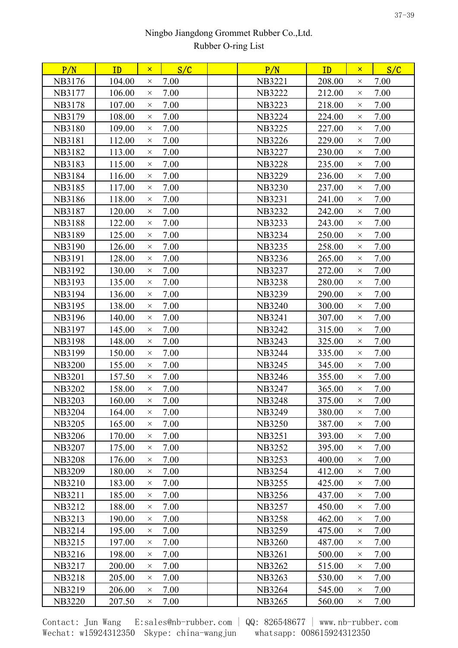| P/N           | ID     | $\mathsf{x}$ | S/C  | P/N           | ID     | $\mathsf{x}$ | S/C  |
|---------------|--------|--------------|------|---------------|--------|--------------|------|
| NB3176        | 104.00 | $\times$     | 7.00 | <b>NB3221</b> | 208.00 | $\times$     | 7.00 |
| NB3177        | 106.00 | $\times$     | 7.00 | <b>NB3222</b> | 212.00 | $\times$     | 7.00 |
| <b>NB3178</b> | 107.00 | $\times$     | 7.00 | <b>NB3223</b> | 218.00 | $\times$     | 7.00 |
| NB3179        | 108.00 | $\times$     | 7.00 | <b>NB3224</b> | 224.00 | $\times$     | 7.00 |
| <b>NB3180</b> | 109.00 | $\times$     | 7.00 | <b>NB3225</b> | 227.00 | $\times$     | 7.00 |
| <b>NB3181</b> | 112.00 | $\times$     | 7.00 | <b>NB3226</b> | 229.00 | $\times$     | 7.00 |
| NB3182        | 113.00 | $\times$     | 7.00 | <b>NB3227</b> | 230.00 | $\times$     | 7.00 |
| <b>NB3183</b> | 115.00 | $\times$     | 7.00 | <b>NB3228</b> | 235.00 | $\times$     | 7.00 |
| <b>NB3184</b> | 116.00 | $\times$     | 7.00 | <b>NB3229</b> | 236.00 | $\times$     | 7.00 |
| <b>NB3185</b> | 117.00 | $\times$     | 7.00 | <b>NB3230</b> | 237.00 | $\times$     | 7.00 |
| <b>NB3186</b> | 118.00 | $\times$     | 7.00 | <b>NB3231</b> | 241.00 | $\times$     | 7.00 |
| <b>NB3187</b> | 120.00 | $\times$     | 7.00 | <b>NB3232</b> | 242.00 | $\times$     | 7.00 |
| <b>NB3188</b> | 122.00 | $\times$     | 7.00 | <b>NB3233</b> | 243.00 | $\times$     | 7.00 |
| <b>NB3189</b> | 125.00 | $\times$     | 7.00 | <b>NB3234</b> | 250.00 | $\times$     | 7.00 |
| <b>NB3190</b> | 126.00 | $\times$     | 7.00 | NB3235        | 258.00 | $\times$     | 7.00 |
| <b>NB3191</b> | 128.00 | $\times$     | 7.00 | NB3236        | 265.00 | $\times$     | 7.00 |
| NB3192        | 130.00 | $\times$     | 7.00 | <b>NB3237</b> | 272.00 | $\times$     | 7.00 |
| <b>NB3193</b> | 135.00 | $\times$     | 7.00 | <b>NB3238</b> | 280.00 | $\times$     | 7.00 |
| NB3194        | 136.00 | $\times$     | 7.00 | <b>NB3239</b> | 290.00 | $\times$     | 7.00 |
| <b>NB3195</b> | 138.00 | $\times$     | 7.00 | <b>NB3240</b> | 300.00 | $\times$     | 7.00 |
| NB3196        | 140.00 | $\times$     | 7.00 | NB3241        | 307.00 | $\times$     | 7.00 |
| <b>NB3197</b> | 145.00 | $\times$     | 7.00 | NB3242        | 315.00 | X            | 7.00 |
| <b>NB3198</b> | 148.00 | $\times$     | 7.00 | NB3243        | 325.00 | $\times$     | 7.00 |
| <b>NB3199</b> | 150.00 | $\times$     | 7.00 | <b>NB3244</b> | 335.00 | $\times$     | 7.00 |
| <b>NB3200</b> | 155.00 | $\times$     | 7.00 | <b>NB3245</b> | 345.00 | $\times$     | 7.00 |
| <b>NB3201</b> | 157.50 | $\times$     | 7.00 | NB3246        | 355.00 | $\times$     | 7.00 |
| <b>NB3202</b> | 158.00 | $\times$     | 7.00 | <b>NB3247</b> | 365.00 | $\times$     | 7.00 |
| <b>NB3203</b> | 160.00 | $\times$     | 7.00 | <b>NB3248</b> | 375.00 | $\times$     | 7.00 |
| <b>NB3204</b> | 164.00 | $\times$     | 7.00 | <b>NB3249</b> | 380.00 | $\times$     | 7.00 |
| <b>NB3205</b> | 165.00 | $\times$     | 7.00 | <b>NB3250</b> | 387.00 | $\times$     | 7.00 |
| <b>NB3206</b> | 170.00 | $\times$     | 7.00 | NB3251        | 393.00 | $\times$     | 7.00 |
| <b>NB3207</b> | 175.00 | $\times$     | 7.00 | <b>NB3252</b> | 395.00 | $\times$     | 7.00 |
| <b>NB3208</b> | 176.00 | $\times$     | 7.00 | <b>NB3253</b> | 400.00 | $\times$     | 7.00 |
| <b>NB3209</b> | 180.00 | $\times$     | 7.00 | <b>NB3254</b> | 412.00 | $\times$     | 7.00 |
| NB3210        | 183.00 | $\times$     | 7.00 | NB3255        | 425.00 | $\times$     | 7.00 |
| <b>NB3211</b> | 185.00 | $\times$     | 7.00 | NB3256        | 437.00 | $\times$     | 7.00 |
| NB3212        | 188.00 | $\times$     | 7.00 | <b>NB3257</b> | 450.00 | $\times$     | 7.00 |
| <b>NB3213</b> | 190.00 | $\times$     | 7.00 | <b>NB3258</b> | 462.00 | $\times$     | 7.00 |
| NB3214        | 195.00 | $\times$     | 7.00 | <b>NB3259</b> | 475.00 | $\times$     | 7.00 |
| NB3215        | 197.00 | $\times$     | 7.00 | <b>NB3260</b> | 487.00 | $\times$     | 7.00 |
| NB3216        | 198.00 | $\times$     | 7.00 | <b>NB3261</b> | 500.00 | $\times$     | 7.00 |
| <b>NB3217</b> | 200.00 | $\times$     | 7.00 | <b>NB3262</b> | 515.00 | $\times$     | 7.00 |
| <b>NB3218</b> | 205.00 | $\times$     | 7.00 | <b>NB3263</b> | 530.00 | $\times$     | 7.00 |
| NB3219        | 206.00 | $\times$     | 7.00 | NB3264        | 545.00 | $\times$     | 7.00 |
| <b>NB3220</b> | 207.50 | $\times$     | 7.00 | <b>NB3265</b> | 560.00 | $\times$     | 7.00 |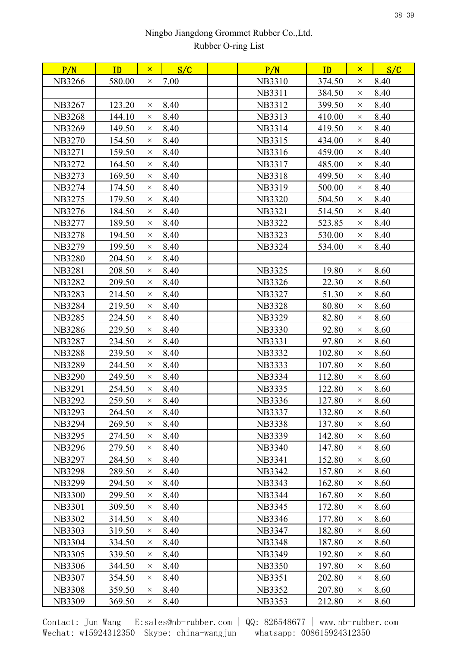| 8.40<br>NB3266<br>580.00<br>7.00<br><b>NB3310</b><br>374.50<br>$\times$<br>$\times$<br><b>NB3311</b><br>384.50<br>8.40<br>$\times$<br>NB3267<br>123.20<br>8.40<br>NB3312<br>399.50<br>8.40<br>$\times$<br>$\times$<br>8.40<br>8.40<br><b>NB3268</b><br>144.10<br>NB3313<br>410.00<br>$\times$<br>$\times$<br>419.50<br><b>NB3269</b><br>149.50<br>8.40<br>NB3314<br>8.40<br>$\times$<br>$\times$<br>8.40<br>434.00<br>8.40<br><b>NB3270</b><br>154.50<br>NB3315<br>$\times$<br>$\times$<br>8.40<br>8.40<br><b>NB3271</b><br>159.50<br>NB3316<br>459.00<br>$\times$<br>$\times$<br><b>NB3272</b><br>8.40<br>NB3317<br>485.00<br>8.40<br>164.50<br>$\times$<br>$\times$<br>8.40<br>8.40<br><b>NB3273</b><br>169.50<br><b>NB3318</b><br>499.50<br>$\times$<br>$\times$<br>NB3274<br>8.40<br>NB3319<br>8.40<br>174.50<br>500.00<br>$\times$<br>$\times$<br>8.40<br>8.40<br><b>NB3275</b><br>179.50<br><b>NB3320</b><br>504.50<br>$\times$<br>$\times$<br>NB3276<br>184.50<br>8.40<br><b>NB3321</b><br>514.50<br>8.40<br>$\times$<br>$\times$<br>8.40<br>189.50<br><b>NB3322</b><br>523.85<br>8.40<br><b>NB3277</b><br>$\times$<br>$\times$<br><b>NB3278</b><br>194.50<br>8.40<br><b>NB3323</b><br>530.00<br>8.40<br>$\times$<br>$\times$<br>8.40<br><b>NB3279</b><br>199.50<br>NB3324<br>534.00<br>8.40<br>$\times$<br>$\times$<br>8.40<br><b>NB3280</b><br>204.50<br>$\times$<br>8.40<br><b>NB3281</b><br>208.50<br><b>NB3325</b><br>19.80<br>8.60<br>$\times$<br>$\times$<br>8.40<br>22.30<br>8.60<br><b>NB3282</b><br>209.50<br><b>NB3326</b><br>$\times$<br>$\times$<br><b>NB3283</b><br>8.40<br><b>NB3327</b><br>8.60<br>214.50<br>51.30<br>$\times$<br>$\times$<br>8.40<br>80.80<br>8.60<br>NB3284<br>219.50<br><b>NB3328</b><br>$\times$<br>$\times$<br><b>NB3285</b><br>224.50<br>8.40<br><b>NB3329</b><br>82.80<br>8.60<br>$\times$<br>$\times$<br>8.40<br><b>NB3286</b><br>229.50<br>92.80<br>8.60<br><b>NB3330</b><br>$\times$<br>$\times$<br>234.50<br>8.40<br>97.80<br>8.60<br><b>NB3287</b><br><b>NB3331</b><br>$\times$<br>$\times$<br>8.40<br>239.50<br><b>NB3332</b><br>102.80<br>8.60<br><b>NB3288</b><br>$\times$<br>$\times$<br>244.50<br>8.40<br>107.80<br>8.60<br><b>NB3289</b><br><b>NB3333</b><br>$\times$<br>$\times$<br>8.40<br>112.80<br>8.60<br><b>NB3290</b><br>249.50<br>NB3334<br>$\times$<br>$\times$<br><b>NB3291</b><br>8.40<br><b>NB3335</b><br>122.80<br>8.60<br>254.50<br>$\times$<br>$\times$<br><b>NB3292</b><br>8.40<br>NB3336<br>127.80<br>8.60<br>259.50<br>$\times$<br>$\times$<br><b>NB3293</b><br>264.50<br>8.40<br><b>NB3337</b><br>132.80<br>8.60<br>$\times$<br>$\times$<br>8.40<br>8.60<br>NB3294<br>269.50<br><b>NB3338</b><br>137.80<br>$\times$<br>$\times$<br>8.40<br><b>NB3339</b><br>142.80<br>8.60<br><b>NB3295</b><br>274.50<br>$\times$<br>$\times$<br>8.40<br>147.80<br>8.60<br><b>NB3296</b><br>279.50<br><b>NB3340</b><br>$\times$<br>$\times$<br>8.40<br>8.60<br><b>NB3297</b><br>284.50<br><b>NB3341</b><br>152.80<br>$\times$<br>$\times$<br>8.40<br>157.80<br>8.60<br><b>NB3298</b><br>289.50<br><b>NB3342</b><br>$\times$<br>$\times$<br><b>NB3299</b><br>8.40<br><b>NB3343</b><br>162.80<br>8.60<br>294.50<br>$\times$<br>$\times$<br><b>NB3300</b><br>299.50<br>8.40<br>NB3344<br>167.80<br>8.60<br>$\times$<br>$\times$<br><b>NB3301</b><br>8.40<br>NB3345<br>172.80<br>8.60<br>309.50<br>$\times$<br>$\times$<br>8.40<br><b>NB3302</b><br>314.50<br>NB3346<br>177.80<br>8.60<br>$\times$<br>$\times$ |
|------------------------------------------------------------------------------------------------------------------------------------------------------------------------------------------------------------------------------------------------------------------------------------------------------------------------------------------------------------------------------------------------------------------------------------------------------------------------------------------------------------------------------------------------------------------------------------------------------------------------------------------------------------------------------------------------------------------------------------------------------------------------------------------------------------------------------------------------------------------------------------------------------------------------------------------------------------------------------------------------------------------------------------------------------------------------------------------------------------------------------------------------------------------------------------------------------------------------------------------------------------------------------------------------------------------------------------------------------------------------------------------------------------------------------------------------------------------------------------------------------------------------------------------------------------------------------------------------------------------------------------------------------------------------------------------------------------------------------------------------------------------------------------------------------------------------------------------------------------------------------------------------------------------------------------------------------------------------------------------------------------------------------------------------------------------------------------------------------------------------------------------------------------------------------------------------------------------------------------------------------------------------------------------------------------------------------------------------------------------------------------------------------------------------------------------------------------------------------------------------------------------------------------------------------------------------------------------------------------------------------------------------------------------------------------------------------------------------------------------------------------------------------------------------------------------------------------------------------------------------------------------------------------------------------------------------------------------------------------------------------------------------------------------------------------------------------------------------------------------------------------------------------------------------------------------------------------------------------------------------------------------------------------------------------------------------------------------------------------------------------------------------------------------------------------------------------------------------|
|                                                                                                                                                                                                                                                                                                                                                                                                                                                                                                                                                                                                                                                                                                                                                                                                                                                                                                                                                                                                                                                                                                                                                                                                                                                                                                                                                                                                                                                                                                                                                                                                                                                                                                                                                                                                                                                                                                                                                                                                                                                                                                                                                                                                                                                                                                                                                                                                                                                                                                                                                                                                                                                                                                                                                                                                                                                                                                                                                                                                                                                                                                                                                                                                                                                                                                                                                                                                                                                                        |
|                                                                                                                                                                                                                                                                                                                                                                                                                                                                                                                                                                                                                                                                                                                                                                                                                                                                                                                                                                                                                                                                                                                                                                                                                                                                                                                                                                                                                                                                                                                                                                                                                                                                                                                                                                                                                                                                                                                                                                                                                                                                                                                                                                                                                                                                                                                                                                                                                                                                                                                                                                                                                                                                                                                                                                                                                                                                                                                                                                                                                                                                                                                                                                                                                                                                                                                                                                                                                                                                        |
|                                                                                                                                                                                                                                                                                                                                                                                                                                                                                                                                                                                                                                                                                                                                                                                                                                                                                                                                                                                                                                                                                                                                                                                                                                                                                                                                                                                                                                                                                                                                                                                                                                                                                                                                                                                                                                                                                                                                                                                                                                                                                                                                                                                                                                                                                                                                                                                                                                                                                                                                                                                                                                                                                                                                                                                                                                                                                                                                                                                                                                                                                                                                                                                                                                                                                                                                                                                                                                                                        |
|                                                                                                                                                                                                                                                                                                                                                                                                                                                                                                                                                                                                                                                                                                                                                                                                                                                                                                                                                                                                                                                                                                                                                                                                                                                                                                                                                                                                                                                                                                                                                                                                                                                                                                                                                                                                                                                                                                                                                                                                                                                                                                                                                                                                                                                                                                                                                                                                                                                                                                                                                                                                                                                                                                                                                                                                                                                                                                                                                                                                                                                                                                                                                                                                                                                                                                                                                                                                                                                                        |
|                                                                                                                                                                                                                                                                                                                                                                                                                                                                                                                                                                                                                                                                                                                                                                                                                                                                                                                                                                                                                                                                                                                                                                                                                                                                                                                                                                                                                                                                                                                                                                                                                                                                                                                                                                                                                                                                                                                                                                                                                                                                                                                                                                                                                                                                                                                                                                                                                                                                                                                                                                                                                                                                                                                                                                                                                                                                                                                                                                                                                                                                                                                                                                                                                                                                                                                                                                                                                                                                        |
|                                                                                                                                                                                                                                                                                                                                                                                                                                                                                                                                                                                                                                                                                                                                                                                                                                                                                                                                                                                                                                                                                                                                                                                                                                                                                                                                                                                                                                                                                                                                                                                                                                                                                                                                                                                                                                                                                                                                                                                                                                                                                                                                                                                                                                                                                                                                                                                                                                                                                                                                                                                                                                                                                                                                                                                                                                                                                                                                                                                                                                                                                                                                                                                                                                                                                                                                                                                                                                                                        |
|                                                                                                                                                                                                                                                                                                                                                                                                                                                                                                                                                                                                                                                                                                                                                                                                                                                                                                                                                                                                                                                                                                                                                                                                                                                                                                                                                                                                                                                                                                                                                                                                                                                                                                                                                                                                                                                                                                                                                                                                                                                                                                                                                                                                                                                                                                                                                                                                                                                                                                                                                                                                                                                                                                                                                                                                                                                                                                                                                                                                                                                                                                                                                                                                                                                                                                                                                                                                                                                                        |
|                                                                                                                                                                                                                                                                                                                                                                                                                                                                                                                                                                                                                                                                                                                                                                                                                                                                                                                                                                                                                                                                                                                                                                                                                                                                                                                                                                                                                                                                                                                                                                                                                                                                                                                                                                                                                                                                                                                                                                                                                                                                                                                                                                                                                                                                                                                                                                                                                                                                                                                                                                                                                                                                                                                                                                                                                                                                                                                                                                                                                                                                                                                                                                                                                                                                                                                                                                                                                                                                        |
|                                                                                                                                                                                                                                                                                                                                                                                                                                                                                                                                                                                                                                                                                                                                                                                                                                                                                                                                                                                                                                                                                                                                                                                                                                                                                                                                                                                                                                                                                                                                                                                                                                                                                                                                                                                                                                                                                                                                                                                                                                                                                                                                                                                                                                                                                                                                                                                                                                                                                                                                                                                                                                                                                                                                                                                                                                                                                                                                                                                                                                                                                                                                                                                                                                                                                                                                                                                                                                                                        |
|                                                                                                                                                                                                                                                                                                                                                                                                                                                                                                                                                                                                                                                                                                                                                                                                                                                                                                                                                                                                                                                                                                                                                                                                                                                                                                                                                                                                                                                                                                                                                                                                                                                                                                                                                                                                                                                                                                                                                                                                                                                                                                                                                                                                                                                                                                                                                                                                                                                                                                                                                                                                                                                                                                                                                                                                                                                                                                                                                                                                                                                                                                                                                                                                                                                                                                                                                                                                                                                                        |
|                                                                                                                                                                                                                                                                                                                                                                                                                                                                                                                                                                                                                                                                                                                                                                                                                                                                                                                                                                                                                                                                                                                                                                                                                                                                                                                                                                                                                                                                                                                                                                                                                                                                                                                                                                                                                                                                                                                                                                                                                                                                                                                                                                                                                                                                                                                                                                                                                                                                                                                                                                                                                                                                                                                                                                                                                                                                                                                                                                                                                                                                                                                                                                                                                                                                                                                                                                                                                                                                        |
|                                                                                                                                                                                                                                                                                                                                                                                                                                                                                                                                                                                                                                                                                                                                                                                                                                                                                                                                                                                                                                                                                                                                                                                                                                                                                                                                                                                                                                                                                                                                                                                                                                                                                                                                                                                                                                                                                                                                                                                                                                                                                                                                                                                                                                                                                                                                                                                                                                                                                                                                                                                                                                                                                                                                                                                                                                                                                                                                                                                                                                                                                                                                                                                                                                                                                                                                                                                                                                                                        |
|                                                                                                                                                                                                                                                                                                                                                                                                                                                                                                                                                                                                                                                                                                                                                                                                                                                                                                                                                                                                                                                                                                                                                                                                                                                                                                                                                                                                                                                                                                                                                                                                                                                                                                                                                                                                                                                                                                                                                                                                                                                                                                                                                                                                                                                                                                                                                                                                                                                                                                                                                                                                                                                                                                                                                                                                                                                                                                                                                                                                                                                                                                                                                                                                                                                                                                                                                                                                                                                                        |
|                                                                                                                                                                                                                                                                                                                                                                                                                                                                                                                                                                                                                                                                                                                                                                                                                                                                                                                                                                                                                                                                                                                                                                                                                                                                                                                                                                                                                                                                                                                                                                                                                                                                                                                                                                                                                                                                                                                                                                                                                                                                                                                                                                                                                                                                                                                                                                                                                                                                                                                                                                                                                                                                                                                                                                                                                                                                                                                                                                                                                                                                                                                                                                                                                                                                                                                                                                                                                                                                        |
|                                                                                                                                                                                                                                                                                                                                                                                                                                                                                                                                                                                                                                                                                                                                                                                                                                                                                                                                                                                                                                                                                                                                                                                                                                                                                                                                                                                                                                                                                                                                                                                                                                                                                                                                                                                                                                                                                                                                                                                                                                                                                                                                                                                                                                                                                                                                                                                                                                                                                                                                                                                                                                                                                                                                                                                                                                                                                                                                                                                                                                                                                                                                                                                                                                                                                                                                                                                                                                                                        |
|                                                                                                                                                                                                                                                                                                                                                                                                                                                                                                                                                                                                                                                                                                                                                                                                                                                                                                                                                                                                                                                                                                                                                                                                                                                                                                                                                                                                                                                                                                                                                                                                                                                                                                                                                                                                                                                                                                                                                                                                                                                                                                                                                                                                                                                                                                                                                                                                                                                                                                                                                                                                                                                                                                                                                                                                                                                                                                                                                                                                                                                                                                                                                                                                                                                                                                                                                                                                                                                                        |
|                                                                                                                                                                                                                                                                                                                                                                                                                                                                                                                                                                                                                                                                                                                                                                                                                                                                                                                                                                                                                                                                                                                                                                                                                                                                                                                                                                                                                                                                                                                                                                                                                                                                                                                                                                                                                                                                                                                                                                                                                                                                                                                                                                                                                                                                                                                                                                                                                                                                                                                                                                                                                                                                                                                                                                                                                                                                                                                                                                                                                                                                                                                                                                                                                                                                                                                                                                                                                                                                        |
|                                                                                                                                                                                                                                                                                                                                                                                                                                                                                                                                                                                                                                                                                                                                                                                                                                                                                                                                                                                                                                                                                                                                                                                                                                                                                                                                                                                                                                                                                                                                                                                                                                                                                                                                                                                                                                                                                                                                                                                                                                                                                                                                                                                                                                                                                                                                                                                                                                                                                                                                                                                                                                                                                                                                                                                                                                                                                                                                                                                                                                                                                                                                                                                                                                                                                                                                                                                                                                                                        |
|                                                                                                                                                                                                                                                                                                                                                                                                                                                                                                                                                                                                                                                                                                                                                                                                                                                                                                                                                                                                                                                                                                                                                                                                                                                                                                                                                                                                                                                                                                                                                                                                                                                                                                                                                                                                                                                                                                                                                                                                                                                                                                                                                                                                                                                                                                                                                                                                                                                                                                                                                                                                                                                                                                                                                                                                                                                                                                                                                                                                                                                                                                                                                                                                                                                                                                                                                                                                                                                                        |
|                                                                                                                                                                                                                                                                                                                                                                                                                                                                                                                                                                                                                                                                                                                                                                                                                                                                                                                                                                                                                                                                                                                                                                                                                                                                                                                                                                                                                                                                                                                                                                                                                                                                                                                                                                                                                                                                                                                                                                                                                                                                                                                                                                                                                                                                                                                                                                                                                                                                                                                                                                                                                                                                                                                                                                                                                                                                                                                                                                                                                                                                                                                                                                                                                                                                                                                                                                                                                                                                        |
|                                                                                                                                                                                                                                                                                                                                                                                                                                                                                                                                                                                                                                                                                                                                                                                                                                                                                                                                                                                                                                                                                                                                                                                                                                                                                                                                                                                                                                                                                                                                                                                                                                                                                                                                                                                                                                                                                                                                                                                                                                                                                                                                                                                                                                                                                                                                                                                                                                                                                                                                                                                                                                                                                                                                                                                                                                                                                                                                                                                                                                                                                                                                                                                                                                                                                                                                                                                                                                                                        |
|                                                                                                                                                                                                                                                                                                                                                                                                                                                                                                                                                                                                                                                                                                                                                                                                                                                                                                                                                                                                                                                                                                                                                                                                                                                                                                                                                                                                                                                                                                                                                                                                                                                                                                                                                                                                                                                                                                                                                                                                                                                                                                                                                                                                                                                                                                                                                                                                                                                                                                                                                                                                                                                                                                                                                                                                                                                                                                                                                                                                                                                                                                                                                                                                                                                                                                                                                                                                                                                                        |
|                                                                                                                                                                                                                                                                                                                                                                                                                                                                                                                                                                                                                                                                                                                                                                                                                                                                                                                                                                                                                                                                                                                                                                                                                                                                                                                                                                                                                                                                                                                                                                                                                                                                                                                                                                                                                                                                                                                                                                                                                                                                                                                                                                                                                                                                                                                                                                                                                                                                                                                                                                                                                                                                                                                                                                                                                                                                                                                                                                                                                                                                                                                                                                                                                                                                                                                                                                                                                                                                        |
|                                                                                                                                                                                                                                                                                                                                                                                                                                                                                                                                                                                                                                                                                                                                                                                                                                                                                                                                                                                                                                                                                                                                                                                                                                                                                                                                                                                                                                                                                                                                                                                                                                                                                                                                                                                                                                                                                                                                                                                                                                                                                                                                                                                                                                                                                                                                                                                                                                                                                                                                                                                                                                                                                                                                                                                                                                                                                                                                                                                                                                                                                                                                                                                                                                                                                                                                                                                                                                                                        |
|                                                                                                                                                                                                                                                                                                                                                                                                                                                                                                                                                                                                                                                                                                                                                                                                                                                                                                                                                                                                                                                                                                                                                                                                                                                                                                                                                                                                                                                                                                                                                                                                                                                                                                                                                                                                                                                                                                                                                                                                                                                                                                                                                                                                                                                                                                                                                                                                                                                                                                                                                                                                                                                                                                                                                                                                                                                                                                                                                                                                                                                                                                                                                                                                                                                                                                                                                                                                                                                                        |
|                                                                                                                                                                                                                                                                                                                                                                                                                                                                                                                                                                                                                                                                                                                                                                                                                                                                                                                                                                                                                                                                                                                                                                                                                                                                                                                                                                                                                                                                                                                                                                                                                                                                                                                                                                                                                                                                                                                                                                                                                                                                                                                                                                                                                                                                                                                                                                                                                                                                                                                                                                                                                                                                                                                                                                                                                                                                                                                                                                                                                                                                                                                                                                                                                                                                                                                                                                                                                                                                        |
|                                                                                                                                                                                                                                                                                                                                                                                                                                                                                                                                                                                                                                                                                                                                                                                                                                                                                                                                                                                                                                                                                                                                                                                                                                                                                                                                                                                                                                                                                                                                                                                                                                                                                                                                                                                                                                                                                                                                                                                                                                                                                                                                                                                                                                                                                                                                                                                                                                                                                                                                                                                                                                                                                                                                                                                                                                                                                                                                                                                                                                                                                                                                                                                                                                                                                                                                                                                                                                                                        |
|                                                                                                                                                                                                                                                                                                                                                                                                                                                                                                                                                                                                                                                                                                                                                                                                                                                                                                                                                                                                                                                                                                                                                                                                                                                                                                                                                                                                                                                                                                                                                                                                                                                                                                                                                                                                                                                                                                                                                                                                                                                                                                                                                                                                                                                                                                                                                                                                                                                                                                                                                                                                                                                                                                                                                                                                                                                                                                                                                                                                                                                                                                                                                                                                                                                                                                                                                                                                                                                                        |
|                                                                                                                                                                                                                                                                                                                                                                                                                                                                                                                                                                                                                                                                                                                                                                                                                                                                                                                                                                                                                                                                                                                                                                                                                                                                                                                                                                                                                                                                                                                                                                                                                                                                                                                                                                                                                                                                                                                                                                                                                                                                                                                                                                                                                                                                                                                                                                                                                                                                                                                                                                                                                                                                                                                                                                                                                                                                                                                                                                                                                                                                                                                                                                                                                                                                                                                                                                                                                                                                        |
|                                                                                                                                                                                                                                                                                                                                                                                                                                                                                                                                                                                                                                                                                                                                                                                                                                                                                                                                                                                                                                                                                                                                                                                                                                                                                                                                                                                                                                                                                                                                                                                                                                                                                                                                                                                                                                                                                                                                                                                                                                                                                                                                                                                                                                                                                                                                                                                                                                                                                                                                                                                                                                                                                                                                                                                                                                                                                                                                                                                                                                                                                                                                                                                                                                                                                                                                                                                                                                                                        |
|                                                                                                                                                                                                                                                                                                                                                                                                                                                                                                                                                                                                                                                                                                                                                                                                                                                                                                                                                                                                                                                                                                                                                                                                                                                                                                                                                                                                                                                                                                                                                                                                                                                                                                                                                                                                                                                                                                                                                                                                                                                                                                                                                                                                                                                                                                                                                                                                                                                                                                                                                                                                                                                                                                                                                                                                                                                                                                                                                                                                                                                                                                                                                                                                                                                                                                                                                                                                                                                                        |
|                                                                                                                                                                                                                                                                                                                                                                                                                                                                                                                                                                                                                                                                                                                                                                                                                                                                                                                                                                                                                                                                                                                                                                                                                                                                                                                                                                                                                                                                                                                                                                                                                                                                                                                                                                                                                                                                                                                                                                                                                                                                                                                                                                                                                                                                                                                                                                                                                                                                                                                                                                                                                                                                                                                                                                                                                                                                                                                                                                                                                                                                                                                                                                                                                                                                                                                                                                                                                                                                        |
|                                                                                                                                                                                                                                                                                                                                                                                                                                                                                                                                                                                                                                                                                                                                                                                                                                                                                                                                                                                                                                                                                                                                                                                                                                                                                                                                                                                                                                                                                                                                                                                                                                                                                                                                                                                                                                                                                                                                                                                                                                                                                                                                                                                                                                                                                                                                                                                                                                                                                                                                                                                                                                                                                                                                                                                                                                                                                                                                                                                                                                                                                                                                                                                                                                                                                                                                                                                                                                                                        |
|                                                                                                                                                                                                                                                                                                                                                                                                                                                                                                                                                                                                                                                                                                                                                                                                                                                                                                                                                                                                                                                                                                                                                                                                                                                                                                                                                                                                                                                                                                                                                                                                                                                                                                                                                                                                                                                                                                                                                                                                                                                                                                                                                                                                                                                                                                                                                                                                                                                                                                                                                                                                                                                                                                                                                                                                                                                                                                                                                                                                                                                                                                                                                                                                                                                                                                                                                                                                                                                                        |
|                                                                                                                                                                                                                                                                                                                                                                                                                                                                                                                                                                                                                                                                                                                                                                                                                                                                                                                                                                                                                                                                                                                                                                                                                                                                                                                                                                                                                                                                                                                                                                                                                                                                                                                                                                                                                                                                                                                                                                                                                                                                                                                                                                                                                                                                                                                                                                                                                                                                                                                                                                                                                                                                                                                                                                                                                                                                                                                                                                                                                                                                                                                                                                                                                                                                                                                                                                                                                                                                        |
|                                                                                                                                                                                                                                                                                                                                                                                                                                                                                                                                                                                                                                                                                                                                                                                                                                                                                                                                                                                                                                                                                                                                                                                                                                                                                                                                                                                                                                                                                                                                                                                                                                                                                                                                                                                                                                                                                                                                                                                                                                                                                                                                                                                                                                                                                                                                                                                                                                                                                                                                                                                                                                                                                                                                                                                                                                                                                                                                                                                                                                                                                                                                                                                                                                                                                                                                                                                                                                                                        |
|                                                                                                                                                                                                                                                                                                                                                                                                                                                                                                                                                                                                                                                                                                                                                                                                                                                                                                                                                                                                                                                                                                                                                                                                                                                                                                                                                                                                                                                                                                                                                                                                                                                                                                                                                                                                                                                                                                                                                                                                                                                                                                                                                                                                                                                                                                                                                                                                                                                                                                                                                                                                                                                                                                                                                                                                                                                                                                                                                                                                                                                                                                                                                                                                                                                                                                                                                                                                                                                                        |
|                                                                                                                                                                                                                                                                                                                                                                                                                                                                                                                                                                                                                                                                                                                                                                                                                                                                                                                                                                                                                                                                                                                                                                                                                                                                                                                                                                                                                                                                                                                                                                                                                                                                                                                                                                                                                                                                                                                                                                                                                                                                                                                                                                                                                                                                                                                                                                                                                                                                                                                                                                                                                                                                                                                                                                                                                                                                                                                                                                                                                                                                                                                                                                                                                                                                                                                                                                                                                                                                        |
| <b>NB3303</b><br>319.50<br>8.40<br>NB3347<br>182.80<br>8.60<br>$\times$<br>$\times$                                                                                                                                                                                                                                                                                                                                                                                                                                                                                                                                                                                                                                                                                                                                                                                                                                                                                                                                                                                                                                                                                                                                                                                                                                                                                                                                                                                                                                                                                                                                                                                                                                                                                                                                                                                                                                                                                                                                                                                                                                                                                                                                                                                                                                                                                                                                                                                                                                                                                                                                                                                                                                                                                                                                                                                                                                                                                                                                                                                                                                                                                                                                                                                                                                                                                                                                                                                    |
| 8.40<br>187.80<br>8.60<br><b>NB3304</b><br>334.50<br><b>NB3348</b><br>$\times$<br>$\times$                                                                                                                                                                                                                                                                                                                                                                                                                                                                                                                                                                                                                                                                                                                                                                                                                                                                                                                                                                                                                                                                                                                                                                                                                                                                                                                                                                                                                                                                                                                                                                                                                                                                                                                                                                                                                                                                                                                                                                                                                                                                                                                                                                                                                                                                                                                                                                                                                                                                                                                                                                                                                                                                                                                                                                                                                                                                                                                                                                                                                                                                                                                                                                                                                                                                                                                                                                             |
| 8.40<br>192.80<br>8.60<br><b>NB3305</b><br>339.50<br><b>NB3349</b><br>$\times$<br>$\times$                                                                                                                                                                                                                                                                                                                                                                                                                                                                                                                                                                                                                                                                                                                                                                                                                                                                                                                                                                                                                                                                                                                                                                                                                                                                                                                                                                                                                                                                                                                                                                                                                                                                                                                                                                                                                                                                                                                                                                                                                                                                                                                                                                                                                                                                                                                                                                                                                                                                                                                                                                                                                                                                                                                                                                                                                                                                                                                                                                                                                                                                                                                                                                                                                                                                                                                                                                             |
| 8.40<br>197.80<br>8.60<br><b>NB3306</b><br>344.50<br><b>NB3350</b><br>$\times$<br>$\times$                                                                                                                                                                                                                                                                                                                                                                                                                                                                                                                                                                                                                                                                                                                                                                                                                                                                                                                                                                                                                                                                                                                                                                                                                                                                                                                                                                                                                                                                                                                                                                                                                                                                                                                                                                                                                                                                                                                                                                                                                                                                                                                                                                                                                                                                                                                                                                                                                                                                                                                                                                                                                                                                                                                                                                                                                                                                                                                                                                                                                                                                                                                                                                                                                                                                                                                                                                             |
| <b>NB3307</b><br>354.50<br>8.40<br><b>NB3351</b><br>202.80<br>8.60<br>$\times$<br>$\times$                                                                                                                                                                                                                                                                                                                                                                                                                                                                                                                                                                                                                                                                                                                                                                                                                                                                                                                                                                                                                                                                                                                                                                                                                                                                                                                                                                                                                                                                                                                                                                                                                                                                                                                                                                                                                                                                                                                                                                                                                                                                                                                                                                                                                                                                                                                                                                                                                                                                                                                                                                                                                                                                                                                                                                                                                                                                                                                                                                                                                                                                                                                                                                                                                                                                                                                                                                             |
| 207.80<br><b>NB3308</b><br>359.50<br>8.40<br><b>NB3352</b><br>8.60<br>$\times$<br>$\times$                                                                                                                                                                                                                                                                                                                                                                                                                                                                                                                                                                                                                                                                                                                                                                                                                                                                                                                                                                                                                                                                                                                                                                                                                                                                                                                                                                                                                                                                                                                                                                                                                                                                                                                                                                                                                                                                                                                                                                                                                                                                                                                                                                                                                                                                                                                                                                                                                                                                                                                                                                                                                                                                                                                                                                                                                                                                                                                                                                                                                                                                                                                                                                                                                                                                                                                                                                             |
| <b>NB3309</b><br>8.40<br>212.80<br>369.50<br><b>NB3353</b><br>8.60<br>$\times$<br>$\times$                                                                                                                                                                                                                                                                                                                                                                                                                                                                                                                                                                                                                                                                                                                                                                                                                                                                                                                                                                                                                                                                                                                                                                                                                                                                                                                                                                                                                                                                                                                                                                                                                                                                                                                                                                                                                                                                                                                                                                                                                                                                                                                                                                                                                                                                                                                                                                                                                                                                                                                                                                                                                                                                                                                                                                                                                                                                                                                                                                                                                                                                                                                                                                                                                                                                                                                                                                             |